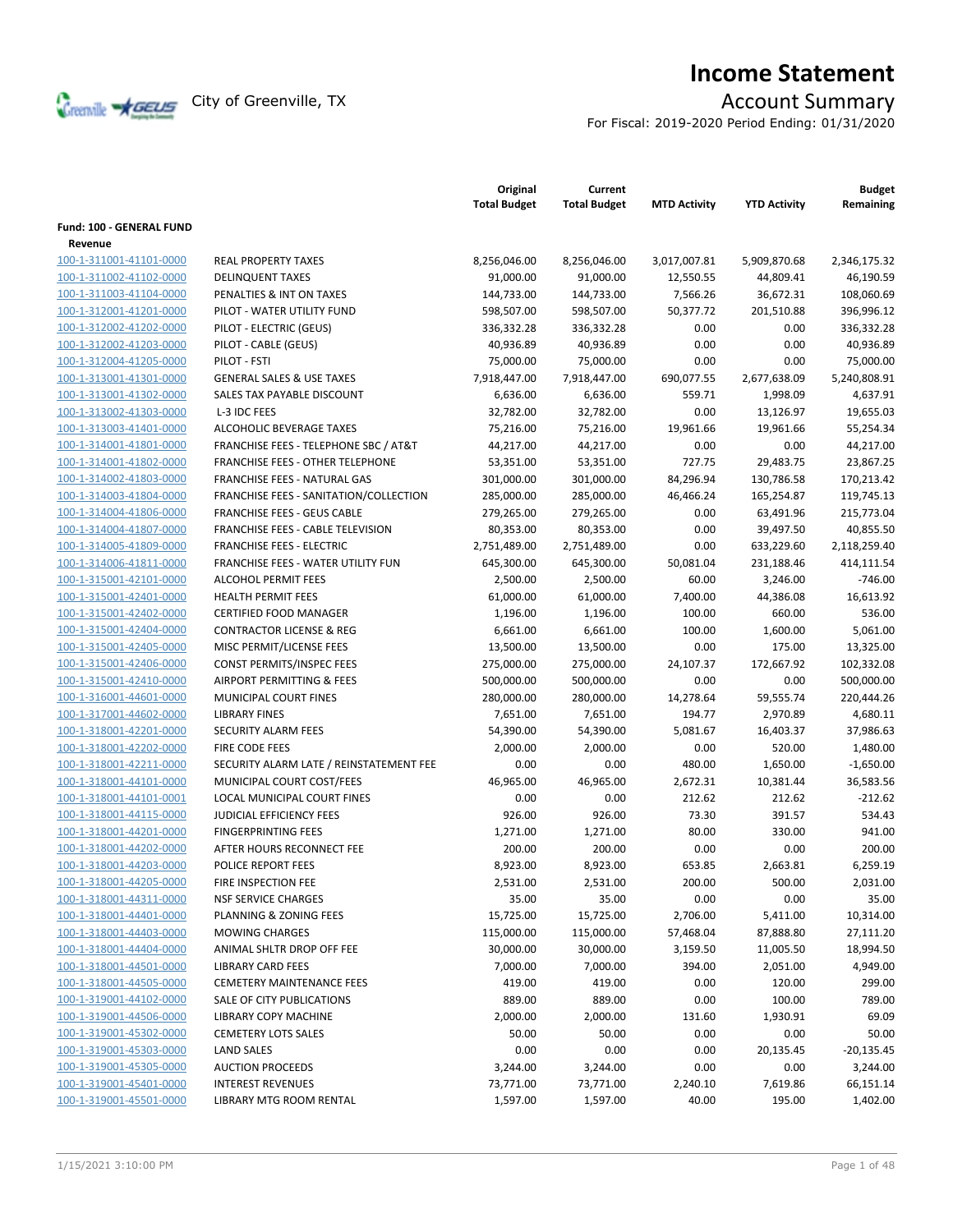

# **Income Statement**

For Fiscal: 2019-2020 Period Ending: 01/31/2020

|                          |                                                  | Original<br><b>Total Budget</b> | Current<br><b>Total Budget</b> | <b>MTD Activity</b> | <b>YTD Activity</b> | <b>Budget</b><br>Remaining |
|--------------------------|--------------------------------------------------|---------------------------------|--------------------------------|---------------------|---------------------|----------------------------|
| Fund: 100 - GENERAL FUND |                                                  |                                 |                                |                     |                     |                            |
| Revenue                  |                                                  |                                 |                                |                     |                     |                            |
| 100-1-311001-41101-0000  | <b>REAL PROPERTY TAXES</b>                       | 8,256,046.00                    | 8,256,046.00                   | 3,017,007.81        | 5,909,870.68        | 2,346,175.32               |
| 100-1-311002-41102-0000  | <b>DELINQUENT TAXES</b>                          | 91,000.00                       | 91,000.00                      | 12,550.55           | 44,809.41           | 46,190.59                  |
| 100-1-311003-41104-0000  | PENALTIES & INT ON TAXES                         | 144,733.00                      | 144,733.00                     | 7,566.26            | 36,672.31           | 108,060.69                 |
| 100-1-312001-41201-0000  | PILOT - WATER UTILITY FUND                       | 598,507.00                      | 598,507.00                     | 50,377.72           | 201,510.88          | 396,996.12                 |
| 100-1-312002-41202-0000  | PILOT - ELECTRIC (GEUS)                          | 336,332.28                      | 336,332.28                     | 0.00                | 0.00                | 336,332.28                 |
| 100-1-312002-41203-0000  | PILOT - CABLE (GEUS)                             | 40,936.89                       | 40,936.89                      | 0.00                | 0.00                | 40,936.89                  |
| 100-1-312004-41205-0000  | PILOT - FSTI                                     | 75,000.00                       | 75,000.00                      | 0.00                | 0.00                | 75,000.00                  |
| 100-1-313001-41301-0000  | <b>GENERAL SALES &amp; USE TAXES</b>             | 7,918,447.00                    | 7,918,447.00                   | 690,077.55          | 2,677,638.09        | 5,240,808.91               |
| 100-1-313001-41302-0000  | SALES TAX PAYABLE DISCOUNT                       | 6,636.00                        | 6,636.00                       | 559.71              | 1,998.09            | 4,637.91                   |
| 100-1-313002-41303-0000  | L-3 IDC FEES                                     | 32,782.00                       | 32,782.00                      | 0.00                | 13,126.97           | 19,655.03                  |
| 100-1-313003-41401-0000  | ALCOHOLIC BEVERAGE TAXES                         |                                 |                                | 19,961.66           |                     |                            |
|                          | <b>FRANCHISE FEES - TELEPHONE SBC / AT&amp;T</b> | 75,216.00                       | 75,216.00                      | 0.00                | 19,961.66<br>0.00   | 55,254.34                  |
| 100-1-314001-41801-0000  |                                                  | 44,217.00                       | 44,217.00                      |                     |                     | 44,217.00                  |
| 100-1-314001-41802-0000  | <b>FRANCHISE FEES - OTHER TELEPHONE</b>          | 53,351.00                       | 53,351.00                      | 727.75              | 29,483.75           | 23,867.25                  |
| 100-1-314002-41803-0000  | FRANCHISE FEES - NATURAL GAS                     | 301,000.00                      | 301,000.00                     | 84,296.94           | 130,786.58          | 170,213.42                 |
| 100-1-314003-41804-0000  | FRANCHISE FEES - SANITATION/COLLECTION           | 285,000.00                      | 285,000.00                     | 46,466.24           | 165,254.87          | 119,745.13                 |
| 100-1-314004-41806-0000  | <b>FRANCHISE FEES - GEUS CABLE</b>               | 279,265.00                      | 279,265.00                     | 0.00                | 63,491.96           | 215,773.04                 |
| 100-1-314004-41807-0000  | <b>FRANCHISE FEES - CABLE TELEVISION</b>         | 80,353.00                       | 80,353.00                      | 0.00                | 39,497.50           | 40,855.50                  |
| 100-1-314005-41809-0000  | <b>FRANCHISE FEES - ELECTRIC</b>                 | 2,751,489.00                    | 2,751,489.00                   | 0.00                | 633,229.60          | 2,118,259.40               |
| 100-1-314006-41811-0000  | <b>FRANCHISE FEES - WATER UTILITY FUN</b>        | 645,300.00                      | 645,300.00                     | 50,081.04           | 231,188.46          | 414,111.54                 |
| 100-1-315001-42101-0000  | <b>ALCOHOL PERMIT FEES</b>                       | 2,500.00                        | 2,500.00                       | 60.00               | 3,246.00            | $-746.00$                  |
| 100-1-315001-42401-0000  | <b>HEALTH PERMIT FEES</b>                        | 61,000.00                       | 61,000.00                      | 7,400.00            | 44,386.08           | 16,613.92                  |
| 100-1-315001-42402-0000  | <b>CERTIFIED FOOD MANAGER</b>                    | 1,196.00                        | 1,196.00                       | 100.00              | 660.00              | 536.00                     |
| 100-1-315001-42404-0000  | <b>CONTRACTOR LICENSE &amp; REG</b>              | 6,661.00                        | 6,661.00                       | 100.00              | 1,600.00            | 5,061.00                   |
| 100-1-315001-42405-0000  | MISC PERMIT/LICENSE FEES                         | 13,500.00                       | 13,500.00                      | 0.00                | 175.00              | 13,325.00                  |
| 100-1-315001-42406-0000  | CONST PERMITS/INSPEC FEES                        | 275,000.00                      | 275,000.00                     | 24,107.37           | 172,667.92          | 102,332.08                 |
| 100-1-315001-42410-0000  | AIRPORT PERMITTING & FEES                        | 500,000.00                      | 500,000.00                     | 0.00                | 0.00                | 500,000.00                 |
| 100-1-316001-44601-0000  | MUNICIPAL COURT FINES                            | 280,000.00                      | 280,000.00                     | 14,278.64           | 59,555.74           | 220,444.26                 |
| 100-1-317001-44602-0000  | <b>LIBRARY FINES</b>                             | 7,651.00                        | 7,651.00                       | 194.77              | 2,970.89            | 4,680.11                   |
| 100-1-318001-42201-0000  | SECURITY ALARM FEES                              | 54,390.00                       | 54,390.00                      | 5,081.67            | 16,403.37           | 37,986.63                  |
| 100-1-318001-42202-0000  | FIRE CODE FEES                                   | 2,000.00                        | 2,000.00                       | 0.00                | 520.00              | 1,480.00                   |
| 100-1-318001-42211-0000  | SECURITY ALARM LATE / REINSTATEMENT FEE          | 0.00                            | 0.00                           | 480.00              | 1,650.00            | $-1,650.00$                |
| 100-1-318001-44101-0000  | MUNICIPAL COURT COST/FEES                        | 46,965.00                       | 46,965.00                      | 2,672.31            | 10,381.44           | 36,583.56                  |
| 100-1-318001-44101-0001  | <b>LOCAL MUNICIPAL COURT FINES</b>               | 0.00                            | 0.00                           | 212.62              | 212.62              | $-212.62$                  |
| 100-1-318001-44115-0000  | <b>JUDICIAL EFFICIENCY FEES</b>                  | 926.00                          | 926.00                         | 73.30               | 391.57              | 534.43                     |
| 100-1-318001-44201-0000  | <b>FINGERPRINTING FEES</b>                       | 1,271.00                        | 1,271.00                       | 80.00               | 330.00              | 941.00                     |
| 100-1-318001-44202-0000  | AFTER HOURS RECONNECT FEE                        | 200.00                          | 200.00                         | 0.00                | 0.00                | 200.00                     |
| 100-1-318001-44203-0000  | POLICE REPORT FEES                               | 8,923.00                        | 8,923.00                       | 653.85              | 2,663.81            | 6,259.19                   |
| 100-1-318001-44205-0000  | FIRE INSPECTION FEE                              | 2,531.00                        | 2,531.00                       | 200.00              | 500.00              | 2,031.00                   |
| 100-1-318001-44311-0000  | <b>NSF SERVICE CHARGES</b>                       | 35.00                           | 35.00                          | 0.00                | 0.00                | 35.00                      |
| 100-1-318001-44401-0000  | PLANNING & ZONING FEES                           | 15,725.00                       | 15,725.00                      | 2,706.00            | 5,411.00            | 10,314.00                  |
| 100-1-318001-44403-0000  | <b>MOWING CHARGES</b>                            | 115,000.00                      | 115,000.00                     | 57,468.04           | 87,888.80           | 27,111.20                  |
| 100-1-318001-44404-0000  | ANIMAL SHLTR DROP OFF FEE                        | 30,000.00                       | 30,000.00                      | 3,159.50            | 11,005.50           | 18,994.50                  |
| 100-1-318001-44501-0000  | LIBRARY CARD FEES                                | 7,000.00                        | 7,000.00                       | 394.00              | 2,051.00            | 4,949.00                   |
| 100-1-318001-44505-0000  | <b>CEMETERY MAINTENANCE FEES</b>                 | 419.00                          | 419.00                         | 0.00                | 120.00              | 299.00                     |
| 100-1-319001-44102-0000  | SALE OF CITY PUBLICATIONS                        | 889.00                          | 889.00                         | 0.00                | 100.00              | 789.00                     |
| 100-1-319001-44506-0000  | LIBRARY COPY MACHINE                             | 2,000.00                        | 2,000.00                       | 131.60              | 1,930.91            | 69.09                      |
| 100-1-319001-45302-0000  | <b>CEMETERY LOTS SALES</b>                       | 50.00                           | 50.00                          | 0.00                | 0.00                | 50.00                      |
| 100-1-319001-45303-0000  | <b>LAND SALES</b>                                | 0.00                            | 0.00                           | 0.00                | 20,135.45           | $-20,135.45$               |
| 100-1-319001-45305-0000  | <b>AUCTION PROCEEDS</b>                          | 3,244.00                        | 3,244.00                       | 0.00                | 0.00                | 3,244.00                   |
| 100-1-319001-45401-0000  | <b>INTEREST REVENUES</b>                         | 73,771.00                       | 73,771.00                      | 2,240.10            | 7,619.86            | 66,151.14                  |
| 100-1-319001-45501-0000  | LIBRARY MTG ROOM RENTAL                          | 1,597.00                        | 1,597.00                       | 40.00               | 195.00              | 1,402.00                   |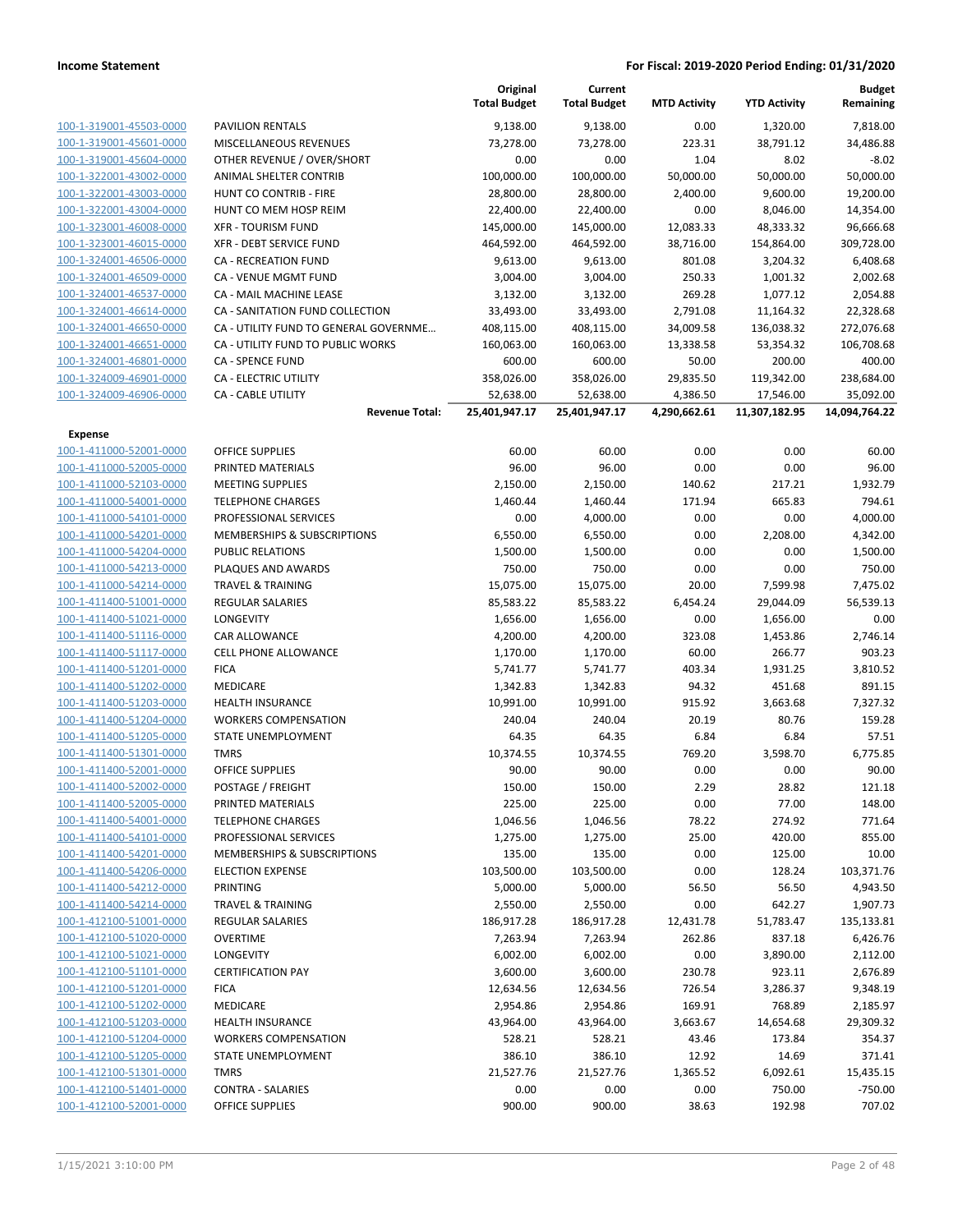|                                                    |                                                        | Original<br><b>Total Budget</b> | Current<br><b>Total Budget</b> | <b>MTD Activity</b>      | <b>YTD Activity</b>        | <b>Budget</b><br>Remaining |
|----------------------------------------------------|--------------------------------------------------------|---------------------------------|--------------------------------|--------------------------|----------------------------|----------------------------|
| 100-1-319001-45503-0000                            | <b>PAVILION RENTALS</b>                                | 9,138.00                        | 9,138.00                       | 0.00                     | 1,320.00                   | 7,818.00                   |
| 100-1-319001-45601-0000                            | MISCELLANEOUS REVENUES                                 | 73,278.00                       | 73,278.00                      | 223.31                   | 38,791.12                  | 34,486.88                  |
| 100-1-319001-45604-0000                            | OTHER REVENUE / OVER/SHORT                             | 0.00                            | 0.00                           | 1.04                     | 8.02                       | $-8.02$                    |
| 100-1-322001-43002-0000                            | <b>ANIMAL SHELTER CONTRIB</b>                          | 100,000.00                      | 100,000.00                     | 50,000.00                | 50,000.00                  | 50,000.00                  |
| 100-1-322001-43003-0000                            | HUNT CO CONTRIB - FIRE                                 | 28,800.00                       | 28,800.00                      | 2,400.00                 | 9,600.00                   | 19,200.00                  |
| 100-1-322001-43004-0000                            | HUNT CO MEM HOSP REIM                                  | 22,400.00                       | 22,400.00                      | 0.00                     | 8,046.00                   | 14,354.00                  |
| 100-1-323001-46008-0000                            | <b>XFR - TOURISM FUND</b>                              | 145,000.00                      | 145,000.00                     | 12,083.33                | 48,333.32                  | 96,666.68                  |
| 100-1-323001-46015-0000                            | XFR - DEBT SERVICE FUND                                | 464,592.00                      | 464,592.00                     | 38,716.00                | 154,864.00                 | 309,728.00                 |
| 100-1-324001-46506-0000                            | <b>CA - RECREATION FUND</b>                            | 9,613.00                        | 9,613.00                       | 801.08                   | 3,204.32                   | 6,408.68                   |
| 100-1-324001-46509-0000                            | CA - VENUE MGMT FUND                                   | 3,004.00                        | 3,004.00                       | 250.33                   | 1,001.32                   | 2,002.68                   |
| 100-1-324001-46537-0000                            | CA - MAIL MACHINE LEASE                                | 3,132.00                        | 3,132.00                       | 269.28                   | 1,077.12                   | 2,054.88                   |
| 100-1-324001-46614-0000                            | CA - SANITATION FUND COLLECTION                        | 33,493.00                       | 33,493.00                      | 2,791.08                 | 11,164.32                  | 22,328.68                  |
| 100-1-324001-46650-0000                            | CA - UTILITY FUND TO GENERAL GOVERNME                  | 408,115.00                      | 408,115.00                     | 34,009.58                | 136,038.32                 | 272,076.68                 |
| 100-1-324001-46651-0000                            | CA - UTILITY FUND TO PUBLIC WORKS                      | 160,063.00                      | 160,063.00                     | 13,338.58                | 53,354.32                  | 106,708.68                 |
| 100-1-324001-46801-0000                            | <b>CA - SPENCE FUND</b>                                | 600.00                          | 600.00                         | 50.00                    | 200.00                     | 400.00                     |
| 100-1-324009-46901-0000                            | CA - ELECTRIC UTILITY                                  | 358,026.00                      | 358,026.00                     | 29,835.50                | 119,342.00                 | 238,684.00                 |
| 100-1-324009-46906-0000                            | <b>CA - CABLE UTILITY</b><br><b>Revenue Total:</b>     | 52,638.00<br>25,401,947.17      | 52,638.00<br>25,401,947.17     | 4,386.50<br>4,290,662.61 | 17,546.00<br>11,307,182.95 | 35,092.00<br>14,094,764.22 |
|                                                    |                                                        |                                 |                                |                          |                            |                            |
| Expense                                            |                                                        |                                 |                                |                          |                            |                            |
| 100-1-411000-52001-0000<br>100-1-411000-52005-0000 | <b>OFFICE SUPPLIES</b><br>PRINTED MATERIALS            | 60.00<br>96.00                  | 60.00<br>96.00                 | 0.00<br>0.00             | 0.00<br>0.00               | 60.00<br>96.00             |
| 100-1-411000-52103-0000                            |                                                        |                                 |                                |                          |                            | 1,932.79                   |
| 100-1-411000-54001-0000                            | <b>MEETING SUPPLIES</b>                                | 2,150.00                        | 2,150.00                       | 140.62<br>171.94         | 217.21<br>665.83           | 794.61                     |
| 100-1-411000-54101-0000                            | <b>TELEPHONE CHARGES</b><br>PROFESSIONAL SERVICES      | 1,460.44                        | 1,460.44                       | 0.00                     |                            |                            |
| 100-1-411000-54201-0000                            |                                                        | 0.00                            | 4,000.00                       |                          | 0.00                       | 4,000.00                   |
| 100-1-411000-54204-0000                            | MEMBERSHIPS & SUBSCRIPTIONS<br><b>PUBLIC RELATIONS</b> | 6,550.00                        | 6,550.00                       | 0.00<br>0.00             | 2,208.00<br>0.00           | 4,342.00                   |
| 100-1-411000-54213-0000                            | PLAQUES AND AWARDS                                     | 1,500.00                        | 1,500.00<br>750.00             |                          | 0.00                       | 1,500.00<br>750.00         |
| 100-1-411000-54214-0000                            | <b>TRAVEL &amp; TRAINING</b>                           | 750.00<br>15,075.00             |                                | 0.00<br>20.00            |                            | 7,475.02                   |
| 100-1-411400-51001-0000                            | REGULAR SALARIES                                       | 85,583.22                       | 15,075.00<br>85,583.22         | 6,454.24                 | 7,599.98<br>29,044.09      | 56,539.13                  |
| 100-1-411400-51021-0000                            | LONGEVITY                                              | 1,656.00                        | 1,656.00                       | 0.00                     | 1,656.00                   | 0.00                       |
| 100-1-411400-51116-0000                            | CAR ALLOWANCE                                          | 4,200.00                        | 4,200.00                       | 323.08                   | 1,453.86                   | 2,746.14                   |
| 100-1-411400-51117-0000                            | <b>CELL PHONE ALLOWANCE</b>                            | 1,170.00                        | 1,170.00                       | 60.00                    | 266.77                     | 903.23                     |
| 100-1-411400-51201-0000                            | <b>FICA</b>                                            | 5,741.77                        | 5,741.77                       | 403.34                   | 1,931.25                   | 3,810.52                   |
| 100-1-411400-51202-0000                            | MEDICARE                                               | 1,342.83                        | 1,342.83                       | 94.32                    | 451.68                     | 891.15                     |
| 100-1-411400-51203-0000                            | <b>HEALTH INSURANCE</b>                                | 10,991.00                       | 10,991.00                      | 915.92                   | 3,663.68                   | 7,327.32                   |
| 100-1-411400-51204-0000                            | <b>WORKERS COMPENSATION</b>                            | 240.04                          | 240.04                         | 20.19                    | 80.76                      | 159.28                     |
| 100-1-411400-51205-0000                            | STATE UNEMPLOYMENT                                     | 64.35                           | 64.35                          | 6.84                     | 6.84                       | 57.51                      |
| 100-1-411400-51301-0000                            | <b>TMRS</b>                                            | 10,374.55                       | 10,374.55                      | 769.20                   | 3,598.70                   | 6,775.85                   |
| 100-1-411400-52001-0000                            | <b>OFFICE SUPPLIES</b>                                 | 90.00                           | 90.00                          | 0.00                     | 0.00                       | 90.00                      |
| 100-1-411400-52002-0000                            | POSTAGE / FREIGHT                                      | 150.00                          | 150.00                         | 2.29                     | 28.82                      | 121.18                     |
| 100-1-411400-52005-0000                            | PRINTED MATERIALS                                      | 225.00                          | 225.00                         | 0.00                     | 77.00                      | 148.00                     |
| 100-1-411400-54001-0000                            | <b>TELEPHONE CHARGES</b>                               | 1,046.56                        | 1,046.56                       | 78.22                    | 274.92                     | 771.64                     |
| 100-1-411400-54101-0000                            | PROFESSIONAL SERVICES                                  | 1,275.00                        | 1,275.00                       | 25.00                    | 420.00                     | 855.00                     |
| 100-1-411400-54201-0000                            | MEMBERSHIPS & SUBSCRIPTIONS                            | 135.00                          | 135.00                         | 0.00                     | 125.00                     | 10.00                      |
| 100-1-411400-54206-0000                            | <b>ELECTION EXPENSE</b>                                | 103,500.00                      | 103,500.00                     | 0.00                     | 128.24                     | 103,371.76                 |
| 100-1-411400-54212-0000                            | <b>PRINTING</b>                                        | 5,000.00                        | 5,000.00                       | 56.50                    | 56.50                      | 4,943.50                   |
| 100-1-411400-54214-0000                            | <b>TRAVEL &amp; TRAINING</b>                           | 2,550.00                        | 2,550.00                       | 0.00                     | 642.27                     | 1,907.73                   |
| 100-1-412100-51001-0000                            | <b>REGULAR SALARIES</b>                                | 186,917.28                      | 186,917.28                     | 12,431.78                | 51,783.47                  | 135,133.81                 |
| 100-1-412100-51020-0000                            | <b>OVERTIME</b>                                        | 7,263.94                        | 7,263.94                       | 262.86                   | 837.18                     | 6,426.76                   |
| 100-1-412100-51021-0000                            | LONGEVITY                                              | 6,002.00                        | 6,002.00                       | 0.00                     | 3,890.00                   | 2,112.00                   |
| 100-1-412100-51101-0000                            | <b>CERTIFICATION PAY</b>                               | 3,600.00                        | 3,600.00                       | 230.78                   | 923.11                     | 2,676.89                   |
| 100-1-412100-51201-0000                            | <b>FICA</b>                                            | 12,634.56                       | 12,634.56                      | 726.54                   | 3,286.37                   | 9,348.19                   |
| 100-1-412100-51202-0000                            | MEDICARE                                               | 2,954.86                        | 2,954.86                       | 169.91                   | 768.89                     | 2,185.97                   |
| 100-1-412100-51203-0000                            | <b>HEALTH INSURANCE</b>                                | 43,964.00                       | 43,964.00                      | 3,663.67                 | 14,654.68                  | 29,309.32                  |
| 100-1-412100-51204-0000                            | <b>WORKERS COMPENSATION</b>                            | 528.21                          | 528.21                         | 43.46                    | 173.84                     | 354.37                     |
| 100-1-412100-51205-0000                            | STATE UNEMPLOYMENT                                     | 386.10                          | 386.10                         | 12.92                    | 14.69                      | 371.41                     |
| 100-1-412100-51301-0000                            | <b>TMRS</b>                                            | 21,527.76                       | 21,527.76                      | 1,365.52                 | 6,092.61                   | 15,435.15                  |
| 100-1-412100-51401-0000                            | <b>CONTRA - SALARIES</b>                               | 0.00                            | 0.00                           | 0.00                     | 750.00                     | $-750.00$                  |
| 100-1-412100-52001-0000                            | <b>OFFICE SUPPLIES</b>                                 | 900.00                          | 900.00                         | 38.63                    | 192.98                     | 707.02                     |
|                                                    |                                                        |                                 |                                |                          |                            |                            |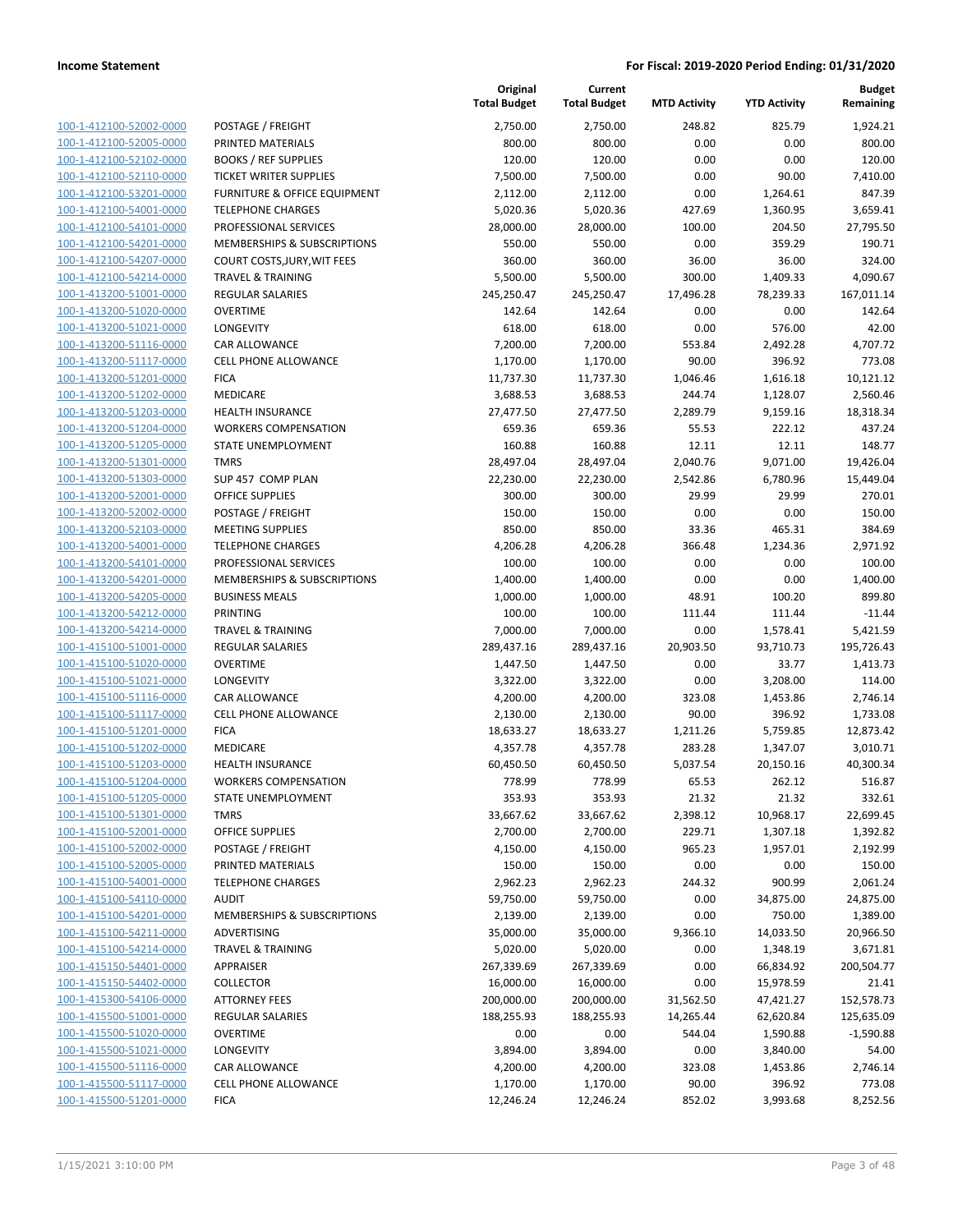**Current**

**Original**

**Budget Remaining**

|                                                    |                                          | <b>Total Budget</b> | <b>Total Budget</b> | <b>MTD Activity</b> | <b>YTD Activity</b> | Remaining          |
|----------------------------------------------------|------------------------------------------|---------------------|---------------------|---------------------|---------------------|--------------------|
| 100-1-412100-52002-0000                            | POSTAGE / FREIGHT                        | 2,750.00            | 2,750.00            | 248.82              | 825.79              | 1,924.21           |
| 100-1-412100-52005-0000                            | PRINTED MATERIALS                        | 800.00              | 800.00              | 0.00                | 0.00                | 800.00             |
| 100-1-412100-52102-0000                            | <b>BOOKS / REF SUPPLIES</b>              | 120.00              | 120.00              | 0.00                | 0.00                | 120.00             |
| 100-1-412100-52110-0000                            | <b>TICKET WRITER SUPPLIES</b>            | 7,500.00            | 7,500.00            | 0.00                | 90.00               | 7,410.00           |
| 100-1-412100-53201-0000                            | <b>FURNITURE &amp; OFFICE EQUIPMENT</b>  | 2,112.00            | 2,112.00            | 0.00                | 1,264.61            | 847.39             |
| 100-1-412100-54001-0000                            | <b>TELEPHONE CHARGES</b>                 | 5,020.36            | 5,020.36            | 427.69              | 1,360.95            | 3,659.41           |
| 100-1-412100-54101-0000                            | PROFESSIONAL SERVICES                    | 28,000.00           | 28,000.00           | 100.00              | 204.50              | 27,795.50          |
| 100-1-412100-54201-0000                            | MEMBERSHIPS & SUBSCRIPTIONS              | 550.00              | 550.00              | 0.00                | 359.29              | 190.71             |
| 100-1-412100-54207-0000                            | COURT COSTS, JURY, WIT FEES              | 360.00              | 360.00              | 36.00               | 36.00               | 324.00             |
| 100-1-412100-54214-0000                            | <b>TRAVEL &amp; TRAINING</b>             | 5,500.00            | 5,500.00            | 300.00              | 1,409.33            | 4,090.67           |
| 100-1-413200-51001-0000                            | <b>REGULAR SALARIES</b>                  | 245,250.47          | 245,250.47          | 17,496.28           | 78,239.33           | 167,011.14         |
| 100-1-413200-51020-0000                            | <b>OVERTIME</b>                          | 142.64              | 142.64              | 0.00                | 0.00                | 142.64             |
| 100-1-413200-51021-0000                            | <b>LONGEVITY</b>                         | 618.00              | 618.00              | 0.00                | 576.00              | 42.00              |
| 100-1-413200-51116-0000                            | <b>CAR ALLOWANCE</b>                     | 7,200.00            | 7,200.00            | 553.84              | 2,492.28            | 4,707.72           |
| 100-1-413200-51117-0000                            | <b>CELL PHONE ALLOWANCE</b>              | 1,170.00            | 1,170.00            | 90.00               | 396.92              | 773.08             |
| 100-1-413200-51201-0000                            | <b>FICA</b>                              | 11,737.30           | 11,737.30           | 1,046.46            | 1,616.18            | 10,121.12          |
| 100-1-413200-51202-0000                            | MEDICARE                                 | 3,688.53            | 3,688.53            | 244.74              | 1,128.07            | 2,560.46           |
| 100-1-413200-51203-0000                            | <b>HEALTH INSURANCE</b>                  | 27,477.50           | 27,477.50           | 2,289.79            | 9,159.16            | 18,318.34          |
| 100-1-413200-51204-0000                            | <b>WORKERS COMPENSATION</b>              | 659.36              | 659.36              | 55.53               | 222.12              | 437.24             |
| 100-1-413200-51205-0000                            | STATE UNEMPLOYMENT                       | 160.88              | 160.88              | 12.11               | 12.11               | 148.77             |
| 100-1-413200-51301-0000                            | <b>TMRS</b>                              | 28,497.04           | 28,497.04           | 2,040.76            | 9,071.00            | 19,426.04          |
| 100-1-413200-51303-0000                            | SUP 457 COMP PLAN                        | 22,230.00           | 22,230.00           | 2,542.86            | 6,780.96            | 15,449.04          |
| 100-1-413200-52001-0000                            | <b>OFFICE SUPPLIES</b>                   | 300.00              | 300.00              | 29.99               | 29.99               | 270.01             |
| 100-1-413200-52002-0000                            | POSTAGE / FREIGHT                        | 150.00              | 150.00              | 0.00                | 0.00                | 150.00             |
| 100-1-413200-52103-0000                            | <b>MEETING SUPPLIES</b>                  | 850.00              | 850.00              | 33.36               | 465.31              | 384.69             |
| 100-1-413200-54001-0000                            | <b>TELEPHONE CHARGES</b>                 | 4,206.28            | 4,206.28            | 366.48              | 1,234.36            | 2,971.92           |
| 100-1-413200-54101-0000                            | PROFESSIONAL SERVICES                    | 100.00              | 100.00              | 0.00                | 0.00                | 100.00             |
| 100-1-413200-54201-0000                            | MEMBERSHIPS & SUBSCRIPTIONS              | 1,400.00            | 1,400.00            | 0.00                | 0.00                | 1,400.00           |
| 100-1-413200-54205-0000                            | <b>BUSINESS MEALS</b>                    | 1,000.00            | 1,000.00            | 48.91               | 100.20              | 899.80             |
| 100-1-413200-54212-0000                            | PRINTING                                 | 100.00              | 100.00              | 111.44              | 111.44              | $-11.44$           |
| 100-1-413200-54214-0000                            | <b>TRAVEL &amp; TRAINING</b>             | 7,000.00            | 7,000.00            | 0.00                | 1,578.41            | 5,421.59           |
| 100-1-415100-51001-0000                            | <b>REGULAR SALARIES</b>                  | 289,437.16          | 289,437.16          | 20,903.50           | 93,710.73           | 195,726.43         |
| 100-1-415100-51020-0000                            | <b>OVERTIME</b>                          | 1,447.50            | 1,447.50            | 0.00                | 33.77               | 1,413.73           |
| 100-1-415100-51021-0000                            | <b>LONGEVITY</b>                         | 3,322.00            | 3,322.00            | 0.00                | 3,208.00            | 114.00             |
| 100-1-415100-51116-0000                            | CAR ALLOWANCE                            | 4,200.00            | 4,200.00            | 323.08              | 1,453.86            | 2,746.14           |
| 100-1-415100-51117-0000                            | CELL PHONE ALLOWANCE                     | 2,130.00            | 2,130.00            | 90.00               | 396.92              | 1,733.08           |
| 100-1-415100-51201-0000                            | <b>FICA</b>                              | 18,633.27           | 18,633.27           | 1,211.26            | 5,759.85            | 12,873.42          |
| 100-1-415100-51202-0000                            | MEDICARE                                 | 4,357.78            | 4,357.78            | 283.28              | 1,347.07            | 3,010.71           |
| 100-1-415100-51203-0000                            | <b>HEALTH INSURANCE</b>                  | 60,450.50           | 60,450.50           | 5,037.54            | 20,150.16           | 40,300.34          |
| 100-1-415100-51204-0000                            | <b>WORKERS COMPENSATION</b>              | 778.99              | 778.99              | 65.53               | 262.12              | 516.87             |
| 100-1-415100-51205-0000                            | STATE UNEMPLOYMENT                       | 353.93              | 353.93              | 21.32               | 21.32               | 332.61             |
| 100-1-415100-51301-0000                            | <b>TMRS</b>                              | 33,667.62           | 33,667.62           | 2,398.12            | 10,968.17           | 22,699.45          |
| 100-1-415100-52001-0000                            | OFFICE SUPPLIES                          | 2,700.00            | 2,700.00            | 229.71              | 1,307.18            | 1,392.82           |
| 100-1-415100-52002-0000                            | POSTAGE / FREIGHT                        | 4,150.00            | 4,150.00            | 965.23              | 1,957.01            | 2,192.99           |
| 100-1-415100-52005-0000                            | PRINTED MATERIALS                        | 150.00              | 150.00              | 0.00                | 0.00                | 150.00             |
| 100-1-415100-54001-0000                            | <b>TELEPHONE CHARGES</b>                 | 2,962.23            | 2,962.23            | 244.32              | 900.99              | 2,061.24           |
| 100-1-415100-54110-0000<br>100-1-415100-54201-0000 | <b>AUDIT</b>                             | 59,750.00           | 59,750.00           | 0.00                | 34,875.00           | 24,875.00          |
| 100-1-415100-54211-0000                            | MEMBERSHIPS & SUBSCRIPTIONS              | 2,139.00            | 2,139.00            | 0.00                | 750.00              | 1,389.00           |
| 100-1-415100-54214-0000                            | ADVERTISING                              | 35,000.00           | 35,000.00           | 9,366.10            | 14,033.50           | 20,966.50          |
| 100-1-415150-54401-0000                            | <b>TRAVEL &amp; TRAINING</b>             | 5,020.00            | 5,020.00            | 0.00                | 1,348.19            | 3,671.81           |
|                                                    | APPRAISER                                | 267,339.69          | 267,339.69          | 0.00                | 66,834.92           | 200,504.77         |
| 100-1-415150-54402-0000                            | <b>COLLECTOR</b><br><b>ATTORNEY FEES</b> | 16,000.00           | 16,000.00           | 0.00                | 15,978.59           | 21.41              |
| 100-1-415300-54106-0000<br>100-1-415500-51001-0000 |                                          | 200,000.00          | 200,000.00          | 31,562.50           | 47,421.27           | 152,578.73         |
|                                                    | <b>REGULAR SALARIES</b>                  | 188,255.93          | 188,255.93          | 14,265.44           | 62,620.84           | 125,635.09         |
| 100-1-415500-51020-0000<br>100-1-415500-51021-0000 | <b>OVERTIME</b><br>LONGEVITY             | 0.00<br>3,894.00    | 0.00                | 544.04<br>0.00      | 1,590.88            | $-1,590.88$        |
| 100-1-415500-51116-0000                            | <b>CAR ALLOWANCE</b>                     |                     | 3,894.00            | 323.08              | 3,840.00            | 54.00              |
| 100-1-415500-51117-0000                            | <b>CELL PHONE ALLOWANCE</b>              | 4,200.00            | 4,200.00            | 90.00               | 1,453.86<br>396.92  | 2,746.14<br>773.08 |
| 100-1-415500-51201-0000                            |                                          | 1,170.00            | 1,170.00            |                     |                     |                    |
|                                                    | <b>FICA</b>                              | 12,246.24           | 12,246.24           | 852.02              | 3,993.68            | 8,252.56           |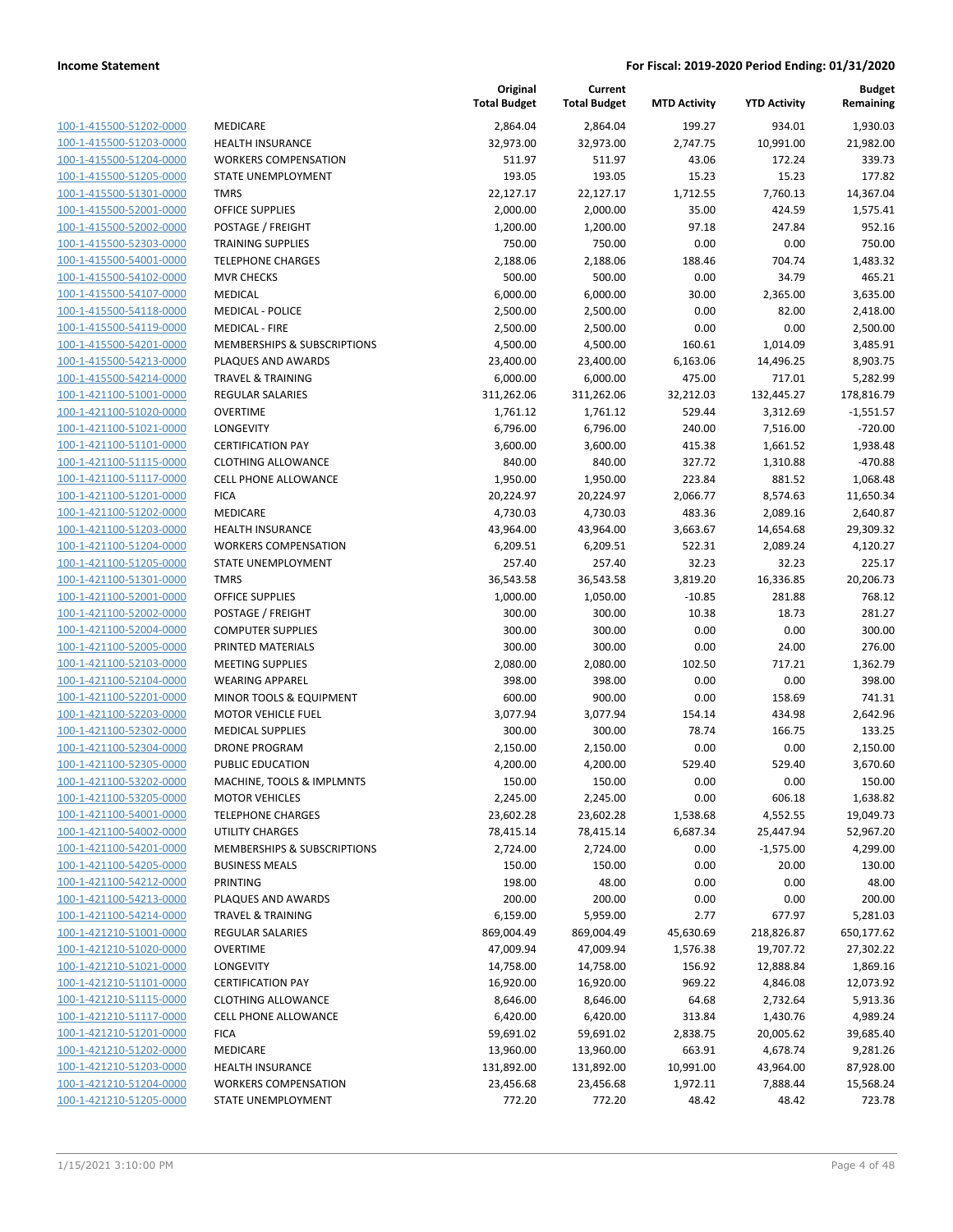| 100-1-415500-51202-0000                     |
|---------------------------------------------|
| 100-1-415500-51203-0000                     |
| 100-1-415500-51204-0000                     |
| 100-1-415500-51205-0000                     |
| 100-1-415500-51301-0000                     |
| 100-1-415500-52001-0000                     |
| 100-1-415500-52002-0000                     |
| 100-1-415500-52303-0000                     |
| 100-1-415500-54001-0000                     |
| 100-1-415500-54102-0000                     |
| 100-1-415500-54107-0000                     |
| $100 - 1$<br>-415500-54118-0000             |
| 100-1-415500-54119-0000                     |
| 100-1-415500-54201-0000                     |
| <u>100-1-415500-54213-0000</u>              |
| 100-1-415500-54214-0000                     |
| -421100-51001-0000<br>$100 - 1$             |
| 100-1-421100-51020-0000                     |
| 100-1-421100-51021-0000                     |
| 100-1-421100-51101-0000                     |
| 100-1-421100-51115-0000                     |
| -421100-51117-0000<br>$100 - 1$             |
| 100-1-421100-51201-0000                     |
| 100-1-421100-51202-0000                     |
| <u>100-1-421100-51203-0000</u>              |
| 100-1-421100-51204-0000                     |
| -421100-51205-0000<br>$100 - 1$             |
| 100-1-421100-51301-0000                     |
| 100-1-421100-52001-0000                     |
| 100-1-421100-52002-0000                     |
| 100-1-421100-52004-0000                     |
| -421100-52005-0000<br>$100 - 1$             |
| 100-1-421100-52103-0000                     |
| 100-1-421100-52104-0000                     |
| 100-1-421100-52201-0000                     |
| 100-1-421100-52203-0000                     |
| 100-1-421100-52302-0000                     |
| 100-1-421100-52304-0000                     |
| 100-1-421100-52305-0000                     |
| 100-1-421100-53202-0000                     |
| 100-1-421100-53205-0000                     |
| <u>100-1-421100-54001-0000</u>              |
| 100-1-421100-54002-0000                     |
| 100-1-421100-54201-0000                     |
| <u>100-1-421100-54205-0000</u>              |
| <u>100-1-421100-54212-0000</u>              |
| -421100-54213-0000<br><u> 100-1-</u>        |
| 100-1-421100-54214-0000                     |
| <u>100-1-421210-51001-0000</u>              |
| <u>100-1-421210-51020-0000</u>              |
| <u>100-1-421210-51021-0000</u>              |
| $100 - 1$<br>-421210-51101-0000             |
| 100-1-421210-51115-0000                     |
| <u>100-1-421210-51117-0000</u>              |
| <u>100-1-421210-51201-0000</u>              |
| <u>100-1-421210-51202-0000</u>              |
| <u>-421210-51203-0000</u><br><u> 100-1-</u> |
| 100-1-421210-51204-0000                     |
| 100-1-421210-51205-0000                     |

|                                                    |                                                 | Original<br><b>Total Budget</b> | Current<br><b>Total Budget</b> | <b>MTD Activity</b> | <b>YTD Activity</b> | <b>Budget</b><br>Remaining |
|----------------------------------------------------|-------------------------------------------------|---------------------------------|--------------------------------|---------------------|---------------------|----------------------------|
| 100-1-415500-51202-0000                            | <b>MEDICARE</b>                                 | 2,864.04                        | 2,864.04                       | 199.27              | 934.01              | 1,930.03                   |
| 100-1-415500-51203-0000                            | <b>HEALTH INSURANCE</b>                         | 32,973.00                       | 32,973.00                      | 2,747.75            | 10,991.00           | 21,982.00                  |
| 100-1-415500-51204-0000                            | <b>WORKERS COMPENSATION</b>                     | 511.97                          | 511.97                         | 43.06               | 172.24              | 339.73                     |
| 100-1-415500-51205-0000                            | STATE UNEMPLOYMENT                              | 193.05                          | 193.05                         | 15.23               | 15.23               | 177.82                     |
| 100-1-415500-51301-0000                            | <b>TMRS</b>                                     | 22,127.17                       | 22,127.17                      | 1,712.55            | 7,760.13            | 14,367.04                  |
| 100-1-415500-52001-0000                            | <b>OFFICE SUPPLIES</b>                          | 2,000.00                        | 2,000.00                       | 35.00               | 424.59              | 1,575.41                   |
| 100-1-415500-52002-0000                            | POSTAGE / FREIGHT                               | 1,200.00                        | 1,200.00                       | 97.18               | 247.84              | 952.16                     |
| 100-1-415500-52303-0000                            | <b>TRAINING SUPPLIES</b>                        | 750.00                          | 750.00                         | 0.00                | 0.00                | 750.00                     |
| 100-1-415500-54001-0000                            | <b>TELEPHONE CHARGES</b>                        | 2,188.06                        | 2,188.06                       | 188.46              | 704.74              | 1,483.32                   |
| 100-1-415500-54102-0000                            | <b>MVR CHECKS</b>                               | 500.00                          | 500.00                         | 0.00                | 34.79               | 465.21                     |
| 100-1-415500-54107-0000                            | MEDICAL                                         | 6,000.00                        | 6,000.00                       | 30.00               | 2,365.00            | 3,635.00                   |
| 100-1-415500-54118-0000                            | <b>MEDICAL - POLICE</b>                         | 2,500.00                        | 2,500.00                       | 0.00                | 82.00               | 2,418.00                   |
| 100-1-415500-54119-0000                            | <b>MEDICAL - FIRE</b>                           | 2,500.00                        | 2,500.00                       | 0.00                | 0.00                | 2,500.00                   |
| 100-1-415500-54201-0000                            | MEMBERSHIPS & SUBSCRIPTIONS                     | 4,500.00                        | 4,500.00                       | 160.61              | 1,014.09            | 3,485.91                   |
| 100-1-415500-54213-0000                            | PLAQUES AND AWARDS                              | 23,400.00                       | 23,400.00                      | 6,163.06            | 14,496.25           | 8,903.75                   |
| 100-1-415500-54214-0000                            | <b>TRAVEL &amp; TRAINING</b>                    | 6,000.00                        | 6,000.00                       | 475.00              | 717.01              | 5,282.99                   |
| 100-1-421100-51001-0000                            | <b>REGULAR SALARIES</b>                         | 311,262.06                      | 311,262.06                     | 32,212.03           | 132,445.27          | 178,816.79                 |
| 100-1-421100-51020-0000                            | <b>OVERTIME</b>                                 | 1,761.12                        | 1,761.12                       | 529.44              | 3,312.69            | $-1,551.57$                |
| 100-1-421100-51021-0000                            | LONGEVITY                                       | 6,796.00                        | 6,796.00                       | 240.00              | 7,516.00            | $-720.00$                  |
| 100-1-421100-51101-0000                            | <b>CERTIFICATION PAY</b>                        | 3,600.00                        | 3,600.00                       | 415.38              | 1,661.52            | 1,938.48                   |
| 100-1-421100-51115-0000                            | <b>CLOTHING ALLOWANCE</b>                       | 840.00                          | 840.00                         | 327.72              | 1,310.88            | $-470.88$                  |
| 100-1-421100-51117-0000                            | CELL PHONE ALLOWANCE                            | 1,950.00                        | 1,950.00                       | 223.84              | 881.52              | 1,068.48                   |
| 100-1-421100-51201-0000                            | <b>FICA</b>                                     | 20,224.97                       | 20,224.97                      | 2,066.77            | 8,574.63            | 11,650.34                  |
| 100-1-421100-51202-0000                            | MEDICARE                                        | 4,730.03                        | 4,730.03                       | 483.36              | 2,089.16            | 2,640.87                   |
| 100-1-421100-51203-0000                            | <b>HEALTH INSURANCE</b>                         | 43,964.00                       | 43,964.00                      | 3,663.67            | 14,654.68           | 29,309.32                  |
| 100-1-421100-51204-0000                            | <b>WORKERS COMPENSATION</b>                     | 6,209.51                        | 6,209.51                       | 522.31              | 2,089.24            | 4,120.27                   |
| 100-1-421100-51205-0000                            | STATE UNEMPLOYMENT                              | 257.40                          | 257.40                         | 32.23               | 32.23               | 225.17                     |
| 100-1-421100-51301-0000                            | <b>TMRS</b>                                     | 36,543.58                       | 36,543.58                      | 3,819.20            | 16,336.85           | 20,206.73                  |
| 100-1-421100-52001-0000                            | <b>OFFICE SUPPLIES</b>                          | 1,000.00                        | 1,050.00                       | $-10.85$            | 281.88              | 768.12                     |
| 100-1-421100-52002-0000                            | POSTAGE / FREIGHT                               | 300.00                          | 300.00                         | 10.38               | 18.73               | 281.27                     |
| 100-1-421100-52004-0000                            | <b>COMPUTER SUPPLIES</b>                        | 300.00                          | 300.00                         | 0.00                | 0.00                | 300.00                     |
| 100-1-421100-52005-0000                            | PRINTED MATERIALS                               | 300.00                          | 300.00                         | 0.00                | 24.00               | 276.00                     |
| 100-1-421100-52103-0000                            | <b>MEETING SUPPLIES</b>                         | 2,080.00                        | 2,080.00                       | 102.50              | 717.21              | 1,362.79                   |
| 100-1-421100-52104-0000                            | <b>WEARING APPAREL</b>                          | 398.00                          | 398.00                         | 0.00                | 0.00                | 398.00                     |
| 100-1-421100-52201-0000                            | MINOR TOOLS & EQUIPMENT                         | 600.00                          | 900.00                         | 0.00                | 158.69              | 741.31                     |
| 100-1-421100-52203-0000                            | <b>MOTOR VEHICLE FUEL</b>                       | 3,077.94                        | 3,077.94                       | 154.14              | 434.98              | 2,642.96                   |
| 100-1-421100-52302-0000                            | <b>MEDICAL SUPPLIES</b><br><b>DRONE PROGRAM</b> | 300.00                          | 300.00                         | 78.74               | 166.75              | 133.25                     |
| 100-1-421100-52304-0000<br>100-1-421100-52305-0000 |                                                 | 2,150.00                        | 2,150.00                       | 0.00                | 0.00                | 2,150.00                   |
|                                                    | PUBLIC EDUCATION<br>MACHINE, TOOLS & IMPLMNTS   | 4,200.00<br>150.00              | 4,200.00<br>150.00             | 529.40<br>0.00      | 529.40<br>0.00      | 3,670.60<br>150.00         |
| 100-1-421100-53202-0000<br>100-1-421100-53205-0000 | <b>MOTOR VEHICLES</b>                           |                                 |                                | 0.00                |                     | 1,638.82                   |
| 100-1-421100-54001-0000                            | <b>TELEPHONE CHARGES</b>                        | 2,245.00<br>23,602.28           | 2,245.00<br>23,602.28          | 1,538.68            | 606.18<br>4,552.55  | 19,049.73                  |
| 100-1-421100-54002-0000                            | UTILITY CHARGES                                 | 78,415.14                       | 78,415.14                      | 6,687.34            | 25,447.94           | 52,967.20                  |
| 100-1-421100-54201-0000                            | MEMBERSHIPS & SUBSCRIPTIONS                     | 2,724.00                        | 2,724.00                       | 0.00                | $-1,575.00$         | 4,299.00                   |
| 100-1-421100-54205-0000                            | <b>BUSINESS MEALS</b>                           | 150.00                          | 150.00                         | 0.00                | 20.00               | 130.00                     |
| 100-1-421100-54212-0000                            | PRINTING                                        | 198.00                          | 48.00                          | 0.00                | 0.00                | 48.00                      |
| 100-1-421100-54213-0000                            | PLAQUES AND AWARDS                              | 200.00                          | 200.00                         | 0.00                | 0.00                | 200.00                     |
| 100-1-421100-54214-0000                            | <b>TRAVEL &amp; TRAINING</b>                    | 6,159.00                        | 5,959.00                       | 2.77                | 677.97              | 5,281.03                   |
| 100-1-421210-51001-0000                            | <b>REGULAR SALARIES</b>                         | 869,004.49                      | 869,004.49                     | 45,630.69           | 218,826.87          | 650,177.62                 |
| 100-1-421210-51020-0000                            | <b>OVERTIME</b>                                 | 47,009.94                       | 47,009.94                      | 1,576.38            | 19,707.72           | 27,302.22                  |
| 100-1-421210-51021-0000                            | LONGEVITY                                       | 14,758.00                       | 14,758.00                      | 156.92              | 12,888.84           | 1,869.16                   |
| 100-1-421210-51101-0000                            | <b>CERTIFICATION PAY</b>                        | 16,920.00                       | 16,920.00                      | 969.22              | 4,846.08            | 12,073.92                  |
| 100-1-421210-51115-0000                            | <b>CLOTHING ALLOWANCE</b>                       | 8,646.00                        | 8,646.00                       | 64.68               | 2,732.64            | 5,913.36                   |
| 100-1-421210-51117-0000                            | <b>CELL PHONE ALLOWANCE</b>                     | 6,420.00                        | 6,420.00                       | 313.84              | 1,430.76            | 4,989.24                   |
| 100-1-421210-51201-0000                            | <b>FICA</b>                                     | 59,691.02                       | 59,691.02                      | 2,838.75            | 20,005.62           | 39,685.40                  |
| 100-1-421210-51202-0000                            | MEDICARE                                        | 13,960.00                       | 13,960.00                      | 663.91              | 4,678.74            | 9,281.26                   |
| 100-1-421210-51203-0000                            | <b>HEALTH INSURANCE</b>                         | 131,892.00                      | 131,892.00                     | 10,991.00           | 43,964.00           | 87,928.00                  |
| 100-1-421210-51204-0000                            | <b>WORKERS COMPENSATION</b>                     | 23,456.68                       | 23,456.68                      | 1,972.11            | 7,888.44            | 15,568.24                  |
| 100-1-421210-51205-0000                            | STATE UNEMPLOYMENT                              | 772.20                          | 772.20                         | 48.42               | 48.42               | 723.78                     |
|                                                    |                                                 |                                 |                                |                     |                     |                            |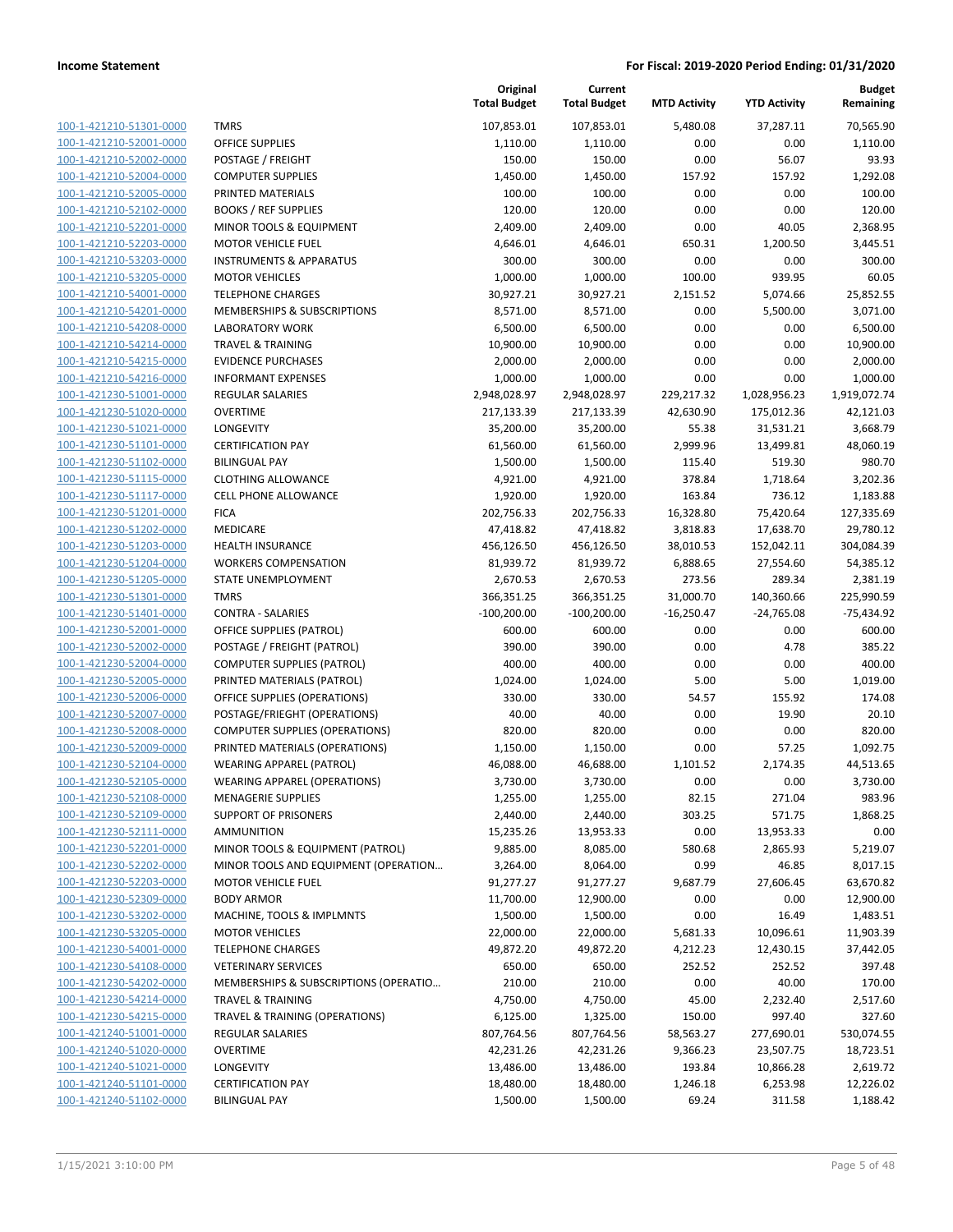| <u>100-1-421210-51301-0000</u> |
|--------------------------------|
| 100-1-421210-52001-0000        |
| 100-1-421210-52002-0000        |
| 100-1-421210-52004-0000        |
| 100-1-421210-52005-0000        |
| <u>100-1-421210-52102-0000</u> |
| <u>100-1-421210-52201-0000</u> |
| 100-1-421210-52203-0000        |
| 100-1-421210-53203-0000        |
| 100-1-421210-53205-0000        |
| <u>100-1-421210-54001-0000</u> |
| 100-1-421210-54201-0000        |
| 100-1-421210-54208-0000        |
| 100-1-421210-54214-0000        |
| 100-1-421210-54215-0000        |
|                                |
| <u>100-1-421210-54216-0000</u> |
| <u>100-1-421230-51001-0000</u> |
| 100-1-421230-51020-0000        |
| 100-1-421230-51021-0000        |
| 100-1-421230-51101-0000        |
| <u>100-1-421230-51102-0000</u> |
| 100-1-421230-51115-0000        |
| 100-1-421230-51117-0000        |
| 100-1-421230-51201-0000        |
| 100-1-421230-51202-0000        |
| <u>100-1-421230-51203-0000</u> |
| 100-1-421230-51204-0000        |
| 100-1-421230-51205-0000        |
| 100-1-421230-51301-0000        |
| 100-1-421230-51401-0000        |
| <u>100-1-421230-52001-0000</u> |
| 100-1-421230-52002-0000        |
| 100-1-421230-52004-0000        |
| 100-1-421230-52005-0000        |
| 100-1-421230-52006-0000        |
| <u>100-1-421230-52007-0000</u> |
| 100-1-421230-52008-0000        |
| 100-1-421230-52009-0000        |
| 100-1-421230-52104-0000        |
| 100-1-421230-52105-0000        |
|                                |
| 100-1-421230-52108-0000        |
| <u>100-1-421230-52109-0000</u> |
| 100-1-421230-52111-0000        |
| 100-1-421230-52201-0000        |
| <u>100-1-421230-52202-0000</u> |
| 100-1-421230-52203-0000        |
| <u>100-1-421230-52309-0000</u> |
| 100-1-421230-53202-0000        |
| <u>100-1-421230-53205-0000</u> |
| <u>100-1-421230-54001-0000</u> |
| 100-1-421230-54108-0000        |
| <u>100-1-421230-54202-0000</u> |
| <u>100-1-421230-54214-0000</u> |
| 100-1-421230-54215-0000        |
| <u>100-1-421240-51001-0000</u> |
| 100-1-421240-51020-0000        |
| <u>100-1-421240-51021-0000</u> |
| <u>100-1-421240-51101-0000</u> |
| 100-1-421240-51102-0000        |
|                                |

|                         |                                           | Original<br><b>Total Budget</b> | Current<br><b>Total Budget</b> | <b>MTD Activity</b> | <b>YTD Activity</b> | <b>Budget</b><br>Remaining |
|-------------------------|-------------------------------------------|---------------------------------|--------------------------------|---------------------|---------------------|----------------------------|
| 100-1-421210-51301-0000 | <b>TMRS</b>                               | 107,853.01                      | 107,853.01                     | 5,480.08            | 37,287.11           | 70,565.90                  |
| 100-1-421210-52001-0000 | <b>OFFICE SUPPLIES</b>                    | 1,110.00                        | 1,110.00                       | 0.00                | 0.00                | 1,110.00                   |
| 100-1-421210-52002-0000 | POSTAGE / FREIGHT                         | 150.00                          | 150.00                         | 0.00                | 56.07               | 93.93                      |
| 100-1-421210-52004-0000 | <b>COMPUTER SUPPLIES</b>                  | 1,450.00                        | 1,450.00                       | 157.92              | 157.92              | 1,292.08                   |
| 100-1-421210-52005-0000 | PRINTED MATERIALS                         | 100.00                          | 100.00                         | 0.00                | 0.00                | 100.00                     |
| 100-1-421210-52102-0000 | <b>BOOKS / REF SUPPLIES</b>               | 120.00                          | 120.00                         | 0.00                | 0.00                | 120.00                     |
| 100-1-421210-52201-0000 | MINOR TOOLS & EQUIPMENT                   | 2,409.00                        | 2,409.00                       | 0.00                | 40.05               | 2,368.95                   |
| 100-1-421210-52203-0000 | <b>MOTOR VEHICLE FUEL</b>                 | 4,646.01                        | 4,646.01                       | 650.31              | 1,200.50            | 3,445.51                   |
| 100-1-421210-53203-0000 | <b>INSTRUMENTS &amp; APPARATUS</b>        | 300.00                          | 300.00                         | 0.00                | 0.00                | 300.00                     |
| 100-1-421210-53205-0000 | <b>MOTOR VEHICLES</b>                     | 1,000.00                        | 1,000.00                       | 100.00              | 939.95              | 60.05                      |
| 100-1-421210-54001-0000 | <b>TELEPHONE CHARGES</b>                  | 30,927.21                       | 30,927.21                      | 2,151.52            | 5,074.66            | 25,852.55                  |
| 100-1-421210-54201-0000 | MEMBERSHIPS & SUBSCRIPTIONS               | 8,571.00                        | 8,571.00                       | 0.00                | 5,500.00            | 3,071.00                   |
| 100-1-421210-54208-0000 | <b>LABORATORY WORK</b>                    | 6,500.00                        | 6,500.00                       | 0.00                | 0.00                | 6,500.00                   |
| 100-1-421210-54214-0000 | <b>TRAVEL &amp; TRAINING</b>              | 10,900.00                       | 10,900.00                      | 0.00                | 0.00                | 10,900.00                  |
| 100-1-421210-54215-0000 | <b>EVIDENCE PURCHASES</b>                 | 2,000.00                        | 2,000.00                       | 0.00                | 0.00                | 2,000.00                   |
| 100-1-421210-54216-0000 | <b>INFORMANT EXPENSES</b>                 | 1,000.00                        | 1,000.00                       | 0.00                | 0.00                | 1,000.00                   |
| 100-1-421230-51001-0000 | <b>REGULAR SALARIES</b>                   | 2,948,028.97                    | 2,948,028.97                   | 229,217.32          | 1,028,956.23        | 1,919,072.74               |
| 100-1-421230-51020-0000 | <b>OVERTIME</b>                           | 217,133.39                      | 217,133.39                     | 42,630.90           | 175,012.36          | 42,121.03                  |
| 100-1-421230-51021-0000 | LONGEVITY                                 | 35,200.00                       | 35,200.00                      | 55.38               | 31,531.21           | 3,668.79                   |
| 100-1-421230-51101-0000 | <b>CERTIFICATION PAY</b>                  | 61,560.00                       | 61,560.00                      | 2,999.96            | 13,499.81           | 48,060.19                  |
| 100-1-421230-51102-0000 | <b>BILINGUAL PAY</b>                      | 1,500.00                        | 1,500.00                       | 115.40              | 519.30              | 980.70                     |
| 100-1-421230-51115-0000 | <b>CLOTHING ALLOWANCE</b>                 | 4,921.00                        | 4,921.00                       | 378.84              | 1,718.64            | 3,202.36                   |
| 100-1-421230-51117-0000 | <b>CELL PHONE ALLOWANCE</b>               | 1,920.00                        | 1,920.00                       | 163.84              | 736.12              | 1,183.88                   |
| 100-1-421230-51201-0000 | <b>FICA</b>                               | 202,756.33                      | 202,756.33                     | 16,328.80           | 75,420.64           | 127,335.69                 |
| 100-1-421230-51202-0000 | <b>MEDICARE</b>                           | 47,418.82                       | 47,418.82                      | 3,818.83            | 17,638.70           | 29,780.12                  |
| 100-1-421230-51203-0000 | <b>HEALTH INSURANCE</b>                   | 456,126.50                      | 456,126.50                     | 38,010.53           | 152,042.11          | 304,084.39                 |
| 100-1-421230-51204-0000 | <b>WORKERS COMPENSATION</b>               | 81,939.72                       | 81,939.72                      | 6,888.65            | 27,554.60           | 54,385.12                  |
| 100-1-421230-51205-0000 | STATE UNEMPLOYMENT                        | 2,670.53                        | 2,670.53                       | 273.56              | 289.34              | 2,381.19                   |
| 100-1-421230-51301-0000 | <b>TMRS</b>                               | 366,351.25                      | 366,351.25                     | 31,000.70           | 140,360.66          | 225,990.59                 |
| 100-1-421230-51401-0000 | <b>CONTRA - SALARIES</b>                  | $-100,200.00$                   | $-100,200.00$                  | $-16,250.47$        | $-24,765.08$        | $-75,434.92$               |
| 100-1-421230-52001-0000 | <b>OFFICE SUPPLIES (PATROL)</b>           | 600.00                          | 600.00                         | 0.00                | 0.00                | 600.00                     |
| 100-1-421230-52002-0000 | POSTAGE / FREIGHT (PATROL)                | 390.00                          | 390.00                         | 0.00                | 4.78                | 385.22                     |
| 100-1-421230-52004-0000 | <b>COMPUTER SUPPLIES (PATROL)</b>         | 400.00                          | 400.00                         | 0.00                | 0.00                | 400.00                     |
| 100-1-421230-52005-0000 | PRINTED MATERIALS (PATROL)                | 1,024.00                        | 1,024.00                       | 5.00                | 5.00                | 1,019.00                   |
| 100-1-421230-52006-0000 | OFFICE SUPPLIES (OPERATIONS)              | 330.00                          | 330.00                         | 54.57               | 155.92              | 174.08                     |
| 100-1-421230-52007-0000 | POSTAGE/FRIEGHT (OPERATIONS)              | 40.00                           | 40.00                          | 0.00                | 19.90               | 20.10                      |
| 100-1-421230-52008-0000 | <b>COMPUTER SUPPLIES (OPERATIONS)</b>     | 820.00                          | 820.00                         | 0.00                | 0.00                | 820.00                     |
| 100-1-421230-52009-0000 | PRINTED MATERIALS (OPERATIONS)            | 1,150.00                        | 1,150.00                       | 0.00                | 57.25               | 1,092.75                   |
| 100-1-421230-52104-0000 | <b>WEARING APPAREL (PATROL)</b>           | 46,088.00                       | 46,688.00                      | 1,101.52            | 2,174.35            | 44,513.65                  |
| 100-1-421230-52105-0000 | <b>WEARING APPAREL (OPERATIONS)</b>       | 3,730.00                        | 3,730.00                       | 0.00                | 0.00                | 3,730.00                   |
| 100-1-421230-52108-0000 | <b>MENAGERIE SUPPLIES</b>                 | 1,255.00                        | 1,255.00                       | 82.15               | 271.04              | 983.96                     |
| 100-1-421230-52109-0000 | <b>SUPPORT OF PRISONERS</b>               | 2,440.00                        | 2,440.00                       | 303.25              | 571.75              | 1,868.25                   |
| 100-1-421230-52111-0000 | <b>AMMUNITION</b>                         | 15,235.26                       | 13,953.33                      | 0.00                | 13,953.33           | 0.00                       |
| 100-1-421230-52201-0000 | MINOR TOOLS & EQUIPMENT (PATROL)          | 9,885.00                        | 8,085.00                       | 580.68              | 2,865.93            | 5,219.07                   |
| 100-1-421230-52202-0000 | MINOR TOOLS AND EQUIPMENT (OPERATION      | 3,264.00                        | 8,064.00                       | 0.99                | 46.85               | 8,017.15                   |
| 100-1-421230-52203-0000 | <b>MOTOR VEHICLE FUEL</b>                 | 91,277.27                       | 91,277.27                      | 9,687.79            | 27,606.45           | 63,670.82                  |
| 100-1-421230-52309-0000 | <b>BODY ARMOR</b>                         | 11,700.00                       | 12,900.00                      | 0.00                | 0.00                | 12,900.00                  |
| 100-1-421230-53202-0000 | MACHINE, TOOLS & IMPLMNTS                 | 1,500.00                        | 1,500.00                       | 0.00                | 16.49               | 1,483.51                   |
| 100-1-421230-53205-0000 | <b>MOTOR VEHICLES</b>                     | 22,000.00                       | 22,000.00                      | 5,681.33            | 10,096.61           | 11,903.39                  |
| 100-1-421230-54001-0000 | <b>TELEPHONE CHARGES</b>                  | 49,872.20                       | 49,872.20                      | 4,212.23            | 12,430.15           | 37,442.05                  |
| 100-1-421230-54108-0000 | <b>VETERINARY SERVICES</b>                | 650.00                          | 650.00                         | 252.52              | 252.52              | 397.48                     |
| 100-1-421230-54202-0000 | MEMBERSHIPS & SUBSCRIPTIONS (OPERATIO     | 210.00                          | 210.00                         | 0.00                | 40.00               | 170.00                     |
| 100-1-421230-54214-0000 | <b>TRAVEL &amp; TRAINING</b>              | 4,750.00                        | 4,750.00                       | 45.00               | 2,232.40            | 2,517.60                   |
| 100-1-421230-54215-0000 | <b>TRAVEL &amp; TRAINING (OPERATIONS)</b> | 6,125.00                        | 1,325.00                       | 150.00              | 997.40              | 327.60                     |
| 100-1-421240-51001-0000 | REGULAR SALARIES                          | 807,764.56                      | 807,764.56                     | 58,563.27           | 277,690.01          | 530,074.55                 |
| 100-1-421240-51020-0000 | <b>OVERTIME</b>                           | 42,231.26                       | 42,231.26                      | 9,366.23            | 23,507.75           | 18,723.51                  |
| 100-1-421240-51021-0000 | LONGEVITY                                 | 13,486.00                       | 13,486.00                      | 193.84              | 10,866.28           | 2,619.72                   |
| 100-1-421240-51101-0000 | <b>CERTIFICATION PAY</b>                  | 18,480.00                       | 18,480.00                      | 1,246.18            | 6,253.98            | 12,226.02                  |
| 100-1-421240-51102-0000 | <b>BILINGUAL PAY</b>                      | 1,500.00                        | 1,500.00                       | 69.24               | 311.58              | 1,188.42                   |
|                         |                                           |                                 |                                |                     |                     |                            |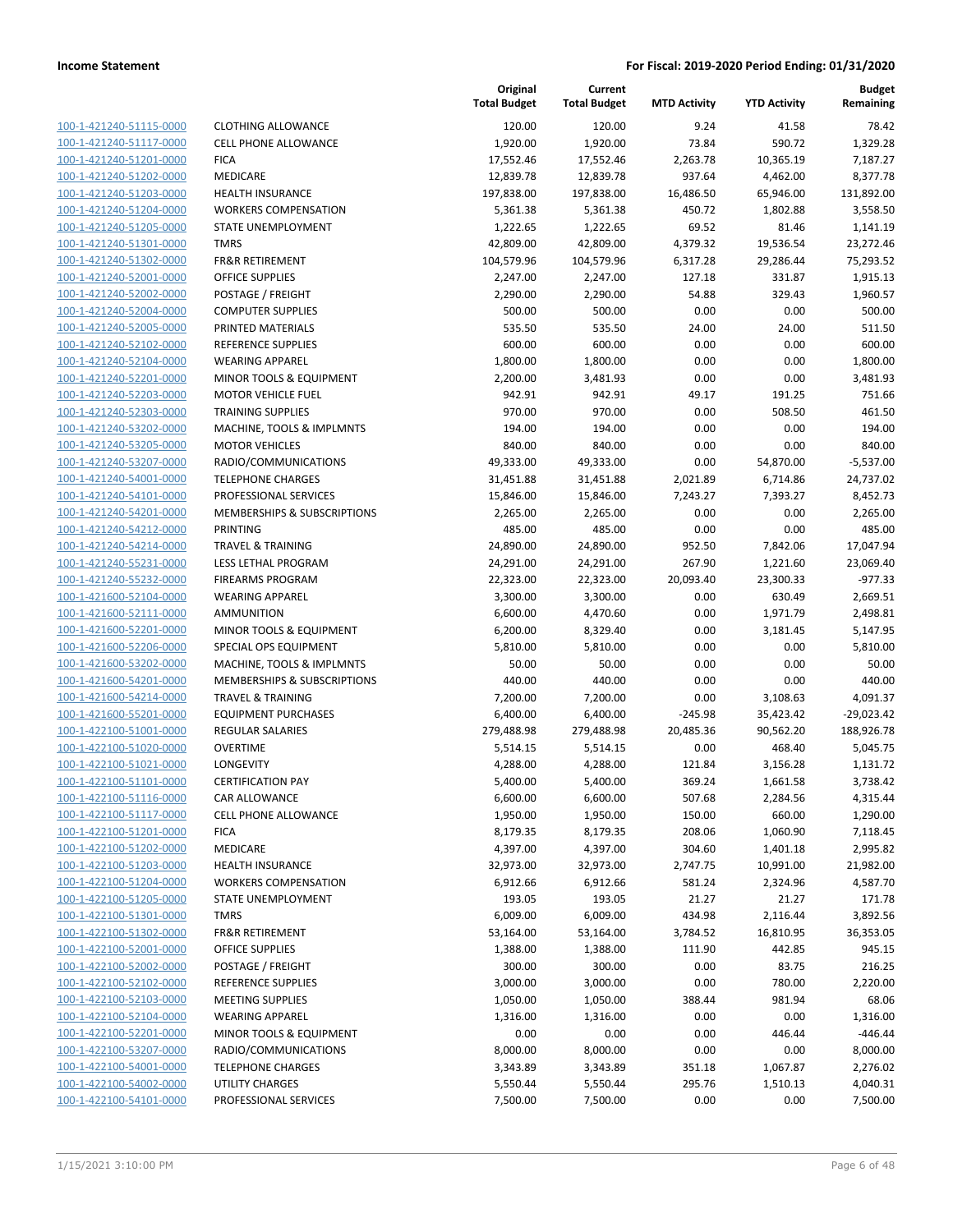| 100-1-421240-51115-0000        |
|--------------------------------|
| 100-1-421240-51117-0000        |
| 100-1-421240-51201-0000        |
| <u>100-1-421240-51202-0000</u> |
| 100-1-421240-51203-0000        |
| 100-1-421240-51204-0000        |
| 100-1-421240-51205-0000        |
| 100-1-421240-51301-0000        |
| <u>100-1-421240-51302-0000</u> |
| 100-1-421240-52001-0000        |
| 100-1-421240-52002-0000        |
| 100-1-421240-52004-0000        |
| 100-1-421240-52005-0000        |
| <u>100-1-421240-52102-0000</u> |
| 100-1-421240-52104-0000        |
| 100-1-421240-52201-0000        |
| 100-1-421240-52203-0000        |
| 100-1-421240-52303-0000        |
| <u>100-1-421240-53202-0000</u> |
| 100-1-421240-53205-0000        |
| 100-1-421240-53207-0000        |
| 100-1-421240-54001-0000        |
|                                |
| 100-1-421240-54101-0000        |
| 100-1-421240-54201-0000        |
| 100-1-421240-54212-0000        |
| 100-1-421240-54214-0000        |
| 100-1-421240-55231-0000        |
| 100-1-421240-55232-0000        |
| <u>100-1-421600-52104-0000</u> |
| 100-1-421600-52111-0000        |
| <u>100-1-421600-52201-0000</u> |
| 100-1-421600-52206-0000        |
| 100-1-421600-53202-0000        |
| <u>100-1-421600-54201-0000</u> |
| 100-1-421600-54214-0000        |
| 100-1-421600-55201-0000        |
| 100-1-422100-51001-0000        |
| 100-1-422100-51020-0000        |
| 100-1-422100-51021-0000        |
| 100-1-422100-51101-0000        |
| 100-1-422100-51116-0000        |
| <u>100-1-422100-51117-0000</u> |
| 100-1-422100-51201-0000        |
| 100-1-422100-51202-0000        |
| <u>100-1-422100-51203-0000</u> |
| 100-1-422100-51204-0000        |
| 100-1-422100-51205-0000        |
| 100-1-422100-51301-0000        |
| 100-1-422100-51302-0000        |
| 100-1-422100-52001-0000        |
| 100-1-422100-52002-0000        |
| 100-1-422100-52102-0000        |
| 100-1-422100-52103-0000        |
| 100-1-422100-52104-0000        |
|                                |
| <u>100-1-422100-52201-0000</u> |
| 100-1-422100-53207-0000        |
| 100-1-422100-54001-0000        |
| 100-1-422100-54002-0000        |
| <u>100-1-422100-54101-0000</u> |

| CLOTHING ALLOWANCE                              |
|-------------------------------------------------|
| CELL PHONE ALLOWANCE                            |
| FICA                                            |
| MEDICARE                                        |
| HEALTH INSURANCE                                |
| WORKERS COMPENSATION                            |
| STATE UNEMPLOYMENT                              |
| TMRS                                            |
| FR&R RETIREMENT                                 |
| OFFICE SUPPLIES                                 |
| POSTAGE / FREIGHT                               |
| COMPUTER SUPPLIES                               |
| PRINTED MATERIALS                               |
| REFERENCE SUPPLIES                              |
| WEARING APPAREL                                 |
| MINOR TOOLS & EQUIPMENT                         |
| MOTOR VEHICLE FUEL                              |
| TRAINING SUPPLIES                               |
| MACHINE, TOOLS & IMPLMNTS                       |
| MOTOR VEHICLES                                  |
| RADIO/COMMUNICATIONS                            |
| <b>TELEPHONE CHARGES</b>                        |
| PROFESSIONAL SERVICES                           |
| MEMBERSHIPS & SUBSCRIPTIONS                     |
| PRINTING                                        |
| TRAVEL & TRAINING                               |
| LESS LETHAL PROGRAM                             |
| FIREARMS PROGRAM                                |
| WEARING APPAREL                                 |
| AMMUNITION                                      |
| MINOR TOOLS & EQUIPMENT                         |
| SPECIAL OPS EQUIPMENT                           |
| MACHINE, TOOLS & IMPLMNTS                       |
| MEMBERSHIPS & SUBSCRIPTIONS                     |
| TRAVEL & TRAINING                               |
| EQUIPMENT PURCHASES                             |
| REGULAR SALARIES                                |
| OVERTIME                                        |
| LONGEVITY                                       |
| <b>CERTIFICATION PAY</b>                        |
| CAR ALLOWANCE                                   |
| CELL PHONE ALLOWANCE                            |
| FICA                                            |
| MEDICARE                                        |
| HEALTH INSURANCE<br><b>WORKERS COMPENSATION</b> |
| STATE UNEMPLOYMENT                              |
| <b>TMRS</b>                                     |
| FR&R RETIREMENT                                 |
| OFFICE SUPPLIES                                 |
| POSTAGE / FREIGHT                               |
| REFERENCE SUPPLIES                              |
| MEETING SUPPLIES                                |
| WEARING APPAREL                                 |
| MINOR TOOLS & EQUIPMENT                         |
| RADIO/COMMUNICATIONS                            |
| <b>TELEPHONE CHARGES</b>                        |
| UTILITY CHARGES                                 |
|                                                 |

|                         |                              | Original<br><b>Total Budget</b> | Current<br><b>Total Budget</b> | <b>MTD Activity</b> | <b>YTD Activity</b> | <b>Budget</b><br>Remaining |
|-------------------------|------------------------------|---------------------------------|--------------------------------|---------------------|---------------------|----------------------------|
| 100-1-421240-51115-0000 | <b>CLOTHING ALLOWANCE</b>    | 120.00                          | 120.00                         | 9.24                | 41.58               | 78.42                      |
| 100-1-421240-51117-0000 | <b>CELL PHONE ALLOWANCE</b>  | 1,920.00                        | 1,920.00                       | 73.84               | 590.72              | 1,329.28                   |
| 100-1-421240-51201-0000 | <b>FICA</b>                  | 17,552.46                       | 17,552.46                      | 2,263.78            | 10,365.19           | 7,187.27                   |
| 100-1-421240-51202-0000 | <b>MEDICARE</b>              | 12,839.78                       | 12,839.78                      | 937.64              | 4,462.00            | 8,377.78                   |
| 100-1-421240-51203-0000 | <b>HEALTH INSURANCE</b>      | 197,838.00                      | 197,838.00                     | 16,486.50           | 65,946.00           | 131,892.00                 |
| 100-1-421240-51204-0000 | <b>WORKERS COMPENSATION</b>  | 5,361.38                        | 5,361.38                       | 450.72              | 1,802.88            | 3,558.50                   |
| 100-1-421240-51205-0000 | STATE UNEMPLOYMENT           | 1,222.65                        | 1,222.65                       | 69.52               | 81.46               | 1,141.19                   |
| 100-1-421240-51301-0000 | <b>TMRS</b>                  | 42,809.00                       | 42,809.00                      | 4,379.32            | 19,536.54           | 23,272.46                  |
| 100-1-421240-51302-0000 | <b>FR&amp;R RETIREMENT</b>   | 104,579.96                      | 104,579.96                     | 6,317.28            | 29,286.44           | 75,293.52                  |
| 100-1-421240-52001-0000 | <b>OFFICE SUPPLIES</b>       | 2,247.00                        | 2,247.00                       | 127.18              | 331.87              | 1,915.13                   |
| 100-1-421240-52002-0000 | POSTAGE / FREIGHT            | 2,290.00                        | 2,290.00                       | 54.88               | 329.43              | 1,960.57                   |
| 100-1-421240-52004-0000 | <b>COMPUTER SUPPLIES</b>     | 500.00                          | 500.00                         | 0.00                | 0.00                | 500.00                     |
| 100-1-421240-52005-0000 | PRINTED MATERIALS            | 535.50                          | 535.50                         | 24.00               | 24.00               | 511.50                     |
| 100-1-421240-52102-0000 | <b>REFERENCE SUPPLIES</b>    | 600.00                          | 600.00                         | 0.00                | 0.00                | 600.00                     |
| 100-1-421240-52104-0000 | <b>WEARING APPAREL</b>       | 1,800.00                        | 1,800.00                       | 0.00                | 0.00                | 1,800.00                   |
| 100-1-421240-52201-0000 | MINOR TOOLS & EQUIPMENT      | 2,200.00                        | 3,481.93                       | 0.00                | 0.00                | 3,481.93                   |
| 100-1-421240-52203-0000 | <b>MOTOR VEHICLE FUEL</b>    | 942.91                          | 942.91                         | 49.17               | 191.25              | 751.66                     |
| 100-1-421240-52303-0000 | <b>TRAINING SUPPLIES</b>     | 970.00                          | 970.00                         | 0.00                | 508.50              | 461.50                     |
| 100-1-421240-53202-0000 | MACHINE, TOOLS & IMPLMNTS    | 194.00                          | 194.00                         | 0.00                | 0.00                | 194.00                     |
| 100-1-421240-53205-0000 | <b>MOTOR VEHICLES</b>        | 840.00                          | 840.00                         | 0.00                | 0.00                | 840.00                     |
| 100-1-421240-53207-0000 | RADIO/COMMUNICATIONS         | 49,333.00                       | 49,333.00                      | 0.00                | 54,870.00           | $-5,537.00$                |
| 100-1-421240-54001-0000 | <b>TELEPHONE CHARGES</b>     | 31,451.88                       | 31,451.88                      | 2,021.89            | 6,714.86            | 24,737.02                  |
| 100-1-421240-54101-0000 | PROFESSIONAL SERVICES        | 15,846.00                       | 15,846.00                      | 7,243.27            | 7,393.27            | 8,452.73                   |
| 100-1-421240-54201-0000 | MEMBERSHIPS & SUBSCRIPTIONS  | 2,265.00                        | 2,265.00                       | 0.00                | 0.00                | 2,265.00                   |
| 100-1-421240-54212-0000 | <b>PRINTING</b>              | 485.00                          | 485.00                         | 0.00                | 0.00                | 485.00                     |
| 100-1-421240-54214-0000 | <b>TRAVEL &amp; TRAINING</b> | 24,890.00                       | 24,890.00                      | 952.50              | 7,842.06            | 17,047.94                  |
| 100-1-421240-55231-0000 | LESS LETHAL PROGRAM          | 24,291.00                       | 24,291.00                      | 267.90              | 1,221.60            | 23,069.40                  |
| 100-1-421240-55232-0000 | <b>FIREARMS PROGRAM</b>      | 22,323.00                       | 22,323.00                      | 20,093.40           | 23,300.33           | $-977.33$                  |
| 100-1-421600-52104-0000 | <b>WEARING APPAREL</b>       | 3,300.00                        | 3,300.00                       | 0.00                | 630.49              | 2,669.51                   |
| 100-1-421600-52111-0000 | AMMUNITION                   | 6,600.00                        | 4,470.60                       | 0.00                | 1,971.79            | 2,498.81                   |
| 100-1-421600-52201-0000 | MINOR TOOLS & EQUIPMENT      | 6,200.00                        | 8,329.40                       | 0.00                | 3,181.45            | 5,147.95                   |
| 100-1-421600-52206-0000 | SPECIAL OPS EQUIPMENT        | 5,810.00                        | 5,810.00                       | 0.00                | 0.00                | 5,810.00                   |
| 100-1-421600-53202-0000 | MACHINE, TOOLS & IMPLMNTS    | 50.00                           | 50.00                          | 0.00                | 0.00                | 50.00                      |
| 100-1-421600-54201-0000 | MEMBERSHIPS & SUBSCRIPTIONS  | 440.00                          | 440.00                         | 0.00                | 0.00                | 440.00                     |
| 100-1-421600-54214-0000 | <b>TRAVEL &amp; TRAINING</b> | 7,200.00                        | 7,200.00                       | 0.00                | 3,108.63            | 4,091.37                   |
| 100-1-421600-55201-0000 | <b>EQUIPMENT PURCHASES</b>   | 6,400.00                        | 6,400.00                       | $-245.98$           | 35,423.42           | $-29,023.42$               |
| 100-1-422100-51001-0000 | REGULAR SALARIES             | 279,488.98                      | 279,488.98                     | 20,485.36           | 90,562.20           | 188,926.78                 |
| 100-1-422100-51020-0000 | <b>OVERTIME</b>              | 5,514.15                        | 5,514.15                       | 0.00                | 468.40              | 5,045.75                   |
| 100-1-422100-51021-0000 | LONGEVITY                    | 4,288.00                        | 4,288.00                       | 121.84              | 3,156.28            | 1,131.72                   |
| 100-1-422100-51101-0000 | <b>CERTIFICATION PAY</b>     | 5,400.00                        | 5,400.00                       | 369.24              | 1,661.58            | 3,738.42                   |
| 100-1-422100-51116-0000 | CAR ALLOWANCE                | 6,600.00                        | 6,600.00                       | 507.68              | 2,284.56            | 4,315.44                   |
| 100-1-422100-51117-0000 | CELL PHONE ALLOWANCE         | 1,950.00                        | 1,950.00                       | 150.00              | 660.00              | 1,290.00                   |
| 100-1-422100-51201-0000 | <b>FICA</b>                  | 8,179.35                        | 8,179.35                       | 208.06              | 1,060.90            | 7,118.45                   |
| 100-1-422100-51202-0000 | MEDICARE                     | 4,397.00                        | 4,397.00                       | 304.60              | 1,401.18            | 2,995.82                   |
| 100-1-422100-51203-0000 | <b>HEALTH INSURANCE</b>      | 32,973.00                       | 32,973.00                      | 2,747.75            | 10,991.00           | 21,982.00                  |
| 100-1-422100-51204-0000 | <b>WORKERS COMPENSATION</b>  | 6,912.66                        | 6,912.66                       | 581.24              | 2,324.96            | 4,587.70                   |
| 100-1-422100-51205-0000 | <b>STATE UNEMPLOYMENT</b>    | 193.05                          | 193.05                         | 21.27               | 21.27               | 171.78                     |
| 100-1-422100-51301-0000 | <b>TMRS</b>                  | 6,009.00                        | 6,009.00                       | 434.98              | 2,116.44            | 3,892.56                   |
| 100-1-422100-51302-0000 | <b>FR&amp;R RETIREMENT</b>   | 53,164.00                       | 53,164.00                      | 3,784.52            | 16,810.95           | 36,353.05                  |
| 100-1-422100-52001-0000 | OFFICE SUPPLIES              | 1,388.00                        | 1,388.00                       | 111.90              | 442.85              | 945.15                     |
| 100-1-422100-52002-0000 | POSTAGE / FREIGHT            | 300.00                          | 300.00                         | 0.00                | 83.75               | 216.25                     |
| 100-1-422100-52102-0000 | REFERENCE SUPPLIES           | 3,000.00                        | 3,000.00                       | 0.00                | 780.00              | 2,220.00                   |
| 100-1-422100-52103-0000 | <b>MEETING SUPPLIES</b>      | 1,050.00                        | 1,050.00                       | 388.44              | 981.94              | 68.06                      |
| 100-1-422100-52104-0000 | <b>WEARING APPAREL</b>       | 1,316.00                        | 1,316.00                       | 0.00                | 0.00                | 1,316.00                   |
| 100-1-422100-52201-0000 | MINOR TOOLS & EQUIPMENT      | 0.00                            | 0.00                           | 0.00                | 446.44              | $-446.44$                  |
| 100-1-422100-53207-0000 | RADIO/COMMUNICATIONS         | 8,000.00                        | 8,000.00                       | 0.00                | 0.00                | 8,000.00                   |
| 100-1-422100-54001-0000 | <b>TELEPHONE CHARGES</b>     | 3,343.89                        | 3,343.89                       | 351.18              | 1,067.87            | 2,276.02                   |
| 100-1-422100-54002-0000 | UTILITY CHARGES              | 5,550.44                        | 5,550.44                       | 295.76              | 1,510.13            | 4,040.31                   |
| 100-1-422100-54101-0000 | PROFESSIONAL SERVICES        | 7,500.00                        | 7,500.00                       | 0.00                | 0.00                | 7,500.00                   |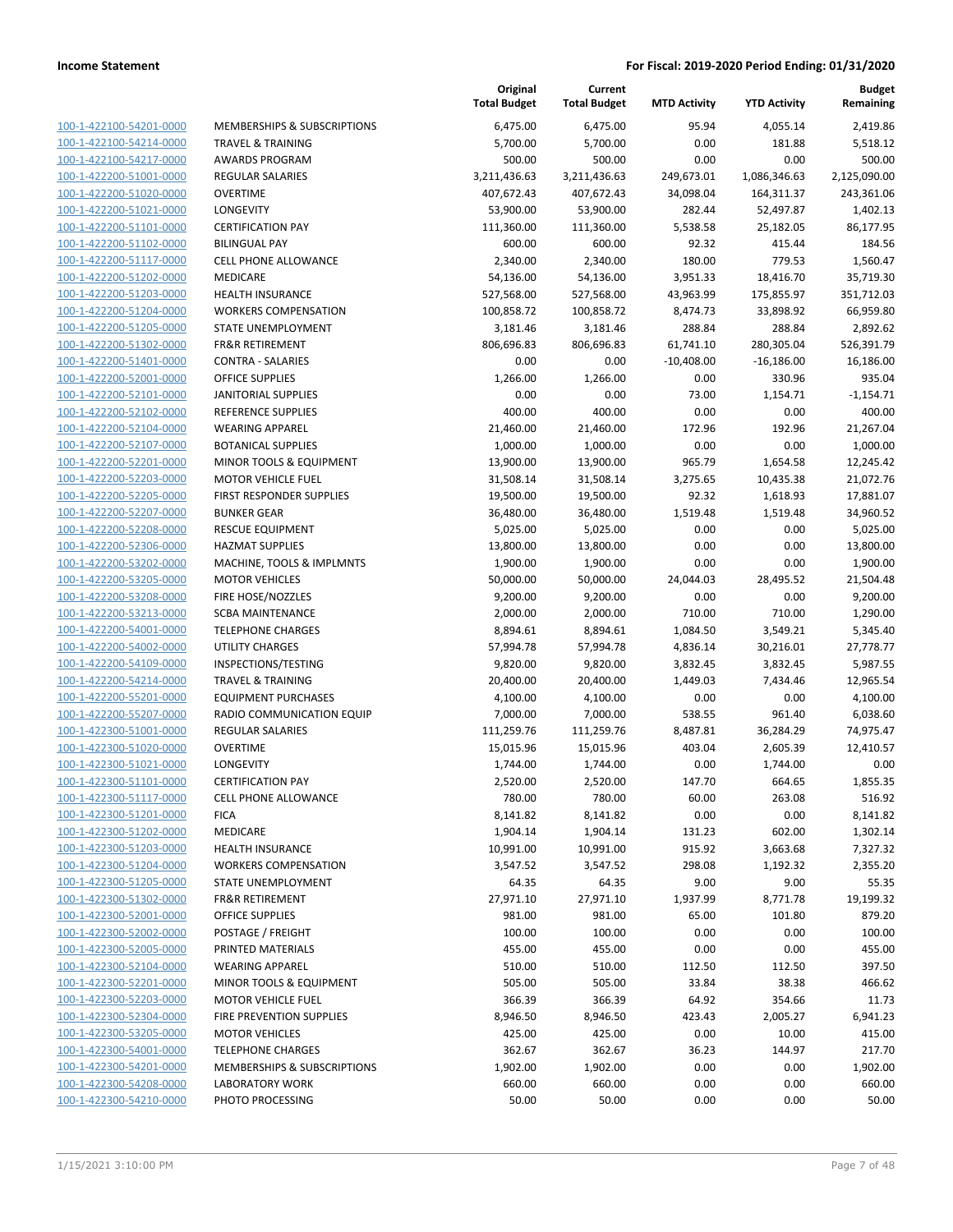|                         |                              | Original<br><b>Total Budget</b> | Current<br><b>Total Budget</b> | <b>MTD Activity</b> | <b>YTD Activity</b> | <b>Budget</b><br>Remaining |
|-------------------------|------------------------------|---------------------------------|--------------------------------|---------------------|---------------------|----------------------------|
| 100-1-422100-54201-0000 | MEMBERSHIPS & SUBSCRIPTIONS  | 6,475.00                        | 6,475.00                       | 95.94               | 4,055.14            | 2,419.86                   |
| 100-1-422100-54214-0000 | <b>TRAVEL &amp; TRAINING</b> | 5,700.00                        | 5,700.00                       | 0.00                | 181.88              | 5,518.12                   |
| 100-1-422100-54217-0000 | <b>AWARDS PROGRAM</b>        | 500.00                          | 500.00                         | 0.00                | 0.00                | 500.00                     |
| 100-1-422200-51001-0000 | <b>REGULAR SALARIES</b>      | 3,211,436.63                    | 3,211,436.63                   | 249,673.01          | 1,086,346.63        | 2,125,090.00               |
| 100-1-422200-51020-0000 | <b>OVERTIME</b>              | 407,672.43                      | 407,672.43                     | 34,098.04           | 164,311.37          | 243,361.06                 |
| 100-1-422200-51021-0000 | LONGEVITY                    | 53,900.00                       | 53,900.00                      | 282.44              | 52,497.87           | 1,402.13                   |
| 100-1-422200-51101-0000 | <b>CERTIFICATION PAY</b>     | 111,360.00                      | 111,360.00                     | 5,538.58            | 25,182.05           | 86,177.95                  |
| 100-1-422200-51102-0000 | <b>BILINGUAL PAY</b>         | 600.00                          | 600.00                         | 92.32               | 415.44              | 184.56                     |
| 100-1-422200-51117-0000 | <b>CELL PHONE ALLOWANCE</b>  | 2,340.00                        | 2,340.00                       | 180.00              | 779.53              | 1,560.47                   |
| 100-1-422200-51202-0000 | MEDICARE                     | 54,136.00                       | 54,136.00                      | 3,951.33            | 18,416.70           | 35,719.30                  |
| 100-1-422200-51203-0000 | <b>HEALTH INSURANCE</b>      | 527,568.00                      | 527,568.00                     | 43,963.99           | 175,855.97          | 351,712.03                 |
| 100-1-422200-51204-0000 | <b>WORKERS COMPENSATION</b>  | 100,858.72                      | 100,858.72                     | 8,474.73            | 33,898.92           | 66,959.80                  |
| 100-1-422200-51205-0000 | STATE UNEMPLOYMENT           | 3,181.46                        | 3,181.46                       | 288.84              | 288.84              | 2,892.62                   |
| 100-1-422200-51302-0000 | <b>FR&amp;R RETIREMENT</b>   | 806,696.83                      | 806,696.83                     | 61,741.10           | 280,305.04          | 526,391.79                 |
| 100-1-422200-51401-0000 | <b>CONTRA - SALARIES</b>     | 0.00                            | 0.00                           | $-10,408.00$        | $-16,186.00$        | 16,186.00                  |
| 100-1-422200-52001-0000 | <b>OFFICE SUPPLIES</b>       | 1,266.00                        | 1,266.00                       | 0.00                | 330.96              | 935.04                     |
| 100-1-422200-52101-0000 | <b>JANITORIAL SUPPLIES</b>   | 0.00                            | 0.00                           | 73.00               | 1,154.71            | $-1,154.71$                |
| 100-1-422200-52102-0000 | <b>REFERENCE SUPPLIES</b>    | 400.00                          | 400.00                         | 0.00                | 0.00                | 400.00                     |
| 100-1-422200-52104-0000 | <b>WEARING APPAREL</b>       | 21,460.00                       | 21,460.00                      | 172.96              | 192.96              | 21,267.04                  |
| 100-1-422200-52107-0000 | <b>BOTANICAL SUPPLIES</b>    | 1,000.00                        | 1,000.00                       | 0.00                | 0.00                | 1,000.00                   |
| 100-1-422200-52201-0000 | MINOR TOOLS & EQUIPMENT      | 13,900.00                       | 13,900.00                      | 965.79              | 1,654.58            | 12,245.42                  |
| 100-1-422200-52203-0000 | <b>MOTOR VEHICLE FUEL</b>    | 31,508.14                       | 31,508.14                      | 3,275.65            | 10,435.38           | 21,072.76                  |
| 100-1-422200-52205-0000 | FIRST RESPONDER SUPPLIES     | 19,500.00                       | 19,500.00                      | 92.32               | 1,618.93            | 17,881.07                  |
| 100-1-422200-52207-0000 | <b>BUNKER GEAR</b>           | 36,480.00                       | 36,480.00                      | 1,519.48            | 1,519.48            | 34,960.52                  |
| 100-1-422200-52208-0000 | <b>RESCUE EQUIPMENT</b>      | 5,025.00                        | 5,025.00                       | 0.00                | 0.00                | 5,025.00                   |
| 100-1-422200-52306-0000 | <b>HAZMAT SUPPLIES</b>       | 13,800.00                       | 13,800.00                      | 0.00                | 0.00                | 13,800.00                  |
| 100-1-422200-53202-0000 | MACHINE, TOOLS & IMPLMNTS    | 1,900.00                        | 1,900.00                       | 0.00                | 0.00                | 1,900.00                   |
| 100-1-422200-53205-0000 | <b>MOTOR VEHICLES</b>        | 50,000.00                       | 50,000.00                      | 24,044.03           | 28,495.52           | 21,504.48                  |
| 100-1-422200-53208-0000 | FIRE HOSE/NOZZLES            | 9,200.00                        | 9,200.00                       | 0.00                | 0.00                | 9,200.00                   |
| 100-1-422200-53213-0000 | <b>SCBA MAINTENANCE</b>      | 2,000.00                        | 2,000.00                       | 710.00              | 710.00              | 1,290.00                   |
| 100-1-422200-54001-0000 | <b>TELEPHONE CHARGES</b>     | 8,894.61                        | 8,894.61                       | 1,084.50            | 3,549.21            | 5,345.40                   |
| 100-1-422200-54002-0000 | UTILITY CHARGES              | 57,994.78                       | 57,994.78                      | 4,836.14            | 30,216.01           | 27,778.77                  |
| 100-1-422200-54109-0000 | INSPECTIONS/TESTING          | 9,820.00                        | 9,820.00                       | 3,832.45            | 3,832.45            | 5,987.55                   |
| 100-1-422200-54214-0000 | <b>TRAVEL &amp; TRAINING</b> | 20,400.00                       | 20,400.00                      | 1,449.03            | 7,434.46            | 12,965.54                  |
| 100-1-422200-55201-0000 | <b>EQUIPMENT PURCHASES</b>   | 4,100.00                        | 4,100.00                       | 0.00                | 0.00                | 4,100.00                   |
| 100-1-422200-55207-0000 | RADIO COMMUNICATION EQUIP    | 7,000.00                        | 7,000.00                       | 538.55              | 961.40              | 6,038.60                   |
| 100-1-422300-51001-0000 | REGULAR SALARIES             | 111,259.76                      | 111,259.76                     | 8,487.81            | 36,284.29           | 74,975.47                  |
| 100-1-422300-51020-0000 | <b>OVERTIME</b>              | 15,015.96                       | 15,015.96                      | 403.04              | 2,605.39            | 12,410.57                  |
| 100-1-422300-51021-0000 | <b>LONGEVITY</b>             | 1,744.00                        | 1,744.00                       | 0.00                | 1,744.00            | 0.00                       |
| 100-1-422300-51101-0000 | <b>CERTIFICATION PAY</b>     | 2,520.00                        | 2,520.00                       | 147.70              | 664.65              | 1,855.35                   |
| 100-1-422300-51117-0000 | <b>CELL PHONE ALLOWANCE</b>  | 780.00                          | 780.00                         | 60.00               | 263.08              | 516.92                     |
| 100-1-422300-51201-0000 | <b>FICA</b>                  | 8,141.82                        | 8,141.82                       | 0.00                | 0.00                | 8,141.82                   |
| 100-1-422300-51202-0000 | MEDICARE                     | 1,904.14                        | 1,904.14                       | 131.23              | 602.00              | 1,302.14                   |
| 100-1-422300-51203-0000 | <b>HEALTH INSURANCE</b>      | 10,991.00                       | 10,991.00                      | 915.92              | 3,663.68            | 7,327.32                   |
| 100-1-422300-51204-0000 | <b>WORKERS COMPENSATION</b>  | 3,547.52                        | 3,547.52                       | 298.08              | 1,192.32            | 2,355.20                   |
| 100-1-422300-51205-0000 | STATE UNEMPLOYMENT           | 64.35                           | 64.35                          | 9.00                | 9.00                | 55.35                      |
| 100-1-422300-51302-0000 | <b>FR&amp;R RETIREMENT</b>   | 27,971.10                       | 27,971.10                      | 1,937.99            | 8,771.78            | 19,199.32                  |
| 100-1-422300-52001-0000 | <b>OFFICE SUPPLIES</b>       | 981.00                          | 981.00                         | 65.00               | 101.80              | 879.20                     |
| 100-1-422300-52002-0000 | POSTAGE / FREIGHT            | 100.00                          | 100.00                         | 0.00                | 0.00                | 100.00                     |
| 100-1-422300-52005-0000 | PRINTED MATERIALS            | 455.00                          | 455.00                         | 0.00                | 0.00                | 455.00                     |
| 100-1-422300-52104-0000 | <b>WEARING APPAREL</b>       | 510.00                          | 510.00                         | 112.50              | 112.50              | 397.50                     |
| 100-1-422300-52201-0000 | MINOR TOOLS & EQUIPMENT      | 505.00                          | 505.00                         | 33.84               | 38.38               | 466.62                     |
| 100-1-422300-52203-0000 | <b>MOTOR VEHICLE FUEL</b>    | 366.39                          | 366.39                         | 64.92               | 354.66              | 11.73                      |
| 100-1-422300-52304-0000 | FIRE PREVENTION SUPPLIES     | 8,946.50                        | 8,946.50                       | 423.43              | 2,005.27            | 6,941.23                   |
| 100-1-422300-53205-0000 | <b>MOTOR VEHICLES</b>        | 425.00                          | 425.00                         | 0.00                | 10.00               | 415.00                     |
| 100-1-422300-54001-0000 | <b>TELEPHONE CHARGES</b>     | 362.67                          | 362.67                         | 36.23               | 144.97              | 217.70                     |
| 100-1-422300-54201-0000 | MEMBERSHIPS & SUBSCRIPTIONS  | 1,902.00                        | 1,902.00                       | 0.00                | 0.00                | 1,902.00                   |
| 100-1-422300-54208-0000 | <b>LABORATORY WORK</b>       | 660.00                          | 660.00                         | 0.00                | 0.00                | 660.00                     |
| 100-1-422300-54210-0000 | PHOTO PROCESSING             | 50.00                           | 50.00                          | 0.00                | 0.00                | 50.00                      |
|                         |                              |                                 |                                |                     |                     |                            |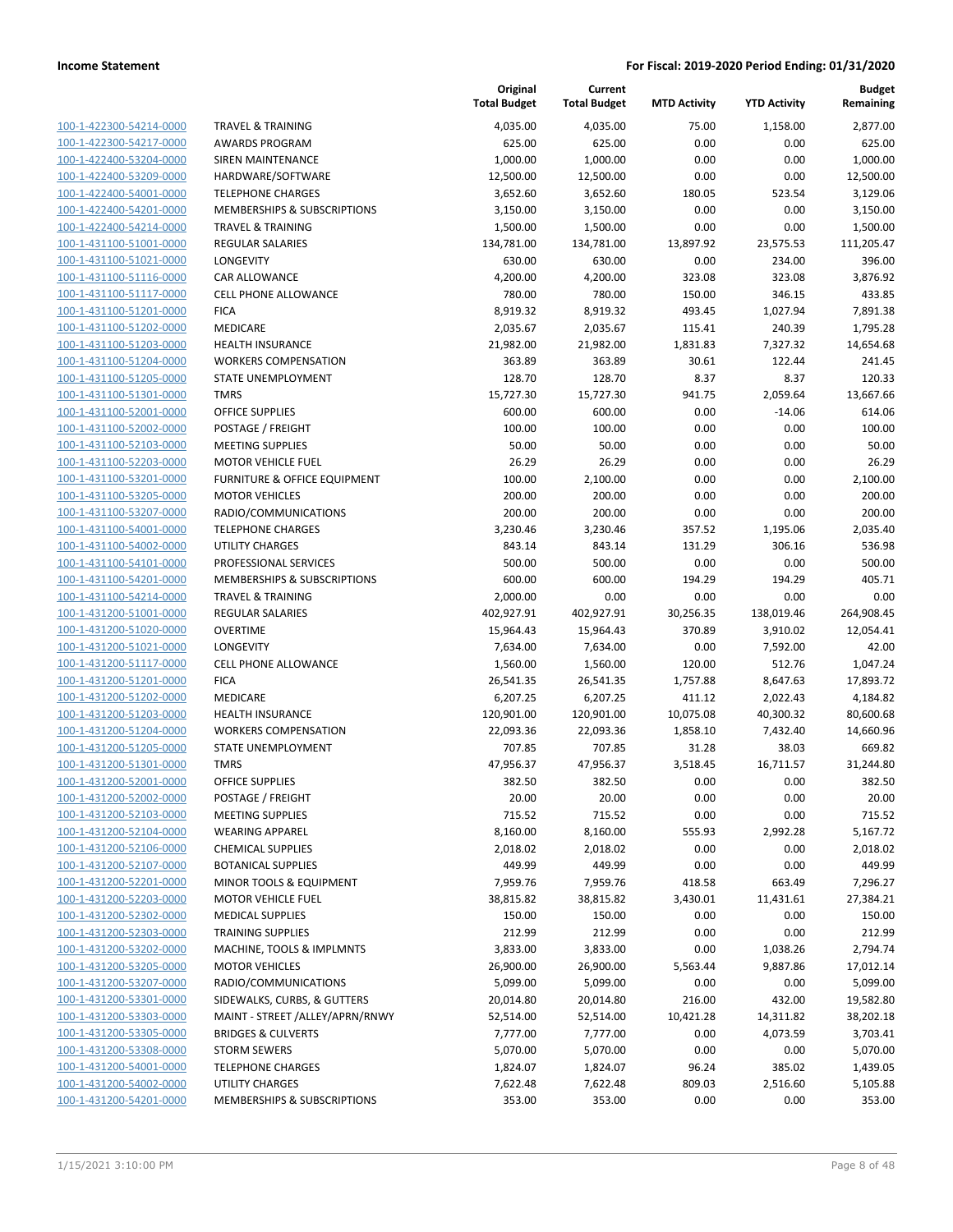| 100-1-422300-54214-0000         |
|---------------------------------|
| 100-1-422300-54217-0000         |
| 100-1-422400-53204-0000         |
| 100-1-422400-53209-0000         |
| 100-1-422400-54001-0000         |
| 100-1-422400-54201-0000         |
| 100-1-422400-54214-0000         |
| 100-1-431100-51001-0000         |
| 100-1-431100-51021-0000         |
|                                 |
| 100-1-431100-51116-0000         |
| 100-1-431100-51117-0000         |
| 100-1-431100-51201-0000         |
| 100-1-431100-51202-0000         |
| 100-1-431100-51203-0000         |
| 100-1-431100-51204-0000         |
| 100-1-431100-51205-0000         |
| 100-1-431100-51301-0000         |
| 100-1-431100-52001-0000         |
| 100-1-431100-52002-0000         |
|                                 |
| 100-1-431100-52103-0000         |
| 100-1-431100-52203-0000         |
| 100-1-431100-53201-0000         |
| 100-1-431100-53205-0000         |
| 100-1-431100-53207-0000         |
| 100-1-431100-54001-0000         |
| 100-1-431100-54002-0000         |
| 100-1-431100-54101-0000         |
| 100-1-431100-54201-0000         |
| 100-1-431100-54214-0000         |
| 100-1-431200-51001-0000         |
| 100-1-431200-51020-0000         |
|                                 |
| 100-1-431200-51021-0000         |
| 100-1-431200-51117-0000         |
| 100-1-431200-51201-0000         |
| 100-1-431200-51202-0000         |
| 100-1-431200-51203-0000         |
| 100-1-431200-51204-0000         |
| 100-1-431200-51205-0000         |
| 100-1-431200-51301-0000         |
| 100-1-431200-52001-0000         |
| -431200-52002-0000<br>$100 - 1$ |
| 100-1-431200-52103-0000         |
|                                 |
| <u>100-1-431200-52104-0000</u>  |
| <u>100-1-431200-52106-0000</u>  |
| 100-1-431200-52107-0000         |
| 100-1-431200-52201-0000         |
| 100-1-431200-52203-0000         |
| <u>100-1-431200-52302-0000</u>  |
| <u>100-1-431200-52303-0000</u>  |
| <u>100-1-431200-53202-0000</u>  |
| 100-1-431200-53205-0000         |
| 100-1-431200-53207-0000         |
| <u>100-1-431200-53301-0000</u>  |
|                                 |
| <u>100-1-431200-53303-0000</u>  |
| 100-1-431200-53305-0000         |
| 100-1-431200-53308-0000         |
| 100-1-431200-54001-0000         |
| <u>100-1-431200-54002-0000</u>  |
| <u>100-1-431200-54201-0000</u>  |

|                                |                                 | Original<br><b>Total Budget</b> | Current<br><b>Total Budget</b> | <b>MTD Activity</b> | <b>YTD Activity</b> | <b>Budget</b><br>Remaining |
|--------------------------------|---------------------------------|---------------------------------|--------------------------------|---------------------|---------------------|----------------------------|
| 100-1-422300-54214-0000        | <b>TRAVEL &amp; TRAINING</b>    | 4,035.00                        | 4,035.00                       | 75.00               | 1,158.00            | 2,877.00                   |
| 100-1-422300-54217-0000        | <b>AWARDS PROGRAM</b>           | 625.00                          | 625.00                         | 0.00                | 0.00                | 625.00                     |
| 100-1-422400-53204-0000        | <b>SIREN MAINTENANCE</b>        | 1,000.00                        | 1,000.00                       | 0.00                | 0.00                | 1,000.00                   |
| 100-1-422400-53209-0000        | HARDWARE/SOFTWARE               | 12,500.00                       | 12,500.00                      | 0.00                | 0.00                | 12,500.00                  |
| 100-1-422400-54001-0000        | <b>TELEPHONE CHARGES</b>        | 3,652.60                        | 3,652.60                       | 180.05              | 523.54              | 3,129.06                   |
| 100-1-422400-54201-0000        | MEMBERSHIPS & SUBSCRIPTIONS     | 3,150.00                        | 3,150.00                       | 0.00                | 0.00                | 3,150.00                   |
| 100-1-422400-54214-0000        | <b>TRAVEL &amp; TRAINING</b>    | 1,500.00                        | 1,500.00                       | 0.00                | 0.00                | 1,500.00                   |
| 100-1-431100-51001-0000        | <b>REGULAR SALARIES</b>         | 134,781.00                      | 134,781.00                     | 13,897.92           | 23,575.53           | 111,205.47                 |
| 100-1-431100-51021-0000        | <b>LONGEVITY</b>                | 630.00                          | 630.00                         | 0.00                | 234.00              | 396.00                     |
| 100-1-431100-51116-0000        | CAR ALLOWANCE                   | 4,200.00                        | 4,200.00                       | 323.08              | 323.08              | 3,876.92                   |
| 100-1-431100-51117-0000        | <b>CELL PHONE ALLOWANCE</b>     | 780.00                          | 780.00                         | 150.00              | 346.15              | 433.85                     |
| 100-1-431100-51201-0000        | <b>FICA</b>                     | 8,919.32                        | 8,919.32                       | 493.45              | 1,027.94            | 7,891.38                   |
| 100-1-431100-51202-0000        | <b>MEDICARE</b>                 | 2,035.67                        | 2,035.67                       | 115.41              | 240.39              | 1,795.28                   |
| 100-1-431100-51203-0000        | <b>HEALTH INSURANCE</b>         | 21,982.00                       | 21,982.00                      | 1,831.83            | 7,327.32            | 14,654.68                  |
| 100-1-431100-51204-0000        | <b>WORKERS COMPENSATION</b>     | 363.89                          | 363.89                         | 30.61               | 122.44              | 241.45                     |
| 100-1-431100-51205-0000        | STATE UNEMPLOYMENT              | 128.70                          | 128.70                         | 8.37                | 8.37                | 120.33                     |
| 100-1-431100-51301-0000        | <b>TMRS</b>                     | 15,727.30                       | 15,727.30                      | 941.75              | 2,059.64            | 13,667.66                  |
| 100-1-431100-52001-0000        | <b>OFFICE SUPPLIES</b>          | 600.00                          | 600.00                         | 0.00                | $-14.06$            | 614.06                     |
| 100-1-431100-52002-0000        | POSTAGE / FREIGHT               | 100.00                          | 100.00                         | 0.00                | 0.00                | 100.00                     |
| 100-1-431100-52103-0000        | <b>MEETING SUPPLIES</b>         | 50.00                           | 50.00                          | 0.00                | 0.00                | 50.00                      |
| 100-1-431100-52203-0000        | <b>MOTOR VEHICLE FUEL</b>       | 26.29                           | 26.29                          | 0.00                | 0.00                | 26.29                      |
| 100-1-431100-53201-0000        | FURNITURE & OFFICE EQUIPMENT    | 100.00                          | 2,100.00                       | 0.00                | 0.00                | 2,100.00                   |
| 100-1-431100-53205-0000        | <b>MOTOR VEHICLES</b>           | 200.00                          | 200.00                         | 0.00                | 0.00                | 200.00                     |
| 100-1-431100-53207-0000        | RADIO/COMMUNICATIONS            | 200.00                          | 200.00                         | 0.00                | 0.00                | 200.00                     |
| 100-1-431100-54001-0000        | <b>TELEPHONE CHARGES</b>        | 3,230.46                        | 3,230.46                       | 357.52              | 1,195.06            | 2,035.40                   |
| 100-1-431100-54002-0000        | <b>UTILITY CHARGES</b>          | 843.14                          | 843.14                         | 131.29              | 306.16              | 536.98                     |
| 100-1-431100-54101-0000        | PROFESSIONAL SERVICES           | 500.00                          | 500.00                         | 0.00                | 0.00                | 500.00                     |
| 100-1-431100-54201-0000        | MEMBERSHIPS & SUBSCRIPTIONS     | 600.00                          | 600.00                         | 194.29              | 194.29              | 405.71                     |
| 100-1-431100-54214-0000        | <b>TRAVEL &amp; TRAINING</b>    | 2,000.00                        | 0.00                           | 0.00                | 0.00                | 0.00                       |
| 100-1-431200-51001-0000        | REGULAR SALARIES                | 402,927.91                      | 402,927.91                     | 30,256.35           | 138,019.46          | 264,908.45                 |
| 100-1-431200-51020-0000        | <b>OVERTIME</b>                 | 15,964.43                       | 15,964.43                      | 370.89              | 3,910.02            | 12,054.41                  |
| 100-1-431200-51021-0000        | LONGEVITY                       | 7,634.00                        | 7,634.00                       | 0.00                | 7,592.00            | 42.00                      |
| 100-1-431200-51117-0000        | <b>CELL PHONE ALLOWANCE</b>     | 1,560.00                        | 1,560.00                       | 120.00              | 512.76              | 1,047.24                   |
| 100-1-431200-51201-0000        | <b>FICA</b>                     | 26,541.35                       | 26,541.35                      | 1,757.88            | 8,647.63            | 17,893.72                  |
| 100-1-431200-51202-0000        | MEDICARE                        | 6,207.25                        | 6,207.25                       | 411.12              | 2,022.43            | 4,184.82                   |
| 100-1-431200-51203-0000        | <b>HEALTH INSURANCE</b>         | 120,901.00                      | 120,901.00                     | 10,075.08           | 40,300.32           | 80,600.68                  |
| 100-1-431200-51204-0000        | <b>WORKERS COMPENSATION</b>     | 22,093.36                       | 22,093.36                      | 1,858.10            | 7,432.40            | 14,660.96                  |
| 100-1-431200-51205-0000        | STATE UNEMPLOYMENT              | 707.85                          | 707.85                         | 31.28               | 38.03               | 669.82                     |
| 100-1-431200-51301-0000        | <b>TMRS</b>                     | 47,956.37                       | 47,956.37                      | 3,518.45            | 16,711.57           | 31,244.80                  |
| <u>100-1-431200-52001-0000</u> | <b>OFFICE SUPPLIES</b>          | 382.50                          | 382.50                         | 0.00                | 0.00                | 382.50                     |
| 100-1-431200-52002-0000        | POSTAGE / FREIGHT               | 20.00                           | 20.00                          | 0.00                | 0.00                | 20.00                      |
| 100-1-431200-52103-0000        | <b>MEETING SUPPLIES</b>         | 715.52                          | 715.52                         | 0.00                | 0.00                | 715.52                     |
| 100-1-431200-52104-0000        | <b>WEARING APPAREL</b>          | 8,160.00                        | 8,160.00                       | 555.93              | 2,992.28            | 5,167.72                   |
| 100-1-431200-52106-0000        | <b>CHEMICAL SUPPLIES</b>        | 2,018.02                        | 2,018.02                       | 0.00                | 0.00                | 2,018.02                   |
| 100-1-431200-52107-0000        | <b>BOTANICAL SUPPLIES</b>       | 449.99                          | 449.99                         | 0.00                | 0.00                | 449.99                     |
| 100-1-431200-52201-0000        | MINOR TOOLS & EQUIPMENT         | 7,959.76                        | 7,959.76                       | 418.58              | 663.49              | 7,296.27                   |
| 100-1-431200-52203-0000        | <b>MOTOR VEHICLE FUEL</b>       | 38,815.82                       | 38,815.82                      | 3,430.01            | 11,431.61           | 27,384.21                  |
| 100-1-431200-52302-0000        | <b>MEDICAL SUPPLIES</b>         | 150.00                          | 150.00                         | 0.00                | 0.00                | 150.00                     |
| 100-1-431200-52303-0000        | <b>TRAINING SUPPLIES</b>        | 212.99                          | 212.99                         | 0.00                | 0.00                | 212.99                     |
| 100-1-431200-53202-0000        | MACHINE, TOOLS & IMPLMNTS       | 3,833.00                        | 3,833.00                       | 0.00                | 1,038.26            | 2,794.74                   |
| 100-1-431200-53205-0000        | <b>MOTOR VEHICLES</b>           | 26,900.00                       | 26,900.00                      | 5,563.44            | 9,887.86            | 17,012.14                  |
| 100-1-431200-53207-0000        | RADIO/COMMUNICATIONS            | 5,099.00                        | 5,099.00                       | 0.00                | 0.00                | 5,099.00                   |
| 100-1-431200-53301-0000        | SIDEWALKS, CURBS, & GUTTERS     | 20,014.80                       | 20,014.80                      | 216.00              | 432.00              | 19,582.80                  |
| 100-1-431200-53303-0000        | MAINT - STREET /ALLEY/APRN/RNWY | 52,514.00                       | 52,514.00                      | 10,421.28           | 14,311.82           | 38,202.18                  |
| 100-1-431200-53305-0000        | <b>BRIDGES &amp; CULVERTS</b>   | 7,777.00                        | 7,777.00                       | 0.00                | 4,073.59            | 3,703.41                   |
| 100-1-431200-53308-0000        | <b>STORM SEWERS</b>             | 5,070.00                        | 5,070.00                       | 0.00                | 0.00                | 5,070.00                   |
| 100-1-431200-54001-0000        | <b>TELEPHONE CHARGES</b>        | 1,824.07                        | 1,824.07                       | 96.24               | 385.02              | 1,439.05                   |
| 100-1-431200-54002-0000        | UTILITY CHARGES                 | 7,622.48                        | 7,622.48                       | 809.03              | 2,516.60            | 5,105.88                   |
| 100-1-431200-54201-0000        | MEMBERSHIPS & SUBSCRIPTIONS     | 353.00                          | 353.00                         | 0.00                | 0.00                | 353.00                     |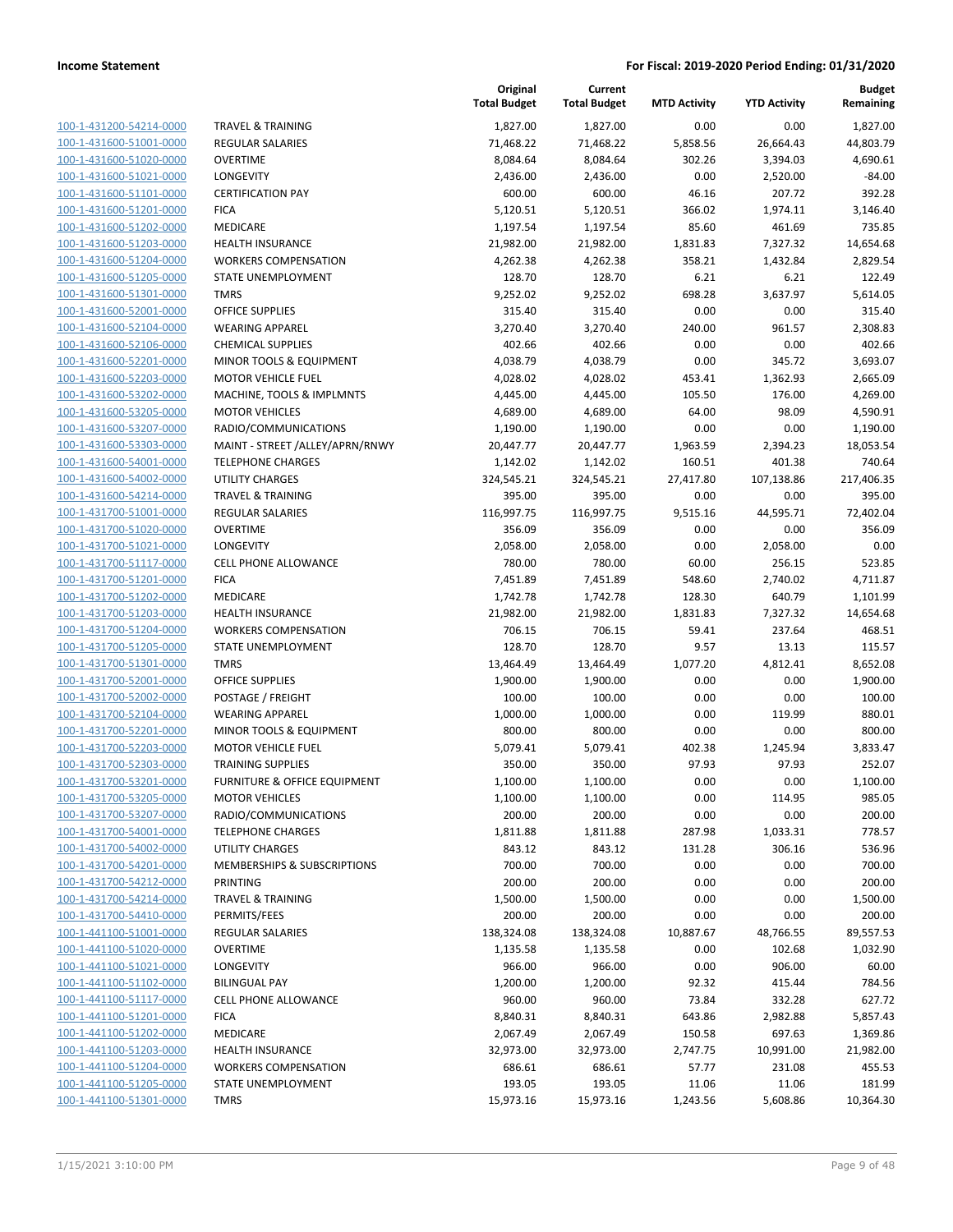100-1-431200-54214-0000 100-1-431600-51001-0000 100-1-431600-51020-0000 100-1-431600-51021-0000 100-1-431600-51101-0000 100-1-431600-51201-0000 100-1-431600-51202-0000 100-1-431600-51203-0000 100-1-431600-51204-0000 100-1-431600-51205-0000 100-1-431600-51301-0000 100-1-431600-52001-0000 100-1-431600-52104-0000 100-1-431600-52106-0000 100-1-431600-52201-0000 100-1-431600-52203-0000 100-1-431600-53202-0000 100-1-431600-53205-0000 100-1-431600-53207-0000 100-1-431600-53303-0000 100-1-431600-54001-0000 100-1-431600-54002-0000 100-1-431600-54214-0000 100-1-431700-51001-0000 100-1-431700-51020-0000 100-1-431700-51021-0000 100-1-431700-51117-0000 100-1-431700-51201-0000 100-1-431700-51202-0000 100-1-431700-51203-0000 100-1-431700-51204-0000 100-1-431700-51205-0000 100-1-431700-51301-0000 100-1-431700-52001-0000 100-1-431700-52002-0000 POSTAGE / FREIGHT 100.00 100.00 0.00 0.00 100.00 100-1-431700-52104-0000 100-1-431700-52201-0000 100-1-431700-52203-0000 100-1-431700-52303-0000 100-1-431700-53201-0000 100-1-431700-53205-0000 100-1-431700-53207-0000 100-1-431700-54001-0000 100-1-431700-54002-0000 100-1-431700-54201-0000 100-1-431700-54212-0000 100-1-431700-54214-0000 100-1-431700-54410-0000 100-1-441100-51001-0000 100-1-441100-51020-0000 100-1-441100-51021-0000 100-1-441100-51102-0000 100-1-441100-51117-0000 100-1-441100-51201-0000 100-1-441100-51202-0000 100-1-441100-51203-0000 100-1-441100-51204-0000 100-1-441100-51205-0000 100-1-441100-51301-0000

|                                 | Original<br><b>Total Budget</b> | Current<br><b>Total Budget</b> | <b>MTD Activity</b> | <b>YTD Activity</b> | <b>Budget</b><br>Remaining |
|---------------------------------|---------------------------------|--------------------------------|---------------------|---------------------|----------------------------|
| <b>TRAVEL &amp; TRAINING</b>    | 1,827.00                        | 1,827.00                       | 0.00                | 0.00                | 1,827.00                   |
| <b>REGULAR SALARIES</b>         | 71,468.22                       | 71,468.22                      | 5,858.56            | 26,664.43           | 44,803.79                  |
| <b>OVERTIME</b>                 | 8,084.64                        | 8,084.64                       | 302.26              | 3,394.03            | 4,690.61                   |
| LONGEVITY                       | 2,436.00                        | 2,436.00                       | 0.00                | 2,520.00            | $-84.00$                   |
| <b>CERTIFICATION PAY</b>        | 600.00                          | 600.00                         | 46.16               | 207.72              | 392.28                     |
| <b>FICA</b>                     | 5,120.51                        | 5,120.51                       | 366.02              | 1,974.11            | 3,146.40                   |
| <b>MEDICARE</b>                 | 1,197.54                        | 1,197.54                       | 85.60               | 461.69              | 735.85                     |
| <b>HEALTH INSURANCE</b>         | 21,982.00                       | 21,982.00                      | 1,831.83            | 7,327.32            | 14,654.68                  |
| <b>WORKERS COMPENSATION</b>     | 4,262.38                        | 4,262.38                       | 358.21              | 1,432.84            | 2,829.54                   |
| STATE UNEMPLOYMENT              | 128.70                          | 128.70                         | 6.21                | 6.21                | 122.49                     |
| <b>TMRS</b>                     | 9,252.02                        | 9,252.02                       | 698.28              | 3,637.97            | 5,614.05                   |
| <b>OFFICE SUPPLIES</b>          | 315.40                          | 315.40                         | 0.00                | 0.00                | 315.40                     |
| <b>WEARING APPAREL</b>          | 3,270.40                        | 3,270.40                       | 240.00              | 961.57              | 2,308.83                   |
| <b>CHEMICAL SUPPLIES</b>        | 402.66                          | 402.66                         | 0.00                | 0.00                | 402.66                     |
| MINOR TOOLS & EQUIPMENT         | 4,038.79                        | 4,038.79                       | 0.00                | 345.72              | 3,693.07                   |
| <b>MOTOR VEHICLE FUEL</b>       | 4,028.02                        | 4,028.02                       | 453.41              | 1,362.93            | 2,665.09                   |
| MACHINE, TOOLS & IMPLMNTS       | 4,445.00                        | 4,445.00                       | 105.50              | 176.00              | 4,269.00                   |
| <b>MOTOR VEHICLES</b>           | 4,689.00                        | 4,689.00                       | 64.00               | 98.09               | 4,590.91                   |
| RADIO/COMMUNICATIONS            | 1,190.00                        | 1,190.00                       | 0.00                | 0.00                | 1,190.00                   |
| MAINT - STREET /ALLEY/APRN/RNWY | 20,447.77                       | 20,447.77                      | 1,963.59            | 2,394.23            | 18,053.54                  |
| <b>TELEPHONE CHARGES</b>        | 1,142.02                        | 1,142.02                       | 160.51              | 401.38              | 740.64                     |
| <b>UTILITY CHARGES</b>          | 324,545.21                      | 324,545.21                     | 27,417.80           | 107,138.86          | 217,406.35                 |
| <b>TRAVEL &amp; TRAINING</b>    | 395.00                          | 395.00                         | 0.00                | 0.00                | 395.00                     |
| <b>REGULAR SALARIES</b>         | 116,997.75                      | 116,997.75                     | 9,515.16            | 44,595.71           | 72,402.04                  |
| <b>OVERTIME</b>                 | 356.09                          | 356.09                         | 0.00                | 0.00                | 356.09                     |
| LONGEVITY                       | 2,058.00                        | 2,058.00                       | 0.00                | 2,058.00            | 0.00                       |
| <b>CELL PHONE ALLOWANCE</b>     | 780.00                          | 780.00                         | 60.00               | 256.15              | 523.85                     |
| <b>FICA</b>                     | 7,451.89                        | 7,451.89                       | 548.60              | 2,740.02            | 4,711.87                   |
| MEDICARE                        | 1,742.78                        | 1,742.78                       | 128.30              | 640.79              | 1,101.99                   |
| <b>HEALTH INSURANCE</b>         | 21,982.00                       | 21,982.00                      | 1,831.83            | 7,327.32            | 14,654.68                  |
| <b>WORKERS COMPENSATION</b>     | 706.15                          | 706.15                         | 59.41               | 237.64              | 468.51                     |
| STATE UNEMPLOYMENT              | 128.70                          | 128.70                         | 9.57                | 13.13               | 115.57                     |
| <b>TMRS</b>                     | 13,464.49                       | 13,464.49                      | 1,077.20            | 4,812.41            | 8,652.08                   |
| OFFICE SUPPLIES                 | 1,900.00                        | 1,900.00                       | 0.00                | 0.00                | 1,900.00                   |
| POSTAGE / FREIGHT               | 100.00                          | 100.00                         | 0.00                | 0.00                | 100.00                     |
| <b>WEARING APPAREL</b>          | 1,000.00                        | 1,000.00                       | 0.00                | 119.99              | 880.01                     |
| MINOR TOOLS & EQUIPMENT         | 800.00                          | 800.00                         | 0.00                | 0.00                | 800.00                     |
| <b>MOTOR VEHICLE FUEL</b>       | 5,079.41                        | 5,079.41                       | 402.38              | 1,245.94            | 3,833.47                   |
| <b>TRAINING SUPPLIES</b>        | 350.00                          | 350.00                         | 97.93               | 97.93               | 252.07                     |
| FURNITURE & OFFICE EQUIPMENT    | 1,100.00                        | 1,100.00                       | 0.00                | 0.00                | 1,100.00                   |
| <b>MOTOR VEHICLES</b>           | 1,100.00                        | 1,100.00                       | 0.00                | 114.95              | 985.05                     |
| RADIO/COMMUNICATIONS            | 200.00                          | 200.00                         | 0.00                | 0.00                | 200.00                     |
| <b>TELEPHONE CHARGES</b>        | 1,811.88                        | 1,811.88                       | 287.98              | 1,033.31            | 778.57                     |
| <b>UTILITY CHARGES</b>          | 843.12                          | 843.12                         | 131.28              | 306.16              | 536.96                     |
| MEMBERSHIPS & SUBSCRIPTIONS     | 700.00                          | 700.00                         | 0.00                | 0.00                | 700.00                     |
| PRINTING                        | 200.00                          | 200.00                         | 0.00                | 0.00                | 200.00                     |
| <b>TRAVEL &amp; TRAINING</b>    | 1,500.00                        | 1,500.00                       | 0.00                | 0.00                | 1,500.00                   |
| PERMITS/FEES                    | 200.00                          | 200.00                         | 0.00                | 0.00                | 200.00                     |
| REGULAR SALARIES                | 138,324.08                      | 138,324.08                     | 10,887.67           | 48,766.55           | 89,557.53                  |
| <b>OVERTIME</b>                 | 1,135.58                        | 1,135.58                       | 0.00                | 102.68              | 1,032.90                   |
| <b>LONGEVITY</b>                | 966.00                          | 966.00                         | 0.00                | 906.00              | 60.00                      |
| <b>BILINGUAL PAY</b>            | 1,200.00                        | 1,200.00                       | 92.32               | 415.44              | 784.56                     |
| CELL PHONE ALLOWANCE            | 960.00                          | 960.00                         | 73.84               | 332.28              | 627.72                     |
| <b>FICA</b>                     | 8,840.31                        | 8,840.31                       | 643.86              | 2,982.88            | 5,857.43                   |
| MEDICARE                        | 2,067.49                        | 2,067.49                       | 150.58              | 697.63              | 1,369.86                   |
| <b>HEALTH INSURANCE</b>         | 32,973.00                       | 32,973.00                      | 2,747.75            | 10,991.00           | 21,982.00                  |
| <b>WORKERS COMPENSATION</b>     | 686.61                          | 686.61                         | 57.77               | 231.08              | 455.53                     |
| STATE UNEMPLOYMENT              | 193.05                          | 193.05                         | 11.06               | 11.06               | 181.99                     |
| <b>TMRS</b>                     | 15,973.16                       | 15,973.16                      | 1,243.56            | 5,608.86            | 10,364.30                  |
|                                 |                                 |                                |                     |                     |                            |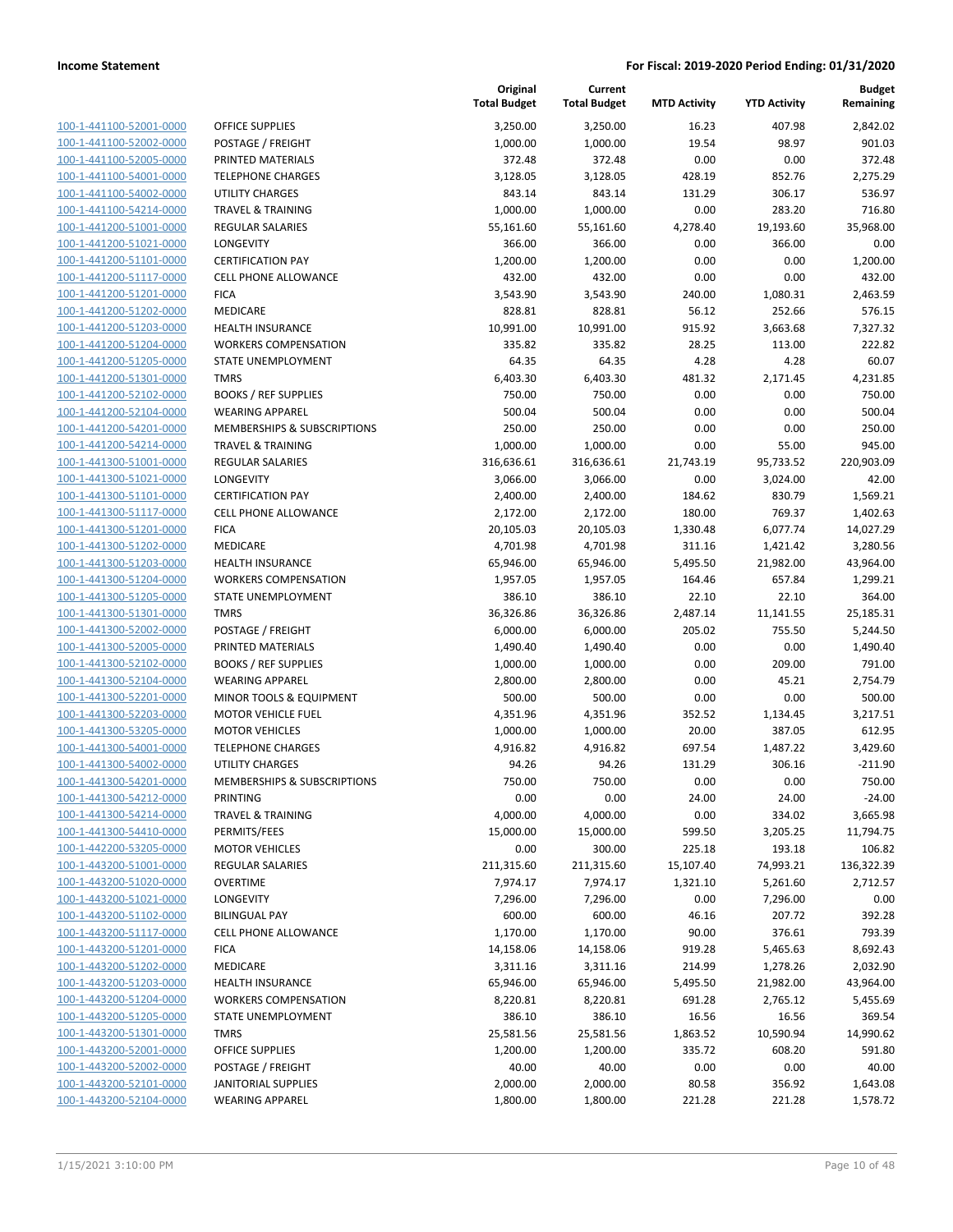| 100-1-441100-52001-0000        |
|--------------------------------|
| 100-1-441100-52002-0000        |
| 100-1-441100-52005-0000        |
| 100-1-441100-54001-0000        |
| 100-1-441100-54002-0000        |
| 100-1-441100-54214-0000        |
| 100-1-441200-51001-0000        |
| 100-1-441200-51021-0000        |
| 100-1-441200-51101-0000        |
| 100-1-441200-51117-0000        |
| 100-1-441200-51201-0000        |
| 100-1-441200-51202-0000        |
| 100-1-441200-51203-0000        |
| 100-1-441200-51204-0000        |
| 100-1-441200-51205-0000        |
|                                |
| 100-1-441200-51301-0000        |
| 100-1-441200-52102-0000        |
| 100-1-441200-52104-0000        |
| 100-1-441200-54201-0000        |
| 100-1-441200-54214-0000        |
| 100-1-441300-51001-0000        |
| 100-1-441300-51021-0000        |
| 100-1-441300-51101-0000        |
| 100-1-441300-51117-0000        |
| 100-1-441300-51201-0000        |
| 100-1-441300-51202-0000        |
| 100-1-441300-51203-0000        |
| 100-1-441300-51204-0000        |
| <u>100-1-441300-51205-0000</u> |
| 100-1-441300-51301-0000        |
|                                |
| 100-1-441300-52002-0000        |
| 100-1-441300-52005-0000        |
| 100-1-441300-52102-0000        |
| 100-1-441300-52104-0000        |
| 100-1-441300-52201-0000        |
| 100-1-441300-52203-0000        |
| 100-1-441300-53205-0000        |
| 100-1-441300-54001-0000        |
| 100-1-441300-54002-0000        |
| 100-1-441300-54201-0000        |
| 100-1-441300-54212-0000        |
| <u>100-1-441300-54214-0000</u> |
| <u>100-1-441300-54410-0000</u> |
| <u>100-1-442200-53205-0000</u> |
|                                |
| <u>100-1-443200-51001-0000</u> |
| <u>100-1-443200-51020-0000</u> |
| 100-1-443200-51021-0000        |
| 100-1-443200-51102-0000        |
| <u>100-1-443200-51117-0000</u> |
| <u>100-1-443200-51201-0000</u> |
| 100-1-443200-51202-0000        |
| 100-1-443200-51203-0000        |
| <u>100-1-443200-51204-0000</u> |
| <u>100-1-443200-51205-0000</u> |
| <u>100-1-443200-51301-0000</u> |
| <u>100-1-443200-52001-0000</u> |
| 100-1-443200-52002-0000        |
| <u>100-1-443200-52101-0000</u> |
| <u>100-1-443200-52104-0000</u> |
|                                |

|                                                    |                                                   | Original<br><b>Total Budget</b> | Current<br><b>Total Budget</b> | <b>MTD Activity</b> | <b>YTD Activity</b> | <b>Budget</b><br>Remaining |
|----------------------------------------------------|---------------------------------------------------|---------------------------------|--------------------------------|---------------------|---------------------|----------------------------|
| 100-1-441100-52001-0000                            | <b>OFFICE SUPPLIES</b>                            | 3,250.00                        | 3,250.00                       | 16.23               | 407.98              | 2,842.02                   |
| 100-1-441100-52002-0000                            | POSTAGE / FREIGHT                                 | 1,000.00                        | 1,000.00                       | 19.54               | 98.97               | 901.03                     |
| 100-1-441100-52005-0000                            | PRINTED MATERIALS                                 | 372.48                          | 372.48                         | 0.00                | 0.00                | 372.48                     |
| 100-1-441100-54001-0000                            | <b>TELEPHONE CHARGES</b>                          | 3,128.05                        | 3,128.05                       | 428.19              | 852.76              | 2,275.29                   |
| 100-1-441100-54002-0000                            | <b>UTILITY CHARGES</b>                            | 843.14                          | 843.14                         | 131.29              | 306.17              | 536.97                     |
| 100-1-441100-54214-0000                            | <b>TRAVEL &amp; TRAINING</b>                      | 1,000.00                        | 1,000.00                       | 0.00                | 283.20              | 716.80                     |
| 100-1-441200-51001-0000                            | <b>REGULAR SALARIES</b>                           | 55,161.60                       | 55,161.60                      | 4,278.40            | 19,193.60           | 35,968.00                  |
| 100-1-441200-51021-0000                            | LONGEVITY                                         | 366.00                          | 366.00                         | 0.00                | 366.00              | 0.00                       |
| 100-1-441200-51101-0000                            | <b>CERTIFICATION PAY</b>                          | 1,200.00                        | 1,200.00                       | 0.00                | 0.00                | 1,200.00                   |
| 100-1-441200-51117-0000                            | <b>CELL PHONE ALLOWANCE</b>                       | 432.00                          | 432.00                         | 0.00                | 0.00                | 432.00                     |
| 100-1-441200-51201-0000                            | <b>FICA</b>                                       | 3,543.90                        | 3,543.90                       | 240.00              | 1,080.31            | 2,463.59                   |
| 100-1-441200-51202-0000                            | MEDICARE                                          | 828.81                          | 828.81                         | 56.12               | 252.66              | 576.15                     |
| 100-1-441200-51203-0000                            | <b>HEALTH INSURANCE</b>                           | 10,991.00                       | 10,991.00                      | 915.92              | 3,663.68            | 7,327.32                   |
| 100-1-441200-51204-0000                            | <b>WORKERS COMPENSATION</b>                       | 335.82                          | 335.82                         | 28.25               | 113.00              | 222.82                     |
| 100-1-441200-51205-0000                            | STATE UNEMPLOYMENT                                | 64.35                           | 64.35                          | 4.28                | 4.28                | 60.07                      |
| 100-1-441200-51301-0000                            | <b>TMRS</b>                                       | 6,403.30                        | 6,403.30                       | 481.32              | 2,171.45            | 4,231.85                   |
| 100-1-441200-52102-0000                            | <b>BOOKS / REF SUPPLIES</b>                       | 750.00                          | 750.00                         | 0.00                | 0.00                | 750.00                     |
| 100-1-441200-52104-0000                            | <b>WEARING APPAREL</b>                            | 500.04                          | 500.04                         | 0.00                | 0.00                | 500.04                     |
| 100-1-441200-54201-0000                            | MEMBERSHIPS & SUBSCRIPTIONS                       | 250.00                          | 250.00                         | 0.00                | 0.00                | 250.00                     |
| 100-1-441200-54214-0000                            | <b>TRAVEL &amp; TRAINING</b>                      | 1,000.00                        | 1,000.00                       | 0.00                | 55.00               | 945.00                     |
| 100-1-441300-51001-0000                            | <b>REGULAR SALARIES</b>                           | 316,636.61                      | 316,636.61                     | 21,743.19           | 95,733.52           | 220,903.09                 |
| 100-1-441300-51021-0000                            | <b>LONGEVITY</b>                                  | 3,066.00                        | 3,066.00                       | 0.00                | 3,024.00            | 42.00                      |
| 100-1-441300-51101-0000                            | <b>CERTIFICATION PAY</b>                          | 2,400.00                        | 2,400.00                       | 184.62              | 830.79              | 1,569.21                   |
| 100-1-441300-51117-0000                            | <b>CELL PHONE ALLOWANCE</b>                       | 2,172.00                        | 2,172.00                       | 180.00              | 769.37              | 1,402.63                   |
| 100-1-441300-51201-0000                            | <b>FICA</b>                                       | 20,105.03                       | 20,105.03                      | 1,330.48            | 6,077.74            | 14,027.29                  |
| 100-1-441300-51202-0000                            | MEDICARE                                          | 4,701.98                        | 4,701.98                       | 311.16              | 1,421.42            | 3,280.56                   |
| 100-1-441300-51203-0000                            | <b>HEALTH INSURANCE</b>                           | 65,946.00                       | 65,946.00                      | 5,495.50            | 21,982.00           | 43,964.00                  |
| 100-1-441300-51204-0000                            | <b>WORKERS COMPENSATION</b>                       | 1,957.05                        | 1,957.05                       | 164.46              | 657.84              | 1,299.21                   |
| 100-1-441300-51205-0000                            | STATE UNEMPLOYMENT                                | 386.10                          | 386.10                         | 22.10               | 22.10               | 364.00                     |
| 100-1-441300-51301-0000                            | <b>TMRS</b>                                       | 36,326.86                       | 36,326.86                      | 2,487.14            | 11,141.55           | 25,185.31                  |
| 100-1-441300-52002-0000                            | POSTAGE / FREIGHT                                 | 6,000.00                        | 6,000.00                       | 205.02              | 755.50              | 5,244.50                   |
| 100-1-441300-52005-0000                            | PRINTED MATERIALS                                 | 1,490.40                        | 1,490.40                       | 0.00                | 0.00                | 1,490.40                   |
| 100-1-441300-52102-0000                            | <b>BOOKS / REF SUPPLIES</b>                       | 1,000.00                        | 1,000.00                       | 0.00                | 209.00              | 791.00                     |
| 100-1-441300-52104-0000                            | <b>WEARING APPAREL</b>                            | 2,800.00                        | 2,800.00                       | 0.00                | 45.21               | 2,754.79                   |
| 100-1-441300-52201-0000                            | MINOR TOOLS & EQUIPMENT                           | 500.00                          | 500.00                         | 0.00                | 0.00                | 500.00                     |
| 100-1-441300-52203-0000                            | <b>MOTOR VEHICLE FUEL</b>                         | 4,351.96                        | 4,351.96                       | 352.52              | 1,134.45            | 3,217.51                   |
| 100-1-441300-53205-0000                            | <b>MOTOR VEHICLES</b><br><b>TELEPHONE CHARGES</b> | 1,000.00                        | 1,000.00                       | 20.00               | 387.05              | 612.95                     |
| 100-1-441300-54001-0000<br>100-1-441300-54002-0000 | <b>UTILITY CHARGES</b>                            | 4,916.82<br>94.26               | 4,916.82<br>94.26              | 697.54<br>131.29    | 1,487.22<br>306.16  | 3,429.60<br>$-211.90$      |
| 100-1-441300-54201-0000                            |                                                   |                                 |                                | 0.00                |                     | 750.00                     |
| 100-1-441300-54212-0000                            | MEMBERSHIPS & SUBSCRIPTIONS<br><b>PRINTING</b>    | 750.00<br>0.00                  | 750.00<br>0.00                 | 24.00               | 0.00<br>24.00       | $-24.00$                   |
| 100-1-441300-54214-0000                            | <b>TRAVEL &amp; TRAINING</b>                      | 4,000.00                        | 4,000.00                       | 0.00                | 334.02              | 3,665.98                   |
| 100-1-441300-54410-0000                            | PERMITS/FEES                                      | 15,000.00                       | 15,000.00                      | 599.50              | 3,205.25            | 11,794.75                  |
| 100-1-442200-53205-0000                            | <b>MOTOR VEHICLES</b>                             | 0.00                            | 300.00                         | 225.18              | 193.18              | 106.82                     |
| 100-1-443200-51001-0000                            | <b>REGULAR SALARIES</b>                           | 211,315.60                      | 211,315.60                     | 15,107.40           | 74,993.21           | 136,322.39                 |
| 100-1-443200-51020-0000                            | <b>OVERTIME</b>                                   | 7,974.17                        | 7,974.17                       | 1,321.10            | 5,261.60            | 2,712.57                   |
| 100-1-443200-51021-0000                            | LONGEVITY                                         | 7,296.00                        | 7,296.00                       | 0.00                | 7,296.00            | 0.00                       |
| 100-1-443200-51102-0000                            | <b>BILINGUAL PAY</b>                              | 600.00                          | 600.00                         | 46.16               | 207.72              | 392.28                     |
| 100-1-443200-51117-0000                            | <b>CELL PHONE ALLOWANCE</b>                       | 1,170.00                        | 1,170.00                       | 90.00               | 376.61              | 793.39                     |
| 100-1-443200-51201-0000                            | <b>FICA</b>                                       | 14,158.06                       | 14,158.06                      | 919.28              | 5,465.63            | 8,692.43                   |
| 100-1-443200-51202-0000                            | MEDICARE                                          | 3,311.16                        | 3,311.16                       | 214.99              | 1,278.26            | 2,032.90                   |
| 100-1-443200-51203-0000                            | <b>HEALTH INSURANCE</b>                           | 65,946.00                       | 65,946.00                      | 5,495.50            | 21,982.00           | 43,964.00                  |
| 100-1-443200-51204-0000                            | <b>WORKERS COMPENSATION</b>                       | 8,220.81                        | 8,220.81                       | 691.28              | 2,765.12            | 5,455.69                   |
| 100-1-443200-51205-0000                            | STATE UNEMPLOYMENT                                | 386.10                          | 386.10                         | 16.56               | 16.56               | 369.54                     |
| 100-1-443200-51301-0000                            | <b>TMRS</b>                                       | 25,581.56                       | 25,581.56                      | 1,863.52            | 10,590.94           | 14,990.62                  |
| 100-1-443200-52001-0000                            | OFFICE SUPPLIES                                   | 1,200.00                        | 1,200.00                       | 335.72              | 608.20              | 591.80                     |
| 100-1-443200-52002-0000                            | POSTAGE / FREIGHT                                 | 40.00                           | 40.00                          | 0.00                | 0.00                | 40.00                      |
| 100-1-443200-52101-0000                            | <b>JANITORIAL SUPPLIES</b>                        | 2,000.00                        | 2,000.00                       | 80.58               | 356.92              | 1,643.08                   |
| 100-1-443200-52104-0000                            | <b>WEARING APPAREL</b>                            | 1,800.00                        | 1,800.00                       | 221.28              | 221.28              | 1,578.72                   |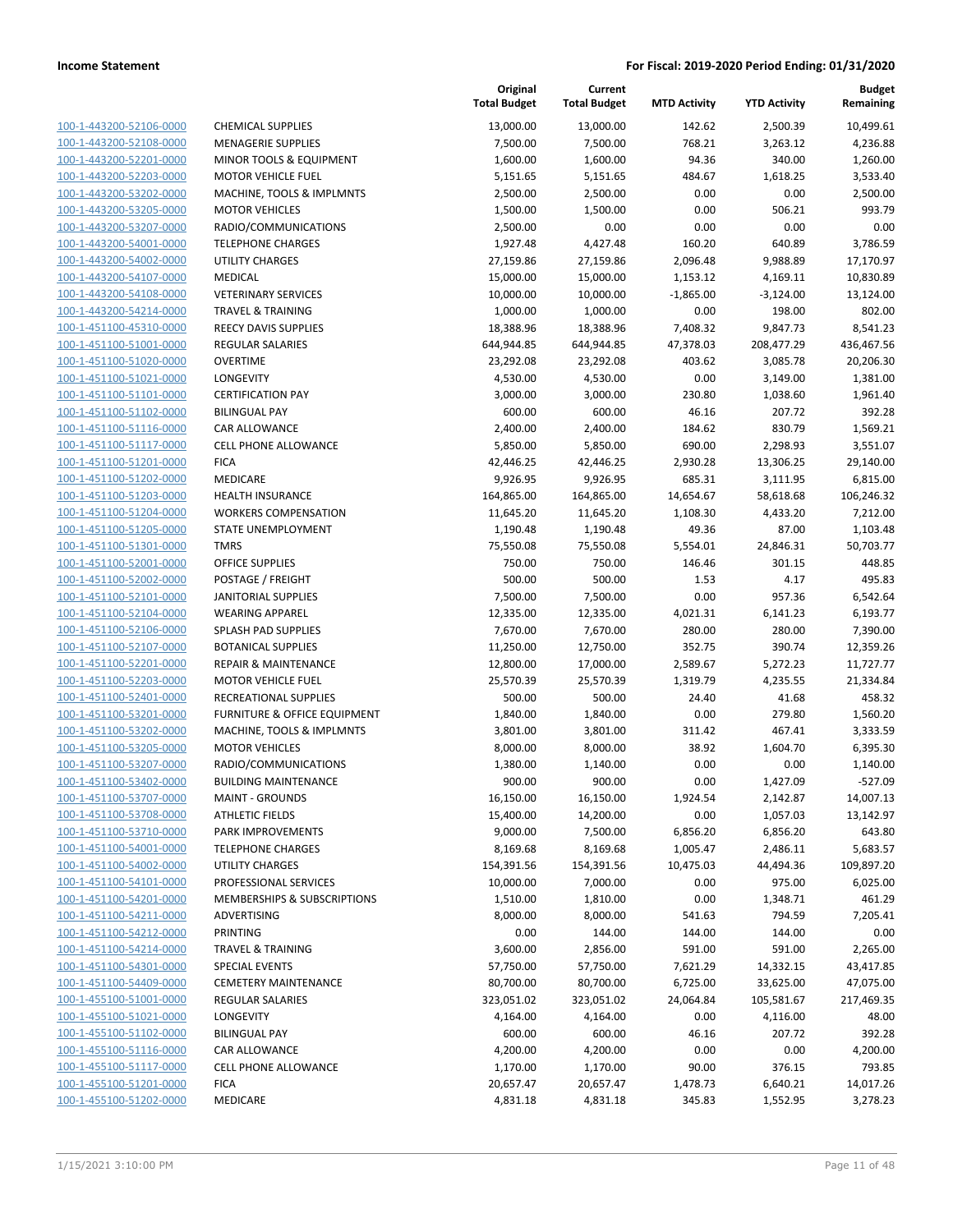**Current**

**Original**

**Budget Remaining**

| 100-1-443200-52106-0000<br>100-1-443200-52108-0000<br>100-1-443200-52201-0000<br>100-1-443200-52203-0000<br>100-1-443200-53202-0000<br>100-1-443200-53205-0000<br>100-1-443200-53207-0000<br>100-1-443200-54001-0000<br>100-1-443200-54002-0000<br>100-1-443200-54107-0000<br>100-1-443200-54108-0000<br>100-1-443200-54214-0000<br>100-1-451100-45310-0000<br>100-1-451100-51001-0000<br>100-1-451100-51020-0000<br>100-1-451100-51021-0000<br>100-1-451100-51101-0000<br>100-1-451100-51102-0000<br>100-1-451100-51116-0000<br>100-1-451100-51117-0000<br>100-1-451100-51201-0000<br>100-1-451100-51202-0000<br>100-1-451100-51203-0000<br>100-1-451100-51204-0000<br>100-1-451100-51205-0000<br>100-1-451100-51301-0000<br>100-1-451100-52001-0000<br>100-1-451100-52002-0000<br>100-1-451100-52101-0000<br>100-1-451100-52104-0000<br>100-1-451100-52106-0000<br>100-1-451100-52107-0000<br>100-1-451100-52201-0000<br>100-1-451100-52203-0000<br>100-1-451100-52401-0000<br>100-1-451100-53201-0000<br>100-1-451100-53202-0000<br>100-1-451100-53205-0000<br>100-1-451100-53207-0000<br>100-1-451100-53402-0000<br>100-1-451100-53707-0000<br><u>100-1-451100-53708-0000</u><br>100-1-451100-53710-0000<br>100-1-451100-54001-0000<br>100-1-451100-54002-0000<br>100-1-451100-54101-0000<br>100-1-451100-54201-0000<br><u>100-1-451100-54211-0000</u><br>100-1-451100-54212-0000<br>100-1-451100-54214-0000<br>100-1-451100-54301-0000<br><u>100-1-451100-54409-0000</u><br><u>100-1-455100-51001-0000</u><br><u>100-1-455100-51021-0000</u> |
|---------------------------------------------------------------------------------------------------------------------------------------------------------------------------------------------------------------------------------------------------------------------------------------------------------------------------------------------------------------------------------------------------------------------------------------------------------------------------------------------------------------------------------------------------------------------------------------------------------------------------------------------------------------------------------------------------------------------------------------------------------------------------------------------------------------------------------------------------------------------------------------------------------------------------------------------------------------------------------------------------------------------------------------------------------------------------------------------------------------------------------------------------------------------------------------------------------------------------------------------------------------------------------------------------------------------------------------------------------------------------------------------------------------------------------------------------------------------------------------------------------------------------------------------------|
|                                                                                                                                                                                                                                                                                                                                                                                                                                                                                                                                                                                                                                                                                                                                                                                                                                                                                                                                                                                                                                                                                                                                                                                                                                                                                                                                                                                                                                                                                                                                                   |
|                                                                                                                                                                                                                                                                                                                                                                                                                                                                                                                                                                                                                                                                                                                                                                                                                                                                                                                                                                                                                                                                                                                                                                                                                                                                                                                                                                                                                                                                                                                                                   |
|                                                                                                                                                                                                                                                                                                                                                                                                                                                                                                                                                                                                                                                                                                                                                                                                                                                                                                                                                                                                                                                                                                                                                                                                                                                                                                                                                                                                                                                                                                                                                   |
|                                                                                                                                                                                                                                                                                                                                                                                                                                                                                                                                                                                                                                                                                                                                                                                                                                                                                                                                                                                                                                                                                                                                                                                                                                                                                                                                                                                                                                                                                                                                                   |
|                                                                                                                                                                                                                                                                                                                                                                                                                                                                                                                                                                                                                                                                                                                                                                                                                                                                                                                                                                                                                                                                                                                                                                                                                                                                                                                                                                                                                                                                                                                                                   |
|                                                                                                                                                                                                                                                                                                                                                                                                                                                                                                                                                                                                                                                                                                                                                                                                                                                                                                                                                                                                                                                                                                                                                                                                                                                                                                                                                                                                                                                                                                                                                   |
|                                                                                                                                                                                                                                                                                                                                                                                                                                                                                                                                                                                                                                                                                                                                                                                                                                                                                                                                                                                                                                                                                                                                                                                                                                                                                                                                                                                                                                                                                                                                                   |
|                                                                                                                                                                                                                                                                                                                                                                                                                                                                                                                                                                                                                                                                                                                                                                                                                                                                                                                                                                                                                                                                                                                                                                                                                                                                                                                                                                                                                                                                                                                                                   |
|                                                                                                                                                                                                                                                                                                                                                                                                                                                                                                                                                                                                                                                                                                                                                                                                                                                                                                                                                                                                                                                                                                                                                                                                                                                                                                                                                                                                                                                                                                                                                   |
|                                                                                                                                                                                                                                                                                                                                                                                                                                                                                                                                                                                                                                                                                                                                                                                                                                                                                                                                                                                                                                                                                                                                                                                                                                                                                                                                                                                                                                                                                                                                                   |
|                                                                                                                                                                                                                                                                                                                                                                                                                                                                                                                                                                                                                                                                                                                                                                                                                                                                                                                                                                                                                                                                                                                                                                                                                                                                                                                                                                                                                                                                                                                                                   |
|                                                                                                                                                                                                                                                                                                                                                                                                                                                                                                                                                                                                                                                                                                                                                                                                                                                                                                                                                                                                                                                                                                                                                                                                                                                                                                                                                                                                                                                                                                                                                   |
|                                                                                                                                                                                                                                                                                                                                                                                                                                                                                                                                                                                                                                                                                                                                                                                                                                                                                                                                                                                                                                                                                                                                                                                                                                                                                                                                                                                                                                                                                                                                                   |
|                                                                                                                                                                                                                                                                                                                                                                                                                                                                                                                                                                                                                                                                                                                                                                                                                                                                                                                                                                                                                                                                                                                                                                                                                                                                                                                                                                                                                                                                                                                                                   |
|                                                                                                                                                                                                                                                                                                                                                                                                                                                                                                                                                                                                                                                                                                                                                                                                                                                                                                                                                                                                                                                                                                                                                                                                                                                                                                                                                                                                                                                                                                                                                   |
|                                                                                                                                                                                                                                                                                                                                                                                                                                                                                                                                                                                                                                                                                                                                                                                                                                                                                                                                                                                                                                                                                                                                                                                                                                                                                                                                                                                                                                                                                                                                                   |
|                                                                                                                                                                                                                                                                                                                                                                                                                                                                                                                                                                                                                                                                                                                                                                                                                                                                                                                                                                                                                                                                                                                                                                                                                                                                                                                                                                                                                                                                                                                                                   |
|                                                                                                                                                                                                                                                                                                                                                                                                                                                                                                                                                                                                                                                                                                                                                                                                                                                                                                                                                                                                                                                                                                                                                                                                                                                                                                                                                                                                                                                                                                                                                   |
|                                                                                                                                                                                                                                                                                                                                                                                                                                                                                                                                                                                                                                                                                                                                                                                                                                                                                                                                                                                                                                                                                                                                                                                                                                                                                                                                                                                                                                                                                                                                                   |
|                                                                                                                                                                                                                                                                                                                                                                                                                                                                                                                                                                                                                                                                                                                                                                                                                                                                                                                                                                                                                                                                                                                                                                                                                                                                                                                                                                                                                                                                                                                                                   |
|                                                                                                                                                                                                                                                                                                                                                                                                                                                                                                                                                                                                                                                                                                                                                                                                                                                                                                                                                                                                                                                                                                                                                                                                                                                                                                                                                                                                                                                                                                                                                   |
|                                                                                                                                                                                                                                                                                                                                                                                                                                                                                                                                                                                                                                                                                                                                                                                                                                                                                                                                                                                                                                                                                                                                                                                                                                                                                                                                                                                                                                                                                                                                                   |
|                                                                                                                                                                                                                                                                                                                                                                                                                                                                                                                                                                                                                                                                                                                                                                                                                                                                                                                                                                                                                                                                                                                                                                                                                                                                                                                                                                                                                                                                                                                                                   |
|                                                                                                                                                                                                                                                                                                                                                                                                                                                                                                                                                                                                                                                                                                                                                                                                                                                                                                                                                                                                                                                                                                                                                                                                                                                                                                                                                                                                                                                                                                                                                   |
|                                                                                                                                                                                                                                                                                                                                                                                                                                                                                                                                                                                                                                                                                                                                                                                                                                                                                                                                                                                                                                                                                                                                                                                                                                                                                                                                                                                                                                                                                                                                                   |
|                                                                                                                                                                                                                                                                                                                                                                                                                                                                                                                                                                                                                                                                                                                                                                                                                                                                                                                                                                                                                                                                                                                                                                                                                                                                                                                                                                                                                                                                                                                                                   |
|                                                                                                                                                                                                                                                                                                                                                                                                                                                                                                                                                                                                                                                                                                                                                                                                                                                                                                                                                                                                                                                                                                                                                                                                                                                                                                                                                                                                                                                                                                                                                   |
|                                                                                                                                                                                                                                                                                                                                                                                                                                                                                                                                                                                                                                                                                                                                                                                                                                                                                                                                                                                                                                                                                                                                                                                                                                                                                                                                                                                                                                                                                                                                                   |
|                                                                                                                                                                                                                                                                                                                                                                                                                                                                                                                                                                                                                                                                                                                                                                                                                                                                                                                                                                                                                                                                                                                                                                                                                                                                                                                                                                                                                                                                                                                                                   |
|                                                                                                                                                                                                                                                                                                                                                                                                                                                                                                                                                                                                                                                                                                                                                                                                                                                                                                                                                                                                                                                                                                                                                                                                                                                                                                                                                                                                                                                                                                                                                   |
|                                                                                                                                                                                                                                                                                                                                                                                                                                                                                                                                                                                                                                                                                                                                                                                                                                                                                                                                                                                                                                                                                                                                                                                                                                                                                                                                                                                                                                                                                                                                                   |
|                                                                                                                                                                                                                                                                                                                                                                                                                                                                                                                                                                                                                                                                                                                                                                                                                                                                                                                                                                                                                                                                                                                                                                                                                                                                                                                                                                                                                                                                                                                                                   |
|                                                                                                                                                                                                                                                                                                                                                                                                                                                                                                                                                                                                                                                                                                                                                                                                                                                                                                                                                                                                                                                                                                                                                                                                                                                                                                                                                                                                                                                                                                                                                   |
|                                                                                                                                                                                                                                                                                                                                                                                                                                                                                                                                                                                                                                                                                                                                                                                                                                                                                                                                                                                                                                                                                                                                                                                                                                                                                                                                                                                                                                                                                                                                                   |
|                                                                                                                                                                                                                                                                                                                                                                                                                                                                                                                                                                                                                                                                                                                                                                                                                                                                                                                                                                                                                                                                                                                                                                                                                                                                                                                                                                                                                                                                                                                                                   |
|                                                                                                                                                                                                                                                                                                                                                                                                                                                                                                                                                                                                                                                                                                                                                                                                                                                                                                                                                                                                                                                                                                                                                                                                                                                                                                                                                                                                                                                                                                                                                   |
|                                                                                                                                                                                                                                                                                                                                                                                                                                                                                                                                                                                                                                                                                                                                                                                                                                                                                                                                                                                                                                                                                                                                                                                                                                                                                                                                                                                                                                                                                                                                                   |
|                                                                                                                                                                                                                                                                                                                                                                                                                                                                                                                                                                                                                                                                                                                                                                                                                                                                                                                                                                                                                                                                                                                                                                                                                                                                                                                                                                                                                                                                                                                                                   |
|                                                                                                                                                                                                                                                                                                                                                                                                                                                                                                                                                                                                                                                                                                                                                                                                                                                                                                                                                                                                                                                                                                                                                                                                                                                                                                                                                                                                                                                                                                                                                   |
|                                                                                                                                                                                                                                                                                                                                                                                                                                                                                                                                                                                                                                                                                                                                                                                                                                                                                                                                                                                                                                                                                                                                                                                                                                                                                                                                                                                                                                                                                                                                                   |
|                                                                                                                                                                                                                                                                                                                                                                                                                                                                                                                                                                                                                                                                                                                                                                                                                                                                                                                                                                                                                                                                                                                                                                                                                                                                                                                                                                                                                                                                                                                                                   |
|                                                                                                                                                                                                                                                                                                                                                                                                                                                                                                                                                                                                                                                                                                                                                                                                                                                                                                                                                                                                                                                                                                                                                                                                                                                                                                                                                                                                                                                                                                                                                   |
|                                                                                                                                                                                                                                                                                                                                                                                                                                                                                                                                                                                                                                                                                                                                                                                                                                                                                                                                                                                                                                                                                                                                                                                                                                                                                                                                                                                                                                                                                                                                                   |
|                                                                                                                                                                                                                                                                                                                                                                                                                                                                                                                                                                                                                                                                                                                                                                                                                                                                                                                                                                                                                                                                                                                                                                                                                                                                                                                                                                                                                                                                                                                                                   |
|                                                                                                                                                                                                                                                                                                                                                                                                                                                                                                                                                                                                                                                                                                                                                                                                                                                                                                                                                                                                                                                                                                                                                                                                                                                                                                                                                                                                                                                                                                                                                   |
|                                                                                                                                                                                                                                                                                                                                                                                                                                                                                                                                                                                                                                                                                                                                                                                                                                                                                                                                                                                                                                                                                                                                                                                                                                                                                                                                                                                                                                                                                                                                                   |
|                                                                                                                                                                                                                                                                                                                                                                                                                                                                                                                                                                                                                                                                                                                                                                                                                                                                                                                                                                                                                                                                                                                                                                                                                                                                                                                                                                                                                                                                                                                                                   |
|                                                                                                                                                                                                                                                                                                                                                                                                                                                                                                                                                                                                                                                                                                                                                                                                                                                                                                                                                                                                                                                                                                                                                                                                                                                                                                                                                                                                                                                                                                                                                   |
|                                                                                                                                                                                                                                                                                                                                                                                                                                                                                                                                                                                                                                                                                                                                                                                                                                                                                                                                                                                                                                                                                                                                                                                                                                                                                                                                                                                                                                                                                                                                                   |
|                                                                                                                                                                                                                                                                                                                                                                                                                                                                                                                                                                                                                                                                                                                                                                                                                                                                                                                                                                                                                                                                                                                                                                                                                                                                                                                                                                                                                                                                                                                                                   |
|                                                                                                                                                                                                                                                                                                                                                                                                                                                                                                                                                                                                                                                                                                                                                                                                                                                                                                                                                                                                                                                                                                                                                                                                                                                                                                                                                                                                                                                                                                                                                   |
|                                                                                                                                                                                                                                                                                                                                                                                                                                                                                                                                                                                                                                                                                                                                                                                                                                                                                                                                                                                                                                                                                                                                                                                                                                                                                                                                                                                                                                                                                                                                                   |
|                                                                                                                                                                                                                                                                                                                                                                                                                                                                                                                                                                                                                                                                                                                                                                                                                                                                                                                                                                                                                                                                                                                                                                                                                                                                                                                                                                                                                                                                                                                                                   |
|                                                                                                                                                                                                                                                                                                                                                                                                                                                                                                                                                                                                                                                                                                                                                                                                                                                                                                                                                                                                                                                                                                                                                                                                                                                                                                                                                                                                                                                                                                                                                   |
|                                                                                                                                                                                                                                                                                                                                                                                                                                                                                                                                                                                                                                                                                                                                                                                                                                                                                                                                                                                                                                                                                                                                                                                                                                                                                                                                                                                                                                                                                                                                                   |
|                                                                                                                                                                                                                                                                                                                                                                                                                                                                                                                                                                                                                                                                                                                                                                                                                                                                                                                                                                                                                                                                                                                                                                                                                                                                                                                                                                                                                                                                                                                                                   |
|                                                                                                                                                                                                                                                                                                                                                                                                                                                                                                                                                                                                                                                                                                                                                                                                                                                                                                                                                                                                                                                                                                                                                                                                                                                                                                                                                                                                                                                                                                                                                   |
|                                                                                                                                                                                                                                                                                                                                                                                                                                                                                                                                                                                                                                                                                                                                                                                                                                                                                                                                                                                                                                                                                                                                                                                                                                                                                                                                                                                                                                                                                                                                                   |
|                                                                                                                                                                                                                                                                                                                                                                                                                                                                                                                                                                                                                                                                                                                                                                                                                                                                                                                                                                                                                                                                                                                                                                                                                                                                                                                                                                                                                                                                                                                                                   |
| 100-1-455100-51102-0000                                                                                                                                                                                                                                                                                                                                                                                                                                                                                                                                                                                                                                                                                                                                                                                                                                                                                                                                                                                                                                                                                                                                                                                                                                                                                                                                                                                                                                                                                                                           |
|                                                                                                                                                                                                                                                                                                                                                                                                                                                                                                                                                                                                                                                                                                                                                                                                                                                                                                                                                                                                                                                                                                                                                                                                                                                                                                                                                                                                                                                                                                                                                   |
| 100-1-455100-51116-0000                                                                                                                                                                                                                                                                                                                                                                                                                                                                                                                                                                                                                                                                                                                                                                                                                                                                                                                                                                                                                                                                                                                                                                                                                                                                                                                                                                                                                                                                                                                           |
| <u>100-1-455100-51117-0000</u>                                                                                                                                                                                                                                                                                                                                                                                                                                                                                                                                                                                                                                                                                                                                                                                                                                                                                                                                                                                                                                                                                                                                                                                                                                                                                                                                                                                                                                                                                                                    |
|                                                                                                                                                                                                                                                                                                                                                                                                                                                                                                                                                                                                                                                                                                                                                                                                                                                                                                                                                                                                                                                                                                                                                                                                                                                                                                                                                                                                                                                                                                                                                   |
| <u>100-1-455100-51201-0000</u><br>100-1-455100-51202-0000                                                                                                                                                                                                                                                                                                                                                                                                                                                                                                                                                                                                                                                                                                                                                                                                                                                                                                                                                                                                                                                                                                                                                                                                                                                                                                                                                                                                                                                                                         |

|                                |                                 | <b>Total Budget</b> | <b>Total Budget</b> | <b>MTD Activity</b> | <b>YTD Activity</b> | Remaining  |
|--------------------------------|---------------------------------|---------------------|---------------------|---------------------|---------------------|------------|
| 100-1-443200-52106-0000        | <b>CHEMICAL SUPPLIES</b>        | 13,000.00           | 13,000.00           | 142.62              | 2,500.39            | 10,499.61  |
| 100-1-443200-52108-0000        | <b>MENAGERIE SUPPLIES</b>       | 7,500.00            | 7,500.00            | 768.21              | 3,263.12            | 4,236.88   |
| 100-1-443200-52201-0000        | MINOR TOOLS & EQUIPMENT         | 1,600.00            | 1,600.00            | 94.36               | 340.00              | 1,260.00   |
| 100-1-443200-52203-0000        | <b>MOTOR VEHICLE FUEL</b>       | 5,151.65            | 5,151.65            | 484.67              | 1,618.25            | 3,533.40   |
| 100-1-443200-53202-0000        | MACHINE, TOOLS & IMPLMNTS       | 2,500.00            | 2,500.00            | 0.00                | 0.00                | 2,500.00   |
| 100-1-443200-53205-0000        | <b>MOTOR VEHICLES</b>           | 1,500.00            | 1,500.00            | 0.00                | 506.21              | 993.79     |
| 100-1-443200-53207-0000        | RADIO/COMMUNICATIONS            | 2,500.00            | 0.00                | 0.00                | 0.00                | 0.00       |
| 100-1-443200-54001-0000        | <b>TELEPHONE CHARGES</b>        | 1,927.48            | 4,427.48            | 160.20              | 640.89              | 3,786.59   |
| 100-1-443200-54002-0000        | <b>UTILITY CHARGES</b>          | 27,159.86           | 27,159.86           | 2,096.48            | 9,988.89            | 17,170.97  |
| 100-1-443200-54107-0000        | MEDICAL                         | 15,000.00           | 15,000.00           | 1,153.12            | 4,169.11            | 10,830.89  |
| 100-1-443200-54108-0000        | <b>VETERINARY SERVICES</b>      | 10,000.00           | 10,000.00           | $-1,865.00$         | $-3,124.00$         | 13,124.00  |
| 100-1-443200-54214-0000        | <b>TRAVEL &amp; TRAINING</b>    | 1,000.00            | 1,000.00            | 0.00                | 198.00              | 802.00     |
| 100-1-451100-45310-0000        | <b>REECY DAVIS SUPPLIES</b>     | 18,388.96           | 18,388.96           | 7,408.32            | 9,847.73            | 8,541.23   |
| 100-1-451100-51001-0000        | <b>REGULAR SALARIES</b>         | 644,944.85          | 644,944.85          | 47,378.03           | 208,477.29          | 436,467.56 |
| 100-1-451100-51020-0000        | <b>OVERTIME</b>                 | 23,292.08           | 23,292.08           | 403.62              | 3,085.78            | 20,206.30  |
| 100-1-451100-51021-0000        | LONGEVITY                       | 4,530.00            | 4,530.00            | 0.00                | 3,149.00            | 1,381.00   |
| 100-1-451100-51101-0000        | <b>CERTIFICATION PAY</b>        | 3,000.00            | 3,000.00            | 230.80              | 1,038.60            | 1,961.40   |
| 100-1-451100-51102-0000        | <b>BILINGUAL PAY</b>            | 600.00              | 600.00              | 46.16               | 207.72              | 392.28     |
| 100-1-451100-51116-0000        | CAR ALLOWANCE                   | 2,400.00            | 2,400.00            | 184.62              | 830.79              | 1,569.21   |
| 100-1-451100-51117-0000        | <b>CELL PHONE ALLOWANCE</b>     | 5,850.00            | 5,850.00            | 690.00              | 2,298.93            | 3,551.07   |
| 100-1-451100-51201-0000        | <b>FICA</b>                     | 42,446.25           | 42,446.25           | 2,930.28            | 13,306.25           | 29,140.00  |
| 100-1-451100-51202-0000        | MEDICARE                        | 9,926.95            | 9,926.95            | 685.31              | 3,111.95            | 6,815.00   |
| 100-1-451100-51203-0000        | <b>HEALTH INSURANCE</b>         | 164,865.00          | 164,865.00          | 14,654.67           | 58,618.68           | 106,246.32 |
| 100-1-451100-51204-0000        | <b>WORKERS COMPENSATION</b>     | 11,645.20           | 11,645.20           | 1,108.30            | 4,433.20            | 7,212.00   |
| 100-1-451100-51205-0000        | STATE UNEMPLOYMENT              | 1,190.48            | 1,190.48            | 49.36               | 87.00               | 1,103.48   |
| 100-1-451100-51301-0000        | <b>TMRS</b>                     | 75,550.08           | 75,550.08           | 5,554.01            | 24,846.31           | 50,703.77  |
| 100-1-451100-52001-0000        | <b>OFFICE SUPPLIES</b>          | 750.00              | 750.00              | 146.46              | 301.15              | 448.85     |
| 100-1-451100-52002-0000        | POSTAGE / FREIGHT               | 500.00              | 500.00              | 1.53                | 4.17                | 495.83     |
| 100-1-451100-52101-0000        | <b>JANITORIAL SUPPLIES</b>      | 7,500.00            | 7,500.00            | 0.00                | 957.36              | 6,542.64   |
| 100-1-451100-52104-0000        | <b>WEARING APPAREL</b>          | 12,335.00           | 12,335.00           | 4,021.31            | 6,141.23            | 6,193.77   |
| 100-1-451100-52106-0000        | SPLASH PAD SUPPLIES             | 7,670.00            | 7,670.00            | 280.00              | 280.00              | 7,390.00   |
| 100-1-451100-52107-0000        | <b>BOTANICAL SUPPLIES</b>       | 11,250.00           | 12,750.00           | 352.75              | 390.74              | 12,359.26  |
| 100-1-451100-52201-0000        | <b>REPAIR &amp; MAINTENANCE</b> | 12,800.00           | 17,000.00           | 2,589.67            | 5,272.23            | 11,727.77  |
| 100-1-451100-52203-0000        | <b>MOTOR VEHICLE FUEL</b>       | 25,570.39           | 25,570.39           | 1,319.79            | 4,235.55            | 21,334.84  |
| 100-1-451100-52401-0000        | RECREATIONAL SUPPLIES           | 500.00              | 500.00              | 24.40               | 41.68               | 458.32     |
| 100-1-451100-53201-0000        | FURNITURE & OFFICE EQUIPMENT    | 1,840.00            | 1,840.00            | 0.00                | 279.80              | 1,560.20   |
| 100-1-451100-53202-0000        | MACHINE, TOOLS & IMPLMNTS       | 3,801.00            | 3,801.00            | 311.42              | 467.41              | 3,333.59   |
| 100-1-451100-53205-0000        | <b>MOTOR VEHICLES</b>           | 8,000.00            | 8,000.00            | 38.92               | 1,604.70            | 6,395.30   |
| 100-1-451100-53207-0000        | RADIO/COMMUNICATIONS            | 1,380.00            | 1,140.00            | 0.00                | 0.00                | 1,140.00   |
| 100-1-451100-53402-0000        | <b>BUILDING MAINTENANCE</b>     | 900.00              | 900.00              | 0.00                | 1,427.09            | $-527.09$  |
| <u>100-1-451100-53707-0000</u> | <b>MAINT - GROUNDS</b>          | 16,150.00           | 16,150.00           | 1,924.54            | 2,142.87            | 14,007.13  |
| 100-1-451100-53708-0000        | <b>ATHLETIC FIELDS</b>          | 15,400.00           | 14,200.00           | 0.00                | 1,057.03            | 13,142.97  |
| 100-1-451100-53710-0000        | <b>PARK IMPROVEMENTS</b>        | 9,000.00            | 7,500.00            | 6,856.20            | 6,856.20            | 643.80     |
| 100-1-451100-54001-0000        | <b>TELEPHONE CHARGES</b>        | 8,169.68            | 8,169.68            | 1,005.47            | 2,486.11            | 5,683.57   |
| 100-1-451100-54002-0000        | UTILITY CHARGES                 | 154,391.56          | 154,391.56          | 10,475.03           | 44,494.36           | 109,897.20 |
| 100-1-451100-54101-0000        | PROFESSIONAL SERVICES           | 10,000.00           | 7,000.00            | 0.00                | 975.00              | 6,025.00   |
| 100-1-451100-54201-0000        | MEMBERSHIPS & SUBSCRIPTIONS     | 1,510.00            | 1,810.00            | 0.00                | 1,348.71            | 461.29     |
| 100-1-451100-54211-0000        | <b>ADVERTISING</b>              | 8,000.00            | 8,000.00            | 541.63              | 794.59              | 7,205.41   |
| 100-1-451100-54212-0000        | PRINTING                        | 0.00                | 144.00              | 144.00              | 144.00              | 0.00       |
| 100-1-451100-54214-0000        | <b>TRAVEL &amp; TRAINING</b>    | 3,600.00            | 2,856.00            | 591.00              | 591.00              | 2,265.00   |
| 100-1-451100-54301-0000        | <b>SPECIAL EVENTS</b>           | 57,750.00           | 57,750.00           | 7,621.29            | 14,332.15           | 43,417.85  |
| 100-1-451100-54409-0000        | <b>CEMETERY MAINTENANCE</b>     | 80,700.00           | 80,700.00           | 6,725.00            | 33,625.00           | 47,075.00  |
| 100-1-455100-51001-0000        | <b>REGULAR SALARIES</b>         | 323,051.02          | 323,051.02          | 24,064.84           | 105,581.67          | 217,469.35 |
| 100-1-455100-51021-0000        | LONGEVITY                       | 4,164.00            | 4,164.00            | 0.00                | 4,116.00            | 48.00      |
| 100-1-455100-51102-0000        | <b>BILINGUAL PAY</b>            | 600.00              | 600.00              | 46.16               | 207.72              | 392.28     |
| 100-1-455100-51116-0000        | CAR ALLOWANCE                   | 4,200.00            | 4,200.00            | 0.00                | 0.00                | 4,200.00   |
| 100-1-455100-51117-0000        | CELL PHONE ALLOWANCE            | 1,170.00            | 1,170.00            | 90.00               | 376.15              | 793.85     |
| 100-1-455100-51201-0000        | <b>FICA</b>                     | 20,657.47           | 20,657.47           | 1,478.73            | 6,640.21            | 14,017.26  |
| 100-1-455100-51202-0000        | MEDICARE                        | 4,831.18            | 4,831.18            | 345.83              | 1,552.95            | 3,278.23   |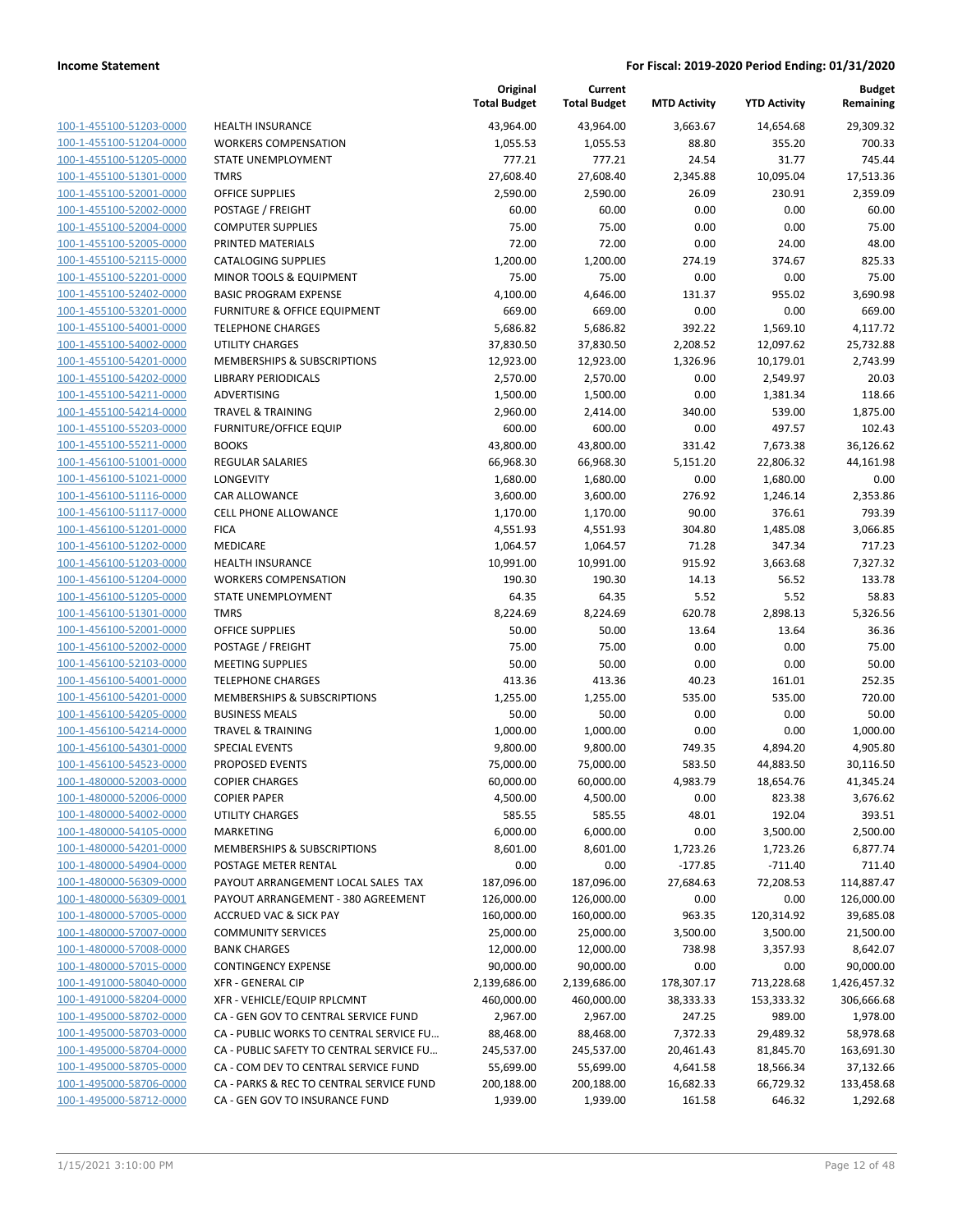| 100-1-455100-51203-0000                                          |
|------------------------------------------------------------------|
| 100-1-455100-51204-0000                                          |
| 100-1-455100-51205-0000                                          |
| 100-1-455100-51301-0000                                          |
| 100-1-455100-52001-0000                                          |
| 100-1-455100-52002-0000                                          |
| 100-1-455100-52004-0000                                          |
| 100-1-455100-52005-0000                                          |
| 100-1-455100-52115-0000                                          |
|                                                                  |
| 100-1-455100-52201-0000                                          |
| 100-1-455100-52402-0000                                          |
| 100-1-455100-53201-0000                                          |
| 100-1-455100-54001-0000                                          |
| 100-1-455100-54002-0000                                          |
| 100-1-455100-54201-0000                                          |
| 100-1-455100-54202-0000                                          |
| 100-1-455100-54211-0000                                          |
| 100-1-455100-54214-0000                                          |
| 100-1-455100-55203-0000                                          |
| 100-1-455100-55211-0000                                          |
| 100-1-456100-51001-0000                                          |
| 100-1-456100-51021-0000                                          |
| 100-1-456100-51116-0000                                          |
|                                                                  |
| 100-1-456100-51117-0000                                          |
| 100-1-456100-51201-0000                                          |
| 100-1-456100-51202-0000                                          |
| 100-1-456100-51203-0000                                          |
| <u>100-1-456100-51204-0000</u>                                   |
| 100-1-456100-51205-0000                                          |
| 100-1-456100-51301-0000                                          |
| 100-1-456100-52001-0000                                          |
| 100-1-456100-52002-0000                                          |
| 100-1-456100-52103-0000                                          |
| 100-1-456100-54001-0000                                          |
| 100-1-456100-54201-0000                                          |
| 100-1-456100-54205-0000                                          |
| 100-1-456100-54214-0000                                          |
| 100-1-456100-54301-0000                                          |
| 100-1-456100-54523-0000                                          |
| 100-1-480000-52003-0000                                          |
| 100-1-480000-52006-0000                                          |
|                                                                  |
| <u>100-1-480000-54002-0000</u>                                   |
| 100-1-480000-54105-0000                                          |
| <u>100-1-480000-54201-0000</u>                                   |
| <u>100-1-480000-54904-0000</u>                                   |
| 100-1-480000-56309-0000                                          |
| 100-1-480000-56309-0001                                          |
|                                                                  |
| 100-1-480000-57005-0000                                          |
| <u>100-1-480000-57007-0000</u>                                   |
| <u>100-1-480000-57008-0000</u>                                   |
| 100-1-480000-57015-0000                                          |
| 100-1-491000-58040-0000                                          |
|                                                                  |
| 100-1-491000-58204-0000                                          |
| 100-1-495000-58702-0000                                          |
| <u>100-1-495000-58703-0000</u>                                   |
| <u>100-1-495000-58704-0000</u>                                   |
| 100-1-495000-58705-0000                                          |
| <u>100-1-495000-58706-0000</u><br><u>100-1-495000-58712-0000</u> |

|                         |                                          | Original<br><b>Total Budget</b> | Current<br><b>Total Budget</b> | <b>MTD Activity</b> | <b>YTD Activity</b> | <b>Budget</b><br>Remaining |
|-------------------------|------------------------------------------|---------------------------------|--------------------------------|---------------------|---------------------|----------------------------|
| 100-1-455100-51203-0000 | <b>HEALTH INSURANCE</b>                  | 43,964.00                       | 43,964.00                      | 3,663.67            | 14,654.68           | 29,309.32                  |
| 100-1-455100-51204-0000 | <b>WORKERS COMPENSATION</b>              | 1,055.53                        | 1,055.53                       | 88.80               | 355.20              | 700.33                     |
| 100-1-455100-51205-0000 | STATE UNEMPLOYMENT                       | 777.21                          | 777.21                         | 24.54               | 31.77               | 745.44                     |
| 100-1-455100-51301-0000 | <b>TMRS</b>                              | 27,608.40                       | 27,608.40                      | 2,345.88            | 10,095.04           | 17,513.36                  |
| 100-1-455100-52001-0000 | OFFICE SUPPLIES                          | 2,590.00                        | 2,590.00                       | 26.09               | 230.91              | 2,359.09                   |
| 100-1-455100-52002-0000 | POSTAGE / FREIGHT                        | 60.00                           | 60.00                          | 0.00                | 0.00                | 60.00                      |
| 100-1-455100-52004-0000 | <b>COMPUTER SUPPLIES</b>                 | 75.00                           | 75.00                          | 0.00                | 0.00                | 75.00                      |
| 100-1-455100-52005-0000 | PRINTED MATERIALS                        | 72.00                           | 72.00                          | 0.00                | 24.00               | 48.00                      |
| 100-1-455100-52115-0000 | <b>CATALOGING SUPPLIES</b>               | 1,200.00                        | 1,200.00                       | 274.19              | 374.67              | 825.33                     |
| 100-1-455100-52201-0000 | MINOR TOOLS & EQUIPMENT                  | 75.00                           | 75.00                          | 0.00                | 0.00                | 75.00                      |
| 100-1-455100-52402-0000 | <b>BASIC PROGRAM EXPENSE</b>             | 4,100.00                        | 4,646.00                       | 131.37              | 955.02              | 3,690.98                   |
| 100-1-455100-53201-0000 | <b>FURNITURE &amp; OFFICE EQUIPMENT</b>  | 669.00                          | 669.00                         | 0.00                | 0.00                | 669.00                     |
| 100-1-455100-54001-0000 | <b>TELEPHONE CHARGES</b>                 | 5,686.82                        | 5,686.82                       | 392.22              | 1,569.10            | 4,117.72                   |
| 100-1-455100-54002-0000 | <b>UTILITY CHARGES</b>                   | 37,830.50                       | 37,830.50                      | 2,208.52            | 12,097.62           | 25,732.88                  |
| 100-1-455100-54201-0000 | MEMBERSHIPS & SUBSCRIPTIONS              | 12,923.00                       | 12,923.00                      | 1,326.96            | 10,179.01           | 2,743.99                   |
| 100-1-455100-54202-0000 | <b>LIBRARY PERIODICALS</b>               | 2,570.00                        | 2,570.00                       | 0.00                | 2,549.97            | 20.03                      |
| 100-1-455100-54211-0000 | ADVERTISING                              | 1,500.00                        | 1,500.00                       | 0.00                | 1,381.34            | 118.66                     |
| 100-1-455100-54214-0000 | <b>TRAVEL &amp; TRAINING</b>             | 2,960.00                        | 2,414.00                       | 340.00              | 539.00              | 1,875.00                   |
| 100-1-455100-55203-0000 | <b>FURNITURE/OFFICE EQUIP</b>            | 600.00                          | 600.00                         | 0.00                | 497.57              | 102.43                     |
| 100-1-455100-55211-0000 | <b>BOOKS</b>                             | 43,800.00                       | 43,800.00                      | 331.42              | 7,673.38            | 36,126.62                  |
| 100-1-456100-51001-0000 | <b>REGULAR SALARIES</b>                  | 66,968.30                       | 66,968.30                      | 5,151.20            | 22,806.32           | 44,161.98                  |
| 100-1-456100-51021-0000 | LONGEVITY                                | 1,680.00                        | 1,680.00                       | 0.00                | 1,680.00            | 0.00                       |
| 100-1-456100-51116-0000 | <b>CAR ALLOWANCE</b>                     | 3,600.00                        | 3,600.00                       | 276.92              | 1,246.14            | 2,353.86                   |
| 100-1-456100-51117-0000 | <b>CELL PHONE ALLOWANCE</b>              | 1,170.00                        | 1,170.00                       | 90.00               | 376.61              | 793.39                     |
| 100-1-456100-51201-0000 | <b>FICA</b>                              | 4,551.93                        | 4,551.93                       | 304.80              | 1,485.08            | 3,066.85                   |
| 100-1-456100-51202-0000 | MEDICARE                                 | 1,064.57                        | 1,064.57                       | 71.28               | 347.34              | 717.23                     |
| 100-1-456100-51203-0000 | <b>HEALTH INSURANCE</b>                  | 10,991.00                       | 10,991.00                      | 915.92              | 3,663.68            | 7,327.32                   |
| 100-1-456100-51204-0000 | <b>WORKERS COMPENSATION</b>              | 190.30                          | 190.30                         | 14.13               | 56.52               | 133.78                     |
| 100-1-456100-51205-0000 | STATE UNEMPLOYMENT                       | 64.35                           | 64.35                          | 5.52                | 5.52                | 58.83                      |
| 100-1-456100-51301-0000 | <b>TMRS</b>                              | 8,224.69                        | 8,224.69                       | 620.78              | 2,898.13            | 5,326.56                   |
| 100-1-456100-52001-0000 | <b>OFFICE SUPPLIES</b>                   | 50.00                           | 50.00                          | 13.64               | 13.64               | 36.36                      |
| 100-1-456100-52002-0000 | POSTAGE / FREIGHT                        | 75.00                           | 75.00                          | 0.00                | 0.00                | 75.00                      |
| 100-1-456100-52103-0000 | <b>MEETING SUPPLIES</b>                  | 50.00                           | 50.00                          | 0.00                | 0.00                | 50.00                      |
| 100-1-456100-54001-0000 | <b>TELEPHONE CHARGES</b>                 | 413.36                          | 413.36                         | 40.23               | 161.01              | 252.35                     |
| 100-1-456100-54201-0000 | MEMBERSHIPS & SUBSCRIPTIONS              | 1,255.00                        | 1,255.00                       | 535.00              | 535.00              | 720.00                     |
| 100-1-456100-54205-0000 | <b>BUSINESS MEALS</b>                    | 50.00                           | 50.00                          | 0.00                | 0.00                | 50.00                      |
| 100-1-456100-54214-0000 | <b>TRAVEL &amp; TRAINING</b>             | 1,000.00                        | 1,000.00                       | 0.00                | 0.00                | 1,000.00                   |
| 100-1-456100-54301-0000 | <b>SPECIAL EVENTS</b>                    | 9,800.00                        | 9,800.00                       | 749.35              | 4,894.20            | 4,905.80                   |
| 100-1-456100-54523-0000 | PROPOSED EVENTS                          | 75,000.00                       | 75,000.00                      | 583.50              | 44,883.50           | 30,116.50                  |
| 100-1-480000-52003-0000 | <b>COPIER CHARGES</b>                    | 60,000.00                       | 60,000.00                      | 4,983.79            | 18,654.76           | 41,345.24                  |
| 100-1-480000-52006-0000 | <b>COPIER PAPER</b>                      | 4,500.00                        | 4,500.00                       | 0.00                | 823.38              | 3,676.62                   |
| 100-1-480000-54002-0000 | UTILITY CHARGES                          | 585.55                          | 585.55                         | 48.01               | 192.04              | 393.51                     |
| 100-1-480000-54105-0000 | <b>MARKETING</b>                         | 6,000.00                        | 6,000.00                       | 0.00                | 3,500.00            | 2,500.00                   |
| 100-1-480000-54201-0000 | MEMBERSHIPS & SUBSCRIPTIONS              | 8,601.00                        | 8,601.00                       | 1,723.26            | 1,723.26            | 6,877.74                   |
| 100-1-480000-54904-0000 | POSTAGE METER RENTAL                     | 0.00                            | 0.00                           | $-177.85$           | $-711.40$           | 711.40                     |
| 100-1-480000-56309-0000 | PAYOUT ARRANGEMENT LOCAL SALES TAX       | 187,096.00                      | 187,096.00                     | 27,684.63           | 72,208.53           | 114,887.47                 |
| 100-1-480000-56309-0001 | PAYOUT ARRANGEMENT - 380 AGREEMENT       | 126,000.00                      | 126,000.00                     | 0.00                | 0.00                | 126,000.00                 |
| 100-1-480000-57005-0000 | <b>ACCRUED VAC &amp; SICK PAY</b>        | 160,000.00                      | 160,000.00                     | 963.35              | 120,314.92          | 39,685.08                  |
| 100-1-480000-57007-0000 | <b>COMMUNITY SERVICES</b>                | 25,000.00                       | 25,000.00                      | 3,500.00            | 3,500.00            | 21,500.00                  |
| 100-1-480000-57008-0000 | <b>BANK CHARGES</b>                      | 12,000.00                       | 12,000.00                      | 738.98              | 3,357.93            | 8,642.07                   |
| 100-1-480000-57015-0000 | <b>CONTINGENCY EXPENSE</b>               | 90,000.00                       | 90,000.00                      | 0.00                | 0.00                | 90,000.00                  |
| 100-1-491000-58040-0000 | <b>XFR - GENERAL CIP</b>                 | 2,139,686.00                    | 2,139,686.00                   | 178,307.17          | 713,228.68          | 1,426,457.32               |
| 100-1-491000-58204-0000 | XFR - VEHICLE/EQUIP RPLCMNT              | 460,000.00                      | 460,000.00                     | 38,333.33           | 153,333.32          | 306,666.68                 |
| 100-1-495000-58702-0000 | CA - GEN GOV TO CENTRAL SERVICE FUND     | 2,967.00                        | 2,967.00                       | 247.25              | 989.00              | 1,978.00                   |
| 100-1-495000-58703-0000 | CA - PUBLIC WORKS TO CENTRAL SERVICE FU  | 88,468.00                       | 88,468.00                      | 7,372.33            | 29,489.32           | 58,978.68                  |
| 100-1-495000-58704-0000 | CA - PUBLIC SAFETY TO CENTRAL SERVICE FU | 245,537.00                      | 245,537.00                     | 20,461.43           | 81,845.70           | 163,691.30                 |
| 100-1-495000-58705-0000 | CA - COM DEV TO CENTRAL SERVICE FUND     | 55,699.00                       | 55,699.00                      | 4,641.58            | 18,566.34           | 37,132.66                  |
| 100-1-495000-58706-0000 | CA - PARKS & REC TO CENTRAL SERVICE FUND | 200,188.00                      | 200,188.00                     | 16,682.33           | 66,729.32           | 133,458.68                 |
| 100-1-495000-58712-0000 | CA - GEN GOV TO INSURANCE FUND           | 1,939.00                        | 1,939.00                       | 161.58              | 646.32              | 1,292.68                   |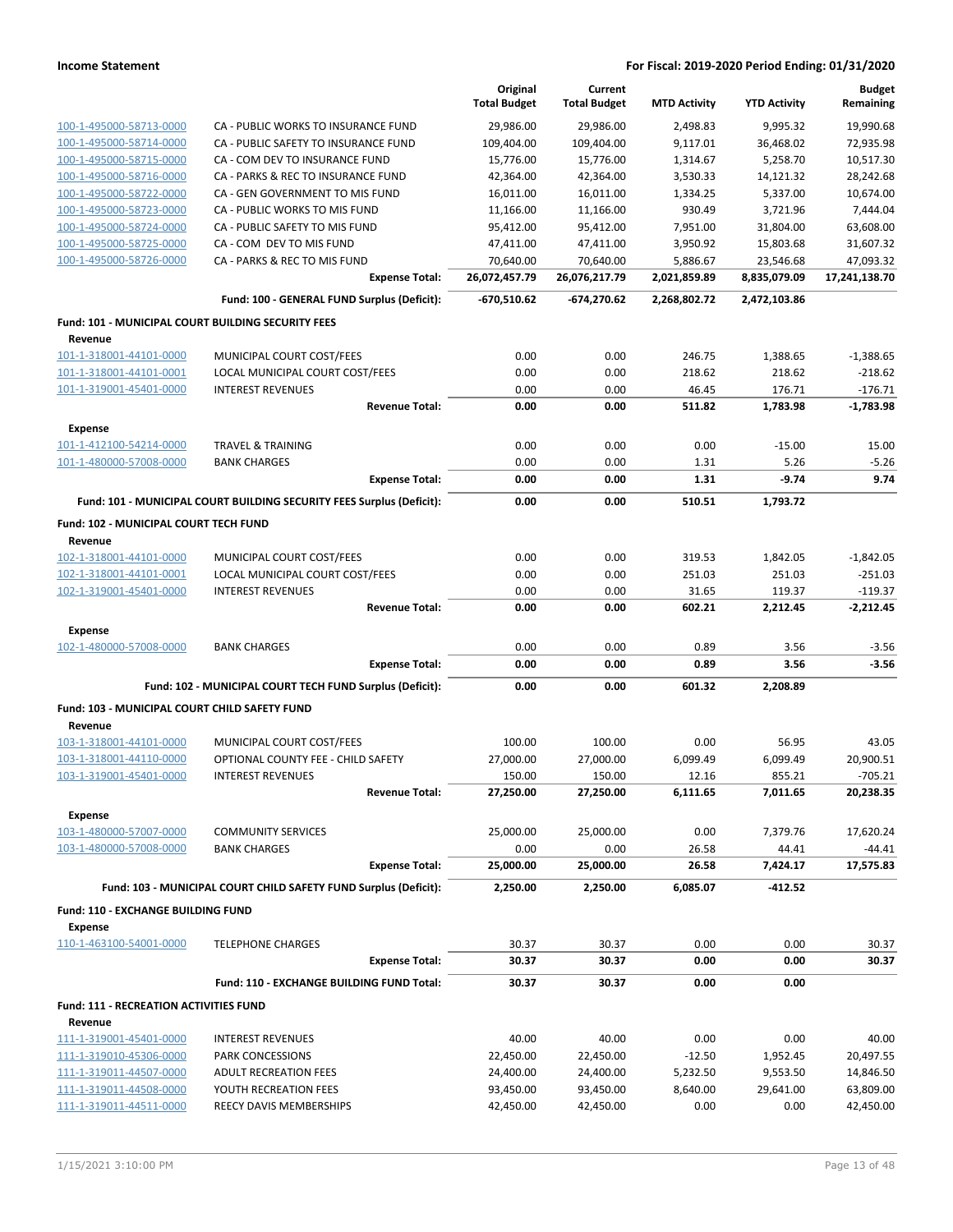|                                                          |                                                                       | Original<br><b>Total Budget</b> | Current<br><b>Total Budget</b> | <b>MTD Activity</b> | <b>YTD Activity</b> | <b>Budget</b><br>Remaining |
|----------------------------------------------------------|-----------------------------------------------------------------------|---------------------------------|--------------------------------|---------------------|---------------------|----------------------------|
| 100-1-495000-58713-0000                                  | CA - PUBLIC WORKS TO INSURANCE FUND                                   | 29,986.00                       | 29,986.00                      | 2,498.83            | 9,995.32            | 19,990.68                  |
| 100-1-495000-58714-0000                                  | CA - PUBLIC SAFETY TO INSURANCE FUND                                  | 109,404.00                      | 109,404.00                     | 9,117.01            | 36,468.02           | 72,935.98                  |
| 100-1-495000-58715-0000                                  | CA - COM DEV TO INSURANCE FUND                                        | 15,776.00                       | 15,776.00                      | 1,314.67            | 5,258.70            | 10,517.30                  |
| 100-1-495000-58716-0000                                  | CA - PARKS & REC TO INSURANCE FUND                                    | 42,364.00                       | 42,364.00                      | 3,530.33            | 14,121.32           | 28,242.68                  |
| 100-1-495000-58722-0000                                  | CA - GEN GOVERNMENT TO MIS FUND                                       | 16,011.00                       | 16,011.00                      | 1,334.25            | 5,337.00            | 10,674.00                  |
| 100-1-495000-58723-0000                                  | CA - PUBLIC WORKS TO MIS FUND                                         | 11,166.00                       | 11,166.00                      | 930.49              | 3,721.96            | 7,444.04                   |
| 100-1-495000-58724-0000                                  | CA - PUBLIC SAFETY TO MIS FUND                                        | 95,412.00                       | 95,412.00                      | 7,951.00            | 31,804.00           | 63,608.00                  |
| 100-1-495000-58725-0000                                  | CA - COM DEV TO MIS FUND                                              | 47,411.00                       | 47,411.00                      | 3,950.92            | 15,803.68           | 31,607.32                  |
| 100-1-495000-58726-0000                                  | CA - PARKS & REC TO MIS FUND                                          | 70,640.00                       | 70,640.00                      | 5,886.67            | 23,546.68           | 47,093.32                  |
|                                                          | <b>Expense Total:</b>                                                 | 26,072,457.79                   | 26,076,217.79                  | 2,021,859.89        | 8,835,079.09        | 17,241,138.70              |
|                                                          | Fund: 100 - GENERAL FUND Surplus (Deficit):                           | -670,510.62                     | -674,270.62                    | 2,268,802.72        | 2,472,103.86        |                            |
| Fund: 101 - MUNICIPAL COURT BUILDING SECURITY FEES       |                                                                       |                                 |                                |                     |                     |                            |
| Revenue                                                  |                                                                       |                                 |                                |                     |                     |                            |
| 101-1-318001-44101-0000                                  | MUNICIPAL COURT COST/FEES                                             | 0.00                            | 0.00                           | 246.75              | 1,388.65            | $-1,388.65$                |
| 101-1-318001-44101-0001                                  | LOCAL MUNICIPAL COURT COST/FEES                                       | 0.00                            | 0.00                           | 218.62              | 218.62              | $-218.62$                  |
| 101-1-319001-45401-0000                                  | <b>INTEREST REVENUES</b>                                              | 0.00                            | 0.00                           | 46.45               | 176.71              | $-176.71$                  |
|                                                          | <b>Revenue Total:</b>                                                 | 0.00                            | 0.00                           | 511.82              | 1,783.98            | $-1,783.98$                |
| <b>Expense</b><br>101-1-412100-54214-0000                | <b>TRAVEL &amp; TRAINING</b>                                          | 0.00                            | 0.00                           | 0.00                | $-15.00$            | 15.00                      |
| 101-1-480000-57008-0000                                  | <b>BANK CHARGES</b>                                                   | 0.00                            | 0.00                           | 1.31                | 5.26                | $-5.26$                    |
|                                                          | <b>Expense Total:</b>                                                 | 0.00                            | 0.00                           | 1.31                | $-9.74$             | 9.74                       |
|                                                          | Fund: 101 - MUNICIPAL COURT BUILDING SECURITY FEES Surplus (Deficit): | 0.00                            | 0.00                           | 510.51              | 1,793.72            |                            |
|                                                          |                                                                       |                                 |                                |                     |                     |                            |
| Fund: 102 - MUNICIPAL COURT TECH FUND<br>Revenue         |                                                                       |                                 |                                |                     |                     |                            |
| 102-1-318001-44101-0000                                  | MUNICIPAL COURT COST/FEES                                             | 0.00                            | 0.00                           | 319.53              | 1,842.05            | $-1,842.05$                |
| 102-1-318001-44101-0001                                  | LOCAL MUNICIPAL COURT COST/FEES                                       | 0.00                            | 0.00                           | 251.03              | 251.03              | $-251.03$                  |
| 102-1-319001-45401-0000                                  | <b>INTEREST REVENUES</b>                                              | 0.00                            | 0.00                           | 31.65               | 119.37              | $-119.37$                  |
|                                                          | <b>Revenue Total:</b>                                                 | 0.00                            | 0.00                           | 602.21              | 2,212.45            | $-2,212.45$                |
| Expense                                                  |                                                                       |                                 |                                |                     |                     |                            |
| 102-1-480000-57008-0000                                  | <b>BANK CHARGES</b>                                                   | 0.00                            | 0.00                           | 0.89                | 3.56                | $-3.56$                    |
|                                                          | <b>Expense Total:</b>                                                 | 0.00                            | 0.00                           | 0.89                | 3.56                | $-3.56$                    |
|                                                          | Fund: 102 - MUNICIPAL COURT TECH FUND Surplus (Deficit):              | 0.00                            | 0.00                           | 601.32              | 2,208.89            |                            |
| Fund: 103 - MUNICIPAL COURT CHILD SAFETY FUND            |                                                                       |                                 |                                |                     |                     |                            |
| Revenue                                                  |                                                                       |                                 |                                |                     |                     |                            |
| 103-1-318001-44101-0000                                  | MUNICIPAL COURT COST/FEES                                             | 100.00                          | 100.00                         | 0.00                | 56.95               | 43.05                      |
| 103-1-318001-44110-0000                                  | OPTIONAL COUNTY FEE - CHILD SAFETY                                    | 27,000.00                       | 27,000.00                      | 6,099.49            | 6,099.49            | 20,900.51                  |
| 103-1-319001-45401-0000                                  | <b>INTEREST REVENUES</b>                                              | 150.00                          | 150.00                         | 12.16               | 855.21              | $-705.21$                  |
|                                                          | <b>Revenue Total:</b>                                                 | 27,250.00                       | 27,250.00                      | 6,111.65            | 7,011.65            | 20,238.35                  |
| <b>Expense</b>                                           |                                                                       |                                 |                                |                     |                     |                            |
| 103-1-480000-57007-0000                                  | <b>COMMUNITY SERVICES</b>                                             | 25,000.00                       | 25,000.00                      | 0.00                | 7,379.76            | 17,620.24                  |
| 103-1-480000-57008-0000                                  | <b>BANK CHARGES</b>                                                   | 0.00                            | 0.00                           | 26.58               | 44.41               | $-44.41$                   |
|                                                          | <b>Expense Total:</b>                                                 | 25,000.00                       | 25,000.00                      | 26.58               | 7,424.17            | 17,575.83                  |
|                                                          | Fund: 103 - MUNICIPAL COURT CHILD SAFETY FUND Surplus (Deficit):      | 2,250.00                        | 2,250.00                       | 6,085.07            | $-412.52$           |                            |
| Fund: 110 - EXCHANGE BUILDING FUND                       |                                                                       |                                 |                                |                     |                     |                            |
| <b>Expense</b><br>110-1-463100-54001-0000                | <b>TELEPHONE CHARGES</b>                                              | 30.37                           | 30.37                          | 0.00                | 0.00                | 30.37                      |
|                                                          | <b>Expense Total:</b>                                                 | 30.37                           | 30.37                          | 0.00                | 0.00                | 30.37                      |
|                                                          | Fund: 110 - EXCHANGE BUILDING FUND Total:                             | 30.37                           | 30.37                          | 0.00                | 0.00                |                            |
|                                                          |                                                                       |                                 |                                |                     |                     |                            |
| <b>Fund: 111 - RECREATION ACTIVITIES FUND</b><br>Revenue |                                                                       |                                 |                                |                     |                     |                            |
| 111-1-319001-45401-0000                                  | <b>INTEREST REVENUES</b>                                              | 40.00                           | 40.00                          | 0.00                | 0.00                | 40.00                      |
| 111-1-319010-45306-0000                                  | PARK CONCESSIONS                                                      | 22,450.00                       | 22,450.00                      | $-12.50$            | 1,952.45            | 20,497.55                  |
| 111-1-319011-44507-0000                                  | <b>ADULT RECREATION FEES</b>                                          | 24,400.00                       | 24,400.00                      | 5,232.50            | 9,553.50            | 14,846.50                  |
| 111-1-319011-44508-0000                                  | YOUTH RECREATION FEES                                                 | 93,450.00                       | 93,450.00                      | 8,640.00            | 29,641.00           | 63,809.00                  |
| 111-1-319011-44511-0000                                  | REECY DAVIS MEMBERSHIPS                                               | 42,450.00                       | 42,450.00                      | 0.00                | 0.00                | 42,450.00                  |
|                                                          |                                                                       |                                 |                                |                     |                     |                            |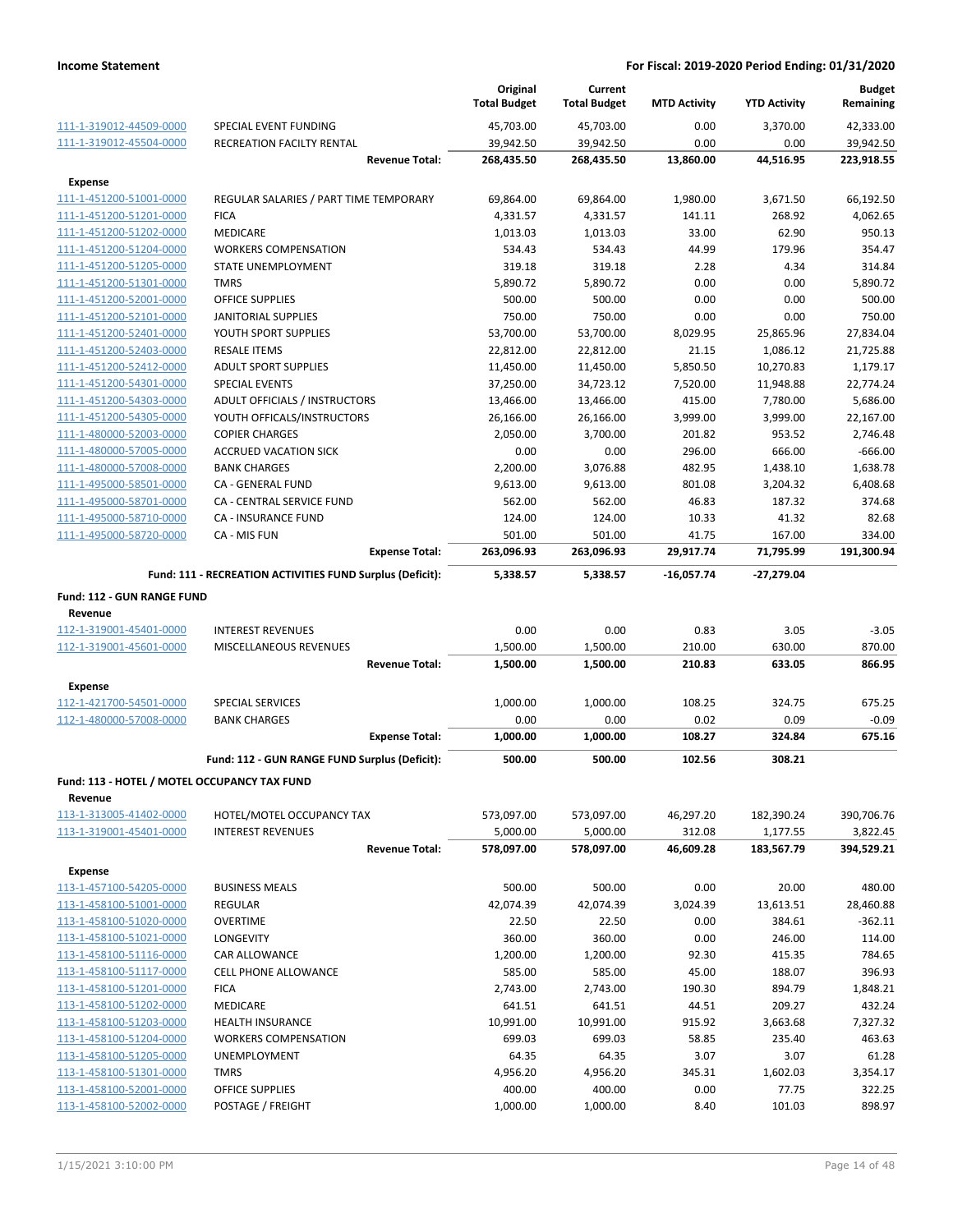|                                              |                                                           |                       | Original<br><b>Total Budget</b> | Current<br><b>Total Budget</b> | <b>MTD Activity</b> | <b>YTD Activity</b> | <b>Budget</b><br>Remaining |
|----------------------------------------------|-----------------------------------------------------------|-----------------------|---------------------------------|--------------------------------|---------------------|---------------------|----------------------------|
| 111-1-319012-44509-0000                      | SPECIAL EVENT FUNDING                                     |                       | 45,703.00                       | 45,703.00                      | 0.00                | 3.370.00            | 42,333.00                  |
| 111-1-319012-45504-0000                      | RECREATION FACILTY RENTAL                                 |                       | 39,942.50                       | 39,942.50                      | 0.00                | 0.00                | 39,942.50                  |
|                                              |                                                           | <b>Revenue Total:</b> | 268,435.50                      | 268,435.50                     | 13,860.00           | 44,516.95           | 223,918.55                 |
| Expense                                      |                                                           |                       |                                 |                                |                     |                     |                            |
| 111-1-451200-51001-0000                      | REGULAR SALARIES / PART TIME TEMPORARY                    |                       | 69,864.00                       | 69,864.00                      | 1,980.00            | 3,671.50            | 66,192.50                  |
| 111-1-451200-51201-0000                      | <b>FICA</b>                                               |                       | 4,331.57                        | 4,331.57                       | 141.11              | 268.92              | 4,062.65                   |
| 111-1-451200-51202-0000                      | <b>MEDICARE</b>                                           |                       | 1,013.03                        | 1,013.03                       | 33.00               | 62.90               | 950.13                     |
| 111-1-451200-51204-0000                      | <b>WORKERS COMPENSATION</b>                               |                       | 534.43                          | 534.43                         | 44.99               | 179.96              | 354.47                     |
| 111-1-451200-51205-0000                      | STATE UNEMPLOYMENT                                        |                       | 319.18                          | 319.18                         | 2.28                | 4.34                | 314.84                     |
| 111-1-451200-51301-0000                      | <b>TMRS</b>                                               |                       | 5,890.72                        | 5,890.72                       | 0.00                | 0.00                | 5,890.72                   |
| 111-1-451200-52001-0000                      | <b>OFFICE SUPPLIES</b>                                    |                       | 500.00                          | 500.00                         | 0.00                | 0.00                | 500.00                     |
| 111-1-451200-52101-0000                      | JANITORIAL SUPPLIES                                       |                       | 750.00                          | 750.00                         | 0.00                | 0.00                | 750.00                     |
| 111-1-451200-52401-0000                      | YOUTH SPORT SUPPLIES                                      |                       | 53,700.00                       | 53,700.00                      | 8,029.95            | 25,865.96           | 27,834.04                  |
| 111-1-451200-52403-0000                      | <b>RESALE ITEMS</b>                                       |                       | 22,812.00                       | 22,812.00                      | 21.15               | 1,086.12            | 21,725.88                  |
| 111-1-451200-52412-0000                      | <b>ADULT SPORT SUPPLIES</b>                               |                       | 11,450.00                       | 11,450.00                      | 5,850.50            | 10,270.83           | 1,179.17                   |
| 111-1-451200-54301-0000                      | <b>SPECIAL EVENTS</b>                                     |                       | 37,250.00                       | 34,723.12                      | 7,520.00            | 11,948.88           | 22,774.24                  |
| 111-1-451200-54303-0000                      | ADULT OFFICIALS / INSTRUCTORS                             |                       | 13,466.00                       | 13,466.00                      | 415.00              | 7,780.00            | 5,686.00                   |
| 111-1-451200-54305-0000                      | YOUTH OFFICALS/INSTRUCTORS                                |                       | 26,166.00                       | 26,166.00                      | 3,999.00            | 3,999.00            | 22,167.00                  |
| 111-1-480000-52003-0000                      | <b>COPIER CHARGES</b>                                     |                       | 2,050.00                        | 3,700.00                       | 201.82              | 953.52              | 2,746.48                   |
| 111-1-480000-57005-0000                      | <b>ACCRUED VACATION SICK</b>                              |                       | 0.00                            | 0.00                           | 296.00              | 666.00              | $-666.00$                  |
| 111-1-480000-57008-0000                      | <b>BANK CHARGES</b>                                       |                       | 2,200.00                        | 3,076.88                       | 482.95              | 1,438.10            | 1,638.78                   |
| 111-1-495000-58501-0000                      | CA - GENERAL FUND                                         |                       | 9,613.00                        | 9,613.00                       | 801.08              | 3,204.32            | 6,408.68                   |
| 111-1-495000-58701-0000                      | CA - CENTRAL SERVICE FUND                                 |                       | 562.00                          | 562.00                         | 46.83               | 187.32              | 374.68                     |
| 111-1-495000-58710-0000                      | CA - INSURANCE FUND                                       |                       | 124.00                          | 124.00                         | 10.33               | 41.32               | 82.68                      |
| 111-1-495000-58720-0000                      | CA - MIS FUN                                              |                       | 501.00                          | 501.00                         | 41.75               | 167.00              | 334.00                     |
|                                              |                                                           | <b>Expense Total:</b> | 263,096.93                      | 263,096.93                     | 29,917.74           | 71,795.99           | 191,300.94                 |
|                                              | Fund: 111 - RECREATION ACTIVITIES FUND Surplus (Deficit): |                       | 5,338.57                        | 5,338.57                       | -16,057.74          | -27,279.04          |                            |
|                                              |                                                           |                       |                                 |                                |                     |                     |                            |
| Fund: 112 - GUN RANGE FUND                   |                                                           |                       |                                 |                                |                     |                     |                            |
| Revenue                                      |                                                           |                       | 0.00                            |                                |                     |                     |                            |
| 112-1-319001-45401-0000                      | <b>INTEREST REVENUES</b>                                  |                       |                                 | 0.00                           | 0.83<br>210.00      | 3.05<br>630.00      | $-3.05$<br>870.00          |
| 112-1-319001-45601-0000                      | MISCELLANEOUS REVENUES                                    | <b>Revenue Total:</b> | 1,500.00<br>1,500.00            | 1,500.00<br>1,500.00           | 210.83              | 633.05              | 866.95                     |
|                                              |                                                           |                       |                                 |                                |                     |                     |                            |
| Expense                                      | <b>SPECIAL SERVICES</b>                                   |                       | 1,000.00                        |                                |                     | 324.75              |                            |
| 112-1-421700-54501-0000                      |                                                           |                       |                                 | 1,000.00                       | 108.25              |                     | 675.25                     |
| 112-1-480000-57008-0000                      | <b>BANK CHARGES</b>                                       |                       | 0.00                            | 0.00                           | 0.02                | 0.09                | $-0.09$                    |
|                                              |                                                           | <b>Expense Total:</b> | 1,000.00                        | 1,000.00                       | 108.27              | 324.84              | 675.16                     |
|                                              | Fund: 112 - GUN RANGE FUND Surplus (Deficit):             |                       | 500.00                          | 500.00                         | 102.56              | 308.21              |                            |
| Fund: 113 - HOTEL / MOTEL OCCUPANCY TAX FUND |                                                           |                       |                                 |                                |                     |                     |                            |
| Revenue                                      |                                                           |                       |                                 |                                |                     |                     |                            |
| 113-1-313005-41402-0000                      | HOTEL/MOTEL OCCUPANCY TAX                                 |                       | 573,097.00                      | 573,097.00                     | 46,297.20           | 182,390.24          | 390,706.76                 |
| 113-1-319001-45401-0000                      | <b>INTEREST REVENUES</b>                                  |                       | 5,000.00                        | 5,000.00                       | 312.08              | 1,177.55            | 3,822.45                   |
|                                              |                                                           | <b>Revenue Total:</b> | 578,097.00                      | 578,097.00                     | 46,609.28           | 183,567.79          | 394,529.21                 |
| <b>Expense</b>                               |                                                           |                       |                                 |                                |                     |                     |                            |
| 113-1-457100-54205-0000                      | <b>BUSINESS MEALS</b>                                     |                       | 500.00                          | 500.00                         | 0.00                | 20.00               | 480.00                     |
| 113-1-458100-51001-0000                      | <b>REGULAR</b>                                            |                       | 42,074.39                       | 42,074.39                      | 3,024.39            | 13,613.51           | 28,460.88                  |
| 113-1-458100-51020-0000                      | <b>OVERTIME</b>                                           |                       | 22.50                           | 22.50                          | 0.00                | 384.61              | $-362.11$                  |
| 113-1-458100-51021-0000                      | LONGEVITY                                                 |                       | 360.00                          | 360.00                         | 0.00                | 246.00              | 114.00                     |
| 113-1-458100-51116-0000                      | <b>CAR ALLOWANCE</b>                                      |                       | 1,200.00                        | 1,200.00                       | 92.30               | 415.35              | 784.65                     |
| 113-1-458100-51117-0000                      | CELL PHONE ALLOWANCE                                      |                       | 585.00                          | 585.00                         | 45.00               | 188.07              | 396.93                     |
| 113-1-458100-51201-0000                      | <b>FICA</b>                                               |                       | 2,743.00                        | 2,743.00                       | 190.30              | 894.79              | 1,848.21                   |
| 113-1-458100-51202-0000                      | <b>MEDICARE</b>                                           |                       | 641.51                          | 641.51                         | 44.51               | 209.27              | 432.24                     |
| 113-1-458100-51203-0000                      | <b>HEALTH INSURANCE</b>                                   |                       | 10,991.00                       | 10,991.00                      | 915.92              | 3,663.68            | 7,327.32                   |
| 113-1-458100-51204-0000                      | <b>WORKERS COMPENSATION</b>                               |                       | 699.03                          | 699.03                         | 58.85               | 235.40              | 463.63                     |
| 113-1-458100-51205-0000                      | UNEMPLOYMENT                                              |                       | 64.35                           | 64.35                          | 3.07                | 3.07                | 61.28                      |
| 113-1-458100-51301-0000                      | TMRS                                                      |                       | 4,956.20                        | 4,956.20                       | 345.31              | 1,602.03            | 3,354.17                   |
| 113-1-458100-52001-0000                      | OFFICE SUPPLIES                                           |                       | 400.00                          | 400.00                         | 0.00                | 77.75               | 322.25                     |
| 113-1-458100-52002-0000                      | POSTAGE / FREIGHT                                         |                       | 1,000.00                        | 1,000.00                       | 8.40                | 101.03              | 898.97                     |
|                                              |                                                           |                       |                                 |                                |                     |                     |                            |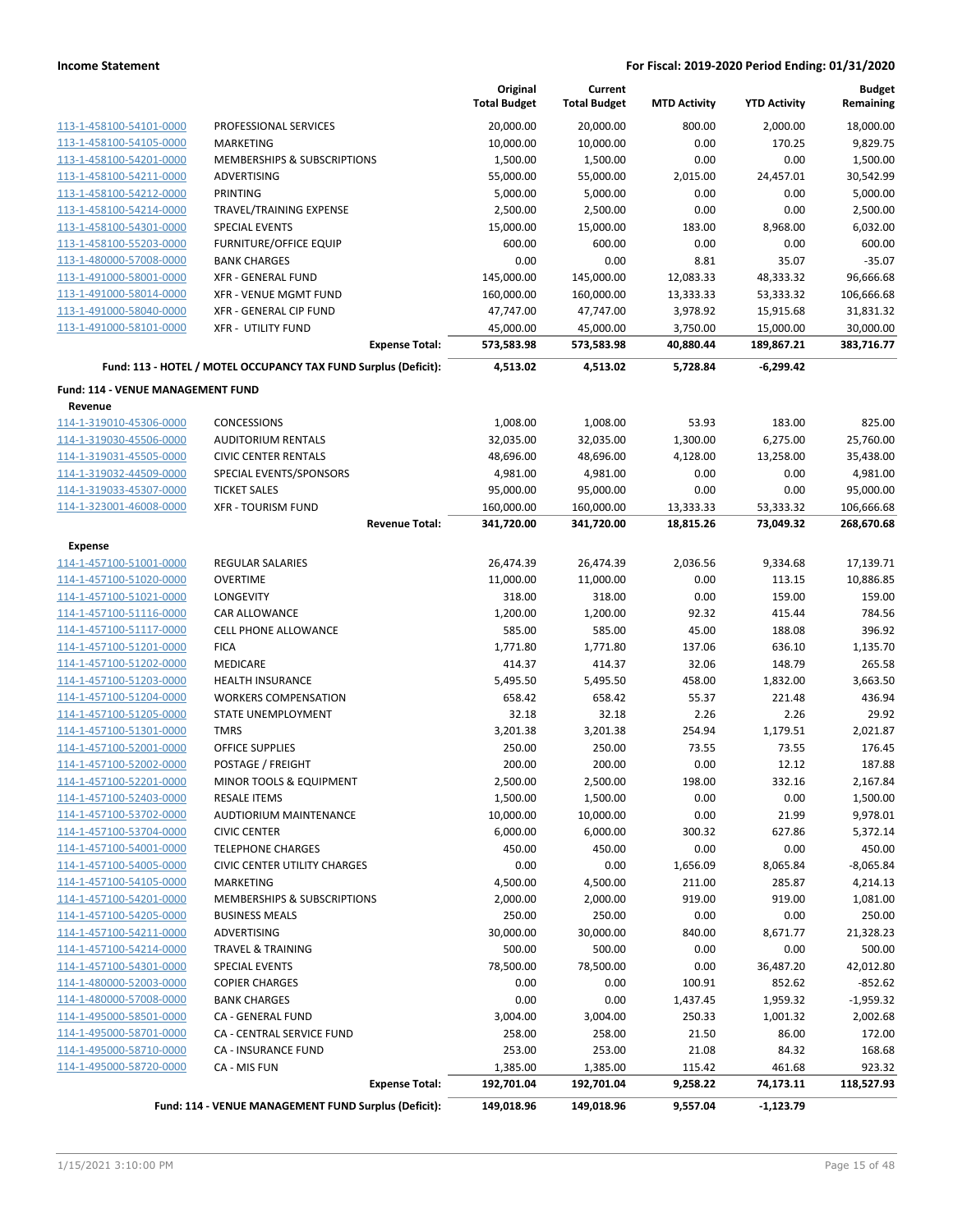|                                    |                                                                 | Original<br><b>Total Budget</b> | Current<br><b>Total Budget</b> | <b>MTD Activity</b> | <b>YTD Activity</b> | <b>Budget</b><br>Remaining |
|------------------------------------|-----------------------------------------------------------------|---------------------------------|--------------------------------|---------------------|---------------------|----------------------------|
| 113-1-458100-54101-0000            | PROFESSIONAL SERVICES                                           | 20,000.00                       | 20,000.00                      | 800.00              | 2,000.00            | 18,000.00                  |
| 113-1-458100-54105-0000            | <b>MARKETING</b>                                                | 10,000.00                       | 10,000.00                      | 0.00                | 170.25              | 9,829.75                   |
| 113-1-458100-54201-0000            | MEMBERSHIPS & SUBSCRIPTIONS                                     | 1,500.00                        | 1,500.00                       | 0.00                | 0.00                | 1,500.00                   |
| 113-1-458100-54211-0000            | ADVERTISING                                                     | 55,000.00                       | 55,000.00                      | 2,015.00            | 24,457.01           | 30,542.99                  |
| 113-1-458100-54212-0000            | PRINTING                                                        | 5,000.00                        | 5,000.00                       | 0.00                | 0.00                | 5,000.00                   |
| 113-1-458100-54214-0000            | TRAVEL/TRAINING EXPENSE                                         | 2,500.00                        | 2,500.00                       | 0.00                | 0.00                | 2,500.00                   |
| 113-1-458100-54301-0000            | <b>SPECIAL EVENTS</b>                                           | 15,000.00                       | 15,000.00                      | 183.00              | 8,968.00            | 6,032.00                   |
| 113-1-458100-55203-0000            | <b>FURNITURE/OFFICE EQUIP</b>                                   | 600.00                          | 600.00                         | 0.00                | 0.00                | 600.00                     |
| 113-1-480000-57008-0000            | <b>BANK CHARGES</b>                                             | 0.00                            | 0.00                           | 8.81                | 35.07               | $-35.07$                   |
| 113-1-491000-58001-0000            | <b>XFR - GENERAL FUND</b>                                       | 145,000.00                      | 145,000.00                     | 12,083.33           | 48,333.32           | 96,666.68                  |
| 113-1-491000-58014-0000            | <b>XFR - VENUE MGMT FUND</b>                                    | 160,000.00                      | 160,000.00                     | 13,333.33           | 53,333.32           | 106,666.68                 |
| 113-1-491000-58040-0000            | XFR - GENERAL CIP FUND                                          | 47,747.00                       | 47,747.00                      | 3,978.92            | 15,915.68           | 31,831.32                  |
| 113-1-491000-58101-0000            | <b>XFR - UTILITY FUND</b>                                       | 45,000.00                       | 45,000.00                      | 3,750.00            | 15,000.00           | 30,000.00                  |
|                                    | <b>Expense Total:</b>                                           | 573,583.98                      | 573,583.98                     | 40,880.44           | 189,867.21          | 383,716.77                 |
|                                    | Fund: 113 - HOTEL / MOTEL OCCUPANCY TAX FUND Surplus (Deficit): | 4,513.02                        | 4,513.02                       | 5,728.84            | $-6,299.42$         |                            |
| Fund: 114 - VENUE MANAGEMENT FUND  |                                                                 |                                 |                                |                     |                     |                            |
| Revenue<br>114-1-319010-45306-0000 | <b>CONCESSIONS</b>                                              | 1,008.00                        | 1,008.00                       | 53.93               | 183.00              | 825.00                     |
| 114-1-319030-45506-0000            | <b>AUDITORIUM RENTALS</b>                                       | 32,035.00                       | 32,035.00                      | 1,300.00            | 6,275.00            | 25,760.00                  |
| 114-1-319031-45505-0000            | <b>CIVIC CENTER RENTALS</b>                                     | 48,696.00                       | 48,696.00                      | 4,128.00            | 13,258.00           | 35,438.00                  |
| 114-1-319032-44509-0000            | SPECIAL EVENTS/SPONSORS                                         | 4,981.00                        | 4,981.00                       | 0.00                | 0.00                | 4,981.00                   |
| 114-1-319033-45307-0000            | <b>TICKET SALES</b>                                             | 95,000.00                       | 95,000.00                      | 0.00                | 0.00                | 95,000.00                  |
| 114-1-323001-46008-0000            | <b>XFR - TOURISM FUND</b>                                       | 160,000.00                      | 160,000.00                     | 13,333.33           | 53,333.32           | 106,666.68                 |
|                                    | <b>Revenue Total:</b>                                           | 341,720.00                      | 341,720.00                     | 18,815.26           | 73,049.32           | 268,670.68                 |
| <b>Expense</b>                     |                                                                 |                                 |                                |                     |                     |                            |
| 114-1-457100-51001-0000            | <b>REGULAR SALARIES</b>                                         | 26,474.39                       | 26,474.39                      | 2,036.56            | 9,334.68            | 17,139.71                  |
| 114-1-457100-51020-0000            | <b>OVERTIME</b>                                                 | 11,000.00                       | 11,000.00                      | 0.00                | 113.15              | 10,886.85                  |
| 114-1-457100-51021-0000            | LONGEVITY                                                       | 318.00                          | 318.00                         | 0.00                | 159.00              | 159.00                     |
| 114-1-457100-51116-0000            | CAR ALLOWANCE                                                   | 1,200.00                        | 1,200.00                       | 92.32               | 415.44              | 784.56                     |
| 114-1-457100-51117-0000            | <b>CELL PHONE ALLOWANCE</b>                                     | 585.00                          | 585.00                         | 45.00               | 188.08              | 396.92                     |
| 114-1-457100-51201-0000            | <b>FICA</b>                                                     | 1,771.80                        | 1,771.80                       | 137.06              | 636.10              | 1,135.70                   |
| 114-1-457100-51202-0000            | <b>MEDICARE</b>                                                 | 414.37                          | 414.37                         | 32.06               | 148.79              | 265.58                     |
| 114-1-457100-51203-0000            | <b>HEALTH INSURANCE</b>                                         | 5,495.50                        | 5,495.50                       | 458.00              | 1,832.00            | 3,663.50                   |
| 114-1-457100-51204-0000            | <b>WORKERS COMPENSATION</b>                                     | 658.42                          | 658.42                         | 55.37               | 221.48              | 436.94                     |
| 114-1-457100-51205-0000            | STATE UNEMPLOYMENT                                              | 32.18                           | 32.18                          | 2.26                | 2.26                | 29.92                      |
| 114-1-457100-51301-0000            | <b>TMRS</b>                                                     | 3,201.38                        | 3,201.38                       | 254.94              | 1,179.51            | 2,021.87                   |
| 114-1-457100-52001-0000            | <b>OFFICE SUPPLIES</b>                                          | 250.00                          | 250.00                         | 73.55               | 73.55               | 176.45                     |
| 114-1-457100-52002-0000            | POSTAGE / FREIGHT                                               | 200.00                          | 200.00                         | 0.00                | 12.12               | 187.88                     |
| 114-1-457100-52201-0000            | MINOR TOOLS & EQUIPMENT                                         | 2,500.00                        | 2,500.00                       | 198.00              | 332.16              | 2,167.84                   |
| 114-1-457100-52403-0000            | <b>RESALE ITEMS</b>                                             | 1,500.00                        | 1,500.00                       | 0.00                | 0.00                | 1,500.00                   |
| 114-1-457100-53702-0000            | AUDTIORIUM MAINTENANCE                                          | 10,000.00                       | 10,000.00                      | 0.00                | 21.99               | 9,978.01                   |
| 114-1-457100-53704-0000            | <b>CIVIC CENTER</b>                                             | 6,000.00                        | 6,000.00                       | 300.32              | 627.86              | 5,372.14                   |
| 114-1-457100-54001-0000            | <b>TELEPHONE CHARGES</b>                                        | 450.00                          | 450.00                         | 0.00                | 0.00                | 450.00                     |
| 114-1-457100-54005-0000            | <b>CIVIC CENTER UTILITY CHARGES</b>                             | 0.00                            | 0.00                           | 1,656.09            | 8,065.84            | $-8,065.84$                |
| 114-1-457100-54105-0000            | <b>MARKETING</b>                                                | 4,500.00                        | 4,500.00                       | 211.00              | 285.87              | 4,214.13                   |
| 114-1-457100-54201-0000            | MEMBERSHIPS & SUBSCRIPTIONS                                     | 2,000.00                        | 2,000.00                       | 919.00              | 919.00              | 1,081.00                   |
| 114-1-457100-54205-0000            | <b>BUSINESS MEALS</b>                                           | 250.00                          | 250.00                         | 0.00                | 0.00                | 250.00                     |
| 114-1-457100-54211-0000            | ADVERTISING                                                     | 30,000.00                       | 30,000.00                      | 840.00              | 8,671.77            | 21,328.23                  |
| 114-1-457100-54214-0000            | <b>TRAVEL &amp; TRAINING</b>                                    | 500.00                          | 500.00                         | 0.00                | 0.00                | 500.00                     |
| 114-1-457100-54301-0000            | <b>SPECIAL EVENTS</b>                                           | 78,500.00                       | 78,500.00                      | 0.00                | 36,487.20           | 42,012.80                  |
| 114-1-480000-52003-0000            | <b>COPIER CHARGES</b>                                           | 0.00                            | 0.00                           | 100.91              | 852.62              | $-852.62$                  |
| 114-1-480000-57008-0000            | <b>BANK CHARGES</b>                                             | 0.00                            | 0.00                           | 1,437.45            | 1,959.32            | $-1,959.32$                |
| 114-1-495000-58501-0000            | CA - GENERAL FUND                                               | 3,004.00                        | 3,004.00                       | 250.33              | 1,001.32            | 2,002.68                   |
| 114-1-495000-58701-0000            | CA - CENTRAL SERVICE FUND                                       | 258.00                          | 258.00                         | 21.50               | 86.00               | 172.00                     |
| 114-1-495000-58710-0000            | CA - INSURANCE FUND                                             | 253.00                          | 253.00                         | 21.08               | 84.32               | 168.68                     |
| 114-1-495000-58720-0000            | CA - MIS FUN                                                    | 1,385.00                        | 1,385.00                       | 115.42              | 461.68              | 923.32                     |
|                                    | <b>Expense Total:</b>                                           | 192,701.04                      | 192,701.04                     | 9,258.22            | 74,173.11           | 118,527.93                 |
|                                    | Fund: 114 - VENUE MANAGEMENT FUND Surplus (Deficit):            | 149,018.96                      | 149,018.96                     | 9,557.04            | $-1,123.79$         |                            |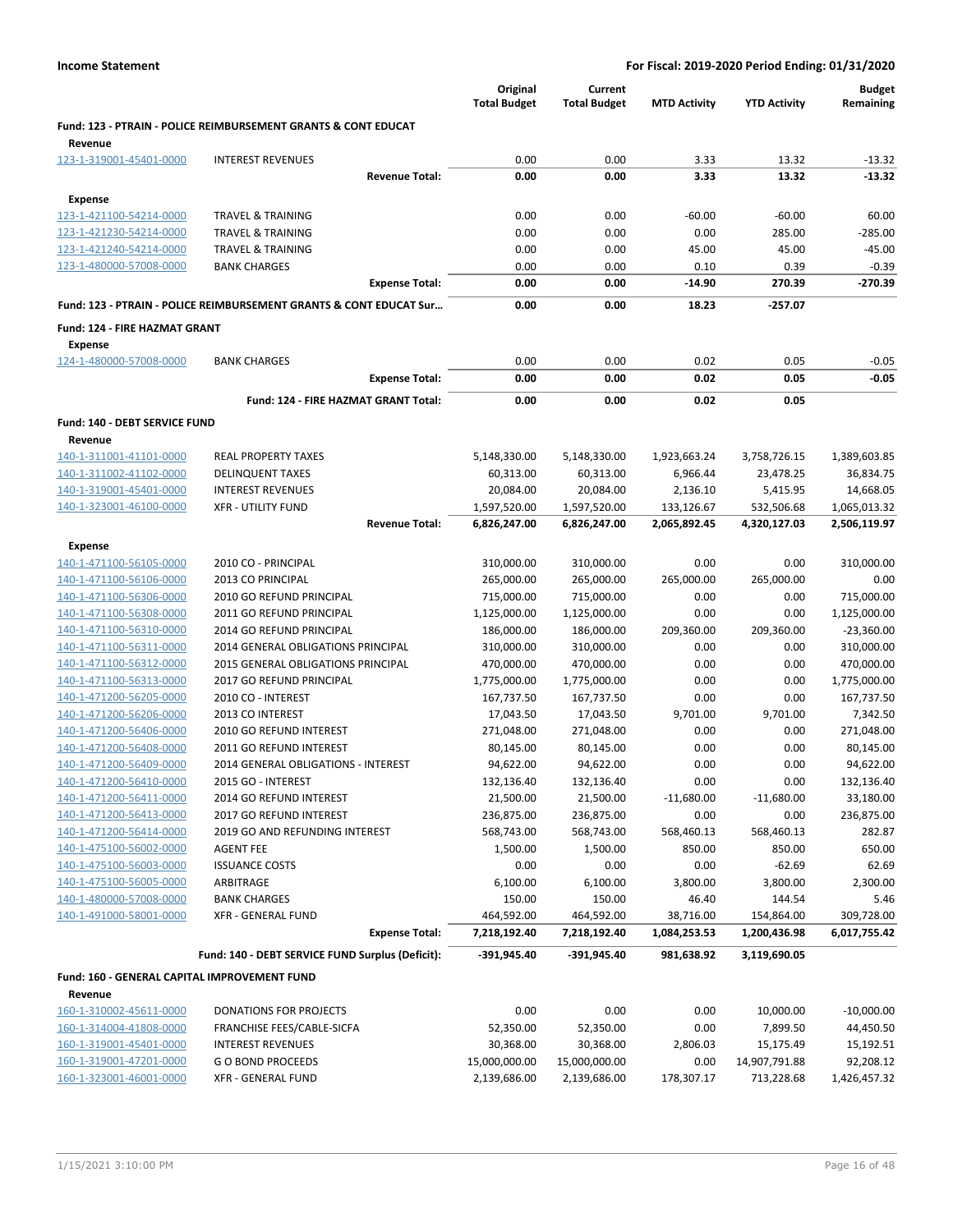|                                                         |                                                                               | Original<br><b>Total Budget</b> | Current<br><b>Total Budget</b> | <b>MTD Activity</b>  | <b>YTD Activity</b>  | <b>Budget</b><br>Remaining |
|---------------------------------------------------------|-------------------------------------------------------------------------------|---------------------------------|--------------------------------|----------------------|----------------------|----------------------------|
|                                                         | <b>Fund: 123 - PTRAIN - POLICE REIMBURSEMENT GRANTS &amp; CONT EDUCAT</b>     |                                 |                                |                      |                      |                            |
| Revenue<br>123-1-319001-45401-0000                      | <b>INTEREST REVENUES</b>                                                      | 0.00                            | 0.00                           | 3.33                 | 13.32                | $-13.32$                   |
|                                                         | <b>Revenue Total:</b>                                                         | 0.00                            | 0.00                           | 3.33                 | 13.32                | $-13.32$                   |
|                                                         |                                                                               |                                 |                                |                      |                      |                            |
| Expense                                                 |                                                                               |                                 |                                |                      |                      |                            |
| 123-1-421100-54214-0000                                 | <b>TRAVEL &amp; TRAINING</b>                                                  | 0.00                            | 0.00                           | $-60.00$             | $-60.00$             | 60.00                      |
| 123-1-421230-54214-0000                                 | <b>TRAVEL &amp; TRAINING</b>                                                  | 0.00                            | 0.00                           | 0.00                 | 285.00               | $-285.00$                  |
| 123-1-421240-54214-0000                                 | <b>TRAVEL &amp; TRAINING</b>                                                  | 0.00                            | 0.00                           | 45.00                | 45.00                | $-45.00$                   |
| 123-1-480000-57008-0000                                 | <b>BANK CHARGES</b><br><b>Expense Total:</b>                                  | 0.00<br>0.00                    | 0.00<br>0.00                   | 0.10<br>$-14.90$     | 0.39<br>270.39       | $-0.39$<br>$-270.39$       |
|                                                         | <b>Fund: 123 - PTRAIN - POLICE REIMBURSEMENT GRANTS &amp; CONT EDUCAT Sur</b> | 0.00                            | 0.00                           | 18.23                | $-257.07$            |                            |
| Fund: 124 - FIRE HAZMAT GRANT                           |                                                                               |                                 |                                |                      |                      |                            |
| <b>Expense</b>                                          |                                                                               |                                 |                                |                      |                      |                            |
| 124-1-480000-57008-0000                                 | <b>BANK CHARGES</b>                                                           | 0.00                            | 0.00                           | 0.02                 | 0.05                 | $-0.05$                    |
|                                                         | <b>Expense Total:</b>                                                         | 0.00                            | 0.00                           | 0.02                 | 0.05                 | $-0.05$                    |
|                                                         | Fund: 124 - FIRE HAZMAT GRANT Total:                                          | 0.00                            | 0.00                           | 0.02                 | 0.05                 |                            |
| Fund: 140 - DEBT SERVICE FUND                           |                                                                               |                                 |                                |                      |                      |                            |
| Revenue                                                 |                                                                               |                                 |                                |                      |                      |                            |
| 140-1-311001-41101-0000                                 | <b>REAL PROPERTY TAXES</b>                                                    | 5,148,330.00                    | 5,148,330.00                   | 1,923,663.24         | 3,758,726.15         | 1,389,603.85               |
| 140-1-311002-41102-0000                                 | <b>DELINQUENT TAXES</b>                                                       | 60,313.00                       | 60,313.00                      | 6,966.44             | 23,478.25            | 36,834.75                  |
| 140-1-319001-45401-0000                                 | <b>INTEREST REVENUES</b>                                                      | 20,084.00                       | 20,084.00                      | 2,136.10             | 5,415.95             | 14,668.05                  |
| 140-1-323001-46100-0000                                 | <b>XFR - UTILITY FUND</b>                                                     | 1,597,520.00                    | 1,597,520.00                   | 133,126.67           | 532,506.68           | 1,065,013.32               |
|                                                         | <b>Revenue Total:</b>                                                         | 6,826,247.00                    | 6,826,247.00                   | 2,065,892.45         | 4,320,127.03         | 2,506,119.97               |
|                                                         |                                                                               |                                 |                                |                      |                      |                            |
| <b>Expense</b>                                          |                                                                               |                                 |                                |                      |                      |                            |
| 140-1-471100-56105-0000                                 | 2010 CO - PRINCIPAL                                                           | 310,000.00                      | 310,000.00                     | 0.00                 | 0.00                 | 310,000.00                 |
| 140-1-471100-56106-0000                                 | 2013 CO PRINCIPAL                                                             | 265,000.00                      | 265,000.00                     | 265,000.00           | 265,000.00           | 0.00                       |
| 140-1-471100-56306-0000                                 | 2010 GO REFUND PRINCIPAL                                                      | 715,000.00                      | 715,000.00                     | 0.00                 | 0.00                 | 715,000.00                 |
| 140-1-471100-56308-0000                                 | 2011 GO REFUND PRINCIPAL                                                      | 1,125,000.00                    | 1,125,000.00                   | 0.00                 | 0.00                 | 1,125,000.00               |
| 140-1-471100-56310-0000                                 | 2014 GO REFUND PRINCIPAL                                                      | 186,000.00                      | 186,000.00                     | 209,360.00           | 209,360.00           | $-23,360.00$               |
| 140-1-471100-56311-0000                                 | 2014 GENERAL OBLIGATIONS PRINCIPAL                                            | 310,000.00                      | 310,000.00                     | 0.00                 | 0.00                 | 310,000.00                 |
| 140-1-471100-56312-0000                                 | 2015 GENERAL OBLIGATIONS PRINCIPAL                                            | 470,000.00                      | 470,000.00                     | 0.00                 | 0.00                 | 470,000.00                 |
| 140-1-471100-56313-0000                                 | 2017 GO REFUND PRINCIPAL                                                      | 1,775,000.00                    | 1,775,000.00                   | 0.00                 | 0.00                 | 1,775,000.00               |
| 140-1-471200-56205-0000                                 | 2010 CO - INTEREST                                                            | 167,737.50                      | 167,737.50                     | 0.00                 | 0.00                 | 167,737.50                 |
| 140-1-471200-56206-0000                                 | 2013 CO INTEREST                                                              | 17,043.50                       | 17,043.50                      | 9,701.00             | 9,701.00             | 7,342.50                   |
| 140-1-471200-56406-0000                                 | 2010 GO REFUND INTEREST                                                       | 271,048.00                      | 271,048.00                     | 0.00                 | 0.00                 | 271,048.00                 |
| 140-1-471200-56408-0000                                 | 2011 GO REFUND INTEREST                                                       | 80,145.00                       | 80,145.00                      | 0.00                 | 0.00                 | 80,145.00                  |
| 140-1-471200-56409-0000<br>140-1-471200-56410-0000      | 2014 GENERAL OBLIGATIONS - INTEREST<br>2015 GO - INTEREST                     | 94,622.00<br>132,136.40         | 94,622.00<br>132,136.40        | 0.00<br>0.00         | 0.00<br>0.00         | 94,622.00<br>132,136.40    |
|                                                         | 2014 GO REFUND INTEREST                                                       |                                 |                                |                      |                      | 33,180.00                  |
| 140-1-471200-56411-0000<br>140-1-471200-56413-0000      | 2017 GO REFUND INTEREST                                                       | 21,500.00<br>236,875.00         | 21,500.00<br>236,875.00        | $-11,680.00$<br>0.00 | $-11,680.00$<br>0.00 | 236,875.00                 |
| 140-1-471200-56414-0000                                 | 2019 GO AND REFUNDING INTEREST                                                | 568,743.00                      | 568,743.00                     | 568,460.13           | 568,460.13           | 282.87                     |
| 140-1-475100-56002-0000                                 | <b>AGENT FEE</b>                                                              | 1,500.00                        | 1,500.00                       | 850.00               | 850.00               | 650.00                     |
| 140-1-475100-56003-0000                                 | <b>ISSUANCE COSTS</b>                                                         | 0.00                            | 0.00                           | 0.00                 | $-62.69$             | 62.69                      |
| 140-1-475100-56005-0000                                 | ARBITRAGE                                                                     | 6,100.00                        | 6,100.00                       | 3,800.00             | 3,800.00             | 2,300.00                   |
| 140-1-480000-57008-0000                                 | <b>BANK CHARGES</b>                                                           | 150.00                          | 150.00                         | 46.40                | 144.54               | 5.46                       |
| 140-1-491000-58001-0000                                 | <b>XFR - GENERAL FUND</b>                                                     | 464,592.00                      | 464,592.00                     | 38,716.00            | 154,864.00           | 309,728.00                 |
|                                                         | <b>Expense Total:</b>                                                         | 7,218,192.40                    | 7,218,192.40                   | 1,084,253.53         | 1,200,436.98         | 6,017,755.42               |
|                                                         | Fund: 140 - DEBT SERVICE FUND Surplus (Deficit):                              | -391,945.40                     | $-391,945.40$                  | 981,638.92           | 3,119,690.05         |                            |
|                                                         |                                                                               |                                 |                                |                      |                      |                            |
| Fund: 160 - GENERAL CAPITAL IMPROVEMENT FUND<br>Revenue |                                                                               |                                 |                                |                      |                      |                            |
| 160-1-310002-45611-0000                                 | DONATIONS FOR PROJECTS                                                        | 0.00                            | 0.00                           | 0.00                 | 10,000.00            | $-10,000.00$               |
| 160-1-314004-41808-0000                                 | FRANCHISE FEES/CABLE-SICFA                                                    | 52,350.00                       | 52,350.00                      | 0.00                 | 7,899.50             | 44,450.50                  |
| 160-1-319001-45401-0000                                 | <b>INTEREST REVENUES</b>                                                      | 30,368.00                       | 30,368.00                      | 2,806.03             | 15,175.49            | 15,192.51                  |
| 160-1-319001-47201-0000                                 | <b>GO BOND PROCEEDS</b>                                                       | 15,000,000.00                   | 15,000,000.00                  | 0.00                 | 14,907,791.88        | 92,208.12                  |
| 160-1-323001-46001-0000                                 | <b>XFR - GENERAL FUND</b>                                                     | 2,139,686.00                    | 2,139,686.00                   | 178,307.17           | 713,228.68           | 1,426,457.32               |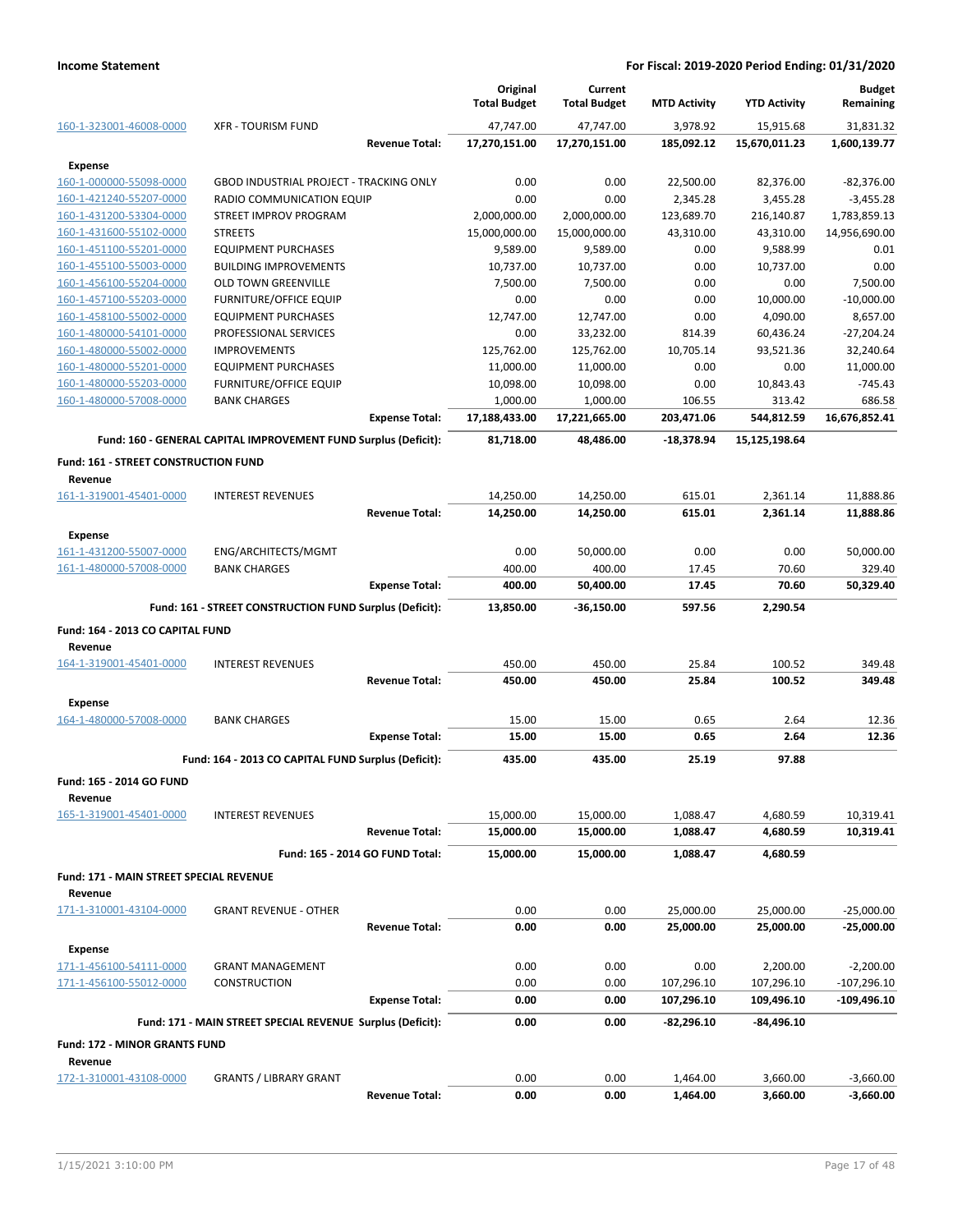|                                                    |                                                                 |                                 | Original                  | Current                   |                     |                     | <b>Budget</b>       |
|----------------------------------------------------|-----------------------------------------------------------------|---------------------------------|---------------------------|---------------------------|---------------------|---------------------|---------------------|
|                                                    |                                                                 |                                 | <b>Total Budget</b>       | <b>Total Budget</b>       | <b>MTD Activity</b> | <b>YTD Activity</b> | Remaining           |
| 160-1-323001-46008-0000                            | <b>XFR - TOURISM FUND</b>                                       |                                 | 47,747.00                 | 47,747.00                 | 3,978.92            | 15,915.68           | 31.831.32           |
|                                                    |                                                                 | <b>Revenue Total:</b>           | 17,270,151.00             | 17,270,151.00             | 185,092.12          | 15,670,011.23       | 1,600,139.77        |
| <b>Expense</b>                                     |                                                                 |                                 |                           |                           |                     |                     |                     |
| 160-1-000000-55098-0000                            | <b>GBOD INDUSTRIAL PROJECT - TRACKING ONLY</b>                  |                                 | 0.00                      | 0.00                      | 22,500.00           | 82,376.00           | $-82,376.00$        |
| 160-1-421240-55207-0000                            | RADIO COMMUNICATION EQUIP                                       |                                 | 0.00                      | 0.00                      | 2,345.28            | 3,455.28            | $-3,455.28$         |
| 160-1-431200-53304-0000                            | STREET IMPROV PROGRAM                                           |                                 | 2,000,000.00              | 2,000,000.00              | 123,689.70          | 216,140.87          | 1,783,859.13        |
| 160-1-431600-55102-0000                            | <b>STREETS</b>                                                  |                                 | 15,000,000.00             | 15,000,000.00             | 43,310.00           | 43,310.00           | 14,956,690.00       |
| 160-1-451100-55201-0000                            | <b>EQUIPMENT PURCHASES</b>                                      |                                 | 9,589.00                  | 9,589.00                  | 0.00                | 9,588.99            | 0.01                |
| 160-1-455100-55003-0000                            | <b>BUILDING IMPROVEMENTS</b>                                    |                                 | 10,737.00                 | 10,737.00                 | 0.00                | 10,737.00           | 0.00                |
| 160-1-456100-55204-0000                            | <b>OLD TOWN GREENVILLE</b>                                      |                                 | 7,500.00                  | 7,500.00                  | 0.00                | 0.00                | 7,500.00            |
| 160-1-457100-55203-0000                            | <b>FURNITURE/OFFICE EQUIP</b>                                   |                                 | 0.00                      | 0.00                      | 0.00                | 10,000.00           | $-10,000.00$        |
| 160-1-458100-55002-0000                            | <b>EQUIPMENT PURCHASES</b>                                      |                                 | 12,747.00                 | 12,747.00                 | 0.00                | 4,090.00            | 8,657.00            |
| 160-1-480000-54101-0000                            | PROFESSIONAL SERVICES                                           |                                 | 0.00                      | 33,232.00                 | 814.39              | 60,436.24           | $-27,204.24$        |
| 160-1-480000-55002-0000                            | <b>IMPROVEMENTS</b>                                             |                                 | 125,762.00                | 125,762.00                | 10,705.14           | 93,521.36           | 32,240.64           |
| 160-1-480000-55201-0000                            | <b>EQUIPMENT PURCHASES</b>                                      |                                 | 11,000.00                 | 11,000.00                 | 0.00                | 0.00                | 11,000.00           |
| 160-1-480000-55203-0000<br>160-1-480000-57008-0000 | <b>FURNITURE/OFFICE EQUIP</b><br><b>BANK CHARGES</b>            |                                 | 10,098.00                 | 10,098.00                 | 0.00<br>106.55      | 10,843.43<br>313.42 | $-745.43$<br>686.58 |
|                                                    |                                                                 | <b>Expense Total:</b>           | 1,000.00<br>17,188,433.00 | 1,000.00<br>17,221,665.00 | 203,471.06          | 544,812.59          | 16,676,852.41       |
|                                                    |                                                                 |                                 |                           |                           |                     |                     |                     |
|                                                    | Fund: 160 - GENERAL CAPITAL IMPROVEMENT FUND Surplus (Deficit): |                                 | 81,718.00                 | 48,486.00                 | $-18,378.94$        | 15,125,198.64       |                     |
| Fund: 161 - STREET CONSTRUCTION FUND               |                                                                 |                                 |                           |                           |                     |                     |                     |
| Revenue                                            |                                                                 |                                 |                           |                           |                     |                     |                     |
| 161-1-319001-45401-0000                            | <b>INTEREST REVENUES</b>                                        |                                 | 14,250.00                 | 14,250.00                 | 615.01              | 2,361.14            | 11,888.86           |
|                                                    |                                                                 | <b>Revenue Total:</b>           | 14,250.00                 | 14,250.00                 | 615.01              | 2,361.14            | 11,888.86           |
| <b>Expense</b>                                     |                                                                 |                                 |                           |                           |                     |                     |                     |
| 161-1-431200-55007-0000                            | ENG/ARCHITECTS/MGMT                                             |                                 | 0.00                      | 50,000.00                 | 0.00                | 0.00                | 50,000.00           |
| 161-1-480000-57008-0000                            | <b>BANK CHARGES</b>                                             |                                 | 400.00                    | 400.00                    | 17.45               | 70.60               | 329.40              |
|                                                    |                                                                 | <b>Expense Total:</b>           | 400.00                    | 50,400.00                 | 17.45               | 70.60               | 50,329.40           |
|                                                    | Fund: 161 - STREET CONSTRUCTION FUND Surplus (Deficit):         |                                 | 13,850.00                 | $-36,150.00$              | 597.56              | 2,290.54            |                     |
| Fund: 164 - 2013 CO CAPITAL FUND                   |                                                                 |                                 |                           |                           |                     |                     |                     |
| Revenue                                            |                                                                 |                                 |                           |                           |                     |                     |                     |
| 164-1-319001-45401-0000                            | <b>INTEREST REVENUES</b>                                        |                                 | 450.00                    | 450.00                    | 25.84               | 100.52              | 349.48              |
|                                                    |                                                                 | <b>Revenue Total:</b>           | 450.00                    | 450.00                    | 25.84               | 100.52              | 349.48              |
| <b>Expense</b>                                     |                                                                 |                                 |                           |                           |                     |                     |                     |
| 164-1-480000-57008-0000                            | <b>BANK CHARGES</b>                                             |                                 | 15.00                     | 15.00                     | 0.65                | 2.64                | 12.36               |
|                                                    |                                                                 | <b>Expense Total:</b>           | 15.00                     | 15.00                     | 0.65                | 2.64                | 12.36               |
|                                                    | Fund: 164 - 2013 CO CAPITAL FUND Surplus (Deficit):             |                                 | 435.00                    | 435.00                    | 25.19               | 97.88               |                     |
|                                                    |                                                                 |                                 |                           |                           |                     |                     |                     |
| <b>Fund: 165 - 2014 GO FUND</b>                    |                                                                 |                                 |                           |                           |                     |                     |                     |
| Revenue                                            |                                                                 |                                 |                           |                           |                     |                     |                     |
| 165-1-319001-45401-0000                            | <b>INTEREST REVENUES</b>                                        |                                 | 15,000.00                 | 15,000.00                 | 1,088.47            | 4,680.59            | 10,319.41           |
|                                                    |                                                                 | <b>Revenue Total:</b>           | 15,000.00                 | 15,000.00                 | 1,088.47            | 4,680.59            | 10,319.41           |
|                                                    |                                                                 | Fund: 165 - 2014 GO FUND Total: | 15,000.00                 | 15,000.00                 | 1,088.47            | 4,680.59            |                     |
| Fund: 171 - MAIN STREET SPECIAL REVENUE            |                                                                 |                                 |                           |                           |                     |                     |                     |
| Revenue                                            |                                                                 |                                 |                           |                           |                     |                     |                     |
| 171-1-310001-43104-0000                            | <b>GRANT REVENUE - OTHER</b>                                    |                                 | 0.00                      | 0.00                      | 25,000.00           | 25,000.00           | $-25,000.00$        |
|                                                    |                                                                 | <b>Revenue Total:</b>           | 0.00                      | 0.00                      | 25,000.00           | 25,000.00           | $-25,000.00$        |
| <b>Expense</b>                                     |                                                                 |                                 |                           |                           |                     |                     |                     |
| 171-1-456100-54111-0000                            | <b>GRANT MANAGEMENT</b>                                         |                                 | 0.00                      | 0.00                      | 0.00                | 2,200.00            | $-2,200.00$         |
| 171-1-456100-55012-0000                            | <b>CONSTRUCTION</b>                                             |                                 | 0.00                      | 0.00                      | 107,296.10          | 107,296.10          | $-107,296.10$       |
|                                                    |                                                                 | <b>Expense Total:</b>           | 0.00                      | 0.00                      | 107,296.10          | 109,496.10          | $-109,496.10$       |
|                                                    | Fund: 171 - MAIN STREET SPECIAL REVENUE Surplus (Deficit):      |                                 | 0.00                      | 0.00                      | -82,296.10          | -84,496.10          |                     |
|                                                    |                                                                 |                                 |                           |                           |                     |                     |                     |
| <b>Fund: 172 - MINOR GRANTS FUND</b>               |                                                                 |                                 |                           |                           |                     |                     |                     |
| Revenue                                            |                                                                 |                                 |                           |                           |                     |                     |                     |
| 172-1-310001-43108-0000                            | <b>GRANTS / LIBRARY GRANT</b>                                   |                                 | 0.00                      | 0.00                      | 1,464.00            | 3,660.00            | $-3,660.00$         |
|                                                    |                                                                 | <b>Revenue Total:</b>           | 0.00                      | 0.00                      | 1,464.00            | 3,660.00            | $-3,660.00$         |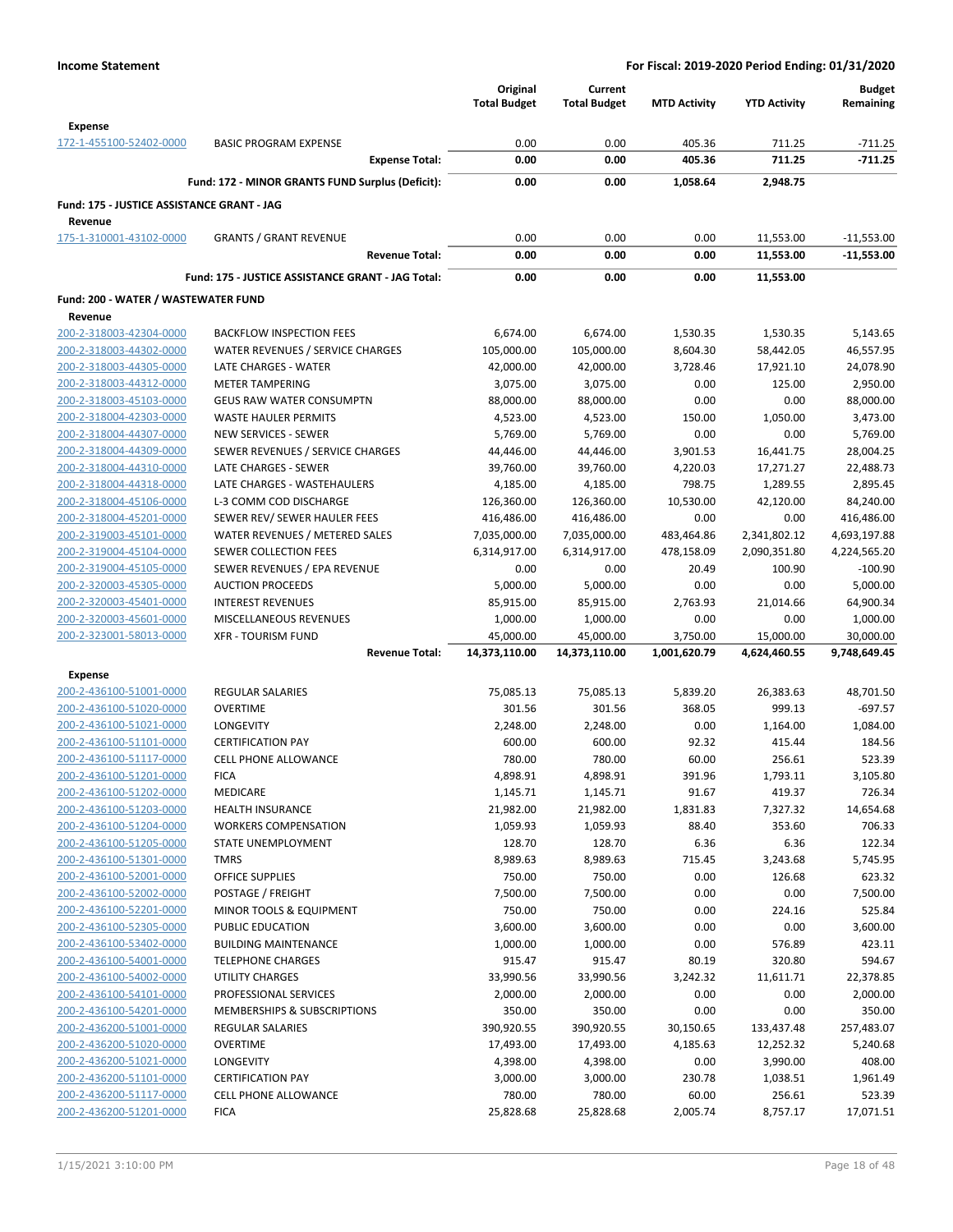|                                                    |                                                           | Original<br><b>Total Budget</b> | Current<br><b>Total Budget</b> | <b>MTD Activity</b> | <b>YTD Activity</b>    | <b>Budget</b><br>Remaining   |
|----------------------------------------------------|-----------------------------------------------------------|---------------------------------|--------------------------------|---------------------|------------------------|------------------------------|
| <b>Expense</b>                                     |                                                           |                                 |                                |                     |                        |                              |
| 172-1-455100-52402-0000                            | <b>BASIC PROGRAM EXPENSE</b><br><b>Expense Total:</b>     | 0.00<br>0.00                    | 0.00<br>0.00                   | 405.36<br>405.36    | 711.25<br>711.25       | $-711.25$<br>$-711.25$       |
|                                                    |                                                           |                                 |                                |                     |                        |                              |
|                                                    | Fund: 172 - MINOR GRANTS FUND Surplus (Deficit):          | 0.00                            | 0.00                           | 1,058.64            | 2,948.75               |                              |
| Fund: 175 - JUSTICE ASSISTANCE GRANT - JAG         |                                                           |                                 |                                |                     |                        |                              |
| Revenue                                            |                                                           |                                 |                                |                     |                        |                              |
| 175-1-310001-43102-0000                            | <b>GRANTS / GRANT REVENUE</b><br><b>Revenue Total:</b>    | 0.00<br>0.00                    | 0.00<br>0.00                   | 0.00<br>0.00        | 11,553.00<br>11,553.00 | $-11,553.00$<br>$-11,553.00$ |
|                                                    |                                                           |                                 |                                |                     |                        |                              |
|                                                    | Fund: 175 - JUSTICE ASSISTANCE GRANT - JAG Total:         | 0.00                            | 0.00                           | 0.00                | 11,553.00              |                              |
| Fund: 200 - WATER / WASTEWATER FUND                |                                                           |                                 |                                |                     |                        |                              |
| Revenue                                            |                                                           |                                 |                                |                     |                        |                              |
| 200-2-318003-42304-0000                            | <b>BACKFLOW INSPECTION FEES</b>                           | 6,674.00                        | 6,674.00                       | 1,530.35            | 1,530.35               | 5,143.65                     |
| 200-2-318003-44302-0000                            | WATER REVENUES / SERVICE CHARGES                          | 105,000.00                      | 105,000.00                     | 8,604.30            | 58,442.05              | 46,557.95                    |
| 200-2-318003-44305-0000                            | LATE CHARGES - WATER                                      | 42,000.00                       | 42,000.00                      | 3,728.46            | 17,921.10              | 24,078.90                    |
| 200-2-318003-44312-0000<br>200-2-318003-45103-0000 | <b>METER TAMPERING</b><br><b>GEUS RAW WATER CONSUMPTN</b> | 3,075.00<br>88,000.00           | 3,075.00                       | 0.00                | 125.00                 | 2,950.00<br>88,000.00        |
| 200-2-318004-42303-0000                            | <b>WASTE HAULER PERMITS</b>                               | 4,523.00                        | 88,000.00<br>4,523.00          | 0.00<br>150.00      | 0.00<br>1,050.00       | 3,473.00                     |
| 200-2-318004-44307-0000                            | <b>NEW SERVICES - SEWER</b>                               | 5,769.00                        | 5,769.00                       | 0.00                | 0.00                   | 5,769.00                     |
| 200-2-318004-44309-0000                            | SEWER REVENUES / SERVICE CHARGES                          | 44,446.00                       | 44,446.00                      | 3,901.53            | 16,441.75              | 28,004.25                    |
| 200-2-318004-44310-0000                            | LATE CHARGES - SEWER                                      | 39,760.00                       | 39,760.00                      | 4,220.03            | 17,271.27              | 22,488.73                    |
| 200-2-318004-44318-0000                            | LATE CHARGES - WASTEHAULERS                               | 4,185.00                        | 4,185.00                       | 798.75              | 1,289.55               | 2,895.45                     |
| 200-2-318004-45106-0000                            | L-3 COMM COD DISCHARGE                                    | 126,360.00                      | 126,360.00                     | 10,530.00           | 42,120.00              | 84,240.00                    |
| 200-2-318004-45201-0000                            | SEWER REV/ SEWER HAULER FEES                              | 416,486.00                      | 416,486.00                     | 0.00                | 0.00                   | 416,486.00                   |
| 200-2-319003-45101-0000                            | WATER REVENUES / METERED SALES                            | 7,035,000.00                    | 7,035,000.00                   | 483,464.86          | 2,341,802.12           | 4,693,197.88                 |
| 200-2-319004-45104-0000                            | SEWER COLLECTION FEES                                     | 6,314,917.00                    | 6,314,917.00                   | 478,158.09          | 2,090,351.80           | 4,224,565.20                 |
| 200-2-319004-45105-0000                            | SEWER REVENUES / EPA REVENUE                              | 0.00                            | 0.00                           | 20.49               | 100.90                 | $-100.90$                    |
| 200-2-320003-45305-0000                            | <b>AUCTION PROCEEDS</b>                                   | 5,000.00                        | 5,000.00                       | 0.00                | 0.00                   | 5,000.00                     |
| 200-2-320003-45401-0000                            | <b>INTEREST REVENUES</b>                                  | 85,915.00                       | 85,915.00                      | 2,763.93            | 21,014.66              | 64,900.34                    |
| 200-2-320003-45601-0000                            | MISCELLANEOUS REVENUES                                    | 1,000.00                        | 1,000.00                       | 0.00                | 0.00                   | 1,000.00                     |
| 200-2-323001-58013-0000                            | <b>XFR - TOURISM FUND</b>                                 | 45,000.00                       | 45,000.00                      | 3,750.00            | 15,000.00              | 30,000.00                    |
|                                                    | <b>Revenue Total:</b>                                     | 14,373,110.00                   | 14,373,110.00                  | 1,001,620.79        | 4,624,460.55           | 9,748,649.45                 |
| <b>Expense</b>                                     |                                                           |                                 |                                |                     |                        |                              |
| 200-2-436100-51001-0000                            | REGULAR SALARIES                                          | 75,085.13                       | 75,085.13                      | 5,839.20            | 26,383.63              | 48,701.50                    |
| 200-2-436100-51020-0000                            | <b>OVERTIME</b>                                           | 301.56                          | 301.56                         | 368.05              | 999.13                 | $-697.57$                    |
| 200-2-436100-51021-0000                            | LONGEVITY                                                 | 2,248.00                        | 2,248.00                       | 0.00                | 1,164.00               | 1,084.00                     |
| 200-2-436100-51101-0000                            | <b>CERTIFICATION PAY</b>                                  | 600.00                          | 600.00                         | 92.32               | 415.44                 | 184.56                       |
| 200-2-436100-51117-0000                            | <b>CELL PHONE ALLOWANCE</b>                               | 780.00                          | 780.00                         | 60.00               | 256.61                 | 523.39                       |
| 200-2-436100-51201-0000                            | <b>FICA</b>                                               | 4,898.91                        | 4,898.91                       | 391.96              | 1,793.11               | 3,105.80                     |
| 200-2-436100-51202-0000                            | MEDICARE                                                  | 1,145.71                        | 1,145.71                       | 91.67               | 419.37                 | 726.34                       |
| 200-2-436100-51203-0000                            | <b>HEALTH INSURANCE</b>                                   | 21,982.00                       | 21,982.00                      | 1,831.83            | 7,327.32               | 14,654.68                    |
| 200-2-436100-51204-0000                            | <b>WORKERS COMPENSATION</b>                               | 1,059.93                        | 1,059.93                       | 88.40               | 353.60                 | 706.33                       |
| 200-2-436100-51205-0000                            | <b>STATE UNEMPLOYMENT</b>                                 | 128.70                          | 128.70                         | 6.36                | 6.36                   | 122.34                       |
| 200-2-436100-51301-0000                            | <b>TMRS</b>                                               | 8,989.63                        | 8,989.63                       | 715.45              | 3,243.68               | 5,745.95                     |
| 200-2-436100-52001-0000                            | <b>OFFICE SUPPLIES</b>                                    | 750.00                          | 750.00                         | 0.00                | 126.68                 | 623.32                       |
| 200-2-436100-52002-0000                            | POSTAGE / FREIGHT                                         | 7,500.00                        | 7,500.00                       | 0.00                | 0.00                   | 7,500.00                     |
| 200-2-436100-52201-0000                            | MINOR TOOLS & EQUIPMENT                                   | 750.00                          | 750.00                         | 0.00                | 224.16                 | 525.84                       |
| 200-2-436100-52305-0000                            | PUBLIC EDUCATION                                          | 3,600.00                        | 3,600.00                       | 0.00                | 0.00                   | 3,600.00                     |
| 200-2-436100-53402-0000                            | <b>BUILDING MAINTENANCE</b>                               | 1,000.00                        | 1,000.00                       | 0.00                | 576.89                 | 423.11                       |
| 200-2-436100-54001-0000                            | <b>TELEPHONE CHARGES</b>                                  | 915.47                          | 915.47                         | 80.19               | 320.80                 | 594.67                       |
| 200-2-436100-54002-0000                            | <b>UTILITY CHARGES</b>                                    | 33,990.56                       | 33,990.56                      | 3,242.32            | 11,611.71              | 22,378.85                    |
| 200-2-436100-54101-0000                            | PROFESSIONAL SERVICES                                     | 2,000.00                        | 2,000.00                       | 0.00                | 0.00                   | 2,000.00                     |
| 200-2-436100-54201-0000                            | MEMBERSHIPS & SUBSCRIPTIONS                               | 350.00                          | 350.00                         | 0.00                | 0.00                   | 350.00                       |
| 200-2-436200-51001-0000                            | <b>REGULAR SALARIES</b>                                   | 390,920.55                      | 390,920.55                     | 30,150.65           | 133,437.48             | 257,483.07                   |
| 200-2-436200-51020-0000                            | <b>OVERTIME</b>                                           | 17,493.00                       | 17,493.00                      | 4,185.63            | 12,252.32              | 5,240.68                     |
| 200-2-436200-51021-0000                            | LONGEVITY                                                 | 4,398.00                        | 4,398.00                       | 0.00                | 3,990.00               | 408.00                       |
| 200-2-436200-51101-0000                            | <b>CERTIFICATION PAY</b>                                  | 3,000.00                        | 3,000.00                       | 230.78              | 1,038.51               | 1,961.49                     |
| 200-2-436200-51117-0000                            | <b>CELL PHONE ALLOWANCE</b>                               | 780.00                          | 780.00                         | 60.00               | 256.61                 | 523.39                       |
| 200-2-436200-51201-0000                            | <b>FICA</b>                                               | 25,828.68                       | 25,828.68                      | 2,005.74            | 8,757.17               | 17,071.51                    |
|                                                    |                                                           |                                 |                                |                     |                        |                              |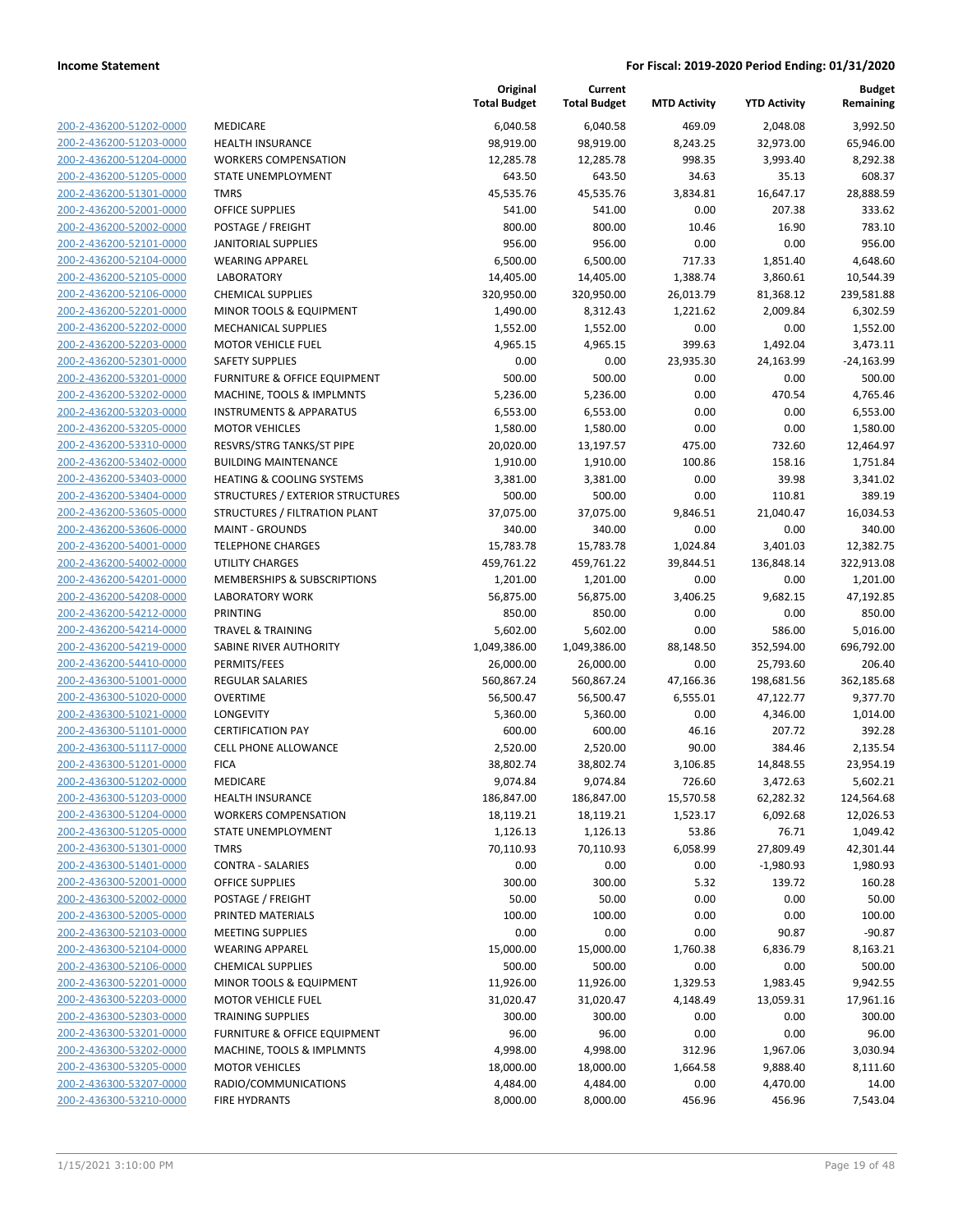|                         |                                      | Original<br><b>Total Budget</b> | Current<br><b>Total Budget</b> | <b>MTD Activity</b> | <b>YTD Activity</b> | Budget<br>Remaining |
|-------------------------|--------------------------------------|---------------------------------|--------------------------------|---------------------|---------------------|---------------------|
| 200-2-436200-51202-0000 | <b>MEDICARE</b>                      | 6,040.58                        | 6,040.58                       | 469.09              | 2,048.08            | 3,992.50            |
| 200-2-436200-51203-0000 | <b>HEALTH INSURANCE</b>              | 98,919.00                       | 98,919.00                      | 8,243.25            | 32,973.00           | 65,946.00           |
| 200-2-436200-51204-0000 | <b>WORKERS COMPENSATION</b>          | 12,285.78                       | 12,285.78                      | 998.35              | 3,993.40            | 8,292.38            |
| 200-2-436200-51205-0000 | STATE UNEMPLOYMENT                   | 643.50                          | 643.50                         | 34.63               | 35.13               | 608.37              |
| 200-2-436200-51301-0000 | <b>TMRS</b>                          | 45,535.76                       | 45,535.76                      | 3,834.81            | 16,647.17           | 28,888.59           |
| 200-2-436200-52001-0000 | OFFICE SUPPLIES                      | 541.00                          | 541.00                         | 0.00                | 207.38              | 333.62              |
| 200-2-436200-52002-0000 | POSTAGE / FREIGHT                    | 800.00                          | 800.00                         | 10.46               | 16.90               | 783.10              |
| 200-2-436200-52101-0000 | <b>JANITORIAL SUPPLIES</b>           | 956.00                          | 956.00                         | 0.00                | 0.00                | 956.00              |
| 200-2-436200-52104-0000 | <b>WEARING APPAREL</b>               | 6,500.00                        | 6,500.00                       | 717.33              | 1,851.40            | 4,648.60            |
| 200-2-436200-52105-0000 | <b>LABORATORY</b>                    | 14,405.00                       | 14,405.00                      | 1,388.74            | 3,860.61            | 10,544.39           |
| 200-2-436200-52106-0000 | <b>CHEMICAL SUPPLIES</b>             | 320,950.00                      | 320,950.00                     | 26,013.79           | 81,368.12           | 239,581.88          |
| 200-2-436200-52201-0000 | MINOR TOOLS & EQUIPMENT              | 1,490.00                        | 8,312.43                       | 1,221.62            | 2,009.84            | 6,302.59            |
| 200-2-436200-52202-0000 | <b>MECHANICAL SUPPLIES</b>           | 1,552.00                        | 1,552.00                       | 0.00                | 0.00                | 1,552.00            |
| 200-2-436200-52203-0000 | <b>MOTOR VEHICLE FUEL</b>            | 4,965.15                        | 4,965.15                       | 399.63              | 1,492.04            | 3,473.11            |
| 200-2-436200-52301-0000 | <b>SAFETY SUPPLIES</b>               | 0.00                            | 0.00                           | 23,935.30           | 24,163.99           | $-24,163.99$        |
| 200-2-436200-53201-0000 | FURNITURE & OFFICE EQUIPMENT         | 500.00                          | 500.00                         | 0.00                | 0.00                | 500.00              |
| 200-2-436200-53202-0000 | MACHINE, TOOLS & IMPLMNTS            | 5,236.00                        | 5,236.00                       | 0.00                | 470.54              | 4,765.46            |
| 200-2-436200-53203-0000 | <b>INSTRUMENTS &amp; APPARATUS</b>   | 6,553.00                        | 6,553.00                       | 0.00                | 0.00                | 6,553.00            |
| 200-2-436200-53205-0000 | <b>MOTOR VEHICLES</b>                | 1,580.00                        | 1,580.00                       | 0.00                | 0.00                | 1,580.00            |
| 200-2-436200-53310-0000 | RESVRS/STRG TANKS/ST PIPE            | 20,020.00                       | 13,197.57                      | 475.00              | 732.60              | 12,464.97           |
| 200-2-436200-53402-0000 | <b>BUILDING MAINTENANCE</b>          | 1,910.00                        | 1,910.00                       | 100.86              | 158.16              | 1,751.84            |
| 200-2-436200-53403-0000 | <b>HEATING &amp; COOLING SYSTEMS</b> | 3,381.00                        | 3,381.00                       | 0.00                | 39.98               | 3,341.02            |
| 200-2-436200-53404-0000 | STRUCTURES / EXTERIOR STRUCTURES     | 500.00                          | 500.00                         | 0.00                | 110.81              | 389.19              |
| 200-2-436200-53605-0000 | STRUCTURES / FILTRATION PLANT        | 37,075.00                       | 37,075.00                      | 9,846.51            | 21,040.47           | 16,034.53           |
| 200-2-436200-53606-0000 | <b>MAINT - GROUNDS</b>               | 340.00                          | 340.00                         | 0.00                | 0.00                | 340.00              |
| 200-2-436200-54001-0000 | <b>TELEPHONE CHARGES</b>             | 15,783.78                       | 15,783.78                      | 1,024.84            | 3,401.03            | 12,382.75           |
| 200-2-436200-54002-0000 | <b>UTILITY CHARGES</b>               | 459,761.22                      | 459,761.22                     | 39,844.51           | 136,848.14          | 322,913.08          |
| 200-2-436200-54201-0000 | MEMBERSHIPS & SUBSCRIPTIONS          | 1,201.00                        | 1,201.00                       | 0.00                | 0.00                | 1,201.00            |
| 200-2-436200-54208-0000 | <b>LABORATORY WORK</b>               | 56,875.00                       | 56,875.00                      | 3,406.25            | 9,682.15            | 47,192.85           |
| 200-2-436200-54212-0000 | <b>PRINTING</b>                      | 850.00                          | 850.00                         | 0.00                | 0.00                | 850.00              |
| 200-2-436200-54214-0000 | <b>TRAVEL &amp; TRAINING</b>         | 5,602.00                        | 5,602.00                       | 0.00                | 586.00              | 5,016.00            |
| 200-2-436200-54219-0000 | SABINE RIVER AUTHORITY               | 1,049,386.00                    | 1,049,386.00                   | 88,148.50           | 352,594.00          | 696,792.00          |
| 200-2-436200-54410-0000 | PERMITS/FEES                         | 26,000.00                       | 26,000.00                      | 0.00                | 25,793.60           | 206.40              |
| 200-2-436300-51001-0000 | REGULAR SALARIES                     | 560,867.24                      | 560,867.24                     | 47,166.36           | 198,681.56          | 362,185.68          |
| 200-2-436300-51020-0000 | <b>OVERTIME</b>                      | 56,500.47                       | 56,500.47                      | 6,555.01            | 47,122.77           | 9,377.70            |
| 200-2-436300-51021-0000 | LONGEVITY                            | 5,360.00                        | 5,360.00                       | 0.00                | 4,346.00            | 1,014.00            |
| 200-2-436300-51101-0000 | <b>CERTIFICATION PAY</b>             | 600.00                          | 600.00                         | 46.16               | 207.72              | 392.28              |
| 200-2-436300-51117-0000 | <b>CELL PHONE ALLOWANCE</b>          | 2,520.00                        | 2,520.00                       | 90.00               | 384.46              | 2,135.54            |
| 200-2-436300-51201-0000 | <b>FICA</b>                          | 38,802.74                       | 38,802.74                      | 3,106.85            | 14,848.55           | 23,954.19           |
| 200-2-436300-51202-0000 | MEDICARE                             | 9,074.84                        | 9,074.84                       | 726.60              | 3,472.63            | 5,602.21            |
| 200-2-436300-51203-0000 | <b>HEALTH INSURANCE</b>              | 186,847.00                      | 186,847.00                     | 15,570.58           | 62,282.32           | 124,564.68          |
| 200-2-436300-51204-0000 | <b>WORKERS COMPENSATION</b>          | 18,119.21                       | 18,119.21                      | 1,523.17            | 6,092.68            | 12,026.53           |
| 200-2-436300-51205-0000 | STATE UNEMPLOYMENT                   | 1,126.13                        | 1,126.13                       | 53.86               | 76.71               | 1,049.42            |
| 200-2-436300-51301-0000 | <b>TMRS</b>                          | 70,110.93                       | 70,110.93                      | 6,058.99            | 27,809.49           | 42,301.44           |
| 200-2-436300-51401-0000 | <b>CONTRA - SALARIES</b>             | 0.00                            | 0.00                           | 0.00                | $-1,980.93$         | 1,980.93            |
| 200-2-436300-52001-0000 | OFFICE SUPPLIES                      | 300.00                          | 300.00                         | 5.32                | 139.72              | 160.28              |
| 200-2-436300-52002-0000 | POSTAGE / FREIGHT                    | 50.00                           | 50.00                          | 0.00                | 0.00                | 50.00               |
| 200-2-436300-52005-0000 | PRINTED MATERIALS                    | 100.00                          | 100.00                         | 0.00                | 0.00                | 100.00              |
| 200-2-436300-52103-0000 | <b>MEETING SUPPLIES</b>              | 0.00                            | 0.00                           | 0.00                | 90.87               | $-90.87$            |
| 200-2-436300-52104-0000 | <b>WEARING APPAREL</b>               | 15,000.00                       | 15,000.00                      | 1,760.38            | 6,836.79            | 8,163.21            |
| 200-2-436300-52106-0000 | <b>CHEMICAL SUPPLIES</b>             | 500.00                          | 500.00                         | 0.00                | 0.00                | 500.00              |
| 200-2-436300-52201-0000 | MINOR TOOLS & EQUIPMENT              | 11,926.00                       | 11,926.00                      | 1,329.53            | 1,983.45            | 9,942.55            |
| 200-2-436300-52203-0000 | <b>MOTOR VEHICLE FUEL</b>            | 31,020.47                       | 31,020.47                      | 4,148.49            | 13,059.31           | 17,961.16           |
| 200-2-436300-52303-0000 | <b>TRAINING SUPPLIES</b>             | 300.00                          | 300.00                         | 0.00                | 0.00                | 300.00              |
| 200-2-436300-53201-0000 | FURNITURE & OFFICE EQUIPMENT         | 96.00                           | 96.00                          | 0.00                | 0.00                | 96.00               |
| 200-2-436300-53202-0000 | MACHINE, TOOLS & IMPLMNTS            | 4,998.00                        | 4,998.00                       | 312.96              | 1,967.06            | 3,030.94            |
| 200-2-436300-53205-0000 | <b>MOTOR VEHICLES</b>                | 18,000.00                       | 18,000.00                      | 1,664.58            | 9,888.40            | 8,111.60            |
| 200-2-436300-53207-0000 | RADIO/COMMUNICATIONS                 | 4,484.00                        | 4,484.00                       | 0.00                | 4,470.00            | 14.00               |
| 200-2-436300-53210-0000 | <b>FIRE HYDRANTS</b>                 | 8,000.00                        | 8,000.00                       | 456.96              | 456.96              |                     |
|                         |                                      |                                 |                                |                     |                     | 7,543.04            |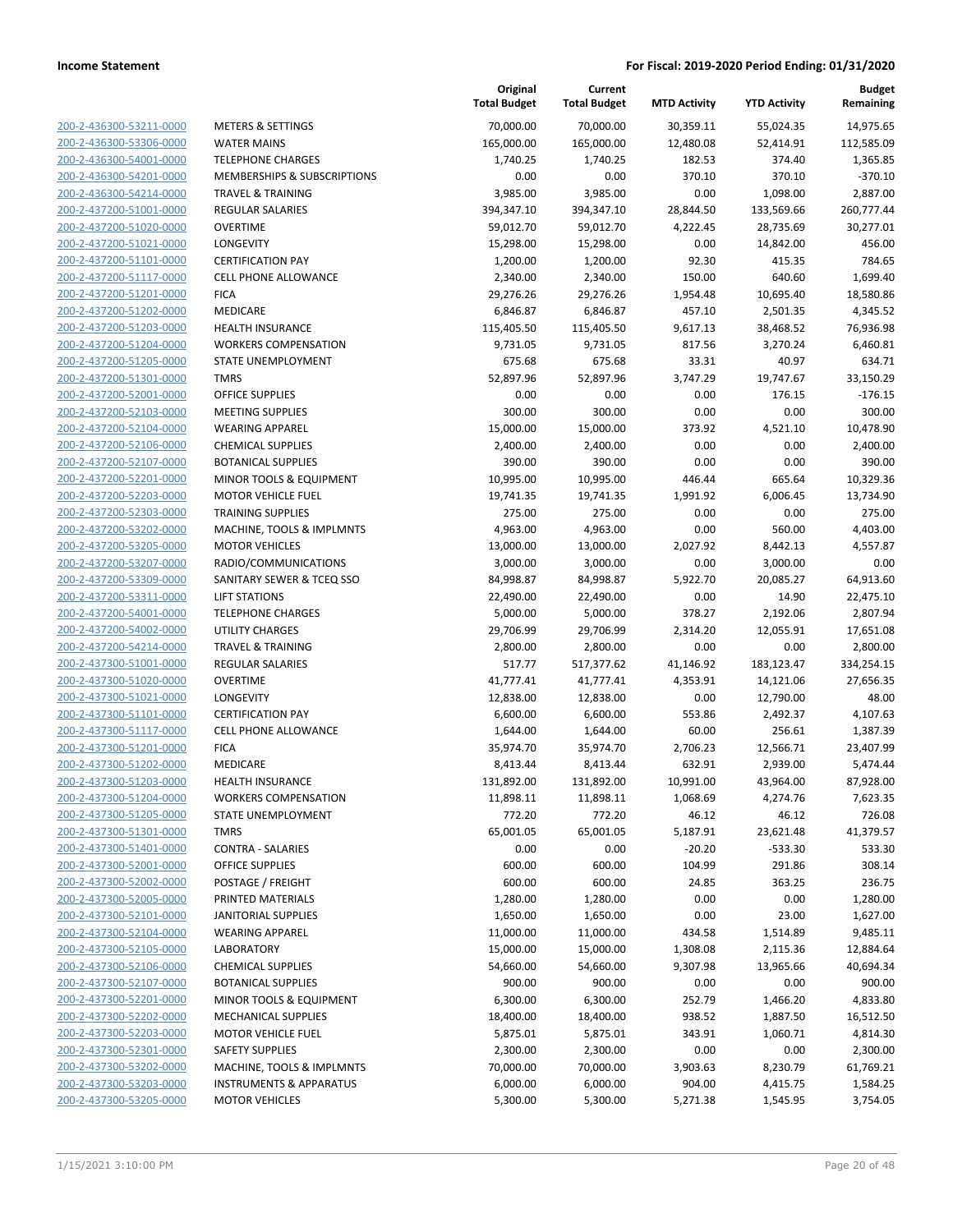| 200-2-436300-53211-0000                            | ľ                             |
|----------------------------------------------------|-------------------------------|
| 200-2-436300-53306-0000                            |                               |
| 200-2-436300-54001-0000                            | ٦                             |
| 200-2-436300-54201-0000                            | ľ                             |
| 200-2-436300-54214-0000                            | J                             |
| 200-2-437200-51001-0000                            | f                             |
| 200-2-437200-51020-0000                            | $\overline{\mathbf{C}}$       |
| 200-2-437200-51021-0000                            | l                             |
| 200-2-437200-51101-0000                            | O                             |
| 200-2-437200-51117-0000                            | $\overline{\phantom{a}}$      |
| 200-2-437200-51201-0000                            | F                             |
| 200-2-437200-51202-0000                            | ľ                             |
| 200-2-437200-51203-0000                            | ł                             |
| 200-2-437200-51204-0000                            | ١                             |
| 200-2-437200-51205-0000                            | S                             |
| 200-2-437200-51301-0000                            | J                             |
| 200-2-437200-52001-0000                            | $\overline{\mathbf{C}}$       |
|                                                    | ľ                             |
| 200-2-437200-52103-0000                            |                               |
| 200-2-437200-52104-0000<br>200-2-437200-52106-0000 | ١<br>$\overline{\phantom{a}}$ |
|                                                    |                               |
| 200-2-437200-52107-0000                            | E                             |
| 200-2-437200-52201-0000                            | ľ                             |
| 200-2-437200-52203-0000                            | ľ                             |
| 200-2-437200-52303-0000                            | ٦                             |
| 200-2-437200-53202-0000                            | ľ                             |
| 200-2-437200-53205-0000                            | ľ                             |
| 200-2-437200-53207-0000                            | F                             |
| 200-2-437200-53309-0000                            | S                             |
| 200-2-437200-53311-0000                            | l                             |
| 200-2-437200-54001-0000                            | J                             |
| 200-2-437200-54002-0000                            | ι                             |
| 200-2-437200-54214-0000                            | Ī                             |
| 200-2-437300-51001-0000                            | f                             |
| 200-2-437300-51020-0000                            | $\overline{\mathbf{C}}$       |
| 200-2-437300-51021-0000                            | l                             |
| 200-2-437300-51101-0000                            | O                             |
| 200-2-437300-51117-0000                            | O                             |
| 200-2-437300-51201-0000                            | f                             |
| 200-2-437300-51202-0000                            | ľ                             |
| 200-2-437300-51203-0000                            | ŀ                             |
| 200-2-437300-51204-0000                            | ١                             |
| 200-2-437300-51205-0000                            | ؟                             |
| 200-2-437300-51301-0000                            | ٦                             |
| 200-2-437300-51401-0000                            | (                             |
| 200-2-437300-52001-0000                            | O                             |
| 200-2-437300-52002-0000                            | F                             |
| 200-2-437300-52005-0000                            | F                             |
| 200-2-437300-52101-0000                            | J                             |
| 200-2-437300-52104-0000                            | ١                             |
| 200-2-437300-52105-0000                            | l                             |
| 200-2-437300-52106-0000                            | (                             |
| 200-2-437300-52107-0000                            | E                             |
| <u>200-2-437300-52201-0000</u>                     | ľ                             |
| 200-2-437300-52202-0000                            | ľ                             |
| 200-2-437300-52203-0000                            | ľ                             |
| 200-2-437300-52301-0000                            |                               |
| 200-2-437300-53202-0000                            | ľ                             |
| 200-2-437300-53203-0000                            | ı                             |
| 200-2-437300-53205-0000                            | ľ                             |
|                                                    |                               |
|                                                    |                               |

|                         |                                    | Original<br><b>Total Budget</b> | Current<br><b>Total Budget</b> | <b>MTD Activity</b> | <b>YTD Activity</b> | <b>Budget</b><br>Remaining |
|-------------------------|------------------------------------|---------------------------------|--------------------------------|---------------------|---------------------|----------------------------|
| 200-2-436300-53211-0000 | <b>METERS &amp; SETTINGS</b>       | 70,000.00                       | 70,000.00                      | 30,359.11           | 55,024.35           | 14,975.65                  |
| 200-2-436300-53306-0000 | <b>WATER MAINS</b>                 | 165,000.00                      | 165,000.00                     | 12,480.08           | 52,414.91           | 112,585.09                 |
| 200-2-436300-54001-0000 | <b>TELEPHONE CHARGES</b>           | 1,740.25                        | 1,740.25                       | 182.53              | 374.40              | 1,365.85                   |
| 200-2-436300-54201-0000 | MEMBERSHIPS & SUBSCRIPTIONS        | 0.00                            | 0.00                           | 370.10              | 370.10              | $-370.10$                  |
| 200-2-436300-54214-0000 | TRAVEL & TRAINING                  | 3,985.00                        | 3,985.00                       | 0.00                | 1,098.00            | 2,887.00                   |
| 200-2-437200-51001-0000 | REGULAR SALARIES                   | 394,347.10                      | 394,347.10                     | 28,844.50           | 133,569.66          | 260,777.44                 |
| 200-2-437200-51020-0000 | <b>OVERTIME</b>                    | 59,012.70                       | 59,012.70                      | 4,222.45            | 28,735.69           | 30,277.01                  |
| 200-2-437200-51021-0000 | LONGEVITY                          | 15,298.00                       | 15,298.00                      | 0.00                | 14,842.00           | 456.00                     |
| 200-2-437200-51101-0000 | <b>CERTIFICATION PAY</b>           | 1,200.00                        | 1,200.00                       | 92.30               | 415.35              | 784.65                     |
| 200-2-437200-51117-0000 | <b>CELL PHONE ALLOWANCE</b>        | 2,340.00                        | 2,340.00                       | 150.00              | 640.60              | 1,699.40                   |
| 200-2-437200-51201-0000 | <b>FICA</b>                        | 29,276.26                       | 29,276.26                      | 1,954.48            | 10,695.40           | 18,580.86                  |
| 200-2-437200-51202-0000 | MEDICARE                           | 6,846.87                        | 6,846.87                       | 457.10              | 2,501.35            | 4,345.52                   |
| 200-2-437200-51203-0000 | <b>HEALTH INSURANCE</b>            | 115,405.50                      | 115,405.50                     | 9,617.13            | 38,468.52           | 76,936.98                  |
| 200-2-437200-51204-0000 | <b>WORKERS COMPENSATION</b>        | 9,731.05                        | 9,731.05                       | 817.56              | 3,270.24            | 6,460.81                   |
| 200-2-437200-51205-0000 | STATE UNEMPLOYMENT                 | 675.68                          | 675.68                         | 33.31               | 40.97               | 634.71                     |
| 200-2-437200-51301-0000 | <b>TMRS</b>                        | 52,897.96                       | 52,897.96                      | 3,747.29            | 19,747.67           | 33,150.29                  |
| 200-2-437200-52001-0000 | <b>OFFICE SUPPLIES</b>             | 0.00                            | 0.00                           | 0.00                | 176.15              | $-176.15$                  |
| 200-2-437200-52103-0000 | <b>MEETING SUPPLIES</b>            | 300.00                          | 300.00                         | 0.00                | 0.00                | 300.00                     |
| 200-2-437200-52104-0000 | <b>WEARING APPAREL</b>             | 15,000.00                       | 15,000.00                      | 373.92              | 4,521.10            | 10,478.90                  |
| 200-2-437200-52106-0000 | <b>CHEMICAL SUPPLIES</b>           | 2,400.00                        | 2,400.00                       | 0.00                | 0.00                | 2,400.00                   |
| 200-2-437200-52107-0000 | <b>BOTANICAL SUPPLIES</b>          | 390.00                          | 390.00                         | 0.00                | 0.00                | 390.00                     |
| 200-2-437200-52201-0000 | MINOR TOOLS & EQUIPMENT            | 10,995.00                       | 10,995.00                      | 446.44              | 665.64              | 10,329.36                  |
| 200-2-437200-52203-0000 | <b>MOTOR VEHICLE FUEL</b>          | 19,741.35                       | 19,741.35                      | 1,991.92            | 6,006.45            | 13,734.90                  |
| 200-2-437200-52303-0000 | <b>TRAINING SUPPLIES</b>           | 275.00                          | 275.00                         | 0.00                | 0.00                | 275.00                     |
| 200-2-437200-53202-0000 | MACHINE, TOOLS & IMPLMNTS          | 4,963.00                        | 4,963.00                       | 0.00                | 560.00              | 4,403.00                   |
| 200-2-437200-53205-0000 | <b>MOTOR VEHICLES</b>              | 13,000.00                       | 13,000.00                      | 2,027.92            | 8,442.13            | 4,557.87                   |
| 200-2-437200-53207-0000 | RADIO/COMMUNICATIONS               | 3,000.00                        | 3,000.00                       | 0.00                | 3,000.00            | 0.00                       |
| 200-2-437200-53309-0000 | SANITARY SEWER & TCEQ SSO          | 84,998.87                       | 84,998.87                      | 5,922.70            | 20,085.27           | 64,913.60                  |
| 200-2-437200-53311-0000 | <b>LIFT STATIONS</b>               | 22,490.00                       | 22,490.00                      | 0.00                | 14.90               | 22,475.10                  |
| 200-2-437200-54001-0000 | <b>TELEPHONE CHARGES</b>           | 5,000.00                        | 5,000.00                       | 378.27              | 2,192.06            | 2,807.94                   |
| 200-2-437200-54002-0000 | <b>UTILITY CHARGES</b>             | 29,706.99                       | 29,706.99                      | 2,314.20            | 12,055.91           | 17,651.08                  |
| 200-2-437200-54214-0000 | <b>TRAVEL &amp; TRAINING</b>       | 2,800.00                        | 2,800.00                       | 0.00                | 0.00                | 2,800.00                   |
| 200-2-437300-51001-0000 | REGULAR SALARIES                   | 517.77                          | 517,377.62                     | 41,146.92           | 183,123.47          | 334,254.15                 |
| 200-2-437300-51020-0000 | <b>OVERTIME</b>                    | 41,777.41                       | 41,777.41                      | 4,353.91            | 14,121.06           | 27,656.35                  |
| 200-2-437300-51021-0000 | LONGEVITY                          | 12,838.00                       | 12,838.00                      | 0.00                | 12,790.00           | 48.00                      |
| 200-2-437300-51101-0000 | <b>CERTIFICATION PAY</b>           | 6,600.00                        | 6,600.00                       | 553.86              | 2,492.37            | 4,107.63                   |
| 200-2-437300-51117-0000 | CELL PHONE ALLOWANCE               | 1,644.00                        | 1,644.00                       | 60.00               | 256.61              | 1,387.39                   |
| 200-2-437300-51201-0000 | <b>FICA</b>                        | 35,974.70                       | 35,974.70                      | 2,706.23            | 12,566.71           | 23,407.99                  |
| 200-2-437300-51202-0000 | MEDICARE                           | 8,413.44                        | 8,413.44                       | 632.91              | 2,939.00            | 5,474.44                   |
| 200-2-437300-51203-0000 | <b>HEALTH INSURANCE</b>            | 131,892.00                      | 131,892.00                     | 10,991.00           | 43,964.00           | 87,928.00                  |
| 200-2-437300-51204-0000 | <b>WORKERS COMPENSATION</b>        | 11,898.11                       | 11,898.11                      | 1,068.69            | 4,274.76            | 7,623.35                   |
| 200-2-437300-51205-0000 | STATE UNEMPLOYMENT                 | 772.20                          | 772.20                         | 46.12               | 46.12               | 726.08                     |
| 200-2-437300-51301-0000 | <b>TMRS</b>                        | 65,001.05                       | 65,001.05                      | 5,187.91            | 23,621.48           | 41,379.57                  |
| 200-2-437300-51401-0000 | <b>CONTRA - SALARIES</b>           | 0.00                            | 0.00                           | $-20.20$            | $-533.30$           | 533.30                     |
| 200-2-437300-52001-0000 | OFFICE SUPPLIES                    | 600.00                          | 600.00                         | 104.99              | 291.86              | 308.14                     |
| 200-2-437300-52002-0000 | POSTAGE / FREIGHT                  | 600.00                          | 600.00                         | 24.85               | 363.25              | 236.75                     |
| 200-2-437300-52005-0000 | PRINTED MATERIALS                  | 1,280.00                        | 1,280.00                       | 0.00                | 0.00                | 1,280.00                   |
| 200-2-437300-52101-0000 | <b>JANITORIAL SUPPLIES</b>         | 1,650.00                        | 1,650.00                       | 0.00                | 23.00               | 1,627.00                   |
| 200-2-437300-52104-0000 | <b>WEARING APPAREL</b>             | 11,000.00                       | 11,000.00                      | 434.58              | 1,514.89            | 9,485.11                   |
| 200-2-437300-52105-0000 | LABORATORY                         | 15,000.00                       | 15,000.00                      | 1,308.08            | 2,115.36            | 12,884.64                  |
| 200-2-437300-52106-0000 | <b>CHEMICAL SUPPLIES</b>           | 54,660.00                       | 54,660.00                      | 9,307.98            | 13,965.66           | 40,694.34                  |
| 200-2-437300-52107-0000 | <b>BOTANICAL SUPPLIES</b>          | 900.00                          | 900.00                         | 0.00                | 0.00                | 900.00                     |
| 200-2-437300-52201-0000 | MINOR TOOLS & EQUIPMENT            | 6,300.00                        | 6,300.00                       | 252.79              | 1,466.20            | 4,833.80                   |
| 200-2-437300-52202-0000 | <b>MECHANICAL SUPPLIES</b>         | 18,400.00                       | 18,400.00                      | 938.52              | 1,887.50            | 16,512.50                  |
| 200-2-437300-52203-0000 | <b>MOTOR VEHICLE FUEL</b>          | 5,875.01                        | 5,875.01                       | 343.91              | 1,060.71            | 4,814.30                   |
| 200-2-437300-52301-0000 | <b>SAFETY SUPPLIES</b>             | 2,300.00                        | 2,300.00                       | 0.00                | 0.00                | 2,300.00                   |
| 200-2-437300-53202-0000 | MACHINE, TOOLS & IMPLMNTS          | 70,000.00                       | 70,000.00                      | 3,903.63            | 8,230.79            | 61,769.21                  |
| 200-2-437300-53203-0000 | <b>INSTRUMENTS &amp; APPARATUS</b> | 6,000.00                        | 6,000.00                       | 904.00              | 4,415.75            | 1,584.25                   |
| 200-2-437300-53205-0000 | <b>MOTOR VEHICLES</b>              | 5,300.00                        | 5,300.00                       | 5,271.38            | 1,545.95            | 3,754.05                   |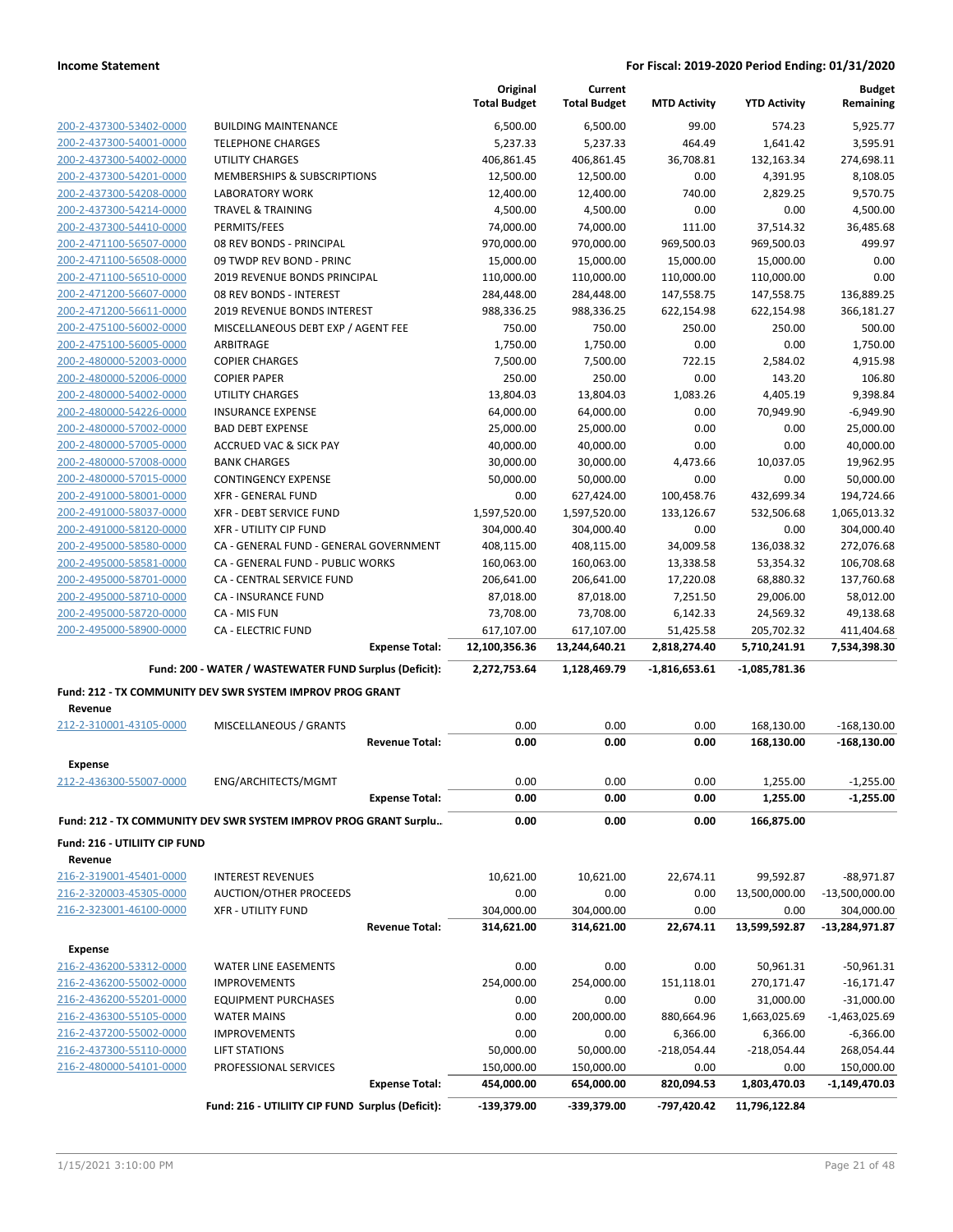|                               |                                                                  |                       | Original<br><b>Total Budget</b> | Current<br><b>Total Budget</b> | <b>MTD Activity</b>       | <b>YTD Activity</b>           | <b>Budget</b><br>Remaining |
|-------------------------------|------------------------------------------------------------------|-----------------------|---------------------------------|--------------------------------|---------------------------|-------------------------------|----------------------------|
| 200-2-437300-53402-0000       | <b>BUILDING MAINTENANCE</b>                                      |                       | 6,500.00                        | 6,500.00                       | 99.00                     | 574.23                        | 5,925.77                   |
| 200-2-437300-54001-0000       | <b>TELEPHONE CHARGES</b>                                         |                       | 5,237.33                        | 5,237.33                       | 464.49                    | 1,641.42                      | 3,595.91                   |
| 200-2-437300-54002-0000       | <b>UTILITY CHARGES</b>                                           |                       | 406,861.45                      | 406,861.45                     | 36,708.81                 | 132,163.34                    | 274,698.11                 |
| 200-2-437300-54201-0000       | MEMBERSHIPS & SUBSCRIPTIONS                                      |                       | 12,500.00                       | 12,500.00                      | 0.00                      | 4,391.95                      | 8,108.05                   |
| 200-2-437300-54208-0000       | <b>LABORATORY WORK</b>                                           |                       | 12,400.00                       | 12,400.00                      | 740.00                    | 2,829.25                      | 9,570.75                   |
| 200-2-437300-54214-0000       | <b>TRAVEL &amp; TRAINING</b>                                     |                       | 4,500.00                        | 4,500.00                       | 0.00                      | 0.00                          | 4,500.00                   |
| 200-2-437300-54410-0000       | PERMITS/FEES                                                     |                       | 74,000.00                       | 74,000.00                      | 111.00                    | 37,514.32                     | 36,485.68                  |
| 200-2-471100-56507-0000       | 08 REV BONDS - PRINCIPAL                                         |                       | 970,000.00                      | 970,000.00                     | 969,500.03                | 969,500.03                    | 499.97                     |
| 200-2-471100-56508-0000       | 09 TWDP REV BOND - PRINC                                         |                       | 15,000.00                       | 15,000.00                      | 15,000.00                 | 15,000.00                     | 0.00                       |
| 200-2-471100-56510-0000       | 2019 REVENUE BONDS PRINCIPAL                                     |                       | 110,000.00                      | 110,000.00                     | 110,000.00                | 110,000.00                    | 0.00                       |
| 200-2-471200-56607-0000       | 08 REV BONDS - INTEREST                                          |                       | 284,448.00                      | 284,448.00                     | 147,558.75                | 147,558.75                    | 136,889.25                 |
| 200-2-471200-56611-0000       | 2019 REVENUE BONDS INTEREST                                      |                       | 988,336.25                      | 988,336.25                     | 622,154.98                | 622,154.98                    | 366,181.27                 |
| 200-2-475100-56002-0000       | MISCELLANEOUS DEBT EXP / AGENT FEE                               |                       | 750.00                          | 750.00                         | 250.00                    | 250.00                        | 500.00                     |
| 200-2-475100-56005-0000       | ARBITRAGE                                                        |                       | 1,750.00                        | 1,750.00                       | 0.00                      | 0.00                          | 1,750.00                   |
| 200-2-480000-52003-0000       | <b>COPIER CHARGES</b>                                            |                       | 7,500.00                        | 7,500.00                       | 722.15                    | 2,584.02                      | 4,915.98                   |
| 200-2-480000-52006-0000       | <b>COPIER PAPER</b>                                              |                       | 250.00                          | 250.00                         | 0.00                      | 143.20                        | 106.80                     |
| 200-2-480000-54002-0000       | <b>UTILITY CHARGES</b>                                           |                       | 13,804.03                       | 13,804.03                      | 1,083.26                  | 4,405.19                      | 9,398.84                   |
| 200-2-480000-54226-0000       | <b>INSURANCE EXPENSE</b>                                         |                       | 64,000.00                       | 64,000.00                      | 0.00                      | 70,949.90                     | $-6,949.90$                |
| 200-2-480000-57002-0000       | <b>BAD DEBT EXPENSE</b>                                          |                       | 25,000.00                       | 25,000.00                      | 0.00                      | 0.00                          | 25,000.00                  |
| 200-2-480000-57005-0000       | <b>ACCRUED VAC &amp; SICK PAY</b>                                |                       | 40,000.00                       | 40,000.00                      | 0.00                      | 0.00                          | 40,000.00                  |
| 200-2-480000-57008-0000       | <b>BANK CHARGES</b>                                              |                       | 30,000.00                       | 30,000.00                      | 4,473.66                  | 10,037.05                     | 19,962.95                  |
| 200-2-480000-57015-0000       | <b>CONTINGENCY EXPENSE</b>                                       |                       | 50.000.00                       | 50,000.00                      | 0.00                      | 0.00                          | 50,000.00                  |
| 200-2-491000-58001-0000       | <b>XFR - GENERAL FUND</b>                                        |                       | 0.00                            | 627,424.00                     | 100,458.76                | 432,699.34                    | 194,724.66                 |
| 200-2-491000-58037-0000       | <b>XFR - DEBT SERVICE FUND</b>                                   |                       | 1,597,520.00                    | 1,597,520.00                   | 133,126.67                | 532,506.68                    | 1,065,013.32               |
| 200-2-491000-58120-0000       | <b>XFR - UTILITY CIP FUND</b>                                    |                       | 304,000.40                      | 304,000.40                     | 0.00                      | 0.00                          | 304,000.40                 |
| 200-2-495000-58580-0000       | CA - GENERAL FUND - GENERAL GOVERNMENT                           |                       | 408,115.00                      | 408,115.00                     | 34,009.58                 | 136,038.32                    | 272,076.68                 |
| 200-2-495000-58581-0000       | CA - GENERAL FUND - PUBLIC WORKS                                 |                       | 160,063.00                      | 160,063.00                     | 13,338.58                 | 53,354.32                     | 106,708.68                 |
| 200-2-495000-58701-0000       | CA - CENTRAL SERVICE FUND                                        |                       | 206,641.00                      | 206,641.00                     | 17,220.08                 | 68,880.32                     | 137,760.68                 |
| 200-2-495000-58710-0000       | CA - INSURANCE FUND                                              |                       | 87,018.00                       | 87,018.00                      | 7,251.50                  | 29,006.00                     | 58,012.00                  |
| 200-2-495000-58720-0000       | CA - MIS FUN                                                     |                       | 73,708.00                       | 73,708.00                      | 6,142.33                  | 24,569.32                     | 49,138.68                  |
| 200-2-495000-58900-0000       | <b>CA - ELECTRIC FUND</b>                                        |                       | 617,107.00                      | 617,107.00                     | 51,425.58                 | 205,702.32                    | 411,404.68                 |
|                               |                                                                  | <b>Expense Total:</b> | 12,100,356.36                   | 13,244,640.21                  | 2,818,274.40              | 5,710,241.91                  | 7,534,398.30               |
|                               | Fund: 200 - WATER / WASTEWATER FUND Surplus (Deficit):           |                       | 2,272,753.64                    | 1,128,469.79                   | $-1,816,653.61$           | -1,085,781.36                 |                            |
| Revenue                       | Fund: 212 - TX COMMUNITY DEV SWR SYSTEM IMPROV PROG GRANT        |                       |                                 |                                |                           |                               |                            |
| 212-2-310001-43105-0000       | MISCELLANEOUS / GRANTS                                           |                       | 0.00                            | 0.00                           | 0.00                      | 168,130.00                    | $-168,130.00$              |
|                               |                                                                  | <b>Revenue Total:</b> | 0.00                            | 0.00                           | 0.00                      | 168,130.00                    | $-168,130.00$              |
| <b>Expense</b>                |                                                                  |                       |                                 |                                |                           |                               |                            |
| 212-2-436300-55007-0000       | ENG/ARCHITECTS/MGMT                                              |                       | 0.00                            | 0.00                           | 0.00                      | 1,255.00                      | $-1,255.00$                |
|                               |                                                                  | <b>Expense Total:</b> | 0.00                            | 0.00                           | 0.00                      | 1,255.00                      | $-1,255.00$                |
|                               | Fund: 212 - TX COMMUNITY DEV SWR SYSTEM IMPROV PROG GRANT Surplu |                       | 0.00                            | 0.00                           | 0.00                      | 166,875.00                    |                            |
| Fund: 216 - UTILIITY CIP FUND |                                                                  |                       |                                 |                                |                           |                               |                            |
| Revenue                       |                                                                  |                       |                                 |                                |                           |                               |                            |
| 216-2-319001-45401-0000       | <b>INTEREST REVENUES</b>                                         |                       | 10,621.00                       | 10,621.00                      | 22,674.11                 | 99,592.87                     | -88,971.87                 |
| 216-2-320003-45305-0000       | AUCTION/OTHER PROCEEDS                                           |                       | 0.00                            | 0.00                           | 0.00                      | 13,500,000.00                 | $-13,500,000.00$           |
| 216-2-323001-46100-0000       | <b>XFR - UTILITY FUND</b>                                        |                       | 304,000.00                      | 304,000.00                     | 0.00                      | 0.00                          | 304,000.00                 |
|                               |                                                                  | <b>Revenue Total:</b> | 314,621.00                      | 314,621.00                     | 22,674.11                 | 13,599,592.87                 | -13,284,971.87             |
| <b>Expense</b>                |                                                                  |                       |                                 |                                |                           |                               |                            |
| 216-2-436200-53312-0000       | WATER LINE EASEMENTS                                             |                       | 0.00                            | 0.00                           | 0.00                      | 50,961.31                     | $-50,961.31$               |
| 216-2-436200-55002-0000       | <b>IMPROVEMENTS</b>                                              |                       | 254,000.00                      | 254,000.00                     | 151,118.01                | 270,171.47                    | $-16,171.47$               |
| 216-2-436200-55201-0000       | <b>EQUIPMENT PURCHASES</b>                                       |                       | 0.00                            | 0.00                           | 0.00                      | 31,000.00                     | $-31,000.00$               |
| 216-2-436300-55105-0000       |                                                                  |                       | 0.00                            | 200,000.00                     | 880,664.96                | 1,663,025.69                  | -1,463,025.69              |
| 216-2-437200-55002-0000       | <b>WATER MAINS</b>                                               |                       |                                 |                                |                           |                               |                            |
|                               | <b>IMPROVEMENTS</b>                                              |                       | 0.00                            | 0.00                           | 6,366.00                  | 6,366.00                      | $-6,366.00$                |
| 216-2-437300-55110-0000       | <b>LIFT STATIONS</b>                                             |                       | 50,000.00                       | 50,000.00                      | $-218,054.44$             | -218,054.44                   | 268,054.44                 |
| 216-2-480000-54101-0000       | PROFESSIONAL SERVICES                                            |                       | 150,000.00                      | 150,000.00                     | 0.00                      | 0.00                          | 150,000.00                 |
|                               | Fund: 216 - UTILIITY CIP FUND Surplus (Deficit):                 | <b>Expense Total:</b> | 454,000.00<br>$-139,379.00$     | 654,000.00<br>-339,379.00      | 820,094.53<br>-797,420.42 | 1,803,470.03<br>11,796,122.84 | -1,149,470.03              |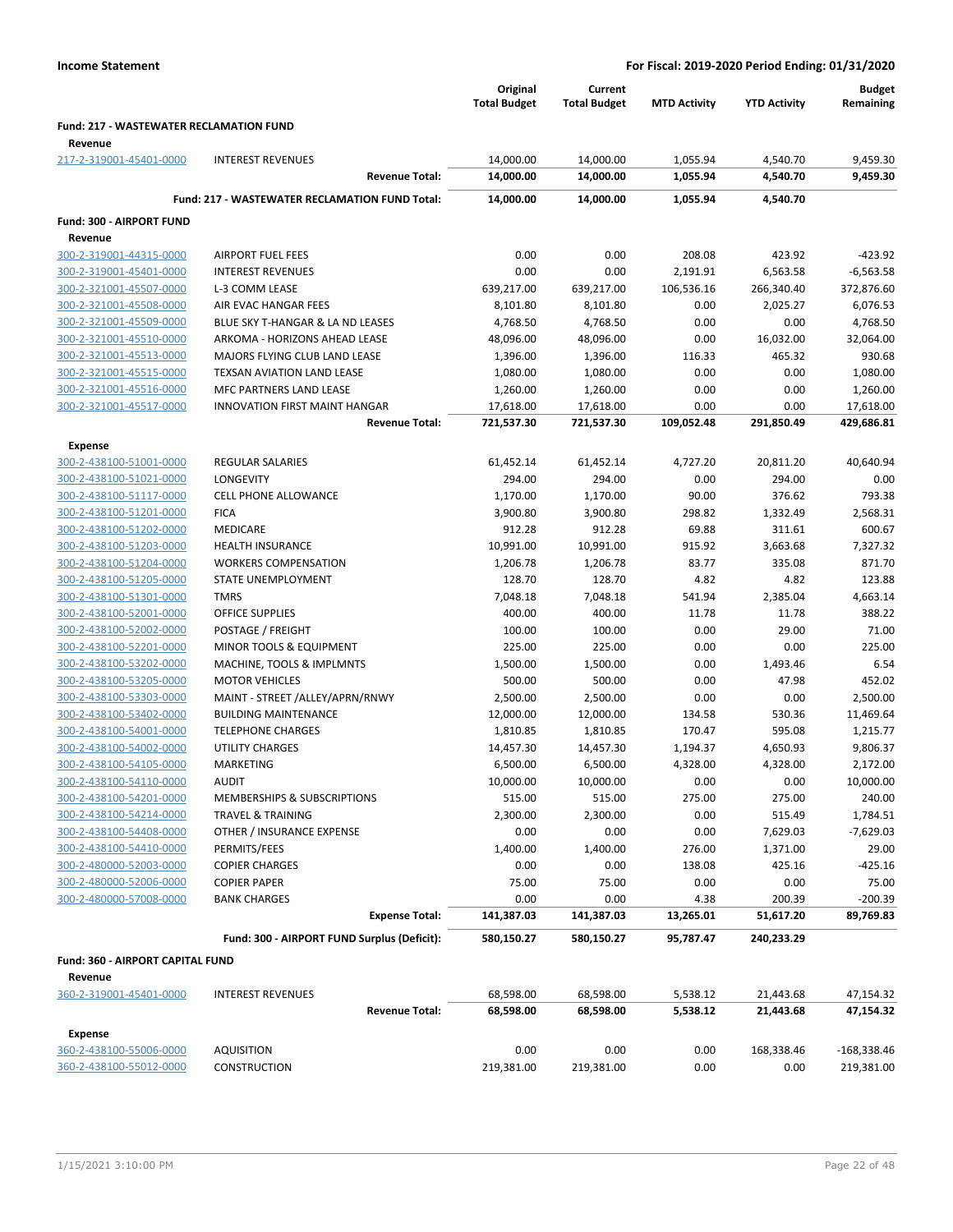|                                                |                                                       | Original<br><b>Total Budget</b> | Current<br><b>Total Budget</b> | <b>MTD Activity</b> | <b>YTD Activity</b> | <b>Budget</b><br>Remaining |
|------------------------------------------------|-------------------------------------------------------|---------------------------------|--------------------------------|---------------------|---------------------|----------------------------|
| <b>Fund: 217 - WASTEWATER RECLAMATION FUND</b> |                                                       |                                 |                                |                     |                     |                            |
| Revenue<br>217-2-319001-45401-0000             | <b>INTEREST REVENUES</b>                              | 14,000.00                       | 14,000.00                      | 1,055.94            | 4,540.70            | 9,459.30                   |
|                                                | <b>Revenue Total:</b>                                 | 14,000.00                       | 14,000.00                      | 1,055.94            | 4,540.70            | 9,459.30                   |
|                                                | <b>Fund: 217 - WASTEWATER RECLAMATION FUND Total:</b> | 14,000.00                       | 14,000.00                      | 1,055.94            | 4,540.70            |                            |
| Fund: 300 - AIRPORT FUND                       |                                                       |                                 |                                |                     |                     |                            |
| Revenue                                        |                                                       |                                 |                                |                     |                     |                            |
| 300-2-319001-44315-0000                        | <b>AIRPORT FUEL FEES</b>                              | 0.00                            | 0.00                           | 208.08              | 423.92              | $-423.92$                  |
| 300-2-319001-45401-0000                        | <b>INTEREST REVENUES</b>                              | 0.00                            | 0.00                           | 2,191.91            | 6,563.58            | $-6,563.58$                |
| 300-2-321001-45507-0000                        | L-3 COMM LEASE                                        | 639,217.00                      | 639,217.00                     | 106,536.16          | 266,340.40          | 372,876.60                 |
| 300-2-321001-45508-0000                        | AIR EVAC HANGAR FEES                                  | 8,101.80                        | 8,101.80                       | 0.00                | 2,025.27            | 6,076.53                   |
| 300-2-321001-45509-0000                        | BLUE SKY T-HANGAR & LA ND LEASES                      | 4,768.50                        | 4,768.50                       | 0.00                | 0.00                | 4,768.50                   |
| 300-2-321001-45510-0000                        | ARKOMA - HORIZONS AHEAD LEASE                         | 48,096.00                       | 48,096.00                      | 0.00                | 16,032.00           | 32,064.00                  |
| 300-2-321001-45513-0000                        | MAJORS FLYING CLUB LAND LEASE                         | 1,396.00                        | 1,396.00                       | 116.33              | 465.32              | 930.68                     |
| 300-2-321001-45515-0000                        | TEXSAN AVIATION LAND LEASE                            | 1,080.00                        | 1,080.00                       | 0.00                | 0.00                | 1,080.00                   |
| 300-2-321001-45516-0000                        | MFC PARTNERS LAND LEASE                               | 1,260.00                        | 1,260.00                       | 0.00                | 0.00                | 1,260.00                   |
| 300-2-321001-45517-0000                        | <b>INNOVATION FIRST MAINT HANGAR</b>                  | 17,618.00                       | 17,618.00                      | 0.00                | 0.00                | 17,618.00                  |
|                                                | <b>Revenue Total:</b>                                 | 721,537.30                      | 721,537.30                     | 109,052.48          | 291,850.49          | 429,686.81                 |
| Expense                                        |                                                       |                                 |                                |                     |                     |                            |
| 300-2-438100-51001-0000                        | REGULAR SALARIES                                      | 61,452.14                       | 61,452.14                      | 4,727.20            | 20,811.20           | 40,640.94                  |
| 300-2-438100-51021-0000                        | LONGEVITY                                             | 294.00                          | 294.00                         | 0.00                | 294.00              | 0.00                       |
| 300-2-438100-51117-0000                        | <b>CELL PHONE ALLOWANCE</b>                           | 1,170.00                        | 1,170.00                       | 90.00               | 376.62              | 793.38                     |
| 300-2-438100-51201-0000                        | <b>FICA</b>                                           | 3,900.80                        | 3,900.80                       | 298.82              | 1,332.49            | 2,568.31                   |
| 300-2-438100-51202-0000                        | <b>MEDICARE</b>                                       | 912.28                          | 912.28                         | 69.88               | 311.61              | 600.67                     |
| 300-2-438100-51203-0000                        | <b>HEALTH INSURANCE</b>                               | 10,991.00                       | 10,991.00                      | 915.92              | 3,663.68            | 7,327.32                   |
| 300-2-438100-51204-0000                        | <b>WORKERS COMPENSATION</b>                           | 1,206.78                        | 1,206.78                       | 83.77               | 335.08              | 871.70                     |
| 300-2-438100-51205-0000                        | STATE UNEMPLOYMENT                                    | 128.70                          | 128.70                         | 4.82                | 4.82                | 123.88                     |
| 300-2-438100-51301-0000                        | <b>TMRS</b>                                           | 7,048.18                        | 7,048.18                       | 541.94              | 2,385.04            | 4,663.14                   |
| 300-2-438100-52001-0000                        | <b>OFFICE SUPPLIES</b>                                | 400.00                          | 400.00                         | 11.78               | 11.78               | 388.22                     |
| 300-2-438100-52002-0000                        | POSTAGE / FREIGHT                                     | 100.00                          | 100.00                         | 0.00                | 29.00               | 71.00                      |
| 300-2-438100-52201-0000                        | MINOR TOOLS & EQUIPMENT                               | 225.00                          | 225.00                         | 0.00                | 0.00                | 225.00                     |
| 300-2-438100-53202-0000                        | MACHINE, TOOLS & IMPLMNTS                             | 1,500.00                        | 1,500.00                       | 0.00                | 1,493.46            | 6.54                       |
| 300-2-438100-53205-0000                        | <b>MOTOR VEHICLES</b>                                 | 500.00                          | 500.00                         | 0.00                | 47.98               | 452.02                     |
| 300-2-438100-53303-0000                        | MAINT - STREET /ALLEY/APRN/RNWY                       | 2,500.00                        | 2,500.00                       | 0.00                | 0.00                | 2,500.00                   |
| 300-2-438100-53402-0000                        | <b>BUILDING MAINTENANCE</b>                           | 12,000.00                       | 12,000.00                      | 134.58              | 530.36              | 11,469.64                  |
| 300-2-438100-54001-0000                        | <b>TELEPHONE CHARGES</b>                              | 1,810.85                        | 1,810.85                       | 170.47              | 595.08              | 1,215.77                   |
| 300-2-438100-54002-0000                        | UTILITY CHARGES                                       | 14,457.30                       | 14,457.30                      | 1,194.37            | 4,650.93            | 9,806.37                   |
| 300-2-438100-54105-0000                        | MARKETING                                             | 6,500.00                        | 6,500.00                       | 4,328.00            | 4,328.00            | 2,172.00                   |
| 300-2-438100-54110-0000                        | <b>AUDIT</b>                                          | 10,000.00                       | 10,000.00                      | 0.00                | 0.00                | 10,000.00                  |
| 300-2-438100-54201-0000                        | MEMBERSHIPS & SUBSCRIPTIONS                           | 515.00                          | 515.00                         | 275.00              | 275.00              | 240.00                     |
| 300-2-438100-54214-0000                        | <b>TRAVEL &amp; TRAINING</b>                          | 2,300.00                        | 2,300.00                       | 0.00                | 515.49              | 1,784.51                   |
| 300-2-438100-54408-0000                        | OTHER / INSURANCE EXPENSE                             | 0.00                            | 0.00                           | 0.00                | 7,629.03            | $-7,629.03$                |
| 300-2-438100-54410-0000                        | PERMITS/FEES                                          | 1,400.00                        | 1,400.00                       | 276.00              | 1,371.00            | 29.00                      |
| 300-2-480000-52003-0000                        | <b>COPIER CHARGES</b>                                 | 0.00                            | 0.00                           | 138.08              | 425.16              | $-425.16$                  |
| 300-2-480000-52006-0000                        | <b>COPIER PAPER</b>                                   | 75.00                           | 75.00                          | 0.00                | 0.00                | 75.00                      |
| 300-2-480000-57008-0000                        | <b>BANK CHARGES</b>                                   | 0.00                            | 0.00                           | 4.38                | 200.39              | $-200.39$                  |
|                                                | <b>Expense Total:</b>                                 | 141,387.03                      | 141,387.03                     | 13,265.01           | 51,617.20           | 89,769.83                  |
|                                                | Fund: 300 - AIRPORT FUND Surplus (Deficit):           | 580,150.27                      | 580,150.27                     | 95,787.47           | 240,233.29          |                            |
| Fund: 360 - AIRPORT CAPITAL FUND               |                                                       |                                 |                                |                     |                     |                            |
| Revenue<br>360-2-319001-45401-0000             | <b>INTEREST REVENUES</b>                              | 68,598.00                       | 68,598.00                      | 5,538.12            | 21,443.68           | 47,154.32                  |
|                                                | <b>Revenue Total:</b>                                 | 68,598.00                       | 68,598.00                      | 5,538.12            | 21,443.68           | 47,154.32                  |
| <b>Expense</b>                                 |                                                       |                                 |                                |                     |                     |                            |
| 360-2-438100-55006-0000                        | <b>AQUISITION</b>                                     | 0.00                            | 0.00                           | 0.00                | 168,338.46          | $-168,338.46$              |
| 360-2-438100-55012-0000                        | <b>CONSTRUCTION</b>                                   | 219,381.00                      | 219,381.00                     | 0.00                | 0.00                | 219,381.00                 |
|                                                |                                                       |                                 |                                |                     |                     |                            |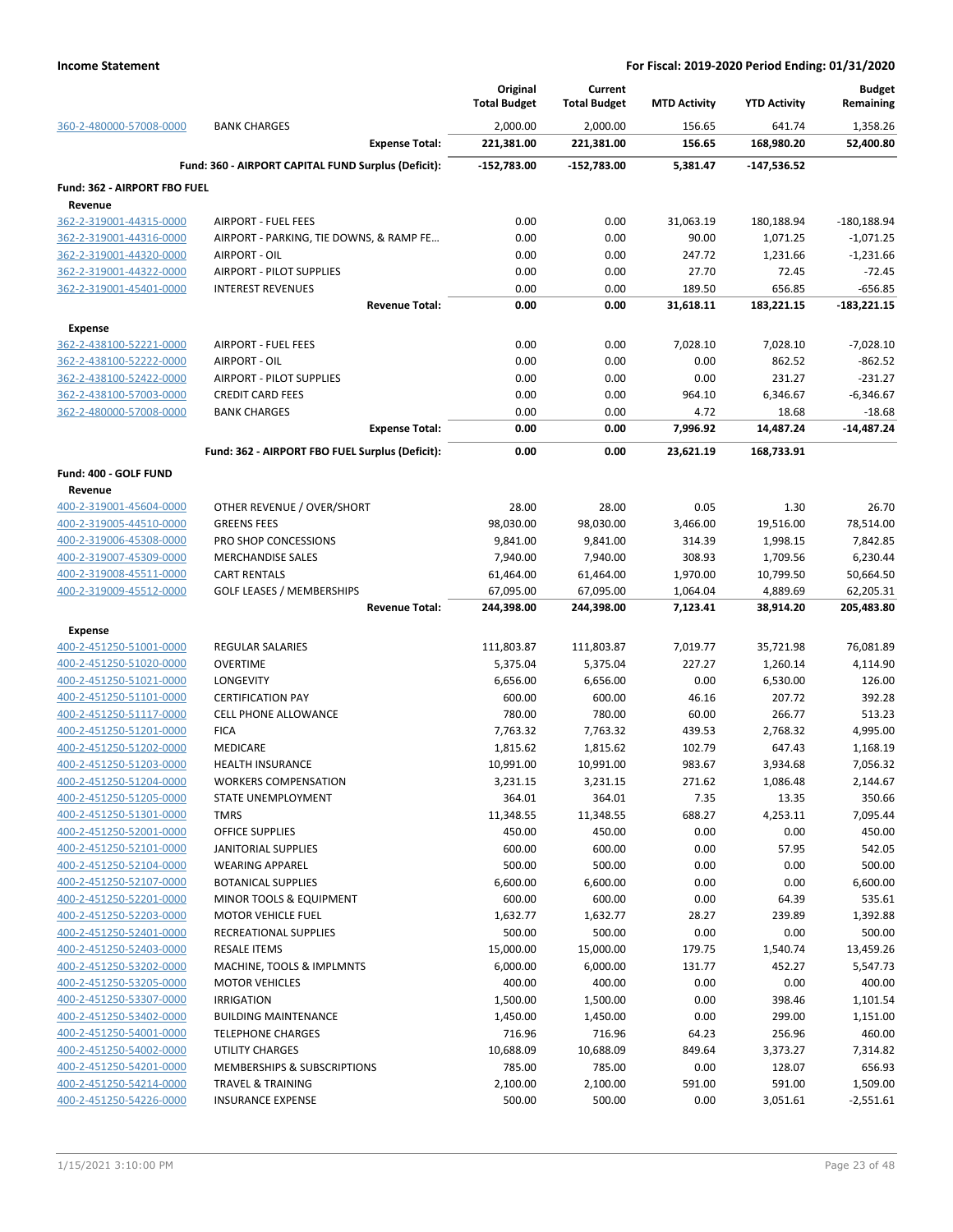|                                    |                                                     | Original<br><b>Total Budget</b> | Current<br><b>Total Budget</b> | <b>MTD Activity</b> | <b>YTD Activity</b>  | <b>Budget</b><br>Remaining |
|------------------------------------|-----------------------------------------------------|---------------------------------|--------------------------------|---------------------|----------------------|----------------------------|
| 360-2-480000-57008-0000            | <b>BANK CHARGES</b>                                 | 2,000.00                        | 2,000.00                       | 156.65              | 641.74               | 1,358.26                   |
|                                    | <b>Expense Total:</b>                               | 221,381.00                      | 221,381.00                     | 156.65              | 168,980.20           | 52,400.80                  |
|                                    | Fund: 360 - AIRPORT CAPITAL FUND Surplus (Deficit): | $-152,783.00$                   | $-152,783.00$                  | 5,381.47            | $-147,536.52$        |                            |
| Fund: 362 - AIRPORT FBO FUEL       |                                                     |                                 |                                |                     |                      |                            |
| Revenue                            |                                                     |                                 |                                |                     |                      |                            |
| 362-2-319001-44315-0000            | <b>AIRPORT - FUEL FEES</b>                          | 0.00                            | 0.00                           | 31,063.19           | 180,188.94           | $-180,188.94$              |
| 362-2-319001-44316-0000            | AIRPORT - PARKING, TIE DOWNS, & RAMP FE             | 0.00                            | 0.00                           | 90.00               | 1,071.25             | $-1,071.25$                |
| 362-2-319001-44320-0000            | AIRPORT - OIL                                       | 0.00                            | 0.00                           | 247.72              | 1,231.66             | $-1,231.66$                |
| 362-2-319001-44322-0000            | <b>AIRPORT - PILOT SUPPLIES</b>                     | 0.00                            | 0.00                           | 27.70               | 72.45                | $-72.45$                   |
| 362-2-319001-45401-0000            | <b>INTEREST REVENUES</b><br><b>Revenue Total:</b>   | 0.00<br>0.00                    | 0.00<br>0.00                   | 189.50              | 656.85               | $-656.85$                  |
|                                    |                                                     |                                 |                                | 31,618.11           | 183,221.15           | $-183,221.15$              |
| <b>Expense</b>                     |                                                     |                                 |                                |                     |                      |                            |
| 362-2-438100-52221-0000            | <b>AIRPORT - FUEL FEES</b>                          | 0.00                            | 0.00                           | 7,028.10            | 7,028.10             | $-7,028.10$                |
| 362-2-438100-52222-0000            | AIRPORT - OIL                                       | 0.00                            | 0.00                           | 0.00                | 862.52               | $-862.52$                  |
| 362-2-438100-52422-0000            | AIRPORT - PILOT SUPPLIES                            | 0.00                            | 0.00                           | 0.00                | 231.27               | $-231.27$                  |
| 362-2-438100-57003-0000            | <b>CREDIT CARD FEES</b>                             | 0.00                            | 0.00                           | 964.10              | 6,346.67             | $-6,346.67$                |
| 362-2-480000-57008-0000            | <b>BANK CHARGES</b>                                 | 0.00<br>0.00                    | 0.00<br>0.00                   | 4.72<br>7,996.92    | 18.68<br>14,487.24   | $-18.68$<br>-14,487.24     |
|                                    | <b>Expense Total:</b>                               |                                 |                                |                     |                      |                            |
|                                    | Fund: 362 - AIRPORT FBO FUEL Surplus (Deficit):     | 0.00                            | 0.00                           | 23,621.19           | 168,733.91           |                            |
| Fund: 400 - GOLF FUND              |                                                     |                                 |                                |                     |                      |                            |
| Revenue<br>400-2-319001-45604-0000 | OTHER REVENUE / OVER/SHORT                          | 28.00                           | 28.00                          | 0.05                | 1.30                 | 26.70                      |
| 400-2-319005-44510-0000            | <b>GREENS FEES</b>                                  | 98,030.00                       |                                | 3,466.00            |                      |                            |
| 400-2-319006-45308-0000            |                                                     |                                 | 98,030.00                      |                     | 19,516.00            | 78,514.00                  |
| 400-2-319007-45309-0000            | PRO SHOP CONCESSIONS<br><b>MERCHANDISE SALES</b>    | 9,841.00<br>7,940.00            | 9,841.00<br>7,940.00           | 314.39<br>308.93    | 1,998.15<br>1,709.56 | 7,842.85<br>6,230.44       |
| 400-2-319008-45511-0000            | <b>CART RENTALS</b>                                 | 61,464.00                       | 61,464.00                      | 1,970.00            | 10,799.50            | 50,664.50                  |
| 400-2-319009-45512-0000            | <b>GOLF LEASES / MEMBERSHIPS</b>                    | 67,095.00                       | 67,095.00                      | 1,064.04            | 4,889.69             | 62,205.31                  |
|                                    | <b>Revenue Total:</b>                               | 244,398.00                      | 244,398.00                     | 7,123.41            | 38,914.20            | 205,483.80                 |
| <b>Expense</b>                     |                                                     |                                 |                                |                     |                      |                            |
| 400-2-451250-51001-0000            | <b>REGULAR SALARIES</b>                             | 111,803.87                      | 111,803.87                     | 7,019.77            | 35,721.98            | 76,081.89                  |
| 400-2-451250-51020-0000            | <b>OVERTIME</b>                                     | 5,375.04                        | 5,375.04                       | 227.27              | 1,260.14             | 4,114.90                   |
| 400-2-451250-51021-0000            | LONGEVITY                                           | 6,656.00                        | 6,656.00                       | 0.00                | 6,530.00             | 126.00                     |
| 400-2-451250-51101-0000            | <b>CERTIFICATION PAY</b>                            | 600.00                          | 600.00                         | 46.16               | 207.72               | 392.28                     |
| 400-2-451250-51117-0000            | <b>CELL PHONE ALLOWANCE</b>                         | 780.00                          | 780.00                         | 60.00               | 266.77               | 513.23                     |
| 400-2-451250-51201-0000            | <b>FICA</b>                                         | 7,763.32                        | 7,763.32                       | 439.53              | 2,768.32             | 4,995.00                   |
| 400-2-451250-51202-0000            | MEDICARE                                            | 1,815.62                        | 1,815.62                       | 102.79              | 647.43               | 1,168.19                   |
| 400-2-451250-51203-0000            | <b>HEALTH INSURANCE</b>                             | 10,991.00                       | 10,991.00                      | 983.67              | 3,934.68             | 7,056.32                   |
| 400-2-451250-51204-0000            | <b>WORKERS COMPENSATION</b>                         | 3,231.15                        | 3,231.15                       | 271.62              | 1,086.48             | 2,144.67                   |
| 400-2-451250-51205-0000            | STATE UNEMPLOYMENT                                  | 364.01                          | 364.01                         | 7.35                | 13.35                | 350.66                     |
| 400-2-451250-51301-0000            | <b>TMRS</b>                                         | 11,348.55                       | 11,348.55                      | 688.27              | 4,253.11             | 7,095.44                   |
| 400-2-451250-52001-0000            | <b>OFFICE SUPPLIES</b>                              | 450.00                          | 450.00                         | 0.00                | 0.00                 | 450.00                     |
| 400-2-451250-52101-0000            | <b>JANITORIAL SUPPLIES</b>                          | 600.00                          | 600.00                         | 0.00                | 57.95                | 542.05                     |
| 400-2-451250-52104-0000            | <b>WEARING APPAREL</b>                              | 500.00                          | 500.00                         | 0.00                | 0.00                 | 500.00                     |
| 400-2-451250-52107-0000            | <b>BOTANICAL SUPPLIES</b>                           | 6,600.00                        | 6,600.00                       | 0.00                | 0.00                 | 6,600.00                   |
| 400-2-451250-52201-0000            | MINOR TOOLS & EQUIPMENT                             | 600.00                          | 600.00                         | 0.00                | 64.39                | 535.61                     |
| 400-2-451250-52203-0000            | MOTOR VEHICLE FUEL                                  | 1,632.77                        | 1,632.77                       | 28.27               | 239.89               | 1,392.88                   |
| 400-2-451250-52401-0000            | RECREATIONAL SUPPLIES                               | 500.00                          | 500.00                         | 0.00                | 0.00                 | 500.00                     |
| 400-2-451250-52403-0000            | <b>RESALE ITEMS</b>                                 | 15,000.00                       | 15,000.00                      | 179.75              | 1,540.74             | 13,459.26                  |
| 400-2-451250-53202-0000            | MACHINE, TOOLS & IMPLMNTS                           | 6,000.00                        | 6,000.00                       | 131.77              | 452.27               | 5,547.73                   |
| 400-2-451250-53205-0000            | <b>MOTOR VEHICLES</b>                               | 400.00                          | 400.00                         | 0.00                | 0.00                 | 400.00                     |
| 400-2-451250-53307-0000            | <b>IRRIGATION</b>                                   | 1,500.00                        | 1,500.00                       | 0.00                | 398.46               | 1,101.54                   |
| 400-2-451250-53402-0000            | <b>BUILDING MAINTENANCE</b>                         | 1,450.00                        | 1,450.00                       | 0.00                | 299.00               | 1,151.00                   |
| 400-2-451250-54001-0000            | <b>TELEPHONE CHARGES</b>                            | 716.96                          | 716.96                         | 64.23               | 256.96               | 460.00                     |
| 400-2-451250-54002-0000            | UTILITY CHARGES                                     | 10,688.09                       | 10,688.09                      | 849.64              | 3,373.27             | 7,314.82                   |
| 400-2-451250-54201-0000            | MEMBERSHIPS & SUBSCRIPTIONS                         | 785.00                          | 785.00                         | 0.00                | 128.07               | 656.93                     |
| 400-2-451250-54214-0000            | <b>TRAVEL &amp; TRAINING</b>                        | 2,100.00                        | 2,100.00                       | 591.00              | 591.00               | 1,509.00                   |
| 400-2-451250-54226-0000            | <b>INSURANCE EXPENSE</b>                            | 500.00                          | 500.00                         | 0.00                | 3,051.61             | $-2,551.61$                |
|                                    |                                                     |                                 |                                |                     |                      |                            |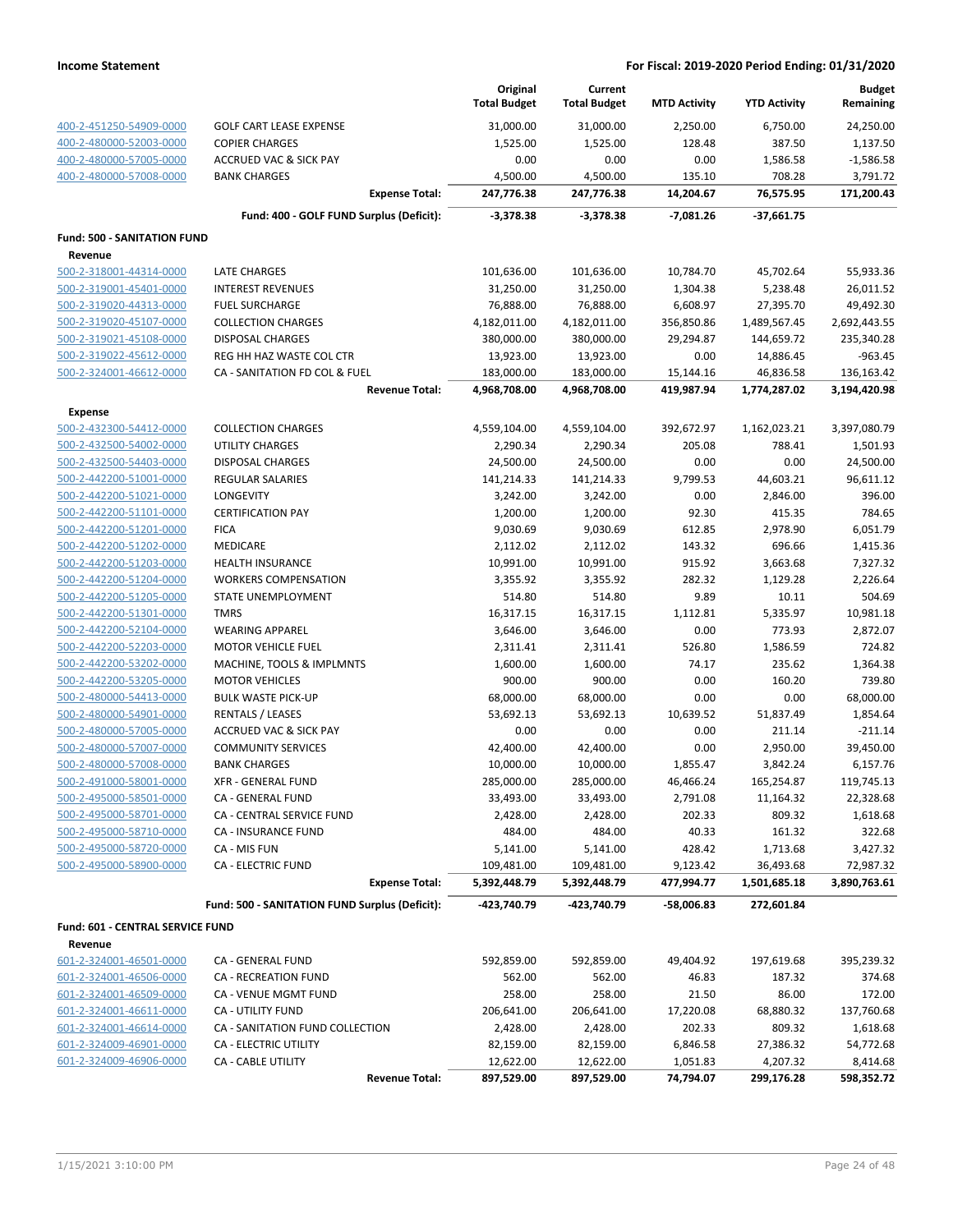|                                    |                                                | Original            | Current              |                     |                     | <b>Budget</b> |
|------------------------------------|------------------------------------------------|---------------------|----------------------|---------------------|---------------------|---------------|
|                                    |                                                | <b>Total Budget</b> | <b>Total Budget</b>  | <b>MTD Activity</b> | <b>YTD Activity</b> | Remaining     |
| 400-2-451250-54909-0000            | <b>GOLF CART LEASE EXPENSE</b>                 | 31,000.00           | 31,000.00            | 2,250.00            | 6,750.00            | 24,250.00     |
| 400-2-480000-52003-0000            | <b>COPIER CHARGES</b>                          | 1,525.00            | 1,525.00             | 128.48              | 387.50              | 1,137.50      |
| 400-2-480000-57005-0000            | <b>ACCRUED VAC &amp; SICK PAY</b>              | 0.00                | 0.00                 | 0.00                | 1,586.58            | $-1,586.58$   |
| 400-2-480000-57008-0000            | <b>BANK CHARGES</b>                            | 4,500.00            | 4,500.00             | 135.10              | 708.28              | 3,791.72      |
|                                    | <b>Expense Total:</b>                          | 247,776.38          | 247,776.38           | 14,204.67           | 76,575.95           | 171,200.43    |
|                                    | Fund: 400 - GOLF FUND Surplus (Deficit):       | $-3,378.38$         | $-3,378.38$          | $-7,081.26$         | -37,661.75          |               |
| <b>Fund: 500 - SANITATION FUND</b> |                                                |                     |                      |                     |                     |               |
| Revenue                            |                                                |                     |                      |                     |                     |               |
| 500-2-318001-44314-0000            | LATE CHARGES                                   | 101,636.00          | 101,636.00           | 10,784.70           | 45,702.64           | 55,933.36     |
| 500-2-319001-45401-0000            | <b>INTEREST REVENUES</b>                       | 31,250.00           | 31,250.00            | 1,304.38            | 5,238.48            | 26,011.52     |
| 500-2-319020-44313-0000            | <b>FUEL SURCHARGE</b>                          | 76,888.00           | 76,888.00            | 6,608.97            | 27,395.70           | 49,492.30     |
| 500-2-319020-45107-0000            | <b>COLLECTION CHARGES</b>                      | 4,182,011.00        | 4,182,011.00         | 356,850.86          | 1,489,567.45        | 2,692,443.55  |
| 500-2-319021-45108-0000            | <b>DISPOSAL CHARGES</b>                        | 380,000.00          | 380,000.00           | 29,294.87           | 144,659.72          | 235,340.28    |
| 500-2-319022-45612-0000            | REG HH HAZ WASTE COL CTR                       | 13,923.00           | 13,923.00            | 0.00                | 14,886.45           | $-963.45$     |
| 500-2-324001-46612-0000            | CA - SANITATION FD COL & FUEL                  | 183,000.00          | 183,000.00           | 15,144.16           | 46,836.58           | 136,163.42    |
|                                    | <b>Revenue Total:</b>                          | 4,968,708.00        | 4,968,708.00         | 419,987.94          | 1,774,287.02        | 3,194,420.98  |
| <b>Expense</b>                     |                                                |                     |                      |                     |                     |               |
| 500-2-432300-54412-0000            | <b>COLLECTION CHARGES</b>                      | 4,559,104.00        | 4,559,104.00         | 392,672.97          | 1,162,023.21        | 3,397,080.79  |
| 500-2-432500-54002-0000            | <b>UTILITY CHARGES</b>                         | 2,290.34            | 2,290.34             | 205.08              | 788.41              | 1,501.93      |
| 500-2-432500-54403-0000            | <b>DISPOSAL CHARGES</b>                        | 24,500.00           | 24,500.00            | 0.00                | 0.00                | 24,500.00     |
| 500-2-442200-51001-0000            | <b>REGULAR SALARIES</b>                        | 141,214.33          | 141,214.33           | 9,799.53            | 44,603.21           | 96,611.12     |
| 500-2-442200-51021-0000            | LONGEVITY                                      | 3,242.00            | 3,242.00             | 0.00                | 2,846.00            | 396.00        |
| 500-2-442200-51101-0000            | <b>CERTIFICATION PAY</b>                       | 1,200.00            |                      | 92.30               | 415.35              | 784.65        |
| 500-2-442200-51201-0000            | <b>FICA</b>                                    | 9,030.69            | 1,200.00<br>9,030.69 | 612.85              | 2,978.90            | 6,051.79      |
| 500-2-442200-51202-0000            | <b>MEDICARE</b>                                | 2,112.02            | 2,112.02             | 143.32              | 696.66              | 1,415.36      |
| 500-2-442200-51203-0000            | <b>HEALTH INSURANCE</b>                        | 10,991.00           | 10,991.00            | 915.92              | 3,663.68            | 7,327.32      |
| 500-2-442200-51204-0000            | <b>WORKERS COMPENSATION</b>                    | 3,355.92            | 3,355.92             | 282.32              | 1,129.28            | 2,226.64      |
| 500-2-442200-51205-0000            | STATE UNEMPLOYMENT                             | 514.80              | 514.80               | 9.89                | 10.11               | 504.69        |
| 500-2-442200-51301-0000            | <b>TMRS</b>                                    | 16,317.15           | 16,317.15            | 1,112.81            | 5,335.97            | 10,981.18     |
| 500-2-442200-52104-0000            | <b>WEARING APPAREL</b>                         | 3,646.00            | 3,646.00             | 0.00                | 773.93              | 2,872.07      |
| 500-2-442200-52203-0000            | <b>MOTOR VEHICLE FUEL</b>                      | 2,311.41            | 2,311.41             | 526.80              | 1,586.59            | 724.82        |
| 500-2-442200-53202-0000            | MACHINE, TOOLS & IMPLMNTS                      | 1,600.00            | 1,600.00             | 74.17               | 235.62              | 1,364.38      |
| 500-2-442200-53205-0000            | <b>MOTOR VEHICLES</b>                          | 900.00              | 900.00               | 0.00                | 160.20              | 739.80        |
| 500-2-480000-54413-0000            | <b>BULK WASTE PICK-UP</b>                      | 68,000.00           | 68,000.00            | 0.00                | 0.00                | 68,000.00     |
| 500-2-480000-54901-0000            | <b>RENTALS / LEASES</b>                        | 53,692.13           | 53,692.13            | 10,639.52           | 51,837.49           | 1,854.64      |
| 500-2-480000-57005-0000            | <b>ACCRUED VAC &amp; SICK PAY</b>              | 0.00                | 0.00                 | 0.00                | 211.14              | $-211.14$     |
| 500-2-480000-57007-0000            | <b>COMMUNITY SERVICES</b>                      | 42,400.00           | 42,400.00            | 0.00                | 2,950.00            | 39,450.00     |
| 500-2-480000-57008-0000            | <b>BANK CHARGES</b>                            | 10,000.00           | 10,000.00            | 1,855.47            | 3,842.24            | 6,157.76      |
| <u>500-2-491000-58001-0000</u>     | XFR - GENERAL FUND                             | 285,000.00          | 285,000.00           | 46,466.24           | 165,254.87          | 119,745.13    |
| 500-2-495000-58501-0000            | CA - GENERAL FUND                              | 33,493.00           | 33,493.00            | 2,791.08            | 11,164.32           | 22,328.68     |
| 500-2-495000-58701-0000            | CA - CENTRAL SERVICE FUND                      | 2,428.00            | 2,428.00             | 202.33              | 809.32              | 1,618.68      |
| 500-2-495000-58710-0000            | <b>CA - INSURANCE FUND</b>                     | 484.00              | 484.00               | 40.33               | 161.32              | 322.68        |
| 500-2-495000-58720-0000            | CA - MIS FUN                                   | 5,141.00            | 5,141.00             | 428.42              | 1,713.68            | 3,427.32      |
| 500-2-495000-58900-0000            | <b>CA - ELECTRIC FUND</b>                      | 109,481.00          | 109,481.00           | 9,123.42            | 36,493.68           | 72,987.32     |
|                                    | <b>Expense Total:</b>                          | 5,392,448.79        | 5,392,448.79         | 477,994.77          | 1,501,685.18        | 3,890,763.61  |
|                                    | Fund: 500 - SANITATION FUND Surplus (Deficit): | -423,740.79         | -423,740.79          | -58,006.83          | 272,601.84          |               |
|                                    |                                                |                     |                      |                     |                     |               |
| Fund: 601 - CENTRAL SERVICE FUND   |                                                |                     |                      |                     |                     |               |
| Revenue                            |                                                |                     |                      |                     |                     |               |
| 601-2-324001-46501-0000            | CA - GENERAL FUND                              | 592,859.00          | 592,859.00           | 49,404.92           | 197,619.68          | 395,239.32    |
| 601-2-324001-46506-0000            | <b>CA - RECREATION FUND</b>                    | 562.00              | 562.00               | 46.83               | 187.32              | 374.68        |
| 601-2-324001-46509-0000            | CA - VENUE MGMT FUND                           | 258.00              | 258.00               | 21.50               | 86.00               | 172.00        |
| 601-2-324001-46611-0000            | CA - UTILITY FUND                              | 206,641.00          | 206,641.00           | 17,220.08           | 68,880.32           | 137,760.68    |
| 601-2-324001-46614-0000            | CA - SANITATION FUND COLLECTION                | 2,428.00            | 2,428.00             | 202.33              | 809.32              | 1,618.68      |
| 601-2-324009-46901-0000            | CA - ELECTRIC UTILITY                          | 82,159.00           | 82,159.00            | 6,846.58            | 27,386.32           | 54,772.68     |
| 601-2-324009-46906-0000            | CA - CABLE UTILITY                             | 12,622.00           | 12,622.00            | 1,051.83            | 4,207.32            | 8,414.68      |
|                                    | <b>Revenue Total:</b>                          | 897,529.00          | 897,529.00           | 74,794.07           | 299,176.28          | 598,352.72    |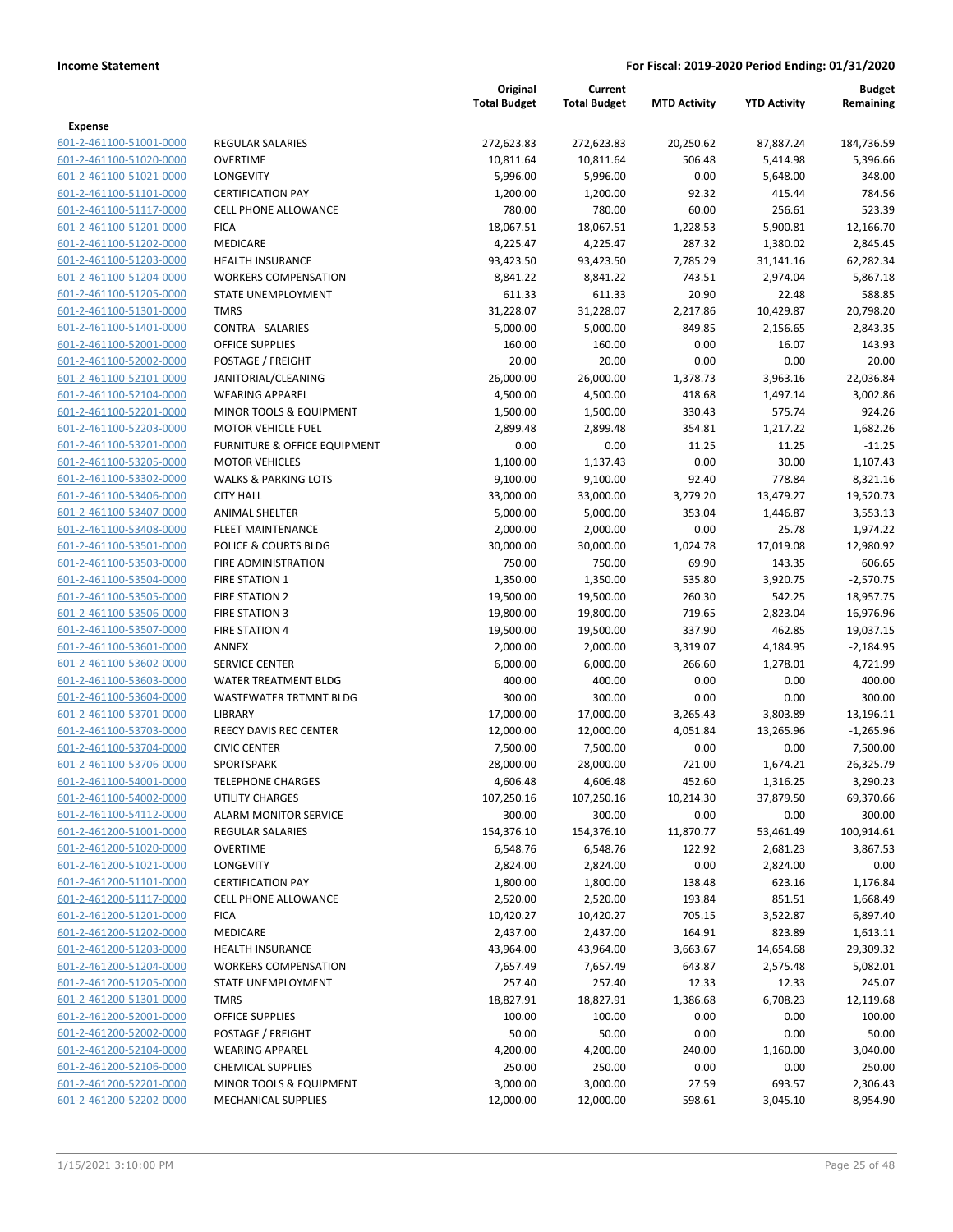|                                                    |                                               | Original<br><b>Total Budget</b> | Current<br><b>Total Budget</b> | <b>MTD Activity</b> | <b>YTD Activity</b>  | Budget<br>Remaining  |
|----------------------------------------------------|-----------------------------------------------|---------------------------------|--------------------------------|---------------------|----------------------|----------------------|
| Expense                                            |                                               |                                 |                                |                     |                      |                      |
| 601-2-461100-51001-0000                            | <b>REGULAR SALARIES</b>                       | 272,623.83                      | 272,623.83                     | 20,250.62           | 87,887.24            | 184,736.59           |
| 601-2-461100-51020-0000                            | <b>OVERTIME</b>                               | 10,811.64                       | 10,811.64                      | 506.48              | 5,414.98             | 5,396.66             |
| 601-2-461100-51021-0000                            | LONGEVITY                                     | 5,996.00                        | 5,996.00                       | 0.00                | 5,648.00             | 348.00               |
| 601-2-461100-51101-0000                            | <b>CERTIFICATION PAY</b>                      | 1,200.00                        | 1,200.00                       | 92.32               | 415.44               | 784.56               |
| 601-2-461100-51117-0000                            | <b>CELL PHONE ALLOWANCE</b>                   | 780.00                          | 780.00                         | 60.00               | 256.61               | 523.39               |
| 601-2-461100-51201-0000                            | <b>FICA</b>                                   | 18,067.51                       | 18,067.51                      | 1,228.53            | 5,900.81             | 12,166.70            |
| 601-2-461100-51202-0000                            | MEDICARE                                      | 4,225.47                        | 4,225.47                       | 287.32              | 1,380.02             | 2,845.45             |
| 601-2-461100-51203-0000                            | <b>HEALTH INSURANCE</b>                       | 93,423.50                       | 93,423.50                      | 7,785.29            | 31,141.16            | 62,282.34            |
| 601-2-461100-51204-0000                            | <b>WORKERS COMPENSATION</b>                   | 8,841.22                        | 8,841.22                       | 743.51              | 2,974.04             | 5,867.18             |
| 601-2-461100-51205-0000                            | <b>STATE UNEMPLOYMENT</b>                     | 611.33                          | 611.33                         | 20.90               | 22.48                | 588.85               |
| 601-2-461100-51301-0000                            | <b>TMRS</b>                                   | 31,228.07                       | 31,228.07                      | 2,217.86            | 10,429.87            | 20,798.20            |
| 601-2-461100-51401-0000                            | <b>CONTRA - SALARIES</b>                      | $-5,000.00$                     | $-5,000.00$                    | $-849.85$           | $-2,156.65$          | $-2,843.35$          |
| 601-2-461100-52001-0000                            | <b>OFFICE SUPPLIES</b>                        | 160.00                          | 160.00                         | 0.00                | 16.07                | 143.93               |
| 601-2-461100-52002-0000                            | POSTAGE / FREIGHT                             | 20.00                           | 20.00                          | 0.00                | 0.00                 | 20.00                |
| 601-2-461100-52101-0000<br>601-2-461100-52104-0000 | JANITORIAL/CLEANING<br><b>WEARING APPAREL</b> | 26,000.00                       | 26,000.00                      | 1,378.73            | 3,963.16<br>1,497.14 | 22,036.84            |
| 601-2-461100-52201-0000                            | MINOR TOOLS & EQUIPMENT                       | 4,500.00<br>1,500.00            | 4,500.00<br>1,500.00           | 418.68<br>330.43    | 575.74               | 3,002.86<br>924.26   |
| 601-2-461100-52203-0000                            | <b>MOTOR VEHICLE FUEL</b>                     | 2,899.48                        | 2,899.48                       | 354.81              | 1,217.22             | 1,682.26             |
| 601-2-461100-53201-0000                            | FURNITURE & OFFICE EQUIPMENT                  | 0.00                            | 0.00                           | 11.25               | 11.25                | $-11.25$             |
| 601-2-461100-53205-0000                            | <b>MOTOR VEHICLES</b>                         | 1,100.00                        | 1,137.43                       | 0.00                | 30.00                | 1,107.43             |
| 601-2-461100-53302-0000                            | <b>WALKS &amp; PARKING LOTS</b>               | 9,100.00                        | 9,100.00                       | 92.40               | 778.84               | 8,321.16             |
| 601-2-461100-53406-0000                            | <b>CITY HALL</b>                              | 33,000.00                       | 33,000.00                      | 3,279.20            | 13,479.27            | 19,520.73            |
| 601-2-461100-53407-0000                            | <b>ANIMAL SHELTER</b>                         | 5,000.00                        | 5,000.00                       | 353.04              | 1,446.87             | 3,553.13             |
| 601-2-461100-53408-0000                            | <b>FLEET MAINTENANCE</b>                      | 2,000.00                        | 2,000.00                       | 0.00                | 25.78                | 1,974.22             |
| 601-2-461100-53501-0000                            | POLICE & COURTS BLDG                          | 30,000.00                       | 30,000.00                      | 1,024.78            | 17,019.08            | 12,980.92            |
| 601-2-461100-53503-0000                            | FIRE ADMINISTRATION                           | 750.00                          | 750.00                         | 69.90               | 143.35               | 606.65               |
| 601-2-461100-53504-0000                            | <b>FIRE STATION 1</b>                         | 1,350.00                        | 1,350.00                       | 535.80              | 3,920.75             | $-2,570.75$          |
| 601-2-461100-53505-0000                            | <b>FIRE STATION 2</b>                         | 19,500.00                       | 19,500.00                      | 260.30              | 542.25               | 18,957.75            |
| 601-2-461100-53506-0000                            | <b>FIRE STATION 3</b>                         | 19,800.00                       | 19,800.00                      | 719.65              | 2,823.04             | 16,976.96            |
| 601-2-461100-53507-0000                            | <b>FIRE STATION 4</b>                         | 19,500.00                       | 19,500.00                      | 337.90              | 462.85               | 19,037.15            |
| 601-2-461100-53601-0000                            | ANNEX                                         | 2,000.00                        | 2,000.00                       | 3,319.07            | 4,184.95             | $-2,184.95$          |
| 601-2-461100-53602-0000                            | <b>SERVICE CENTER</b>                         | 6,000.00                        | 6,000.00                       | 266.60              | 1,278.01             | 4,721.99             |
| 601-2-461100-53603-0000                            | WATER TREATMENT BLDG                          | 400.00                          | 400.00                         | 0.00                | 0.00                 | 400.00               |
| 601-2-461100-53604-0000                            | <b>WASTEWATER TRTMNT BLDG</b>                 | 300.00                          | 300.00                         | 0.00                | 0.00                 | 300.00               |
| 601-2-461100-53701-0000                            | LIBRARY                                       | 17,000.00                       | 17,000.00                      | 3,265.43            | 3,803.89             | 13,196.11            |
| 601-2-461100-53703-0000                            | REECY DAVIS REC CENTER                        | 12,000.00                       | 12,000.00                      | 4,051.84            | 13,265.96            | $-1,265.96$          |
| 601-2-461100-53704-0000                            | <b>CIVIC CENTER</b>                           | 7,500.00                        | 7,500.00                       | 0.00                | 0.00                 | 7,500.00             |
| 601-2-461100-53706-0000                            | SPORTSPARK                                    | 28,000.00                       | 28,000.00                      | 721.00              | 1,674.21             | 26,325.79            |
| 601-2-461100-54001-0000                            | <b>TELEPHONE CHARGES</b>                      | 4,606.48                        | 4,606.48                       | 452.60              | 1,316.25             | 3,290.23             |
| 601-2-461100-54002-0000                            | UTILITY CHARGES                               | 107,250.16                      | 107,250.16                     | 10,214.30           | 37,879.50            | 69,370.66            |
| 601-2-461100-54112-0000                            | <b>ALARM MONITOR SERVICE</b>                  | 300.00                          | 300.00                         | 0.00                | 0.00                 | 300.00               |
| 601-2-461200-51001-0000                            | <b>REGULAR SALARIES</b>                       | 154,376.10                      | 154,376.10                     | 11,870.77           | 53,461.49            | 100,914.61           |
| 601-2-461200-51020-0000                            | <b>OVERTIME</b>                               | 6,548.76                        | 6,548.76                       | 122.92              | 2,681.23             | 3,867.53             |
| 601-2-461200-51021-0000                            | LONGEVITY<br><b>CERTIFICATION PAY</b>         | 2,824.00                        | 2,824.00                       | 0.00                | 2,824.00             | 0.00                 |
| 601-2-461200-51101-0000<br>601-2-461200-51117-0000 | <b>CELL PHONE ALLOWANCE</b>                   | 1,800.00<br>2,520.00            | 1,800.00<br>2,520.00           | 138.48<br>193.84    | 623.16<br>851.51     | 1,176.84<br>1,668.49 |
| 601-2-461200-51201-0000                            | <b>FICA</b>                                   | 10,420.27                       | 10,420.27                      | 705.15              | 3,522.87             | 6,897.40             |
| 601-2-461200-51202-0000                            | MEDICARE                                      | 2,437.00                        | 2,437.00                       | 164.91              | 823.89               | 1,613.11             |
| 601-2-461200-51203-0000                            | HEALTH INSURANCE                              | 43,964.00                       | 43,964.00                      | 3,663.67            | 14,654.68            | 29,309.32            |
| 601-2-461200-51204-0000                            | <b>WORKERS COMPENSATION</b>                   | 7,657.49                        | 7,657.49                       | 643.87              | 2,575.48             | 5,082.01             |
| 601-2-461200-51205-0000                            | STATE UNEMPLOYMENT                            | 257.40                          | 257.40                         | 12.33               | 12.33                | 245.07               |
| 601-2-461200-51301-0000                            | <b>TMRS</b>                                   | 18,827.91                       | 18,827.91                      | 1,386.68            | 6,708.23             | 12,119.68            |
| 601-2-461200-52001-0000                            | <b>OFFICE SUPPLIES</b>                        | 100.00                          | 100.00                         | 0.00                | 0.00                 | 100.00               |
| 601-2-461200-52002-0000                            | POSTAGE / FREIGHT                             | 50.00                           | 50.00                          | 0.00                | 0.00                 | 50.00                |
| 601-2-461200-52104-0000                            | <b>WEARING APPAREL</b>                        | 4,200.00                        | 4,200.00                       | 240.00              | 1,160.00             | 3,040.00             |
| 601-2-461200-52106-0000                            | <b>CHEMICAL SUPPLIES</b>                      | 250.00                          | 250.00                         | 0.00                | 0.00                 | 250.00               |
| 601-2-461200-52201-0000                            | MINOR TOOLS & EQUIPMENT                       | 3,000.00                        | 3,000.00                       | 27.59               | 693.57               | 2,306.43             |
| 601-2-461200-52202-0000                            | <b>MECHANICAL SUPPLIES</b>                    | 12,000.00                       | 12,000.00                      | 598.61              | 3,045.10             | 8,954.90             |
|                                                    |                                               |                                 |                                |                     |                      |                      |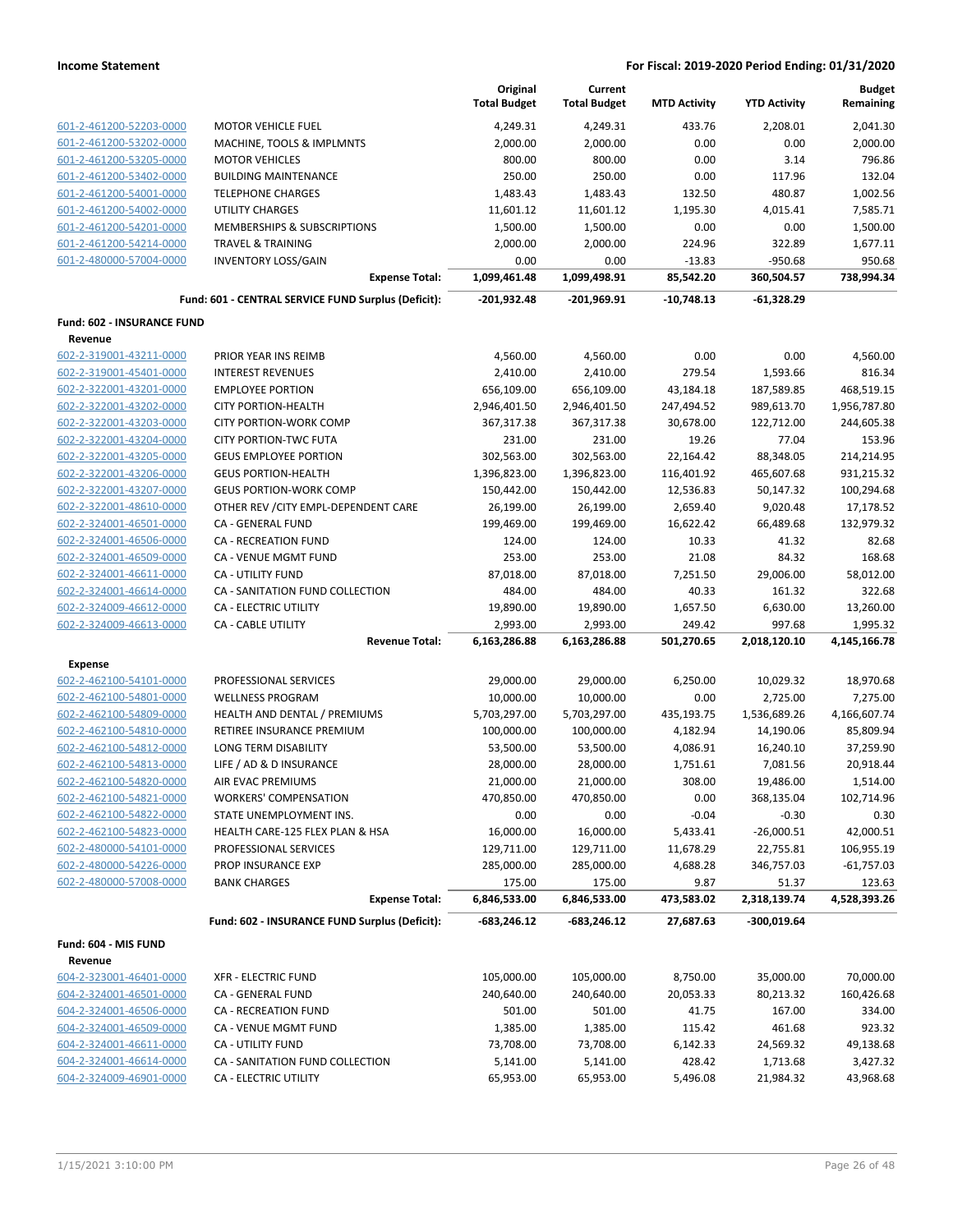|                            |                                                     | Original<br><b>Total Budget</b> | Current<br><b>Total Budget</b> | <b>MTD Activity</b>  | <b>YTD Activity</b>    | <b>Budget</b><br>Remaining |
|----------------------------|-----------------------------------------------------|---------------------------------|--------------------------------|----------------------|------------------------|----------------------------|
| 601-2-461200-52203-0000    | <b>MOTOR VEHICLE FUEL</b>                           | 4,249.31                        | 4,249.31                       | 433.76               | 2,208.01               | 2,041.30                   |
| 601-2-461200-53202-0000    | MACHINE, TOOLS & IMPLMNTS                           | 2,000.00                        | 2,000.00                       | 0.00                 | 0.00                   | 2,000.00                   |
| 601-2-461200-53205-0000    | <b>MOTOR VEHICLES</b>                               | 800.00                          | 800.00                         | 0.00                 | 3.14                   | 796.86                     |
| 601-2-461200-53402-0000    | <b>BUILDING MAINTENANCE</b>                         | 250.00                          | 250.00                         | 0.00                 | 117.96                 | 132.04                     |
| 601-2-461200-54001-0000    | <b>TELEPHONE CHARGES</b>                            | 1,483.43                        | 1,483.43                       | 132.50               | 480.87                 | 1,002.56                   |
| 601-2-461200-54002-0000    | UTILITY CHARGES                                     | 11,601.12                       | 11,601.12                      | 1,195.30             | 4,015.41               | 7,585.71                   |
| 601-2-461200-54201-0000    | MEMBERSHIPS & SUBSCRIPTIONS                         | 1,500.00                        | 1,500.00                       | 0.00                 | 0.00                   | 1,500.00                   |
| 601-2-461200-54214-0000    | <b>TRAVEL &amp; TRAINING</b>                        | 2,000.00                        | 2,000.00                       | 224.96               | 322.89                 | 1,677.11                   |
| 601-2-480000-57004-0000    | <b>INVENTORY LOSS/GAIN</b>                          | 0.00                            | 0.00                           | $-13.83$             | $-950.68$              | 950.68                     |
|                            | <b>Expense Total:</b>                               | 1,099,461.48                    | 1,099,498.91                   | 85,542.20            | 360,504.57             | 738,994.34                 |
|                            | Fund: 601 - CENTRAL SERVICE FUND Surplus (Deficit): | $-201,932.48$                   | -201,969.91                    | $-10,748.13$         | $-61,328.29$           |                            |
| Fund: 602 - INSURANCE FUND |                                                     |                                 |                                |                      |                        |                            |
| Revenue                    |                                                     |                                 |                                |                      |                        |                            |
| 602-2-319001-43211-0000    | PRIOR YEAR INS REIMB                                | 4,560.00                        | 4,560.00                       | 0.00                 | 0.00                   | 4,560.00                   |
| 602-2-319001-45401-0000    | <b>INTEREST REVENUES</b>                            | 2,410.00                        | 2,410.00                       | 279.54               | 1,593.66               | 816.34                     |
| 602-2-322001-43201-0000    | <b>EMPLOYEE PORTION</b>                             | 656,109.00                      | 656,109.00                     | 43,184.18            | 187,589.85             | 468,519.15                 |
| 602-2-322001-43202-0000    | <b>CITY PORTION-HEALTH</b>                          | 2,946,401.50                    | 2,946,401.50                   | 247,494.52           | 989,613.70             | 1,956,787.80               |
| 602-2-322001-43203-0000    | <b>CITY PORTION-WORK COMP</b>                       | 367,317.38                      | 367,317.38                     | 30,678.00            | 122,712.00             | 244,605.38                 |
| 602-2-322001-43204-0000    | <b>CITY PORTION-TWC FUTA</b>                        | 231.00                          | 231.00                         | 19.26                | 77.04                  | 153.96                     |
| 602-2-322001-43205-0000    | <b>GEUS EMPLOYEE PORTION</b>                        | 302,563.00                      | 302,563.00                     | 22,164.42            | 88,348.05              | 214,214.95                 |
| 602-2-322001-43206-0000    | <b>GEUS PORTION-HEALTH</b>                          | 1,396,823.00                    | 1,396,823.00                   | 116,401.92           | 465,607.68             | 931,215.32                 |
| 602-2-322001-43207-0000    | <b>GEUS PORTION-WORK COMP</b>                       | 150,442.00                      | 150,442.00                     | 12,536.83            | 50,147.32              | 100,294.68                 |
| 602-2-322001-48610-0000    | OTHER REV / CITY EMPL-DEPENDENT CARE                | 26,199.00                       | 26,199.00                      | 2,659.40             | 9,020.48               | 17,178.52                  |
| 602-2-324001-46501-0000    | <b>CA - GENERAL FUND</b>                            | 199,469.00                      | 199,469.00                     | 16,622.42            | 66,489.68              | 132,979.32                 |
| 602-2-324001-46506-0000    | <b>CA - RECREATION FUND</b>                         | 124.00                          | 124.00                         | 10.33                | 41.32                  | 82.68                      |
| 602-2-324001-46509-0000    | CA - VENUE MGMT FUND                                | 253.00                          | 253.00                         | 21.08                | 84.32                  | 168.68                     |
| 602-2-324001-46611-0000    | CA - UTILITY FUND                                   | 87,018.00                       | 87,018.00                      | 7,251.50             | 29,006.00              | 58,012.00                  |
| 602-2-324001-46614-0000    | CA - SANITATION FUND COLLECTION                     | 484.00                          | 484.00                         | 40.33                | 161.32                 | 322.68                     |
| 602-2-324009-46612-0000    | <b>CA - ELECTRIC UTILITY</b>                        | 19,890.00                       | 19,890.00                      | 1,657.50             | 6,630.00               | 13,260.00                  |
| 602-2-324009-46613-0000    | <b>CA - CABLE UTILITY</b><br><b>Revenue Total:</b>  | 2,993.00<br>6,163,286.88        | 2,993.00<br>6,163,286.88       | 249.42<br>501,270.65 | 997.68<br>2,018,120.10 | 1,995.32<br>4,145,166.78   |
| <b>Expense</b>             |                                                     |                                 |                                |                      |                        |                            |
| 602-2-462100-54101-0000    | PROFESSIONAL SERVICES                               | 29,000.00                       | 29,000.00                      | 6,250.00             | 10,029.32              | 18,970.68                  |
| 602-2-462100-54801-0000    | <b>WELLNESS PROGRAM</b>                             | 10,000.00                       | 10,000.00                      | 0.00                 | 2,725.00               | 7,275.00                   |
| 602-2-462100-54809-0000    | HEALTH AND DENTAL / PREMIUMS                        | 5,703,297.00                    | 5,703,297.00                   | 435,193.75           | 1,536,689.26           | 4,166,607.74               |
| 602-2-462100-54810-0000    | RETIREE INSURANCE PREMIUM                           | 100,000.00                      | 100,000.00                     | 4,182.94             | 14,190.06              | 85,809.94                  |
| 602-2-462100-54812-0000    | LONG TERM DISABILITY                                | 53,500.00                       | 53,500.00                      | 4,086.91             | 16,240.10              | 37,259.90                  |
| 602-2-462100-54813-0000    | LIFE / AD & D INSURANCE                             | 28,000.00                       | 28,000.00                      | 1,751.61             | 7,081.56               | 20,918.44                  |
| 602-2-462100-54820-0000    | AIR EVAC PREMIUMS                                   | 21,000.00                       | 21,000.00                      | 308.00               | 19,486.00              | 1,514.00                   |
| 602-2-462100-54821-0000    | <b>WORKERS' COMPENSATION</b>                        | 470,850.00                      | 470,850.00                     | 0.00                 | 368,135.04             | 102,714.96                 |
| 602-2-462100-54822-0000    | STATE UNEMPLOYMENT INS.                             | 0.00                            | 0.00                           | $-0.04$              | $-0.30$                | 0.30                       |
| 602-2-462100-54823-0000    | HEALTH CARE-125 FLEX PLAN & HSA                     | 16,000.00                       | 16,000.00                      | 5,433.41             | $-26,000.51$           | 42,000.51                  |
| 602-2-480000-54101-0000    | PROFESSIONAL SERVICES                               | 129,711.00                      | 129,711.00                     | 11,678.29            | 22,755.81              | 106,955.19                 |
| 602-2-480000-54226-0000    | PROP INSURANCE EXP                                  | 285,000.00                      | 285,000.00                     | 4,688.28             | 346,757.03             | $-61,757.03$               |
| 602-2-480000-57008-0000    | <b>BANK CHARGES</b>                                 | 175.00                          | 175.00                         | 9.87                 | 51.37                  | 123.63                     |
|                            | <b>Expense Total:</b>                               | 6,846,533.00                    | 6,846,533.00                   | 473,583.02           | 2,318,139.74           | 4,528,393.26               |
|                            | Fund: 602 - INSURANCE FUND Surplus (Deficit):       | $-683,246.12$                   | -683,246.12                    | 27,687.63            | $-300,019.64$          |                            |
| Fund: 604 - MIS FUND       |                                                     |                                 |                                |                      |                        |                            |
| Revenue                    |                                                     |                                 |                                |                      |                        |                            |
| 604-2-323001-46401-0000    | <b>XFR - ELECTRIC FUND</b>                          | 105,000.00                      | 105,000.00                     | 8,750.00             | 35,000.00              | 70,000.00                  |
| 604-2-324001-46501-0000    | CA - GENERAL FUND                                   | 240,640.00                      | 240,640.00                     | 20,053.33            | 80,213.32              | 160,426.68                 |
| 604-2-324001-46506-0000    | CA - RECREATION FUND                                | 501.00                          | 501.00                         | 41.75                | 167.00                 | 334.00                     |
| 604-2-324001-46509-0000    | CA - VENUE MGMT FUND                                | 1,385.00                        | 1,385.00                       | 115.42               | 461.68                 | 923.32                     |
| 604-2-324001-46611-0000    | CA - UTILITY FUND                                   | 73,708.00                       | 73,708.00                      | 6,142.33             | 24,569.32              | 49,138.68                  |
| 604-2-324001-46614-0000    | CA - SANITATION FUND COLLECTION                     | 5,141.00                        | 5,141.00                       | 428.42               | 1,713.68               | 3,427.32                   |
| 604-2-324009-46901-0000    | CA - ELECTRIC UTILITY                               | 65,953.00                       | 65,953.00                      | 5,496.08             | 21,984.32              | 43,968.68                  |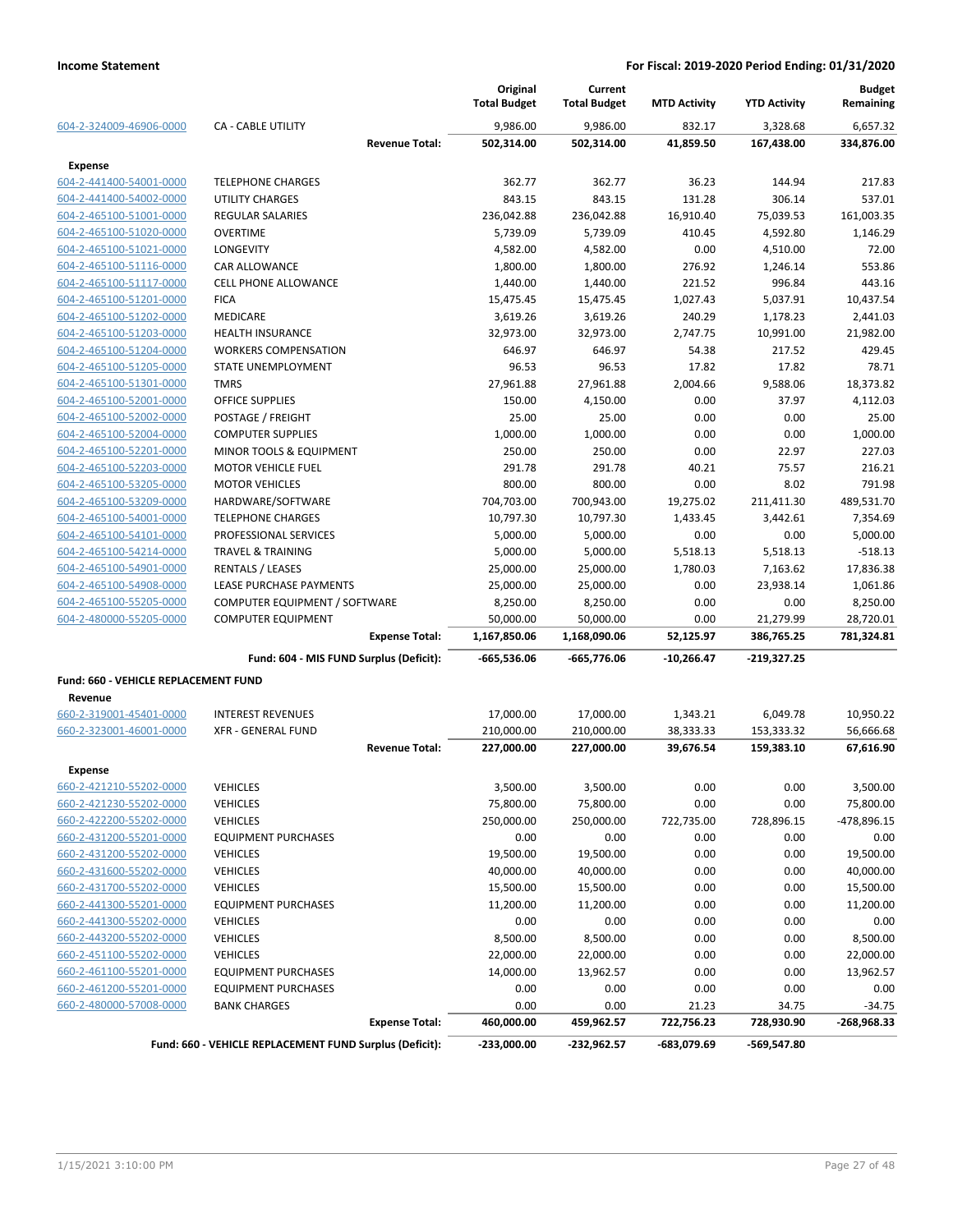|                                                    |                                                         |                       | Original<br><b>Total Budget</b> | Current<br><b>Total Budget</b> | <b>MTD Activity</b> | <b>YTD Activity</b> | <b>Budget</b><br>Remaining |
|----------------------------------------------------|---------------------------------------------------------|-----------------------|---------------------------------|--------------------------------|---------------------|---------------------|----------------------------|
| 604-2-324009-46906-0000                            | <b>CA - CABLE UTILITY</b>                               |                       | 9.986.00                        | 9.986.00                       | 832.17              | 3,328.68            | 6,657.32                   |
|                                                    |                                                         | <b>Revenue Total:</b> | 502,314.00                      | 502,314.00                     | 41,859.50           | 167,438.00          | 334,876.00                 |
| <b>Expense</b>                                     |                                                         |                       |                                 |                                |                     |                     |                            |
| 604-2-441400-54001-0000                            | <b>TELEPHONE CHARGES</b>                                |                       | 362.77                          | 362.77                         | 36.23               | 144.94              | 217.83                     |
| 604-2-441400-54002-0000                            | <b>UTILITY CHARGES</b>                                  |                       | 843.15                          | 843.15                         | 131.28              | 306.14              | 537.01                     |
| 604-2-465100-51001-0000                            | <b>REGULAR SALARIES</b>                                 |                       | 236,042.88                      | 236,042.88                     | 16,910.40           | 75,039.53           | 161,003.35                 |
| 604-2-465100-51020-0000                            | <b>OVERTIME</b>                                         |                       | 5,739.09                        | 5,739.09                       | 410.45              | 4,592.80            | 1,146.29                   |
| 604-2-465100-51021-0000                            | <b>LONGEVITY</b>                                        |                       | 4,582.00                        | 4,582.00                       | 0.00                | 4,510.00            | 72.00                      |
| 604-2-465100-51116-0000                            | <b>CAR ALLOWANCE</b>                                    |                       | 1,800.00                        | 1,800.00                       | 276.92              | 1,246.14            | 553.86                     |
| 604-2-465100-51117-0000                            | <b>CELL PHONE ALLOWANCE</b>                             |                       | 1,440.00                        | 1,440.00                       | 221.52              | 996.84              | 443.16                     |
| 604-2-465100-51201-0000                            | <b>FICA</b>                                             |                       | 15,475.45                       | 15,475.45                      | 1,027.43            | 5,037.91            | 10.437.54                  |
| 604-2-465100-51202-0000                            | MEDICARE                                                |                       | 3,619.26                        | 3,619.26                       | 240.29              | 1,178.23            | 2,441.03                   |
| 604-2-465100-51203-0000                            | <b>HEALTH INSURANCE</b>                                 |                       | 32,973.00                       | 32,973.00                      | 2,747.75            | 10,991.00           | 21,982.00                  |
| 604-2-465100-51204-0000                            | <b>WORKERS COMPENSATION</b>                             |                       | 646.97                          | 646.97                         | 54.38               | 217.52              | 429.45                     |
| 604-2-465100-51205-0000                            | STATE UNEMPLOYMENT                                      |                       | 96.53                           | 96.53                          | 17.82               | 17.82               | 78.71                      |
| 604-2-465100-51301-0000                            | <b>TMRS</b>                                             |                       | 27,961.88                       | 27,961.88                      | 2,004.66            | 9,588.06            | 18,373.82                  |
| 604-2-465100-52001-0000                            | <b>OFFICE SUPPLIES</b>                                  |                       | 150.00                          | 4,150.00                       | 0.00                | 37.97               | 4,112.03                   |
| 604-2-465100-52002-0000                            | POSTAGE / FREIGHT                                       |                       | 25.00                           | 25.00                          | 0.00                | 0.00                | 25.00                      |
| 604-2-465100-52004-0000                            | <b>COMPUTER SUPPLIES</b>                                |                       | 1,000.00                        | 1,000.00                       | 0.00                | 0.00                | 1,000.00                   |
| 604-2-465100-52201-0000                            | MINOR TOOLS & EQUIPMENT                                 |                       | 250.00                          | 250.00                         | 0.00                | 22.97               | 227.03                     |
| 604-2-465100-52203-0000                            | <b>MOTOR VEHICLE FUEL</b>                               |                       | 291.78                          | 291.78                         | 40.21               | 75.57               | 216.21                     |
| 604-2-465100-53205-0000                            | <b>MOTOR VEHICLES</b>                                   |                       | 800.00                          | 800.00                         | 0.00                | 8.02                | 791.98                     |
| 604-2-465100-53209-0000                            | HARDWARE/SOFTWARE                                       |                       | 704,703.00                      | 700,943.00                     | 19,275.02           | 211,411.30          | 489,531.70                 |
| 604-2-465100-54001-0000                            | <b>TELEPHONE CHARGES</b>                                |                       | 10,797.30                       | 10,797.30                      | 1,433.45            | 3,442.61            | 7,354.69                   |
| 604-2-465100-54101-0000                            | PROFESSIONAL SERVICES                                   |                       | 5,000.00                        | 5,000.00                       | 0.00                | 0.00                | 5,000.00                   |
| 604-2-465100-54214-0000                            | <b>TRAVEL &amp; TRAINING</b>                            |                       | 5,000.00                        | 5,000.00                       | 5,518.13            | 5,518.13            | $-518.13$                  |
| 604-2-465100-54901-0000                            | <b>RENTALS / LEASES</b>                                 |                       | 25,000.00                       | 25,000.00                      | 1,780.03            | 7,163.62            | 17,836.38                  |
| 604-2-465100-54908-0000                            | LEASE PURCHASE PAYMENTS                                 |                       | 25,000.00                       | 25,000.00                      | 0.00                | 23,938.14           | 1,061.86                   |
| 604-2-465100-55205-0000                            | COMPUTER EQUIPMENT / SOFTWARE                           |                       | 8,250.00                        | 8,250.00                       | 0.00                | 0.00                | 8,250.00                   |
| 604-2-480000-55205-0000                            | <b>COMPUTER EQUIPMENT</b>                               |                       | 50,000.00                       | 50,000.00                      | 0.00                | 21,279.99           | 28,720.01                  |
|                                                    |                                                         | <b>Expense Total:</b> | 1,167,850.06                    | 1,168,090.06                   | 52,125.97           | 386,765.25          | 781,324.81                 |
|                                                    | Fund: 604 - MIS FUND Surplus (Deficit):                 |                       | $-665,536.06$                   | -665,776.06                    | $-10,266.47$        | -219,327.25         |                            |
| Fund: 660 - VEHICLE REPLACEMENT FUND               |                                                         |                       |                                 |                                |                     |                     |                            |
| Revenue                                            |                                                         |                       |                                 |                                |                     |                     |                            |
| 660-2-319001-45401-0000                            | <b>INTEREST REVENUES</b>                                |                       | 17,000.00                       | 17,000.00                      | 1,343.21            | 6,049.78            | 10,950.22                  |
| 660-2-323001-46001-0000                            | <b>XFR - GENERAL FUND</b>                               |                       | 210,000.00                      | 210,000.00                     | 38,333.33           | 153,333.32          | 56,666.68                  |
|                                                    |                                                         | <b>Revenue Total:</b> | 227,000.00                      | 227,000.00                     | 39,676.54           | 159,383.10          | 67,616.90                  |
| <b>Expense</b>                                     |                                                         |                       |                                 |                                |                     |                     |                            |
| 660-2-421210-55202-0000                            | <b>VEHICLES</b>                                         |                       | 3,500.00                        | 3,500.00                       | 0.00                | 0.00                | 3,500.00                   |
| 660-2-421230-55202-0000                            | <b>VEHICLES</b>                                         |                       | 75,800.00                       | 75,800.00                      | 0.00                | 0.00                | 75,800.00                  |
| 660-2-422200-55202-0000                            | <b>VEHICLES</b>                                         |                       | 250,000.00                      | 250,000.00                     | 722,735.00          | 728,896.15          | -478,896.15                |
| 660-2-431200-55201-0000                            | <b>EQUIPMENT PURCHASES</b>                              |                       | 0.00                            | 0.00                           | 0.00                | 0.00                | 0.00                       |
| 660-2-431200-55202-0000                            | <b>VEHICLES</b>                                         |                       | 19,500.00                       | 19,500.00                      | 0.00                | 0.00                | 19,500.00                  |
| 660-2-431600-55202-0000                            | <b>VEHICLES</b>                                         |                       | 40,000.00                       | 40,000.00                      | 0.00                | 0.00                | 40,000.00                  |
| 660-2-431700-55202-0000                            | <b>VEHICLES</b>                                         |                       | 15,500.00                       | 15,500.00                      | 0.00                | 0.00                | 15,500.00                  |
| 660-2-441300-55201-0000                            | <b>EQUIPMENT PURCHASES</b>                              |                       | 11,200.00                       | 11,200.00                      | 0.00                | 0.00                | 11,200.00                  |
|                                                    |                                                         |                       |                                 | 0.00                           | 0.00                | 0.00                |                            |
| 660-2-441300-55202-0000<br>660-2-443200-55202-0000 | <b>VEHICLES</b><br><b>VEHICLES</b>                      |                       | 0.00<br>8,500.00                | 8,500.00                       | 0.00                | 0.00                | 0.00<br>8,500.00           |
| 660-2-451100-55202-0000                            | <b>VEHICLES</b>                                         |                       |                                 | 22,000.00                      | 0.00                | 0.00                | 22,000.00                  |
|                                                    |                                                         |                       | 22,000.00<br>14,000.00          |                                |                     |                     |                            |
| 660-2-461100-55201-0000<br>660-2-461200-55201-0000 | <b>EQUIPMENT PURCHASES</b>                              |                       |                                 | 13,962.57                      | 0.00                | 0.00                | 13,962.57                  |
| 660-2-480000-57008-0000                            | <b>EQUIPMENT PURCHASES</b><br><b>BANK CHARGES</b>       |                       | 0.00<br>0.00                    | 0.00<br>0.00                   | 0.00<br>21.23       | 0.00<br>34.75       | 0.00<br>$-34.75$           |
|                                                    |                                                         | <b>Expense Total:</b> | 460,000.00                      | 459,962.57                     | 722,756.23          | 728,930.90          | -268,968.33                |
|                                                    | Fund: 660 - VEHICLE REPLACEMENT FUND Surplus (Deficit): |                       | $-233,000.00$                   | $-232,962.57$                  | -683,079.69         | -569,547.80         |                            |
|                                                    |                                                         |                       |                                 |                                |                     |                     |                            |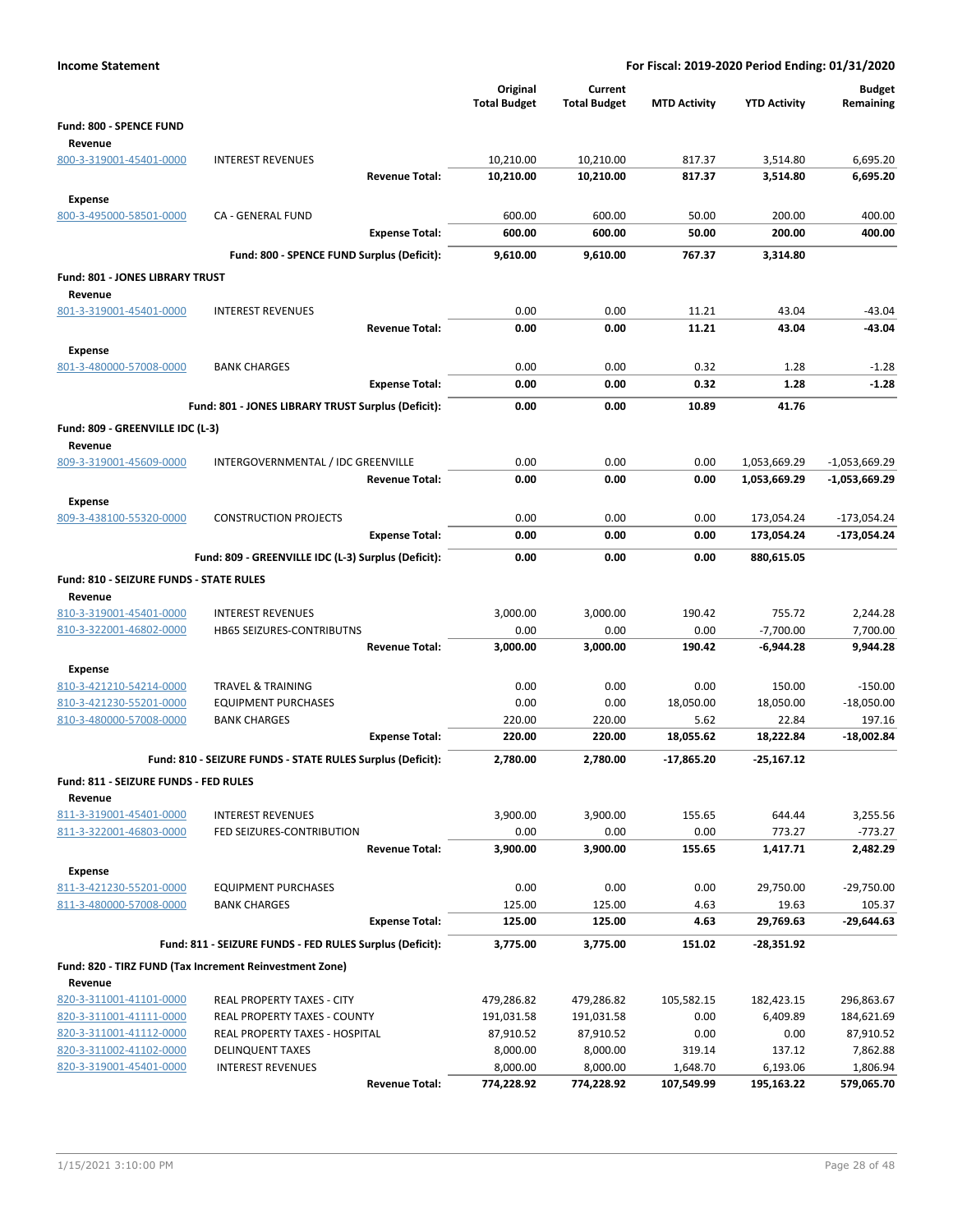| <b>Income Statement</b>                            |                                                            |                                 |                                |                     | For Fiscal: 2019-2020 Period Ending: 01/31/2020 |                              |
|----------------------------------------------------|------------------------------------------------------------|---------------------------------|--------------------------------|---------------------|-------------------------------------------------|------------------------------|
|                                                    |                                                            | Original<br><b>Total Budget</b> | Current<br><b>Total Budget</b> | <b>MTD Activity</b> | <b>YTD Activity</b>                             | <b>Budget</b><br>Remaining   |
| Fund: 800 - SPENCE FUND<br>Revenue                 |                                                            |                                 |                                |                     |                                                 |                              |
| 800-3-319001-45401-0000                            | <b>INTEREST REVENUES</b>                                   | 10,210.00                       | 10,210.00                      | 817.37              | 3,514.80                                        | 6,695.20                     |
|                                                    | <b>Revenue Total:</b>                                      | 10,210.00                       | 10,210.00                      | 817.37              | 3,514.80                                        | 6,695.20                     |
| Expense                                            |                                                            |                                 |                                |                     |                                                 |                              |
| 800-3-495000-58501-0000                            | CA - GENERAL FUND                                          | 600.00                          | 600.00                         | 50.00               | 200.00                                          | 400.00                       |
|                                                    | <b>Expense Total:</b>                                      | 600.00                          | 600.00                         | 50.00               | 200.00                                          | 400.00                       |
|                                                    | Fund: 800 - SPENCE FUND Surplus (Deficit):                 | 9.610.00                        | 9,610.00                       | 767.37              | 3.314.80                                        |                              |
| Fund: 801 - JONES LIBRARY TRUST                    |                                                            |                                 |                                |                     |                                                 |                              |
| Revenue<br>801-3-319001-45401-0000                 | <b>INTEREST REVENUES</b>                                   | 0.00                            | 0.00                           | 11.21               | 43.04                                           | $-43.04$                     |
|                                                    | <b>Revenue Total:</b>                                      | 0.00                            | 0.00                           | 11.21               | 43.04                                           | -43.04                       |
| Expense                                            |                                                            |                                 |                                |                     |                                                 |                              |
| 801-3-480000-57008-0000                            | <b>BANK CHARGES</b>                                        | 0.00                            | 0.00                           | 0.32                | 1.28                                            | $-1.28$                      |
|                                                    | <b>Expense Total:</b>                                      | 0.00                            | 0.00                           | 0.32                | 1.28                                            | $-1.28$                      |
|                                                    | Fund: 801 - JONES LIBRARY TRUST Surplus (Deficit):         | 0.00                            | 0.00                           | 10.89               | 41.76                                           |                              |
| Fund: 809 - GREENVILLE IDC (L-3)                   |                                                            |                                 |                                |                     |                                                 |                              |
| Revenue                                            |                                                            |                                 |                                |                     |                                                 |                              |
| 809-3-319001-45609-0000                            | INTERGOVERNMENTAL / IDC GREENVILLE                         | 0.00                            | 0.00                           | 0.00                | 1,053,669.29                                    | $-1,053,669.29$              |
|                                                    | <b>Revenue Total:</b>                                      | 0.00                            | 0.00                           | 0.00                | 1,053,669.29                                    | -1,053,669.29                |
| <b>Expense</b>                                     |                                                            |                                 |                                |                     |                                                 |                              |
| 809-3-438100-55320-0000                            | <b>CONSTRUCTION PROJECTS</b><br><b>Expense Total:</b>      | 0.00<br>0.00                    | 0.00<br>0.00                   | 0.00<br>0.00        | 173,054.24<br>173,054.24                        | $-173,054.24$<br>-173,054.24 |
|                                                    | Fund: 809 - GREENVILLE IDC (L-3) Surplus (Deficit):        | 0.00                            | 0.00                           | 0.00                | 880,615.05                                      |                              |
|                                                    |                                                            |                                 |                                |                     |                                                 |                              |
| Fund: 810 - SEIZURE FUNDS - STATE RULES<br>Revenue |                                                            |                                 |                                |                     |                                                 |                              |
| 810-3-319001-45401-0000                            | <b>INTEREST REVENUES</b>                                   | 3,000.00                        | 3,000.00                       | 190.42              | 755.72                                          | 2,244.28                     |
| 810-3-322001-46802-0000                            | HB65 SEIZURES-CONTRIBUTNS                                  | 0.00                            | 0.00                           | 0.00                | $-7,700.00$                                     | 7,700.00                     |
|                                                    | <b>Revenue Total:</b>                                      | 3,000.00                        | 3,000.00                       | 190.42              | $-6,944.28$                                     | 9,944.28                     |
| <b>Expense</b>                                     |                                                            |                                 |                                |                     |                                                 |                              |
| 810-3-421210-54214-0000                            | <b>TRAVEL &amp; TRAINING</b>                               | 0.00                            | 0.00                           | 0.00                | 150.00                                          | $-150.00$                    |
| 810-3-421230-55201-0000                            | <b>EQUIPMENT PURCHASES</b>                                 | 0.00                            | 0.00                           | 18,050.00           | 18,050.00                                       | $-18,050.00$                 |
| 810-3-480000-57008-0000                            | <b>BANK CHARGES</b><br><b>Expense Total:</b>               | 220.00<br>220.00                | 220.00<br>220.00               | 5.62<br>18,055.62   | 22.84<br>18,222.84                              | 197.16<br>-18,002.84         |
|                                                    |                                                            |                                 |                                |                     |                                                 |                              |
|                                                    | Fund: 810 - SEIZURE FUNDS - STATE RULES Surplus (Deficit): | 2,780.00                        | 2,780.00                       | $-17,865.20$        | $-25,167.12$                                    |                              |
| Fund: 811 - SEIZURE FUNDS - FED RULES<br>Revenue   |                                                            |                                 |                                |                     |                                                 |                              |
| 811-3-319001-45401-0000                            | <b>INTEREST REVENUES</b>                                   | 3,900.00                        | 3,900.00                       | 155.65              | 644.44                                          | 3,255.56                     |
| 811-3-322001-46803-0000                            | FED SEIZURES-CONTRIBUTION                                  | 0.00                            | 0.00                           | 0.00                | 773.27                                          | $-773.27$                    |
|                                                    | <b>Revenue Total:</b>                                      | 3,900.00                        | 3,900.00                       | 155.65              | 1,417.71                                        | 2,482.29                     |
| <b>Expense</b>                                     |                                                            |                                 |                                |                     |                                                 |                              |
| 811-3-421230-55201-0000                            | <b>EQUIPMENT PURCHASES</b>                                 | 0.00                            | 0.00                           | 0.00                | 29,750.00                                       | $-29,750.00$                 |
| 811-3-480000-57008-0000                            | <b>BANK CHARGES</b>                                        | 125.00                          | 125.00                         | 4.63                | 19.63                                           | 105.37                       |
|                                                    | <b>Expense Total:</b>                                      | 125.00                          | 125.00                         | 4.63                | 29,769.63                                       | $-29,644.63$                 |
|                                                    | Fund: 811 - SEIZURE FUNDS - FED RULES Surplus (Deficit):   | 3,775.00                        | 3,775.00                       | 151.02              | $-28,351.92$                                    |                              |
|                                                    | Fund: 820 - TIRZ FUND (Tax Increment Reinvestment Zone)    |                                 |                                |                     |                                                 |                              |
| Revenue<br>820-3-311001-41101-0000                 | REAL PROPERTY TAXES - CITY                                 | 479,286.82                      | 479,286.82                     | 105,582.15          | 182,423.15                                      | 296,863.67                   |
| 820-3-311001-41111-0000                            | REAL PROPERTY TAXES - COUNTY                               | 191,031.58                      | 191,031.58                     | 0.00                | 6,409.89                                        | 184,621.69                   |
| 820-3-311001-41112-0000                            | REAL PROPERTY TAXES - HOSPITAL                             | 87,910.52                       | 87,910.52                      | 0.00                | 0.00                                            | 87,910.52                    |
| 820-3-311002-41102-0000                            | <b>DELINQUENT TAXES</b>                                    | 8,000.00                        | 8,000.00                       | 319.14              | 137.12                                          | 7,862.88                     |
| 820-3-319001-45401-0000                            | <b>INTEREST REVENUES</b>                                   | 8,000.00                        | 8,000.00                       | 1,648.70            | 6,193.06                                        | 1,806.94                     |
|                                                    | <b>Revenue Total:</b>                                      | 774,228.92                      | 774,228.92                     | 107,549.99          | 195,163.22                                      | 579,065.70                   |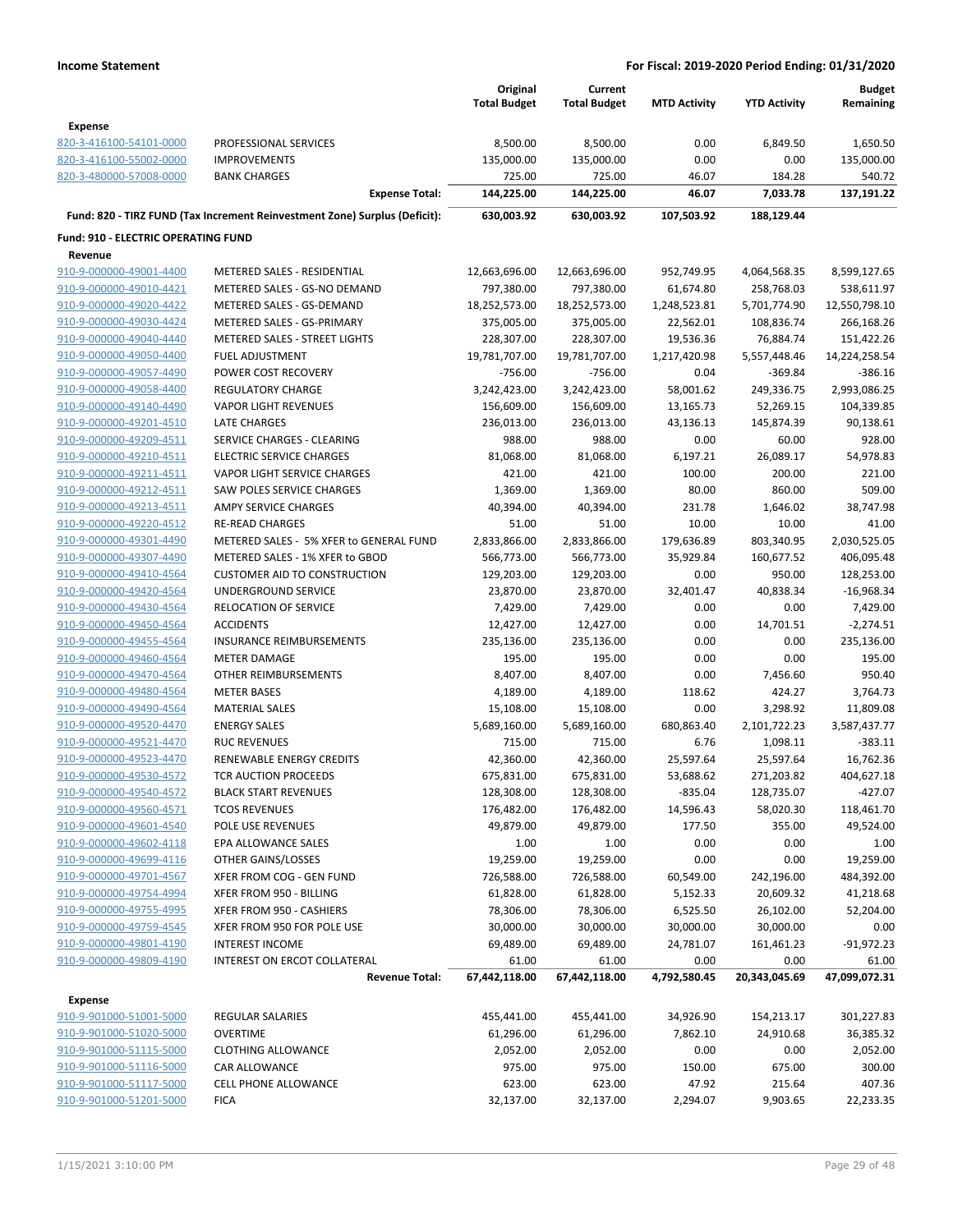|                                            |                                                                            | Original<br><b>Total Budget</b> | Current<br><b>Total Budget</b> | <b>MTD Activity</b> | <b>YTD Activity</b> | <b>Budget</b><br>Remaining |
|--------------------------------------------|----------------------------------------------------------------------------|---------------------------------|--------------------------------|---------------------|---------------------|----------------------------|
| <b>Expense</b>                             |                                                                            |                                 |                                |                     |                     |                            |
| 820-3-416100-54101-0000                    | PROFESSIONAL SERVICES                                                      | 8,500.00                        | 8,500.00                       | 0.00                | 6,849.50            | 1,650.50                   |
| 820-3-416100-55002-0000                    | <b>IMPROVEMENTS</b>                                                        | 135,000.00                      | 135,000.00                     | 0.00                | 0.00                | 135,000.00                 |
| 820-3-480000-57008-0000                    | <b>BANK CHARGES</b>                                                        | 725.00                          | 725.00                         | 46.07               | 184.28              | 540.72                     |
|                                            | <b>Expense Total:</b>                                                      | 144,225.00                      | 144,225.00                     | 46.07               | 7,033.78            | 137,191.22                 |
|                                            | Fund: 820 - TIRZ FUND (Tax Increment Reinvestment Zone) Surplus (Deficit): | 630,003.92                      | 630,003.92                     | 107,503.92          | 188,129.44          |                            |
| <b>Fund: 910 - ELECTRIC OPERATING FUND</b> |                                                                            |                                 |                                |                     |                     |                            |
| Revenue                                    |                                                                            |                                 |                                |                     |                     |                            |
| 910-9-000000-49001-4400                    | METERED SALES - RESIDENTIAL                                                | 12,663,696.00                   | 12,663,696.00                  | 952,749.95          | 4,064,568.35        | 8,599,127.65               |
| 910-9-000000-49010-4421                    | METERED SALES - GS-NO DEMAND                                               | 797,380.00                      | 797,380.00                     | 61,674.80           | 258,768.03          | 538,611.97                 |
| 910-9-000000-49020-4422                    | METERED SALES - GS-DEMAND                                                  | 18,252,573.00                   | 18,252,573.00                  | 1,248,523.81        | 5,701,774.90        | 12,550,798.10              |
| 910-9-000000-49030-4424                    | METERED SALES - GS-PRIMARY                                                 | 375,005.00                      | 375,005.00                     | 22,562.01           | 108,836.74          | 266,168.26                 |
| 910-9-000000-49040-4440                    | METERED SALES - STREET LIGHTS                                              | 228,307.00                      | 228,307.00                     | 19,536.36           | 76,884.74           | 151,422.26                 |
| 910-9-000000-49050-4400                    | <b>FUEL ADJUSTMENT</b>                                                     | 19,781,707.00                   | 19,781,707.00                  | 1,217,420.98        | 5,557,448.46        | 14,224,258.54              |
| 910-9-000000-49057-4490                    | POWER COST RECOVERY                                                        | $-756.00$                       | $-756.00$                      | 0.04                | $-369.84$           | $-386.16$                  |
| 910-9-000000-49058-4400                    | <b>REGULATORY CHARGE</b>                                                   | 3,242,423.00                    | 3,242,423.00                   | 58,001.62           | 249,336.75          | 2,993,086.25               |
| 910-9-000000-49140-4490                    | <b>VAPOR LIGHT REVENUES</b>                                                | 156,609.00                      | 156,609.00                     | 13,165.73           | 52,269.15           | 104,339.85                 |
| 910-9-000000-49201-4510                    | <b>LATE CHARGES</b>                                                        | 236,013.00                      | 236,013.00                     | 43,136.13           | 145,874.39          | 90,138.61                  |
| 910-9-000000-49209-4511                    | SERVICE CHARGES - CLEARING                                                 | 988.00                          | 988.00                         | 0.00                | 60.00               | 928.00                     |
| 910-9-000000-49210-4511                    | <b>ELECTRIC SERVICE CHARGES</b>                                            | 81,068.00                       | 81,068.00                      | 6,197.21            | 26,089.17           | 54,978.83                  |
| 910-9-000000-49211-4511                    | VAPOR LIGHT SERVICE CHARGES                                                | 421.00                          | 421.00                         | 100.00              | 200.00              | 221.00                     |
| 910-9-000000-49212-4511                    | <b>SAW POLES SERVICE CHARGES</b>                                           | 1,369.00                        | 1,369.00                       | 80.00               | 860.00              | 509.00                     |
| 910-9-000000-49213-4511                    | <b>AMPY SERVICE CHARGES</b>                                                | 40,394.00                       | 40,394.00                      | 231.78              | 1,646.02            | 38,747.98                  |
| 910-9-000000-49220-4512                    | <b>RE-READ CHARGES</b>                                                     | 51.00                           | 51.00                          | 10.00               | 10.00               | 41.00                      |
| 910-9-000000-49301-4490                    | METERED SALES - 5% XFER to GENERAL FUND                                    | 2,833,866.00                    | 2,833,866.00                   | 179,636.89          | 803,340.95          | 2,030,525.05               |
| 910-9-000000-49307-4490                    | METERED SALES - 1% XFER to GBOD                                            | 566,773.00                      | 566,773.00                     | 35,929.84           | 160,677.52          | 406,095.48                 |
| 910-9-000000-49410-4564                    | <b>CUSTOMER AID TO CONSTRUCTION</b>                                        | 129,203.00                      | 129,203.00                     | 0.00                | 950.00              | 128,253.00                 |
| 910-9-000000-49420-4564                    | UNDERGROUND SERVICE                                                        | 23,870.00                       | 23,870.00                      | 32,401.47           | 40,838.34           | $-16,968.34$               |
| 910-9-000000-49430-4564                    | <b>RELOCATION OF SERVICE</b>                                               | 7,429.00                        | 7,429.00                       | 0.00                | 0.00                | 7,429.00                   |
| 910-9-000000-49450-4564                    | <b>ACCIDENTS</b>                                                           | 12,427.00                       | 12,427.00                      | 0.00                | 14,701.51           | $-2,274.51$                |
| 910-9-000000-49455-4564                    | <b>INSURANCE REIMBURSEMENTS</b>                                            | 235,136.00                      | 235,136.00                     | 0.00                | 0.00                | 235,136.00                 |
| 910-9-000000-49460-4564                    | <b>METER DAMAGE</b>                                                        | 195.00                          | 195.00                         | 0.00                | 0.00                | 195.00                     |
| 910-9-000000-49470-4564                    | OTHER REIMBURSEMENTS                                                       | 8,407.00                        | 8,407.00                       | 0.00                | 7,456.60            | 950.40                     |
| 910-9-000000-49480-4564                    | <b>METER BASES</b>                                                         | 4,189.00                        | 4,189.00                       | 118.62              | 424.27              | 3,764.73                   |
| 910-9-000000-49490-4564                    | <b>MATERIAL SALES</b>                                                      | 15,108.00                       | 15,108.00                      | 0.00                | 3,298.92            | 11,809.08                  |
| 910-9-000000-49520-4470                    | <b>ENERGY SALES</b>                                                        | 5,689,160.00                    | 5,689,160.00                   | 680,863.40          | 2,101,722.23        | 3,587,437.77               |
| 910-9-000000-49521-4470                    | <b>RUC REVENUES</b>                                                        | 715.00                          | 715.00                         | 6.76                | 1,098.11            | $-383.11$                  |
| 910-9-000000-49523-4470                    | RENEWABLE ENERGY CREDITS                                                   | 42,360.00                       | 42,360.00                      | 25,597.64           | 25,597.64           | 16,762.36                  |
| 910-9-000000-49530-4572                    | TCR AUCTION PROCEEDS                                                       | 675,831.00                      | 675,831.00                     | 53,688.62           | 271.203.82          | 404,627.18                 |
| 910-9-000000-49540-4572                    | <b>BLACK START REVENUES</b>                                                | 128,308.00                      | 128,308.00                     | $-835.04$           | 128,735.07          | $-427.07$                  |
| 910-9-000000-49560-4571                    | <b>TCOS REVENUES</b>                                                       | 176,482.00                      | 176,482.00                     | 14,596.43           | 58,020.30           | 118,461.70                 |
| 910-9-000000-49601-4540                    | POLE USE REVENUES                                                          | 49,879.00                       | 49,879.00                      | 177.50              | 355.00              | 49,524.00                  |
| 910-9-000000-49602-4118                    | EPA ALLOWANCE SALES                                                        | 1.00                            | 1.00                           | 0.00                | 0.00                | 1.00                       |
| 910-9-000000-49699-4116                    | OTHER GAINS/LOSSES                                                         | 19,259.00                       | 19,259.00                      | 0.00                | 0.00                | 19,259.00                  |
| 910-9-000000-49701-4567                    | XFER FROM COG - GEN FUND                                                   | 726,588.00                      | 726,588.00                     | 60,549.00           | 242,196.00          | 484,392.00                 |
| 910-9-000000-49754-4994                    | XFER FROM 950 - BILLING                                                    | 61,828.00                       | 61,828.00                      | 5,152.33            | 20,609.32           | 41,218.68                  |
| 910-9-000000-49755-4995                    | XFER FROM 950 - CASHIERS                                                   | 78,306.00                       | 78,306.00                      | 6,525.50            | 26,102.00           | 52,204.00                  |
| 910-9-000000-49759-4545                    | XFER FROM 950 FOR POLE USE                                                 | 30,000.00                       | 30,000.00                      | 30,000.00           | 30,000.00           | 0.00                       |
| 910-9-000000-49801-4190                    | <b>INTEREST INCOME</b>                                                     | 69,489.00                       | 69,489.00                      | 24,781.07           | 161,461.23          | $-91,972.23$               |
| 910-9-000000-49809-4190                    | INTEREST ON ERCOT COLLATERAL                                               | 61.00                           | 61.00                          | 0.00                | 0.00                | 61.00                      |
|                                            | <b>Revenue Total:</b>                                                      | 67,442,118.00                   | 67,442,118.00                  | 4,792,580.45        | 20,343,045.69       | 47,099,072.31              |
| Expense                                    |                                                                            |                                 |                                |                     |                     |                            |
| 910-9-901000-51001-5000                    | REGULAR SALARIES                                                           | 455,441.00                      | 455,441.00                     | 34,926.90           | 154,213.17          | 301,227.83                 |
| 910-9-901000-51020-5000                    | <b>OVERTIME</b>                                                            | 61,296.00                       | 61,296.00                      | 7,862.10            | 24,910.68           | 36,385.32                  |
| 910-9-901000-51115-5000                    | <b>CLOTHING ALLOWANCE</b>                                                  | 2,052.00                        | 2,052.00                       | 0.00                | 0.00                | 2,052.00                   |
| 910-9-901000-51116-5000                    | CAR ALLOWANCE                                                              | 975.00                          | 975.00                         | 150.00              | 675.00              | 300.00                     |
| 910-9-901000-51117-5000                    | CELL PHONE ALLOWANCE                                                       | 623.00                          | 623.00                         | 47.92               | 215.64              | 407.36                     |
| 910-9-901000-51201-5000                    | <b>FICA</b>                                                                | 32,137.00                       | 32,137.00                      | 2,294.07            | 9,903.65            | 22,233.35                  |
|                                            |                                                                            |                                 |                                |                     |                     |                            |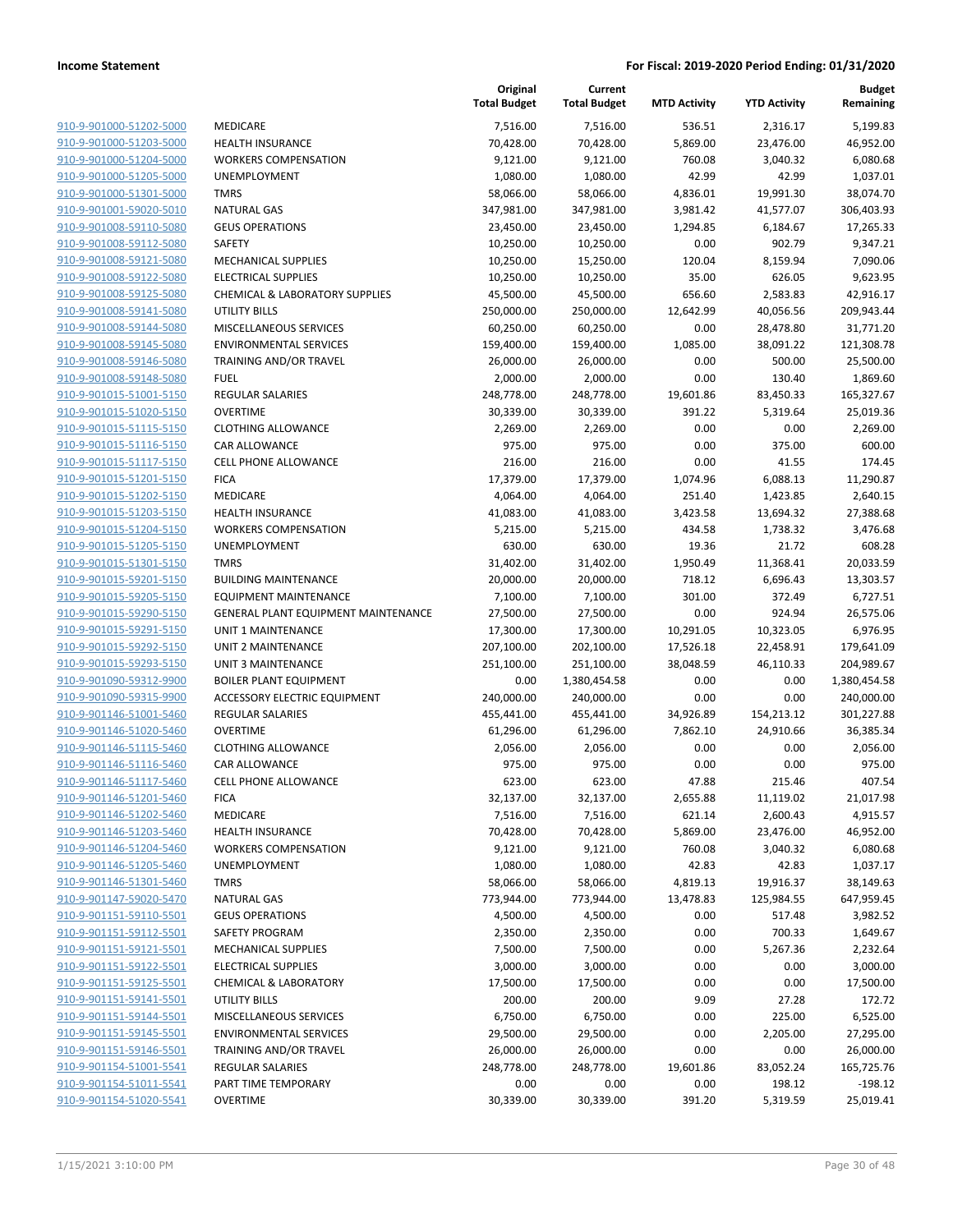| 910-9-901000-51202-5000                            |
|----------------------------------------------------|
| 910-9-901000-51203-5000                            |
| 910-9-901000-51204-5000                            |
| 910-9-901000-51205-5000                            |
| 910-9-901000-51301-5000                            |
| 910-9-901001-59020-5010                            |
| <u>910-9-901008-59110-5080</u>                     |
| 910-9-901008-59112-5080                            |
| 910-9-901008-59121-5080                            |
| 910-9-901008-59122-5080                            |
| 910-9-901008-59125-5080                            |
| <u>910-9-901008-59141-5080</u>                     |
| 910-9-901008-59144-5080                            |
| 910-9-901008-59145-5080                            |
| 910-9-901008-59146-5080                            |
| 910-9-901008-59148-5080                            |
| 910-9-901015-51001-5150                            |
| 910-9-901015-51020-5150                            |
| 910-9-901015-51115-5150                            |
| 910-9-901015-51116-5150                            |
| 910-9-901015-51117-5150                            |
| 910-9-901015-51201-5150                            |
| 910-9-901015-51202-5150                            |
| 910-9-901015-51203-5150                            |
| 910-9-901015-51204-5150                            |
| 910-9-901015-51205-5150                            |
| 910-9-901015-51301-5150                            |
| 910-9-901015-59201-5150                            |
| 910-9-901015-59205-5150                            |
| 910-9-901015-59290-5150                            |
| 910-9-901015-59291-5150                            |
| 910-9-901015-59292-5150                            |
| 910-9-901015-59293-5150                            |
| 910-9-901090-59312-9900                            |
| 910-9-901090-59315-9900                            |
| 910-9-901146-51001-5460                            |
| <u>910-9-901146-51020-5460</u>                     |
| 910-9-901146-51115-5460                            |
| 910-9-901146-51116-5460                            |
| 910-9-901146-51117-5460                            |
| 910-9-901146-51201-5460                            |
| 910-9-901146-51202-5460                            |
| 910-9-901146-51203-5460                            |
| 910-9-901146-51204-5460                            |
| 910-9-901146-51205-5460                            |
| 910-9-901146-51301-5460                            |
| 910-9-901147-59020-5470                            |
| 910-9-901151-59110-5501                            |
| 910-9-901151-59112-5501<br>910-9-901151-59121-5501 |
|                                                    |
| <u>910-9-901151-59122-5501</u>                     |
| 910-9-901151-59125-5501<br>910-9-901151-59141-5501 |
| 910-9-901151-59144-5501                            |
| 910-9-901151-59145-5501                            |
| <u>910-9-901151-59146-5501</u>                     |
| 910-9-901154-51001-5541                            |
| 910-9-901154-51011-5541                            |
| 910-9-901154-51020-5541                            |
|                                                    |

|                         |                                     | Original<br><b>Total Budget</b> | Current<br><b>Total Budget</b> | <b>MTD Activity</b> | <b>YTD Activity</b> | <b>Budget</b><br>Remaining |
|-------------------------|-------------------------------------|---------------------------------|--------------------------------|---------------------|---------------------|----------------------------|
| 910-9-901000-51202-5000 | <b>MEDICARE</b>                     | 7,516.00                        | 7,516.00                       | 536.51              | 2,316.17            | 5,199.83                   |
| 910-9-901000-51203-5000 | <b>HEALTH INSURANCE</b>             | 70,428.00                       | 70,428.00                      | 5,869.00            | 23,476.00           | 46,952.00                  |
| 910-9-901000-51204-5000 | <b>WORKERS COMPENSATION</b>         | 9,121.00                        | 9,121.00                       | 760.08              | 3,040.32            | 6,080.68                   |
| 910-9-901000-51205-5000 | UNEMPLOYMENT                        | 1,080.00                        | 1,080.00                       | 42.99               | 42.99               | 1,037.01                   |
| 910-9-901000-51301-5000 | <b>TMRS</b>                         | 58,066.00                       | 58,066.00                      | 4,836.01            | 19,991.30           | 38,074.70                  |
| 910-9-901001-59020-5010 | <b>NATURAL GAS</b>                  | 347,981.00                      | 347,981.00                     | 3,981.42            | 41,577.07           | 306,403.93                 |
| 910-9-901008-59110-5080 | <b>GEUS OPERATIONS</b>              | 23,450.00                       | 23,450.00                      | 1,294.85            | 6,184.67            | 17,265.33                  |
| 910-9-901008-59112-5080 | <b>SAFETY</b>                       | 10,250.00                       | 10,250.00                      | 0.00                | 902.79              | 9,347.21                   |
| 910-9-901008-59121-5080 | MECHANICAL SUPPLIES                 | 10,250.00                       | 15,250.00                      | 120.04              | 8,159.94            | 7,090.06                   |
| 910-9-901008-59122-5080 | <b>ELECTRICAL SUPPLIES</b>          | 10,250.00                       | 10,250.00                      | 35.00               | 626.05              | 9,623.95                   |
| 910-9-901008-59125-5080 | CHEMICAL & LABORATORY SUPPLIES      | 45,500.00                       | 45,500.00                      | 656.60              | 2,583.83            | 42,916.17                  |
| 910-9-901008-59141-5080 | <b>UTILITY BILLS</b>                | 250,000.00                      | 250,000.00                     | 12,642.99           | 40,056.56           | 209,943.44                 |
| 910-9-901008-59144-5080 | MISCELLANEOUS SERVICES              | 60,250.00                       | 60,250.00                      | 0.00                | 28,478.80           | 31,771.20                  |
| 910-9-901008-59145-5080 | <b>ENVIRONMENTAL SERVICES</b>       | 159,400.00                      | 159,400.00                     | 1,085.00            | 38,091.22           | 121,308.78                 |
| 910-9-901008-59146-5080 | TRAINING AND/OR TRAVEL              | 26,000.00                       | 26,000.00                      | 0.00                | 500.00              | 25,500.00                  |
| 910-9-901008-59148-5080 | <b>FUEL</b>                         | 2,000.00                        | 2,000.00                       | 0.00                | 130.40              | 1,869.60                   |
| 910-9-901015-51001-5150 | REGULAR SALARIES                    | 248,778.00                      | 248,778.00                     | 19,601.86           | 83,450.33           | 165,327.67                 |
| 910-9-901015-51020-5150 | <b>OVERTIME</b>                     | 30,339.00                       | 30,339.00                      | 391.22              | 5,319.64            | 25,019.36                  |
| 910-9-901015-51115-5150 | <b>CLOTHING ALLOWANCE</b>           | 2,269.00                        | 2,269.00                       | 0.00                | 0.00                | 2,269.00                   |
| 910-9-901015-51116-5150 | <b>CAR ALLOWANCE</b>                | 975.00                          | 975.00                         | 0.00                | 375.00              | 600.00                     |
| 910-9-901015-51117-5150 | <b>CELL PHONE ALLOWANCE</b>         | 216.00                          | 216.00                         | 0.00                | 41.55               | 174.45                     |
| 910-9-901015-51201-5150 | <b>FICA</b>                         | 17,379.00                       | 17,379.00                      | 1,074.96            | 6,088.13            | 11,290.87                  |
| 910-9-901015-51202-5150 | MEDICARE                            | 4,064.00                        | 4,064.00                       | 251.40              | 1,423.85            | 2,640.15                   |
| 910-9-901015-51203-5150 | <b>HEALTH INSURANCE</b>             | 41,083.00                       | 41,083.00                      | 3,423.58            | 13,694.32           | 27,388.68                  |
| 910-9-901015-51204-5150 | <b>WORKERS COMPENSATION</b>         | 5,215.00                        | 5,215.00                       | 434.58              | 1,738.32            | 3,476.68                   |
| 910-9-901015-51205-5150 | <b>UNEMPLOYMENT</b>                 | 630.00                          | 630.00                         | 19.36               | 21.72               | 608.28                     |
| 910-9-901015-51301-5150 | <b>TMRS</b>                         | 31,402.00                       | 31,402.00                      | 1,950.49            | 11,368.41           | 20,033.59                  |
| 910-9-901015-59201-5150 | <b>BUILDING MAINTENANCE</b>         | 20,000.00                       | 20,000.00                      | 718.12              | 6,696.43            | 13,303.57                  |
| 910-9-901015-59205-5150 | <b>EQUIPMENT MAINTENANCE</b>        | 7,100.00                        | 7,100.00                       | 301.00              | 372.49              | 6,727.51                   |
| 910-9-901015-59290-5150 | GENERAL PLANT EQUIPMENT MAINTENANCE | 27,500.00                       | 27,500.00                      | 0.00                | 924.94              | 26,575.06                  |
| 910-9-901015-59291-5150 | <b>UNIT 1 MAINTENANCE</b>           | 17,300.00                       | 17,300.00                      | 10,291.05           | 10,323.05           | 6,976.95                   |
| 910-9-901015-59292-5150 | <b>UNIT 2 MAINTENANCE</b>           | 207,100.00                      | 202,100.00                     | 17,526.18           | 22,458.91           | 179,641.09                 |
| 910-9-901015-59293-5150 | UNIT 3 MAINTENANCE                  | 251,100.00                      | 251,100.00                     | 38,048.59           | 46,110.33           | 204,989.67                 |
| 910-9-901090-59312-9900 | <b>BOILER PLANT EQUIPMENT</b>       | 0.00                            | 1,380,454.58                   | 0.00                | 0.00                | 1,380,454.58               |
| 910-9-901090-59315-9900 | <b>ACCESSORY ELECTRIC EQUIPMENT</b> | 240,000.00                      | 240,000.00                     | 0.00                | 0.00                | 240,000.00                 |
| 910-9-901146-51001-5460 | REGULAR SALARIES                    | 455,441.00                      | 455,441.00                     | 34,926.89           | 154,213.12          | 301,227.88                 |
| 910-9-901146-51020-5460 | <b>OVERTIME</b>                     | 61,296.00                       | 61,296.00                      | 7,862.10            | 24,910.66           | 36,385.34                  |
| 910-9-901146-51115-5460 | <b>CLOTHING ALLOWANCE</b>           | 2,056.00                        | 2,056.00                       | 0.00                | 0.00                | 2,056.00                   |
| 910-9-901146-51116-5460 | <b>CAR ALLOWANCE</b>                | 975.00                          | 975.00                         | 0.00                | 0.00                | 975.00                     |
| 910-9-901146-51117-5460 | CELL PHONE ALLOWANCE                | 623.00                          | 623.00                         | 47.88               | 215.46              | 407.54                     |
| 910-9-901146-51201-5460 | <b>FICA</b>                         | 32,137.00                       | 32,137.00                      | 2,655.88            | 11,119.02           | 21,017.98                  |
| 910-9-901146-51202-5460 | MEDICARE                            | 7,516.00                        | 7,516.00                       | 621.14              | 2,600.43            | 4,915.57                   |
| 910-9-901146-51203-5460 | <b>HEALTH INSURANCE</b>             | 70,428.00                       | 70,428.00                      | 5,869.00            | 23,476.00           | 46,952.00                  |
| 910-9-901146-51204-5460 | <b>WORKERS COMPENSATION</b>         | 9,121.00                        | 9,121.00                       | 760.08              | 3,040.32            | 6,080.68                   |
| 910-9-901146-51205-5460 | UNEMPLOYMENT                        | 1,080.00                        | 1,080.00                       | 42.83               | 42.83               | 1,037.17                   |
| 910-9-901146-51301-5460 | <b>TMRS</b>                         | 58,066.00                       | 58,066.00                      | 4,819.13            | 19,916.37           | 38,149.63                  |
| 910-9-901147-59020-5470 | <b>NATURAL GAS</b>                  | 773,944.00                      | 773,944.00                     | 13,478.83           | 125,984.55          | 647,959.45                 |
| 910-9-901151-59110-5501 | <b>GEUS OPERATIONS</b>              | 4,500.00                        | 4,500.00                       | 0.00                | 517.48              | 3,982.52                   |
| 910-9-901151-59112-5501 | SAFETY PROGRAM                      | 2,350.00                        | 2,350.00                       | 0.00                | 700.33              | 1,649.67                   |
| 910-9-901151-59121-5501 | MECHANICAL SUPPLIES                 | 7,500.00                        | 7,500.00                       | 0.00                | 5,267.36            | 2,232.64                   |
| 910-9-901151-59122-5501 | <b>ELECTRICAL SUPPLIES</b>          | 3,000.00                        | 3,000.00                       | 0.00                | 0.00                | 3,000.00                   |
| 910-9-901151-59125-5501 | <b>CHEMICAL &amp; LABORATORY</b>    | 17,500.00                       | 17,500.00                      | 0.00                | 0.00                | 17,500.00                  |
| 910-9-901151-59141-5501 | UTILITY BILLS                       | 200.00                          | 200.00                         | 9.09                | 27.28               | 172.72                     |
| 910-9-901151-59144-5501 | MISCELLANEOUS SERVICES              | 6,750.00                        | 6,750.00                       | 0.00                | 225.00              | 6,525.00                   |
| 910-9-901151-59145-5501 | <b>ENVIRONMENTAL SERVICES</b>       | 29,500.00                       | 29,500.00                      | 0.00                | 2,205.00            | 27,295.00                  |
| 910-9-901151-59146-5501 | TRAINING AND/OR TRAVEL              | 26,000.00                       | 26,000.00                      | 0.00                | 0.00                | 26,000.00                  |
| 910-9-901154-51001-5541 | <b>REGULAR SALARIES</b>             | 248,778.00                      | 248,778.00                     | 19,601.86           | 83,052.24           | 165,725.76                 |
| 910-9-901154-51011-5541 | PART TIME TEMPORARY                 | 0.00                            | 0.00                           | 0.00                | 198.12              | $-198.12$                  |
| 910-9-901154-51020-5541 | <b>OVERTIME</b>                     | 30,339.00                       | 30,339.00                      | 391.20              | 5,319.59            | 25,019.41                  |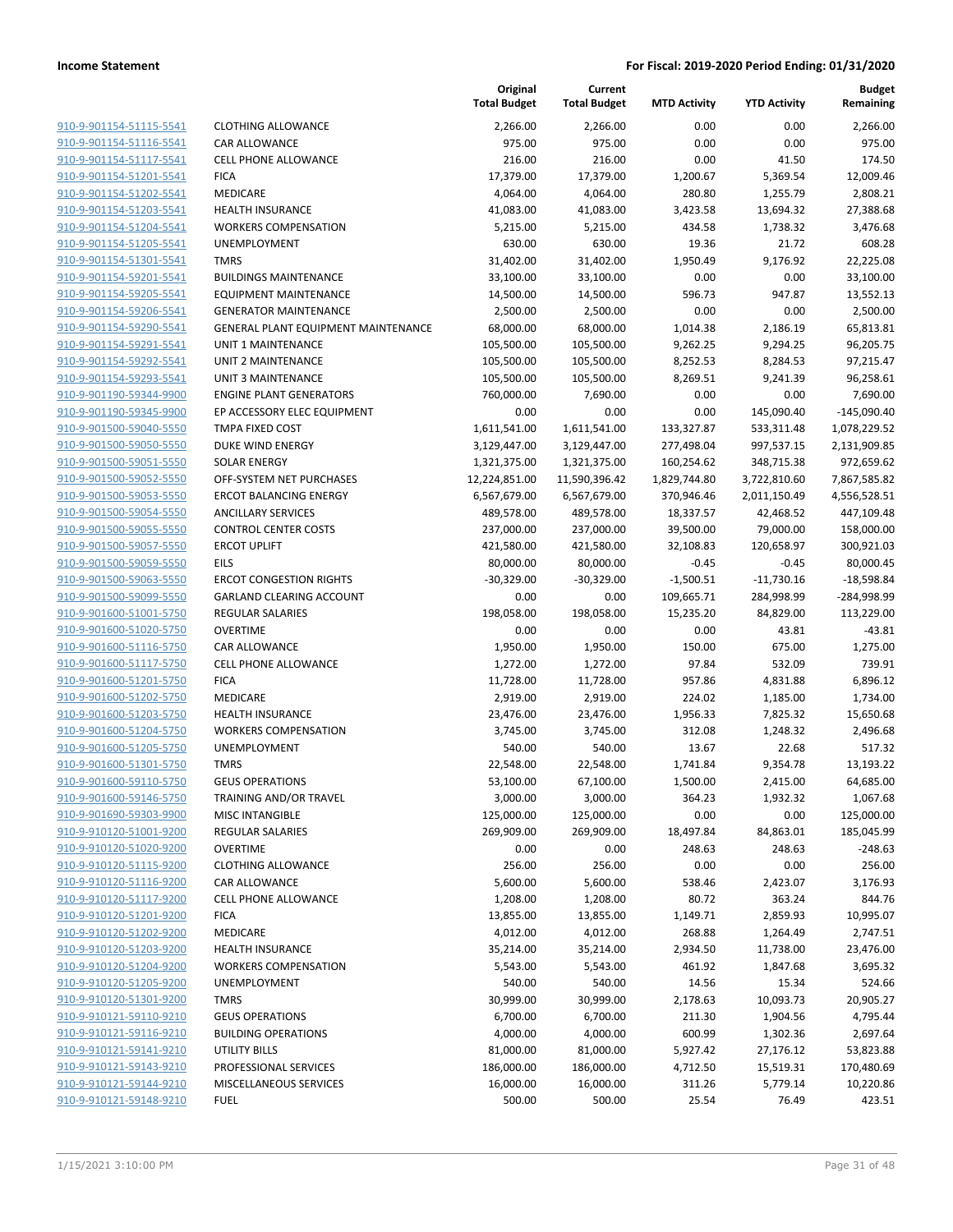|                                                    |                                            | Original<br><b>Total Budget</b> | Current<br><b>Total Budget</b> | <b>MTD Activity</b> | <b>YTD Activity</b> | <b>Budget</b><br>Remaining |
|----------------------------------------------------|--------------------------------------------|---------------------------------|--------------------------------|---------------------|---------------------|----------------------------|
| 910-9-901154-51115-5541                            | <b>CLOTHING ALLOWANCE</b>                  | 2,266.00                        | 2,266.00                       | 0.00                | 0.00                | 2,266.00                   |
| 910-9-901154-51116-5541                            | CAR ALLOWANCE                              | 975.00                          | 975.00                         | 0.00                | 0.00                | 975.00                     |
| 910-9-901154-51117-5541                            | <b>CELL PHONE ALLOWANCE</b>                | 216.00                          | 216.00                         | 0.00                | 41.50               | 174.50                     |
| 910-9-901154-51201-5541                            | <b>FICA</b>                                | 17,379.00                       | 17,379.00                      | 1,200.67            | 5,369.54            | 12,009.46                  |
| 910-9-901154-51202-5541                            | MEDICARE                                   | 4,064.00                        | 4,064.00                       | 280.80              | 1,255.79            | 2,808.21                   |
| 910-9-901154-51203-5541                            | <b>HEALTH INSURANCE</b>                    | 41,083.00                       | 41,083.00                      | 3,423.58            | 13,694.32           | 27,388.68                  |
| 910-9-901154-51204-5541                            | <b>WORKERS COMPENSATION</b>                | 5,215.00                        | 5,215.00                       | 434.58              | 1,738.32            | 3,476.68                   |
| 910-9-901154-51205-5541                            | <b>UNEMPLOYMENT</b>                        | 630.00                          | 630.00                         | 19.36               | 21.72               | 608.28                     |
| 910-9-901154-51301-5541                            | <b>TMRS</b>                                | 31,402.00                       | 31,402.00                      | 1,950.49            | 9,176.92            | 22,225.08                  |
| 910-9-901154-59201-5541                            | <b>BUILDINGS MAINTENANCE</b>               | 33,100.00                       | 33,100.00                      | 0.00                | 0.00                | 33,100.00                  |
| 910-9-901154-59205-5541                            | <b>EQUIPMENT MAINTENANCE</b>               | 14,500.00                       | 14,500.00                      | 596.73              | 947.87              | 13,552.13                  |
| 910-9-901154-59206-5541                            | <b>GENERATOR MAINTENANCE</b>               | 2,500.00                        | 2,500.00                       | 0.00                | 0.00                | 2,500.00                   |
| 910-9-901154-59290-5541                            | GENERAL PLANT EQUIPMENT MAINTENANCE        | 68,000.00                       | 68,000.00                      | 1,014.38            | 2,186.19            | 65,813.81                  |
| 910-9-901154-59291-5541                            | UNIT 1 MAINTENANCE                         | 105,500.00                      | 105,500.00                     | 9,262.25            | 9,294.25            | 96,205.75                  |
| 910-9-901154-59292-5541                            | UNIT 2 MAINTENANCE                         | 105,500.00                      | 105,500.00                     | 8,252.53            | 8,284.53            | 97,215.47                  |
| 910-9-901154-59293-5541                            | <b>UNIT 3 MAINTENANCE</b>                  | 105,500.00                      | 105,500.00                     | 8,269.51            | 9,241.39            | 96,258.61                  |
| 910-9-901190-59344-9900                            | <b>ENGINE PLANT GENERATORS</b>             | 760,000.00                      | 7,690.00                       | 0.00                | 0.00                | 7,690.00                   |
| 910-9-901190-59345-9900                            | EP ACCESSORY ELEC EQUIPMENT                | 0.00                            | 0.00                           | 0.00                | 145,090.40          | $-145,090.40$              |
| 910-9-901500-59040-5550                            | TMPA FIXED COST                            | 1,611,541.00                    | 1,611,541.00                   | 133,327.87          | 533,311.48          | 1,078,229.52               |
| 910-9-901500-59050-5550                            | DUKE WIND ENERGY                           | 3,129,447.00                    | 3,129,447.00                   | 277,498.04          | 997,537.15          | 2,131,909.85               |
| 910-9-901500-59051-5550                            | <b>SOLAR ENERGY</b>                        | 1,321,375.00                    | 1,321,375.00                   | 160,254.62          | 348,715.38          | 972,659.62                 |
| 910-9-901500-59052-5550                            | OFF-SYSTEM NET PURCHASES                   | 12,224,851.00                   | 11,590,396.42                  | 1,829,744.80        | 3,722,810.60        | 7,867,585.82               |
| 910-9-901500-59053-5550                            | <b>ERCOT BALANCING ENERGY</b>              | 6,567,679.00                    | 6,567,679.00                   | 370,946.46          | 2,011,150.49        | 4,556,528.51               |
| 910-9-901500-59054-5550                            | <b>ANCILLARY SERVICES</b>                  | 489,578.00                      | 489,578.00                     | 18,337.57           | 42,468.52           | 447,109.48                 |
| 910-9-901500-59055-5550                            | <b>CONTROL CENTER COSTS</b>                | 237,000.00                      | 237,000.00                     | 39,500.00           | 79,000.00           | 158,000.00                 |
| 910-9-901500-59057-5550                            | <b>ERCOT UPLIFT</b>                        | 421,580.00                      | 421,580.00                     | 32,108.83           | 120,658.97          | 300,921.03                 |
| 910-9-901500-59059-5550                            | <b>EILS</b>                                | 80,000.00                       | 80,000.00                      | $-0.45$             | $-0.45$             | 80,000.45                  |
| 910-9-901500-59063-5550                            | <b>ERCOT CONGESTION RIGHTS</b>             | $-30,329.00$                    | $-30,329.00$                   | $-1,500.51$         | $-11,730.16$        | $-18,598.84$               |
| 910-9-901500-59099-5550                            | GARLAND CLEARING ACCOUNT                   | 0.00                            | 0.00                           | 109,665.71          | 284,998.99          | -284,998.99                |
| 910-9-901600-51001-5750                            | <b>REGULAR SALARIES</b>                    | 198,058.00                      | 198,058.00                     | 15,235.20           | 84,829.00           | 113,229.00                 |
| 910-9-901600-51020-5750                            | <b>OVERTIME</b>                            | 0.00                            | 0.00                           | 0.00                | 43.81               | $-43.81$                   |
| 910-9-901600-51116-5750                            | CAR ALLOWANCE                              | 1,950.00                        | 1,950.00                       | 150.00              | 675.00              | 1,275.00                   |
| 910-9-901600-51117-5750                            | <b>CELL PHONE ALLOWANCE</b>                | 1,272.00                        | 1,272.00                       | 97.84               | 532.09              | 739.91                     |
| 910-9-901600-51201-5750                            | <b>FICA</b>                                | 11,728.00                       | 11,728.00                      | 957.86              | 4,831.88            | 6,896.12                   |
| 910-9-901600-51202-5750                            | MEDICARE                                   | 2,919.00                        | 2,919.00                       | 224.02              | 1,185.00            | 1,734.00                   |
| 910-9-901600-51203-5750                            | <b>HEALTH INSURANCE</b>                    | 23,476.00                       | 23,476.00                      | 1,956.33            | 7,825.32            | 15,650.68                  |
| 910-9-901600-51204-5750                            | <b>WORKERS COMPENSATION</b>                | 3,745.00                        | 3,745.00                       | 312.08              | 1,248.32            | 2,496.68                   |
| 910-9-901600-51205-5750                            | UNEMPLOYMENT                               | 540.00                          | 540.00                         | 13.67               | 22.68               | 517.32                     |
| 910-9-901600-51301-5750                            | <b>TMRS</b>                                | 22,548.00                       | 22,548.00                      | 1,741.84            | 9,354.78            | 13,193.22                  |
| 910-9-901600-59110-5750                            | <b>GEUS OPERATIONS</b>                     | 53,100.00<br>3,000.00           | 67,100.00                      | 1,500.00            | 2,415.00            | 64,685.00                  |
| 910-9-901600-59146-5750                            | TRAINING AND/OR TRAVEL                     | 125,000.00                      | 3,000.00                       | 364.23<br>0.00      | 1,932.32            | 1,067.68                   |
| 910-9-901690-59303-9900<br>910-9-910120-51001-9200 | MISC INTANGIBLE<br><b>REGULAR SALARIES</b> | 269,909.00                      | 125,000.00<br>269,909.00       |                     | 0.00                | 125,000.00<br>185,045.99   |
| 910-9-910120-51020-9200                            | <b>OVERTIME</b>                            | 0.00                            | 0.00                           | 18,497.84<br>248.63 | 84,863.01<br>248.63 | $-248.63$                  |
| 910-9-910120-51115-9200                            | <b>CLOTHING ALLOWANCE</b>                  | 256.00                          | 256.00                         | 0.00                | 0.00                | 256.00                     |
| 910-9-910120-51116-9200                            | CAR ALLOWANCE                              | 5,600.00                        | 5,600.00                       | 538.46              | 2,423.07            | 3,176.93                   |
| 910-9-910120-51117-9200                            | CELL PHONE ALLOWANCE                       | 1,208.00                        | 1,208.00                       | 80.72               | 363.24              | 844.76                     |
| 910-9-910120-51201-9200                            | <b>FICA</b>                                | 13,855.00                       | 13,855.00                      | 1,149.71            | 2,859.93            | 10,995.07                  |
| 910-9-910120-51202-9200                            | MEDICARE                                   | 4,012.00                        | 4,012.00                       | 268.88              | 1,264.49            | 2,747.51                   |
| 910-9-910120-51203-9200                            | <b>HEALTH INSURANCE</b>                    | 35,214.00                       | 35,214.00                      | 2,934.50            | 11,738.00           | 23,476.00                  |
| 910-9-910120-51204-9200                            | <b>WORKERS COMPENSATION</b>                | 5,543.00                        | 5,543.00                       | 461.92              | 1,847.68            | 3,695.32                   |
| 910-9-910120-51205-9200                            | UNEMPLOYMENT                               | 540.00                          | 540.00                         | 14.56               | 15.34               | 524.66                     |
| 910-9-910120-51301-9200                            | <b>TMRS</b>                                | 30,999.00                       | 30,999.00                      | 2,178.63            | 10,093.73           | 20,905.27                  |
| 910-9-910121-59110-9210                            | <b>GEUS OPERATIONS</b>                     | 6,700.00                        | 6,700.00                       | 211.30              | 1,904.56            | 4,795.44                   |
| 910-9-910121-59116-9210                            | <b>BUILDING OPERATIONS</b>                 | 4,000.00                        | 4,000.00                       | 600.99              | 1,302.36            | 2,697.64                   |
| 910-9-910121-59141-9210                            | UTILITY BILLS                              | 81,000.00                       | 81,000.00                      | 5,927.42            | 27,176.12           | 53,823.88                  |
| 910-9-910121-59143-9210                            | PROFESSIONAL SERVICES                      | 186,000.00                      | 186,000.00                     | 4,712.50            | 15,519.31           | 170,480.69                 |
| 910-9-910121-59144-9210                            | MISCELLANEOUS SERVICES                     | 16,000.00                       | 16,000.00                      | 311.26              | 5,779.14            | 10,220.86                  |
| 910-9-910121-59148-9210                            | <b>FUEL</b>                                | 500.00                          | 500.00                         | 25.54               | 76.49               | 423.51                     |
|                                                    |                                            |                                 |                                |                     |                     |                            |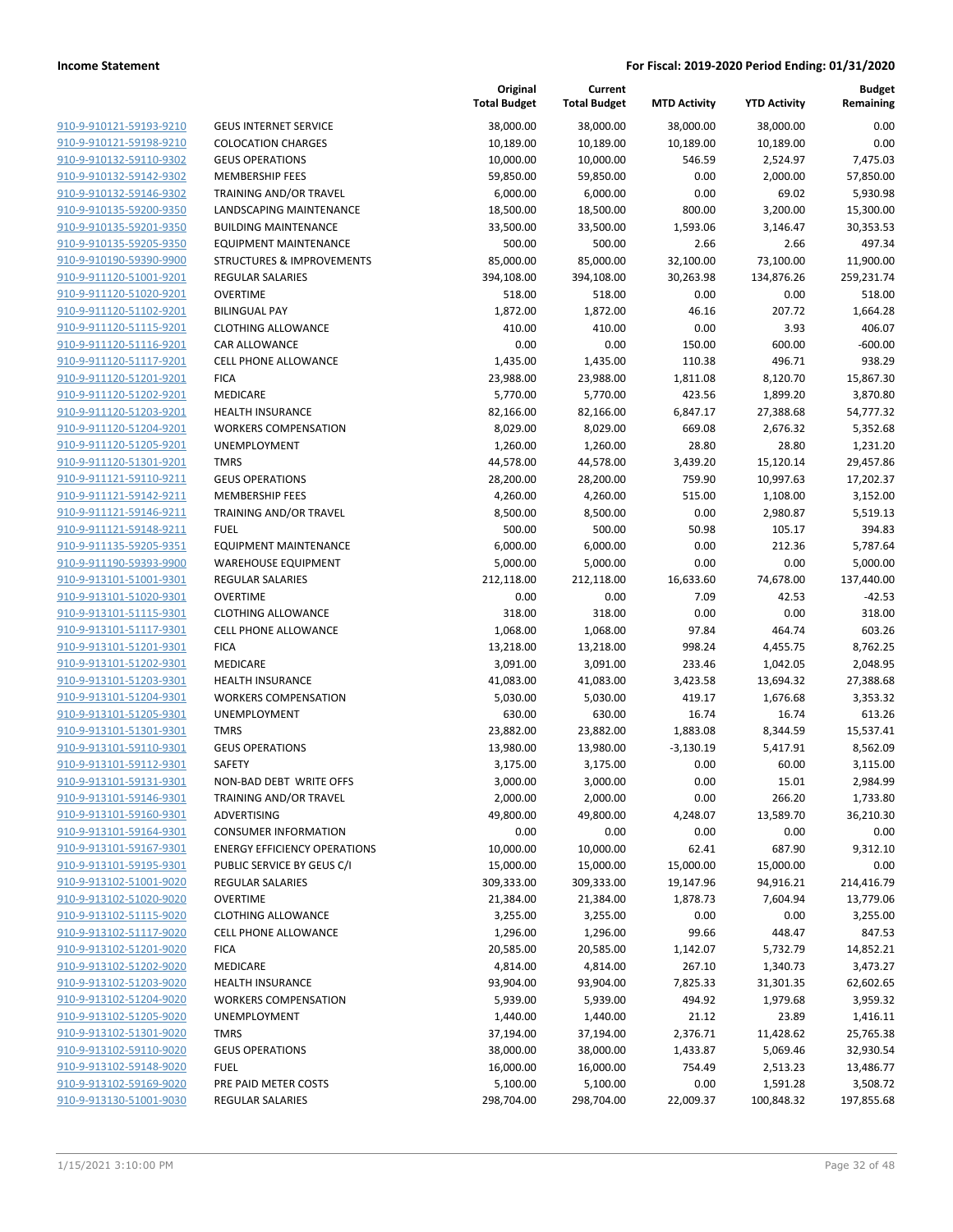| 910-9-910121-59193-9210<br><b>GEUS INTERNET SERVICE</b><br>38,000.00<br>38,000.00                                     |                                                           |
|-----------------------------------------------------------------------------------------------------------------------|-----------------------------------------------------------|
|                                                                                                                       | 38,000.00<br>38,000.00<br>0.00                            |
| 910-9-910121-59198-9210<br><b>COLOCATION CHARGES</b><br>10,189.00<br>10,189.00                                        | 0.00<br>10,189.00<br>10,189.00                            |
| 910-9-910132-59110-9302<br><b>GEUS OPERATIONS</b><br>10,000.00<br>10,000.00                                           | 546.59<br>2,524.97<br>7,475.03                            |
| 910-9-910132-59142-9302<br><b>MEMBERSHIP FEES</b><br>59,850.00<br>59,850.00                                           | 0.00<br>2,000.00<br>57,850.00                             |
| 910-9-910132-59146-9302<br>TRAINING AND/OR TRAVEL<br>6,000.00<br>6,000.00                                             | 0.00<br>69.02<br>5,930.98                                 |
| 910-9-910135-59200-9350<br>LANDSCAPING MAINTENANCE<br>18,500.00<br>18,500.00                                          | 800.00<br>3,200.00<br>15,300.00                           |
| 910-9-910135-59201-9350<br><b>BUILDING MAINTENANCE</b><br>33,500.00<br>33,500.00                                      | 1,593.06<br>3,146.47<br>30,353.53                         |
| 910-9-910135-59205-9350<br>500.00<br>500.00<br><b>EQUIPMENT MAINTENANCE</b>                                           | 497.34<br>2.66<br>2.66                                    |
| 910-9-910190-59390-9900<br><b>STRUCTURES &amp; IMPROVEMENTS</b><br>85,000.00<br>85,000.00                             | 32,100.00<br>73,100.00<br>11,900.00                       |
| 910-9-911120-51001-9201<br>REGULAR SALARIES<br>394,108.00<br>394,108.00                                               | 30,263.98<br>134,876.26<br>259,231.74                     |
| 910-9-911120-51020-9201<br><b>OVERTIME</b><br>518.00<br>518.00                                                        | 0.00<br>0.00<br>518.00                                    |
| 910-9-911120-51102-9201<br><b>BILINGUAL PAY</b><br>1,872.00<br>1,872.00                                               | 46.16<br>207.72<br>1,664.28                               |
| 910-9-911120-51115-9201<br><b>CLOTHING ALLOWANCE</b><br>410.00<br>410.00                                              | 0.00<br>3.93<br>406.07                                    |
| 910-9-911120-51116-9201<br>0.00<br>CAR ALLOWANCE<br>0.00                                                              | 150.00<br>600.00<br>$-600.00$                             |
| 910-9-911120-51117-9201<br>CELL PHONE ALLOWANCE<br>1,435.00<br>1,435.00                                               | 110.38<br>496.71<br>938.29                                |
| 910-9-911120-51201-9201<br><b>FICA</b><br>23,988.00<br>23,988.00                                                      | 1,811.08<br>8,120.70<br>15,867.30                         |
| 910-9-911120-51202-9201<br>MEDICARE<br>5,770.00<br>5,770.00                                                           | 423.56<br>1,899.20<br>3,870.80                            |
| 910-9-911120-51203-9201<br><b>HEALTH INSURANCE</b><br>82,166.00<br>82,166.00                                          | 6,847.17<br>27,388.68<br>54,777.32                        |
| 910-9-911120-51204-9201<br><b>WORKERS COMPENSATION</b><br>8,029.00<br>8,029.00                                        | 669.08<br>2,676.32<br>5,352.68                            |
| 910-9-911120-51205-9201<br>UNEMPLOYMENT<br>1,260.00<br>1,260.00                                                       | 28.80<br>28.80<br>1,231.20                                |
| 910-9-911120-51301-9201<br><b>TMRS</b><br>44,578.00<br>44,578.00<br>910-9-911121-59110-9211<br><b>GEUS OPERATIONS</b> | 3,439.20<br>15,120.14<br>29,457.86<br>759.90<br>10,997.63 |
| 28,200.00<br>28,200.00<br>910-9-911121-59142-9211<br><b>MEMBERSHIP FEES</b><br>4,260.00<br>4,260.00                   | 17,202.37<br>515.00<br>1,108.00<br>3,152.00               |
| 910-9-911121-59146-9211<br>TRAINING AND/OR TRAVEL<br>8,500.00<br>8,500.00                                             | 0.00<br>2,980.87<br>5,519.13                              |
| 910-9-911121-59148-9211<br><b>FUEL</b><br>500.00<br>500.00                                                            | 50.98<br>105.17<br>394.83                                 |
| 910-9-911135-59205-9351<br><b>EQUIPMENT MAINTENANCE</b><br>6,000.00<br>6,000.00                                       | 0.00<br>212.36<br>5,787.64                                |
| 910-9-911190-59393-9900<br><b>WAREHOUSE EQUIPMENT</b><br>5,000.00<br>5,000.00                                         | 0.00<br>0.00<br>5,000.00                                  |
| 910-9-913101-51001-9301<br><b>REGULAR SALARIES</b><br>212,118.00<br>212,118.00                                        | 16,633.60<br>74,678.00<br>137,440.00                      |
| 910-9-913101-51020-9301<br><b>OVERTIME</b><br>0.00<br>0.00                                                            | 7.09<br>42.53<br>$-42.53$                                 |
| 910-9-913101-51115-9301<br><b>CLOTHING ALLOWANCE</b><br>318.00<br>318.00                                              | 0.00<br>0.00<br>318.00                                    |
| 910-9-913101-51117-9301<br><b>CELL PHONE ALLOWANCE</b><br>1,068.00<br>1,068.00                                        | 97.84<br>464.74<br>603.26                                 |
| 910-9-913101-51201-9301<br><b>FICA</b><br>13,218.00<br>13,218.00                                                      | 998.24<br>4,455.75<br>8,762.25                            |
| 910-9-913101-51202-9301<br>MEDICARE<br>3,091.00<br>3,091.00                                                           | 233.46<br>1,042.05<br>2,048.95                            |
| 910-9-913101-51203-9301<br><b>HEALTH INSURANCE</b><br>41,083.00<br>41,083.00                                          | 3,423.58<br>13,694.32<br>27,388.68                        |
| 910-9-913101-51204-9301<br><b>WORKERS COMPENSATION</b><br>5,030.00<br>5,030.00                                        | 419.17<br>1,676.68<br>3,353.32                            |
| 910-9-913101-51205-9301<br>UNEMPLOYMENT<br>630.00<br>630.00                                                           | 16.74<br>16.74<br>613.26                                  |
| 910-9-913101-51301-9301<br><b>TMRS</b><br>23,882.00<br>23,882.00                                                      | 1,883.08<br>8,344.59<br>15,537.41                         |
| 910-9-913101-59110-9301<br><b>GEUS OPERATIONS</b><br>13,980.00<br>13,980.00                                           | $-3,130.19$<br>8,562.09<br>5,417.91                       |
| 910-9-913101-59112-9301<br><b>SAFETY</b><br>3,175.00<br>3,175.00                                                      | 0.00<br>60.00<br>3,115.00                                 |
| 910-9-913101-59131-9301<br>NON-BAD DEBT WRITE OFFS<br>3,000.00<br>3,000.00                                            | 0.00<br>15.01<br>2,984.99                                 |
| 910-9-913101-59146-9301<br><b>TRAINING AND/OR TRAVEL</b><br>2,000.00<br>2,000.00                                      | 0.00<br>266.20<br>1,733.80                                |
| 910-9-913101-59160-9301<br>49,800.00<br>ADVERTISING<br>49,800.00                                                      | 13,589.70<br>4,248.07<br>36,210.30                        |
| 910-9-913101-59164-9301<br><b>CONSUMER INFORMATION</b><br>0.00<br>0.00                                                | 0.00<br>0.00<br>0.00                                      |
| 910-9-913101-59167-9301<br><b>ENERGY EFFICIENCY OPERATIONS</b><br>10,000.00<br>10,000.00                              | 62.41<br>687.90<br>9,312.10                               |
| 910-9-913101-59195-9301<br>PUBLIC SERVICE BY GEUS C/I<br>15,000.00<br>15,000.00                                       | 15,000.00<br>15,000.00<br>0.00                            |
| 910-9-913102-51001-9020<br>REGULAR SALARIES<br>309,333.00<br>309,333.00                                               | 19,147.96<br>94,916.21<br>214,416.79                      |
| 910-9-913102-51020-9020<br><b>OVERTIME</b><br>21,384.00<br>21,384.00                                                  | 1,878.73<br>7,604.94<br>13,779.06                         |
| 910-9-913102-51115-9020<br><b>CLOTHING ALLOWANCE</b><br>3,255.00<br>3,255.00                                          | 0.00<br>3,255.00<br>0.00                                  |
| 910-9-913102-51117-9020<br><b>CELL PHONE ALLOWANCE</b><br>1,296.00<br>1,296.00                                        | 99.66<br>448.47<br>847.53                                 |
| 910-9-913102-51201-9020<br><b>FICA</b><br>20,585.00<br>20,585.00                                                      | 14,852.21<br>1,142.07<br>5,732.79                         |
| 910-9-913102-51202-9020<br>MEDICARE<br>4,814.00<br>4,814.00                                                           | 267.10<br>1,340.73<br>3,473.27                            |
| 910-9-913102-51203-9020<br><b>HEALTH INSURANCE</b><br>93,904.00<br>93,904.00                                          | 7,825.33<br>62,602.65<br>31,301.35                        |
| 910-9-913102-51204-9020<br>5,939.00<br><b>WORKERS COMPENSATION</b><br>5,939.00                                        | 494.92<br>1,979.68<br>3,959.32                            |
| 910-9-913102-51205-9020<br>UNEMPLOYMENT<br>1,440.00<br>1,440.00                                                       | 21.12<br>23.89<br>1,416.11                                |
| 910-9-913102-51301-9020<br><b>TMRS</b><br>37,194.00<br>37,194.00                                                      | 2,376.71<br>11,428.62<br>25,765.38                        |
| 910-9-913102-59110-9020<br><b>GEUS OPERATIONS</b><br>38,000.00<br>38,000.00                                           | 1,433.87<br>5,069.46<br>32,930.54                         |
| 910-9-913102-59148-9020<br><b>FUEL</b><br>16,000.00<br>16,000.00                                                      | 754.49<br>2,513.23<br>13,486.77                           |
| 910-9-913102-59169-9020<br>PRE PAID METER COSTS<br>5,100.00<br>5,100.00                                               | 0.00<br>1,591.28<br>3,508.72                              |
| 910-9-913130-51001-9030<br>REGULAR SALARIES<br>298,704.00<br>298,704.00                                               | 22,009.37<br>100,848.32<br>197,855.68                     |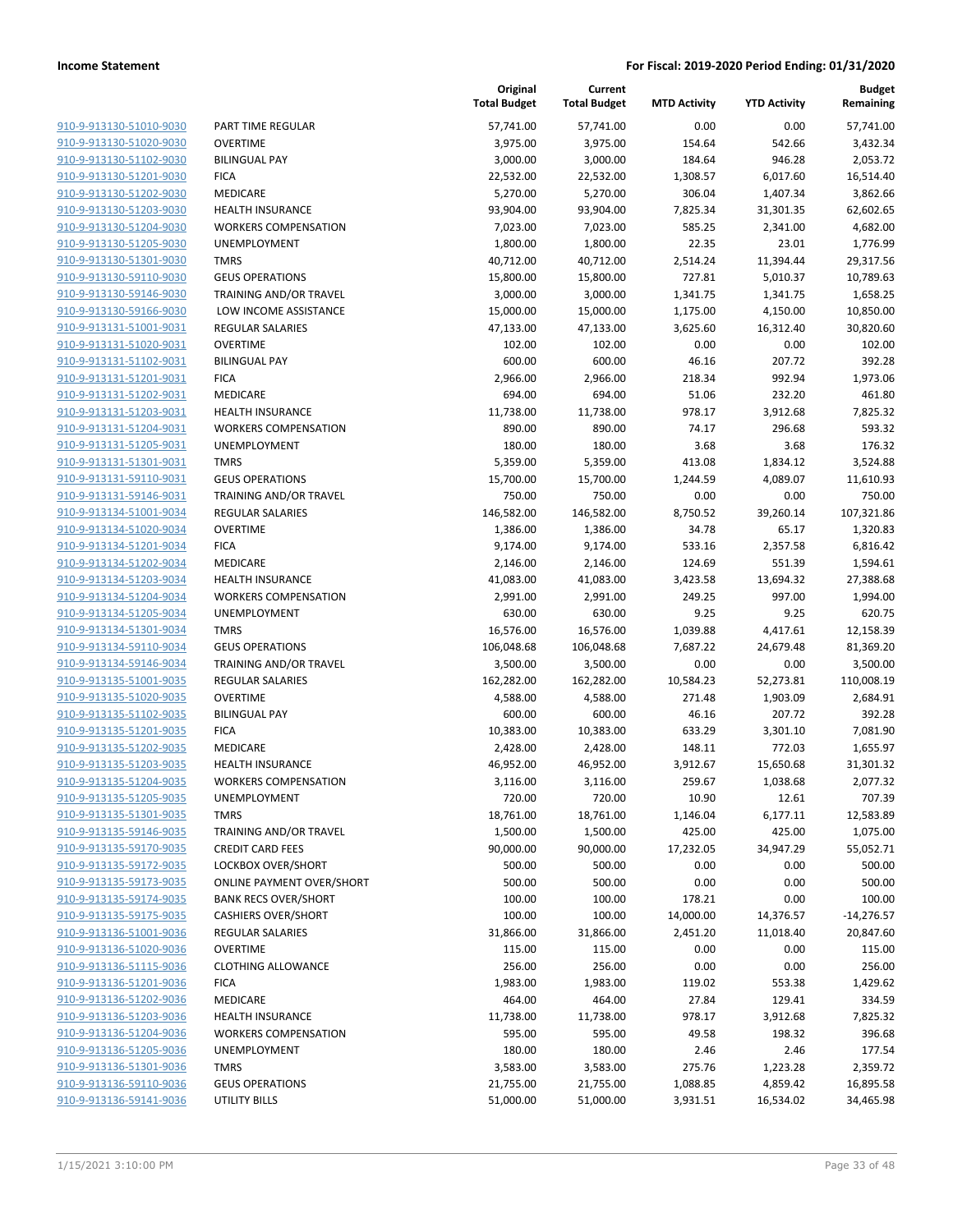| <u>910-9-913130-51010-9030</u>                     |
|----------------------------------------------------|
| 910-9-913130-51020-9030                            |
| 910-9-913130-51102-9030                            |
| 910-9-913130-51201-9030                            |
| 910-9-913130-51202-9030                            |
| <u>910-9-913130-51203-9030</u>                     |
| 910-9-913130-51204-9030                            |
| 910-9-913130-51205-9030                            |
| 910-9-913130-51301-9030                            |
| 910-9-913130-59110-9030                            |
| 910-9-913130-59146-9030                            |
| 910-9-913130-59166-9030                            |
| 910-9-913131-51001-9031                            |
| 910-9-913131-51020-9031                            |
|                                                    |
| 910-9-913131-51102-9031                            |
| <u>910-9-913131-51201-9031</u>                     |
| 910-9-913131-51202-9031                            |
| 910-9-913131-51203-9031                            |
| 910-9-913131-51204-9031                            |
| 910-9-913131-51205-9031                            |
| 910-9-913131-51301-9031                            |
| 910-9-913131-59110-9031                            |
| 910-9-913131-59146-9031                            |
| 910-9-913134-51001-9034                            |
| 910-9-913134-51020-9034                            |
| <u>910-9-913134-51201-9034</u>                     |
| 910-9-913134-51202-9034                            |
| 910-9-913134-51203-9034                            |
| 910-9-913134-51204-9034                            |
| 910-9-913134-51205-9034                            |
| <u>910-9-913134-51301-9034</u>                     |
| <u>910-9-913134-59110-9034</u>                     |
| 910-9-913134-59146-9034                            |
| 910-9-913135-51001-9035                            |
|                                                    |
| 910-9-913135-51020-9035                            |
| <u>910-9-913135-51102-9035</u>                     |
| 910-9-913135-51201-9035                            |
| 910-9-913135-51202-9035                            |
| 910-9-913135-51203-9035                            |
| 910-9-913135-51204-9035                            |
| 910-9-913135-51205-9035                            |
| 910-9-913135-51301-9035                            |
| 910-9-913135-59146-9035                            |
| 910-9-913135-59170-9035                            |
| 910-9-913135-59172-9035                            |
| 910-9-913135-59173-9035                            |
| 910-9-913135-59174-9035                            |
|                                                    |
| 910-9-913135-59175-9035                            |
|                                                    |
| 910-9-913136-51001-9036                            |
| 910-9-913136-51020-9036                            |
| <u>910-9-913136-51115-9036</u>                     |
| 910-9-913136-51201-9036                            |
| 910-9-913136-51202-9036                            |
| 910-9-913136-51203-9036                            |
| 910-9-913136-51204-9036                            |
| 910-9-913136-51205-9036                            |
| <u>910-9-913136-51301-9036</u>                     |
| 910-9-913136-59110-9036<br>910-9-913136-59141-9036 |

|                         |                                  | Original<br><b>Total Budget</b> | Current<br><b>Total Budget</b> | <b>MTD Activity</b> | <b>YTD Activity</b> | <b>Budget</b><br>Remaining |
|-------------------------|----------------------------------|---------------------------------|--------------------------------|---------------------|---------------------|----------------------------|
| 910-9-913130-51010-9030 | PART TIME REGULAR                | 57,741.00                       | 57,741.00                      | 0.00                | 0.00                | 57,741.00                  |
| 910-9-913130-51020-9030 | <b>OVERTIME</b>                  | 3,975.00                        | 3,975.00                       | 154.64              | 542.66              | 3,432.34                   |
| 910-9-913130-51102-9030 | <b>BILINGUAL PAY</b>             | 3,000.00                        | 3,000.00                       | 184.64              | 946.28              | 2,053.72                   |
| 910-9-913130-51201-9030 | <b>FICA</b>                      | 22,532.00                       | 22,532.00                      | 1,308.57            | 6,017.60            | 16,514.40                  |
| 910-9-913130-51202-9030 | MEDICARE                         | 5,270.00                        | 5,270.00                       | 306.04              | 1,407.34            | 3,862.66                   |
| 910-9-913130-51203-9030 | <b>HEALTH INSURANCE</b>          | 93,904.00                       | 93,904.00                      | 7,825.34            | 31,301.35           | 62,602.65                  |
| 910-9-913130-51204-9030 | <b>WORKERS COMPENSATION</b>      | 7,023.00                        | 7,023.00                       | 585.25              | 2,341.00            | 4,682.00                   |
| 910-9-913130-51205-9030 | UNEMPLOYMENT                     | 1,800.00                        | 1,800.00                       | 22.35               | 23.01               | 1,776.99                   |
| 910-9-913130-51301-9030 | <b>TMRS</b>                      | 40,712.00                       | 40,712.00                      | 2,514.24            | 11,394.44           | 29,317.56                  |
| 910-9-913130-59110-9030 | <b>GEUS OPERATIONS</b>           | 15,800.00                       | 15,800.00                      | 727.81              | 5,010.37            | 10,789.63                  |
| 910-9-913130-59146-9030 | <b>TRAINING AND/OR TRAVEL</b>    | 3,000.00                        | 3,000.00                       | 1,341.75            | 1,341.75            | 1,658.25                   |
| 910-9-913130-59166-9030 | LOW INCOME ASSISTANCE            | 15,000.00                       | 15,000.00                      | 1,175.00            | 4,150.00            | 10,850.00                  |
| 910-9-913131-51001-9031 | <b>REGULAR SALARIES</b>          | 47,133.00                       | 47,133.00                      | 3,625.60            | 16,312.40           | 30,820.60                  |
| 910-9-913131-51020-9031 | <b>OVERTIME</b>                  | 102.00                          | 102.00                         | 0.00                | 0.00                | 102.00                     |
| 910-9-913131-51102-9031 | <b>BILINGUAL PAY</b>             | 600.00                          | 600.00                         | 46.16               | 207.72              | 392.28                     |
| 910-9-913131-51201-9031 | <b>FICA</b>                      | 2,966.00                        | 2,966.00                       | 218.34              | 992.94              | 1,973.06                   |
| 910-9-913131-51202-9031 | MEDICARE                         | 694.00                          | 694.00                         | 51.06               | 232.20              | 461.80                     |
| 910-9-913131-51203-9031 | <b>HEALTH INSURANCE</b>          | 11,738.00                       | 11,738.00                      | 978.17              | 3,912.68            | 7,825.32                   |
| 910-9-913131-51204-9031 | <b>WORKERS COMPENSATION</b>      | 890.00                          | 890.00                         | 74.17               | 296.68              | 593.32                     |
| 910-9-913131-51205-9031 | UNEMPLOYMENT                     | 180.00                          | 180.00                         | 3.68                | 3.68                | 176.32                     |
| 910-9-913131-51301-9031 | <b>TMRS</b>                      | 5,359.00                        | 5,359.00                       | 413.08              | 1,834.12            | 3,524.88                   |
| 910-9-913131-59110-9031 | <b>GEUS OPERATIONS</b>           | 15,700.00                       | 15,700.00                      | 1,244.59            | 4,089.07            | 11,610.93                  |
| 910-9-913131-59146-9031 | TRAINING AND/OR TRAVEL           | 750.00                          | 750.00                         | 0.00                | 0.00                | 750.00                     |
| 910-9-913134-51001-9034 | <b>REGULAR SALARIES</b>          | 146,582.00                      | 146,582.00                     | 8,750.52            | 39,260.14           | 107,321.86                 |
| 910-9-913134-51020-9034 | <b>OVERTIME</b>                  | 1,386.00                        | 1,386.00                       | 34.78               | 65.17               | 1,320.83                   |
| 910-9-913134-51201-9034 | <b>FICA</b>                      | 9,174.00                        | 9,174.00                       | 533.16              | 2,357.58            | 6,816.42                   |
| 910-9-913134-51202-9034 | MEDICARE                         | 2,146.00                        | 2,146.00                       | 124.69              | 551.39              | 1,594.61                   |
| 910-9-913134-51203-9034 | <b>HEALTH INSURANCE</b>          | 41,083.00                       | 41,083.00                      | 3,423.58            | 13,694.32           | 27,388.68                  |
| 910-9-913134-51204-9034 | <b>WORKERS COMPENSATION</b>      | 2,991.00                        | 2,991.00                       | 249.25              | 997.00              | 1,994.00                   |
| 910-9-913134-51205-9034 | UNEMPLOYMENT                     | 630.00                          | 630.00                         | 9.25                | 9.25                | 620.75                     |
| 910-9-913134-51301-9034 | <b>TMRS</b>                      | 16,576.00                       | 16,576.00                      | 1,039.88            | 4,417.61            | 12,158.39                  |
| 910-9-913134-59110-9034 | <b>GEUS OPERATIONS</b>           | 106,048.68                      | 106,048.68                     | 7,687.22            | 24,679.48           | 81,369.20                  |
| 910-9-913134-59146-9034 | TRAINING AND/OR TRAVEL           | 3,500.00                        | 3,500.00                       | 0.00                | 0.00                | 3,500.00                   |
| 910-9-913135-51001-9035 | <b>REGULAR SALARIES</b>          | 162,282.00                      | 162,282.00                     | 10,584.23           | 52,273.81           | 110,008.19                 |
| 910-9-913135-51020-9035 | <b>OVERTIME</b>                  | 4,588.00                        | 4,588.00                       | 271.48              | 1,903.09            | 2,684.91                   |
| 910-9-913135-51102-9035 | <b>BILINGUAL PAY</b>             | 600.00                          | 600.00                         | 46.16               | 207.72              | 392.28                     |
| 910-9-913135-51201-9035 | <b>FICA</b>                      | 10,383.00                       | 10,383.00                      | 633.29              | 3,301.10            | 7,081.90                   |
| 910-9-913135-51202-9035 | MEDICARE                         | 2,428.00                        | 2,428.00                       | 148.11              | 772.03              | 1,655.97                   |
| 910-9-913135-51203-9035 | <b>HEALTH INSURANCE</b>          | 46,952.00                       | 46,952.00                      | 3,912.67            | 15,650.68           | 31,301.32                  |
| 910-9-913135-51204-9035 | <b>WORKERS COMPENSATION</b>      | 3,116.00                        | 3,116.00                       | 259.67              | 1,038.68            | 2,077.32                   |
| 910-9-913135-51205-9035 | UNEMPLOYMENT                     | 720.00                          | 720.00                         | 10.90               | 12.61               | 707.39                     |
| 910-9-913135-51301-9035 | <b>TMRS</b>                      | 18,761.00                       | 18,761.00                      | 1,146.04            | 6,177.11            | 12,583.89                  |
| 910-9-913135-59146-9035 | TRAINING AND/OR TRAVEL           | 1,500.00                        | 1,500.00                       | 425.00              | 425.00              | 1,075.00                   |
| 910-9-913135-59170-9035 | <b>CREDIT CARD FEES</b>          | 90,000.00                       | 90,000.00                      | 17,232.05           | 34,947.29           | 55,052.71                  |
| 910-9-913135-59172-9035 | <b>LOCKBOX OVER/SHORT</b>        | 500.00                          | 500.00                         | 0.00                | 0.00                | 500.00                     |
| 910-9-913135-59173-9035 | <b>ONLINE PAYMENT OVER/SHORT</b> | 500.00                          | 500.00                         | 0.00                | 0.00                | 500.00                     |
| 910-9-913135-59174-9035 | <b>BANK RECS OVER/SHORT</b>      | 100.00                          | 100.00                         | 178.21              | 0.00                | 100.00                     |
| 910-9-913135-59175-9035 | <b>CASHIERS OVER/SHORT</b>       | 100.00                          | 100.00                         | 14,000.00           | 14,376.57           | $-14,276.57$               |
| 910-9-913136-51001-9036 | <b>REGULAR SALARIES</b>          | 31,866.00                       | 31,866.00                      | 2,451.20            | 11,018.40           | 20,847.60                  |
| 910-9-913136-51020-9036 | <b>OVERTIME</b>                  | 115.00                          | 115.00                         | 0.00                | 0.00                | 115.00                     |
| 910-9-913136-51115-9036 | <b>CLOTHING ALLOWANCE</b>        | 256.00                          | 256.00                         | 0.00                | 0.00                | 256.00                     |
| 910-9-913136-51201-9036 | <b>FICA</b>                      | 1,983.00                        | 1,983.00                       | 119.02              | 553.38              | 1,429.62                   |
| 910-9-913136-51202-9036 | MEDICARE                         | 464.00                          | 464.00                         | 27.84               | 129.41              | 334.59                     |
| 910-9-913136-51203-9036 | <b>HEALTH INSURANCE</b>          | 11,738.00                       | 11,738.00                      | 978.17              | 3,912.68            | 7,825.32                   |
| 910-9-913136-51204-9036 | <b>WORKERS COMPENSATION</b>      | 595.00                          | 595.00                         | 49.58               | 198.32              | 396.68                     |
| 910-9-913136-51205-9036 | UNEMPLOYMENT                     | 180.00                          | 180.00                         | 2.46                | 2.46                | 177.54                     |
| 910-9-913136-51301-9036 | <b>TMRS</b>                      | 3,583.00                        | 3,583.00                       | 275.76              | 1,223.28            | 2,359.72                   |
| 910-9-913136-59110-9036 | <b>GEUS OPERATIONS</b>           | 21,755.00                       | 21,755.00                      | 1,088.85            | 4,859.42            | 16,895.58                  |
| 910-9-913136-59141-9036 | <b>UTILITY BILLS</b>             | 51,000.00                       | 51,000.00                      | 3,931.51            | 16,534.02           | 34,465.98                  |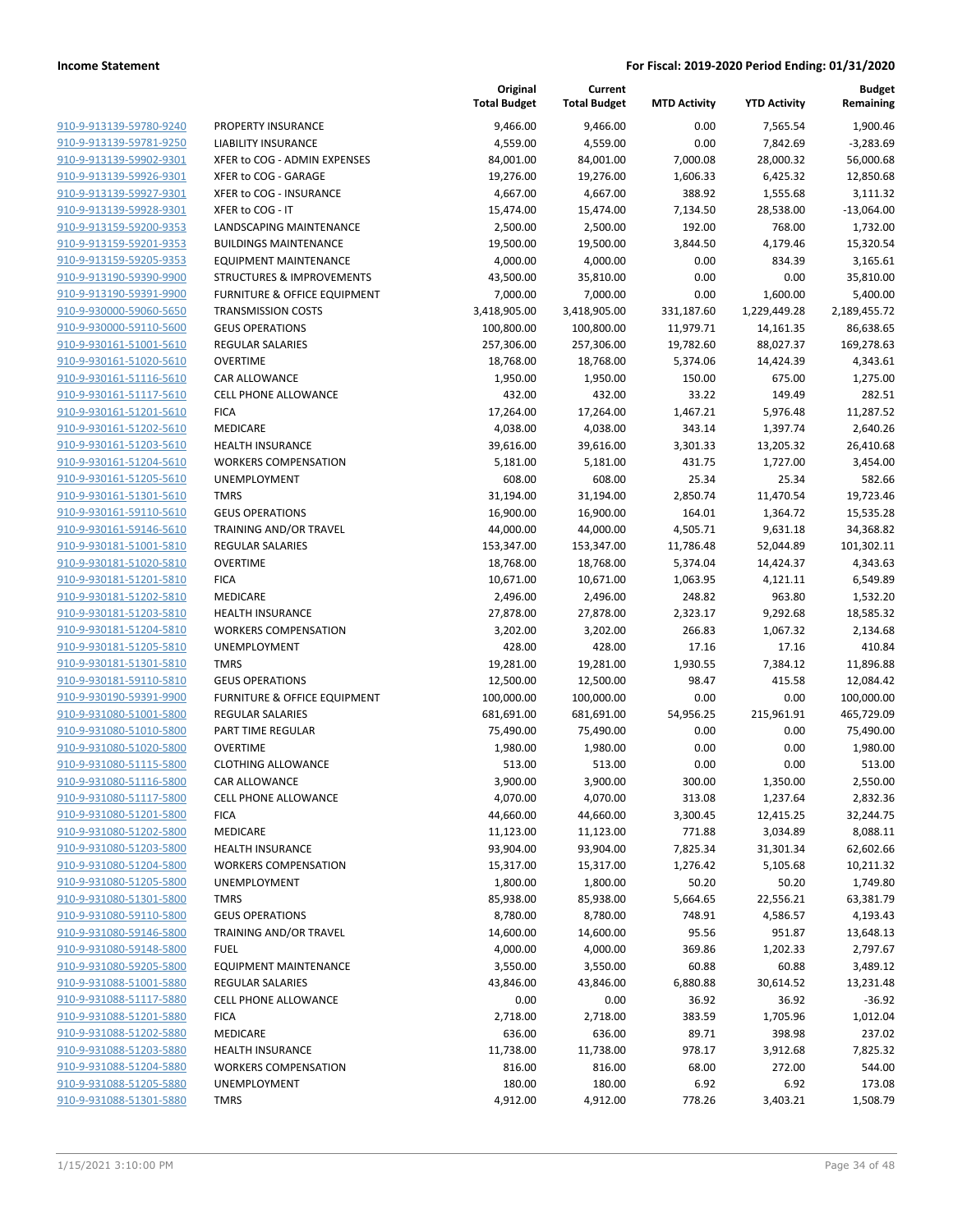|                                                    |                              | Original<br><b>Total Budget</b> | Current<br><b>Total Budget</b> | <b>MTD Activity</b> | <b>YTD Activity</b> | <b>Budget</b><br>Remaining |
|----------------------------------------------------|------------------------------|---------------------------------|--------------------------------|---------------------|---------------------|----------------------------|
| 910-9-913139-59780-9240                            | PROPERTY INSURANCE           | 9,466.00                        | 9,466.00                       | 0.00                | 7,565.54            | 1,900.46                   |
| 910-9-913139-59781-9250                            | <b>LIABILITY INSURANCE</b>   | 4,559.00                        | 4,559.00                       | 0.00                | 7,842.69            | $-3,283.69$                |
| 910-9-913139-59902-9301                            | XFER to COG - ADMIN EXPENSES | 84,001.00                       | 84,001.00                      | 7,000.08            | 28,000.32           | 56,000.68                  |
| 910-9-913139-59926-9301                            | XFER to COG - GARAGE         | 19,276.00                       | 19,276.00                      | 1,606.33            | 6,425.32            | 12,850.68                  |
| 910-9-913139-59927-9301                            | XFER to COG - INSURANCE      | 4,667.00                        | 4,667.00                       | 388.92              | 1,555.68            | 3,111.32                   |
| 910-9-913139-59928-9301                            | XFER to COG - IT             | 15,474.00                       | 15,474.00                      | 7,134.50            | 28,538.00           | $-13,064.00$               |
| 910-9-913159-59200-9353                            | LANDSCAPING MAINTENANCE      | 2,500.00                        | 2,500.00                       | 192.00              | 768.00              | 1,732.00                   |
| 910-9-913159-59201-9353                            | <b>BUILDINGS MAINTENANCE</b> | 19,500.00                       | 19,500.00                      | 3,844.50            | 4,179.46            | 15,320.54                  |
| 910-9-913159-59205-9353                            | <b>EQUIPMENT MAINTENANCE</b> | 4,000.00                        | 4,000.00                       | 0.00                | 834.39              | 3,165.61                   |
| 910-9-913190-59390-9900                            | STRUCTURES & IMPROVEMENTS    | 43,500.00                       | 35,810.00                      | 0.00                | 0.00                | 35,810.00                  |
| 910-9-913190-59391-9900                            | FURNITURE & OFFICE EQUIPMENT | 7,000.00                        | 7,000.00                       | 0.00                | 1,600.00            | 5,400.00                   |
| 910-9-930000-59060-5650                            | <b>TRANSMISSION COSTS</b>    | 3,418,905.00                    | 3,418,905.00                   | 331,187.60          | 1,229,449.28        | 2,189,455.72               |
| 910-9-930000-59110-5600                            | <b>GEUS OPERATIONS</b>       | 100,800.00                      | 100,800.00                     | 11,979.71           | 14,161.35           | 86,638.65                  |
| 910-9-930161-51001-5610                            | <b>REGULAR SALARIES</b>      | 257,306.00                      | 257,306.00                     | 19,782.60           | 88,027.37           | 169,278.63                 |
| 910-9-930161-51020-5610                            | <b>OVERTIME</b>              | 18,768.00                       | 18,768.00                      | 5,374.06            | 14,424.39           | 4,343.61                   |
| 910-9-930161-51116-5610                            | CAR ALLOWANCE                | 1,950.00                        | 1,950.00                       | 150.00              | 675.00              | 1,275.00                   |
| 910-9-930161-51117-5610                            | <b>CELL PHONE ALLOWANCE</b>  | 432.00                          | 432.00                         | 33.22               | 149.49              | 282.51                     |
| 910-9-930161-51201-5610                            | <b>FICA</b>                  | 17,264.00                       | 17,264.00                      | 1,467.21            | 5,976.48            | 11,287.52                  |
| 910-9-930161-51202-5610                            | MEDICARE                     | 4,038.00                        | 4,038.00                       | 343.14              | 1,397.74            | 2,640.26                   |
| 910-9-930161-51203-5610                            | <b>HEALTH INSURANCE</b>      | 39,616.00                       | 39,616.00                      | 3,301.33            | 13,205.32           | 26,410.68                  |
| 910-9-930161-51204-5610                            | <b>WORKERS COMPENSATION</b>  | 5,181.00                        | 5,181.00                       | 431.75              | 1,727.00            | 3,454.00                   |
| 910-9-930161-51205-5610                            | <b>UNEMPLOYMENT</b>          | 608.00                          | 608.00                         | 25.34               | 25.34               | 582.66                     |
| 910-9-930161-51301-5610                            | <b>TMRS</b>                  | 31,194.00                       | 31,194.00                      | 2,850.74            | 11,470.54           | 19,723.46                  |
| 910-9-930161-59110-5610                            | <b>GEUS OPERATIONS</b>       | 16,900.00                       | 16,900.00                      | 164.01              | 1,364.72            | 15,535.28                  |
| 910-9-930161-59146-5610                            | TRAINING AND/OR TRAVEL       | 44,000.00                       | 44,000.00                      | 4,505.71            | 9,631.18            | 34,368.82                  |
| 910-9-930181-51001-5810                            | REGULAR SALARIES             | 153,347.00                      | 153,347.00                     | 11,786.48           | 52,044.89           | 101,302.11                 |
| 910-9-930181-51020-5810                            | <b>OVERTIME</b>              | 18,768.00                       | 18,768.00                      | 5,374.04            | 14,424.37           | 4,343.63                   |
| 910-9-930181-51201-5810<br>910-9-930181-51202-5810 | <b>FICA</b><br>MEDICARE      | 10,671.00<br>2,496.00           | 10,671.00<br>2,496.00          | 1,063.95<br>248.82  | 4,121.11<br>963.80  | 6,549.89<br>1,532.20       |
| 910-9-930181-51203-5810                            | <b>HEALTH INSURANCE</b>      | 27,878.00                       | 27,878.00                      | 2,323.17            | 9,292.68            | 18,585.32                  |
| 910-9-930181-51204-5810                            | <b>WORKERS COMPENSATION</b>  | 3,202.00                        | 3,202.00                       | 266.83              | 1,067.32            | 2,134.68                   |
| 910-9-930181-51205-5810                            | UNEMPLOYMENT                 | 428.00                          | 428.00                         | 17.16               | 17.16               | 410.84                     |
| 910-9-930181-51301-5810                            | <b>TMRS</b>                  | 19,281.00                       | 19,281.00                      | 1,930.55            | 7,384.12            | 11,896.88                  |
| 910-9-930181-59110-5810                            | <b>GEUS OPERATIONS</b>       | 12,500.00                       | 12,500.00                      | 98.47               | 415.58              | 12,084.42                  |
| 910-9-930190-59391-9900                            | FURNITURE & OFFICE EQUIPMENT | 100,000.00                      | 100,000.00                     | 0.00                | 0.00                | 100,000.00                 |
| 910-9-931080-51001-5800                            | REGULAR SALARIES             | 681,691.00                      | 681,691.00                     | 54,956.25           | 215,961.91          | 465,729.09                 |
| 910-9-931080-51010-5800                            | PART TIME REGULAR            | 75,490.00                       | 75,490.00                      | 0.00                | 0.00                | 75,490.00                  |
| 910-9-931080-51020-5800                            | <b>OVERTIME</b>              | 1,980.00                        | 1,980.00                       | 0.00                | 0.00                | 1,980.00                   |
| 910-9-931080-51115-5800                            | <b>CLOTHING ALLOWANCE</b>    | 513.00                          | 513.00                         | 0.00                | 0.00                | 513.00                     |
| 910-9-931080-51116-5800                            | CAR ALLOWANCE                | 3,900.00                        | 3,900.00                       | 300.00              | 1,350.00            | 2,550.00                   |
| 910-9-931080-51117-5800                            | <b>CELL PHONE ALLOWANCE</b>  | 4,070.00                        | 4,070.00                       | 313.08              | 1,237.64            | 2,832.36                   |
| 910-9-931080-51201-5800                            | <b>FICA</b>                  | 44,660.00                       | 44,660.00                      | 3,300.45            | 12,415.25           | 32,244.75                  |
| 910-9-931080-51202-5800                            | MEDICARE                     | 11,123.00                       | 11,123.00                      | 771.88              | 3,034.89            | 8,088.11                   |
| 910-9-931080-51203-5800                            | <b>HEALTH INSURANCE</b>      | 93,904.00                       | 93,904.00                      | 7,825.34            | 31,301.34           | 62,602.66                  |
| 910-9-931080-51204-5800                            | <b>WORKERS COMPENSATION</b>  | 15,317.00                       | 15,317.00                      | 1,276.42            | 5,105.68            | 10,211.32                  |
| 910-9-931080-51205-5800                            | UNEMPLOYMENT                 | 1,800.00                        | 1,800.00                       | 50.20               | 50.20               | 1,749.80                   |
| 910-9-931080-51301-5800                            | <b>TMRS</b>                  | 85,938.00                       | 85,938.00                      | 5,664.65            | 22,556.21           | 63,381.79                  |
| 910-9-931080-59110-5800                            | <b>GEUS OPERATIONS</b>       | 8,780.00                        | 8,780.00                       | 748.91              | 4,586.57            | 4,193.43                   |
| 910-9-931080-59146-5800                            | TRAINING AND/OR TRAVEL       | 14,600.00                       | 14,600.00                      | 95.56               | 951.87              | 13,648.13                  |
| 910-9-931080-59148-5800                            | <b>FUEL</b>                  | 4,000.00                        | 4,000.00                       | 369.86              | 1,202.33            | 2,797.67                   |
| 910-9-931080-59205-5800                            | <b>EQUIPMENT MAINTENANCE</b> | 3,550.00                        | 3,550.00                       | 60.88               | 60.88               | 3,489.12                   |
| 910-9-931088-51001-5880                            | <b>REGULAR SALARIES</b>      | 43,846.00                       | 43,846.00                      | 6,880.88            | 30,614.52           | 13,231.48                  |
| 910-9-931088-51117-5880                            | <b>CELL PHONE ALLOWANCE</b>  | 0.00                            | 0.00                           | 36.92               | 36.92               | $-36.92$                   |
| 910-9-931088-51201-5880                            | <b>FICA</b>                  | 2,718.00                        | 2,718.00                       | 383.59              | 1,705.96            | 1,012.04                   |
| 910-9-931088-51202-5880                            | MEDICARE                     | 636.00                          | 636.00                         | 89.71               | 398.98              | 237.02                     |
| 910-9-931088-51203-5880                            | <b>HEALTH INSURANCE</b>      | 11,738.00                       | 11,738.00                      | 978.17              | 3,912.68            | 7,825.32                   |
| 910-9-931088-51204-5880                            | <b>WORKERS COMPENSATION</b>  | 816.00                          | 816.00                         | 68.00               | 272.00              | 544.00                     |
| 910-9-931088-51205-5880                            | UNEMPLOYMENT                 | 180.00                          | 180.00                         | 6.92                | 6.92                | 173.08                     |
| 910-9-931088-51301-5880                            | <b>TMRS</b>                  | 4,912.00                        | 4,912.00                       | 778.26              | 3,403.21            | 1,508.79                   |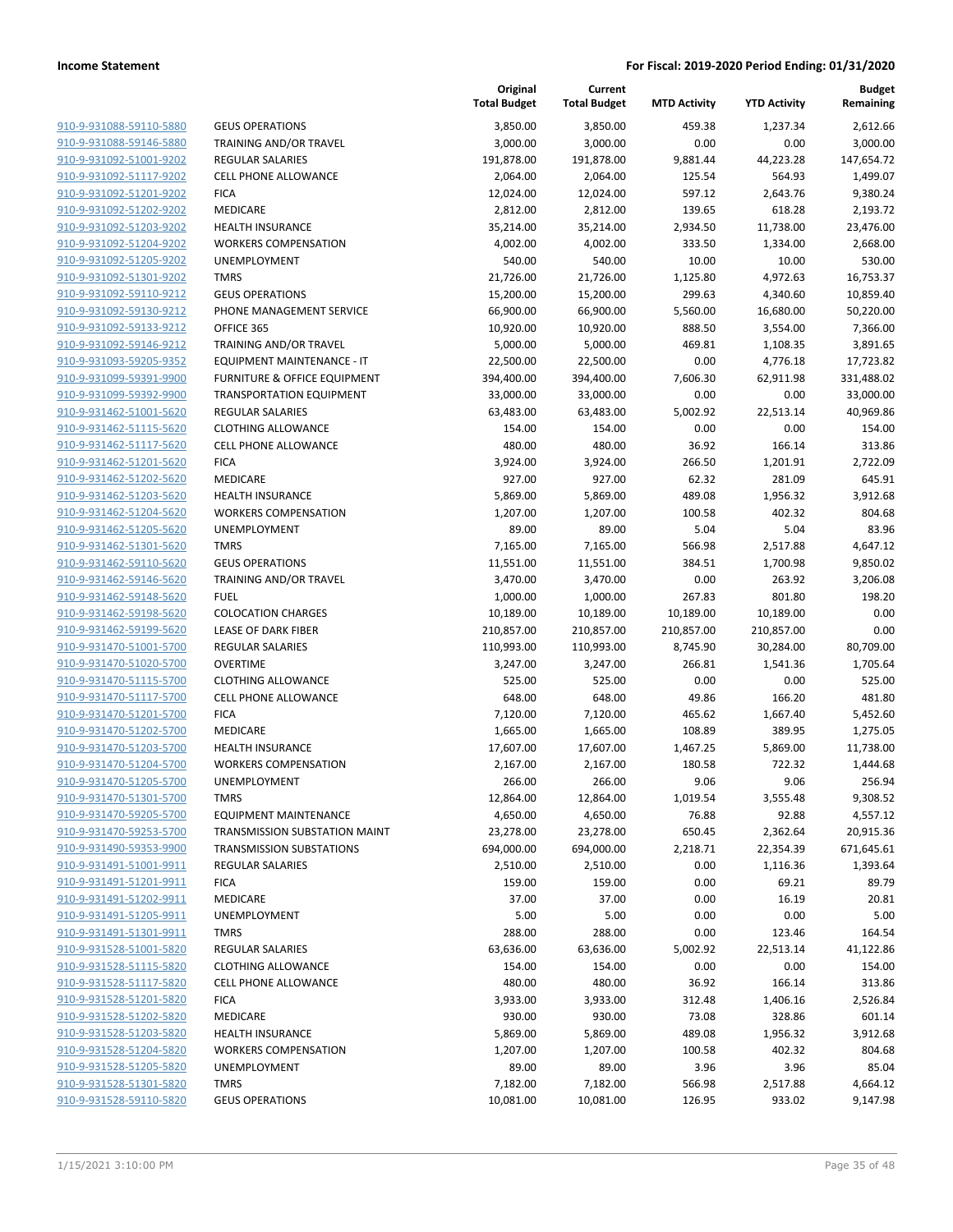|                                                    |                                                        | Original<br><b>Total Budget</b> | Current<br><b>Total Budget</b> | <b>MTD Activity</b> | <b>YTD Activity</b> | <b>Budget</b><br>Remaining |
|----------------------------------------------------|--------------------------------------------------------|---------------------------------|--------------------------------|---------------------|---------------------|----------------------------|
| 910-9-931088-59110-5880                            | <b>GEUS OPERATIONS</b>                                 | 3,850.00                        | 3,850.00                       | 459.38              | 1,237.34            | 2,612.66                   |
| 910-9-931088-59146-5880                            | TRAINING AND/OR TRAVEL                                 | 3,000.00                        | 3,000.00                       | 0.00                | 0.00                | 3,000.00                   |
| 910-9-931092-51001-9202                            | <b>REGULAR SALARIES</b>                                | 191,878.00                      | 191,878.00                     | 9,881.44            | 44,223.28           | 147,654.72                 |
| 910-9-931092-51117-9202                            | <b>CELL PHONE ALLOWANCE</b>                            | 2,064.00                        | 2,064.00                       | 125.54              | 564.93              | 1,499.07                   |
| 910-9-931092-51201-9202                            | <b>FICA</b>                                            | 12,024.00                       | 12,024.00                      | 597.12              | 2,643.76            | 9,380.24                   |
| 910-9-931092-51202-9202                            | MEDICARE                                               | 2,812.00                        | 2,812.00                       | 139.65              | 618.28              | 2,193.72                   |
| 910-9-931092-51203-9202                            | <b>HEALTH INSURANCE</b>                                | 35,214.00                       | 35,214.00                      | 2,934.50            | 11,738.00           | 23,476.00                  |
| 910-9-931092-51204-9202                            | <b>WORKERS COMPENSATION</b>                            | 4,002.00                        | 4,002.00                       | 333.50              | 1,334.00            | 2,668.00                   |
| 910-9-931092-51205-9202                            | UNEMPLOYMENT                                           | 540.00                          | 540.00                         | 10.00               | 10.00               | 530.00                     |
| 910-9-931092-51301-9202                            | <b>TMRS</b>                                            | 21,726.00                       | 21,726.00                      | 1,125.80            | 4,972.63            | 16,753.37                  |
| 910-9-931092-59110-9212                            | <b>GEUS OPERATIONS</b>                                 | 15,200.00                       | 15,200.00                      | 299.63              | 4,340.60            | 10,859.40                  |
| 910-9-931092-59130-9212                            | PHONE MANAGEMENT SERVICE                               | 66,900.00                       | 66,900.00                      | 5,560.00            | 16,680.00           | 50,220.00                  |
| 910-9-931092-59133-9212                            | OFFICE 365                                             | 10,920.00                       | 10,920.00                      | 888.50              | 3,554.00            | 7,366.00                   |
| 910-9-931092-59146-9212                            | TRAINING AND/OR TRAVEL                                 | 5,000.00                        | 5,000.00                       | 469.81              | 1,108.35            | 3,891.65                   |
| 910-9-931093-59205-9352                            | EQUIPMENT MAINTENANCE - IT                             | 22,500.00                       | 22,500.00                      | 0.00                | 4,776.18            | 17,723.82                  |
| 910-9-931099-59391-9900                            | FURNITURE & OFFICE EQUIPMENT                           | 394,400.00                      | 394,400.00                     | 7,606.30            | 62,911.98           | 331,488.02                 |
| 910-9-931099-59392-9900                            | <b>TRANSPORTATION EQUIPMENT</b>                        | 33,000.00                       | 33,000.00                      | 0.00                | 0.00                | 33,000.00                  |
| 910-9-931462-51001-5620                            | <b>REGULAR SALARIES</b>                                | 63,483.00                       | 63,483.00                      | 5,002.92            | 22,513.14           | 40,969.86                  |
| 910-9-931462-51115-5620                            | <b>CLOTHING ALLOWANCE</b>                              | 154.00                          | 154.00                         | 0.00                | 0.00                | 154.00                     |
| 910-9-931462-51117-5620                            | <b>CELL PHONE ALLOWANCE</b>                            | 480.00                          | 480.00                         | 36.92               | 166.14              | 313.86                     |
| 910-9-931462-51201-5620<br>910-9-931462-51202-5620 | <b>FICA</b>                                            | 3,924.00                        | 3,924.00                       | 266.50              | 1,201.91            | 2,722.09                   |
|                                                    | MEDICARE                                               | 927.00                          | 927.00                         | 62.32               | 281.09              | 645.91                     |
| 910-9-931462-51203-5620<br>910-9-931462-51204-5620 | <b>HEALTH INSURANCE</b><br><b>WORKERS COMPENSATION</b> | 5,869.00                        | 5,869.00                       | 489.08              | 1,956.32            | 3,912.68                   |
| 910-9-931462-51205-5620                            | UNEMPLOYMENT                                           | 1,207.00<br>89.00               | 1,207.00<br>89.00              | 100.58<br>5.04      | 402.32<br>5.04      | 804.68<br>83.96            |
| 910-9-931462-51301-5620                            | <b>TMRS</b>                                            | 7,165.00                        | 7,165.00                       | 566.98              | 2,517.88            | 4,647.12                   |
| 910-9-931462-59110-5620                            | <b>GEUS OPERATIONS</b>                                 | 11,551.00                       | 11,551.00                      | 384.51              | 1,700.98            | 9,850.02                   |
| 910-9-931462-59146-5620                            | TRAINING AND/OR TRAVEL                                 | 3,470.00                        | 3,470.00                       | 0.00                | 263.92              | 3,206.08                   |
| 910-9-931462-59148-5620                            | <b>FUEL</b>                                            | 1,000.00                        | 1,000.00                       | 267.83              | 801.80              | 198.20                     |
| 910-9-931462-59198-5620                            | <b>COLOCATION CHARGES</b>                              | 10,189.00                       | 10,189.00                      | 10,189.00           | 10,189.00           | 0.00                       |
| 910-9-931462-59199-5620                            | LEASE OF DARK FIBER                                    | 210,857.00                      | 210,857.00                     | 210,857.00          | 210,857.00          | 0.00                       |
| 910-9-931470-51001-5700                            | REGULAR SALARIES                                       | 110,993.00                      | 110,993.00                     | 8,745.90            | 30,284.00           | 80,709.00                  |
| 910-9-931470-51020-5700                            | <b>OVERTIME</b>                                        | 3,247.00                        | 3,247.00                       | 266.81              | 1,541.36            | 1,705.64                   |
| 910-9-931470-51115-5700                            | <b>CLOTHING ALLOWANCE</b>                              | 525.00                          | 525.00                         | 0.00                | 0.00                | 525.00                     |
| 910-9-931470-51117-5700                            | <b>CELL PHONE ALLOWANCE</b>                            | 648.00                          | 648.00                         | 49.86               | 166.20              | 481.80                     |
| 910-9-931470-51201-5700                            | <b>FICA</b>                                            | 7,120.00                        | 7,120.00                       | 465.62              | 1,667.40            | 5,452.60                   |
| 910-9-931470-51202-5700                            | MEDICARE                                               | 1,665.00                        | 1,665.00                       | 108.89              | 389.95              | 1,275.05                   |
| 910-9-931470-51203-5700                            | <b>HEALTH INSURANCE</b>                                | 17,607.00                       | 17,607.00                      | 1,467.25            | 5,869.00            | 11,738.00                  |
| 910-9-931470-51204-5700                            | <b>WORKERS COMPENSATION</b>                            | 2,167.00                        | 2,167.00                       | 180.58              | 722.32              | 1,444.68                   |
| 910-9-931470-51205-5700                            | UNEMPLOYMENT                                           | 266.00                          | 266.00                         | 9.06                | 9.06                | 256.94                     |
| 910-9-931470-51301-5700                            | <b>TMRS</b>                                            | 12,864.00                       | 12,864.00                      | 1,019.54            | 3,555.48            | 9,308.52                   |
| 910-9-931470-59205-5700                            | <b>EQUIPMENT MAINTENANCE</b>                           | 4,650.00                        | 4,650.00                       | 76.88               | 92.88               | 4,557.12                   |
| 910-9-931470-59253-5700                            | TRANSMISSION SUBSTATION MAINT                          | 23,278.00                       | 23,278.00                      | 650.45              | 2,362.64            | 20,915.36                  |
| 910-9-931490-59353-9900                            | <b>TRANSMISSION SUBSTATIONS</b>                        | 694,000.00                      | 694,000.00                     | 2,218.71            | 22,354.39           | 671,645.61                 |
| 910-9-931491-51001-9911                            | <b>REGULAR SALARIES</b>                                | 2,510.00                        | 2,510.00                       | 0.00                | 1,116.36            | 1,393.64                   |
| 910-9-931491-51201-9911                            | <b>FICA</b>                                            | 159.00                          | 159.00                         | 0.00                | 69.21               | 89.79                      |
| 910-9-931491-51202-9911                            | MEDICARE                                               | 37.00                           | 37.00                          | 0.00                | 16.19               | 20.81                      |
| 910-9-931491-51205-9911                            | UNEMPLOYMENT                                           | 5.00                            | 5.00                           | 0.00                | 0.00                | 5.00                       |
| 910-9-931491-51301-9911                            | <b>TMRS</b>                                            | 288.00                          | 288.00                         | 0.00                | 123.46              | 164.54                     |
| 910-9-931528-51001-5820                            | <b>REGULAR SALARIES</b>                                | 63,636.00                       | 63,636.00                      | 5,002.92            | 22,513.14           | 41,122.86                  |
| 910-9-931528-51115-5820                            | <b>CLOTHING ALLOWANCE</b>                              | 154.00                          | 154.00                         | 0.00                | 0.00                | 154.00                     |
| 910-9-931528-51117-5820                            | <b>CELL PHONE ALLOWANCE</b>                            | 480.00                          | 480.00                         | 36.92               | 166.14              | 313.86                     |
| 910-9-931528-51201-5820                            | <b>FICA</b>                                            | 3,933.00                        | 3,933.00                       | 312.48              | 1,406.16            | 2,526.84                   |
| 910-9-931528-51202-5820                            | MEDICARE                                               | 930.00                          | 930.00                         | 73.08               | 328.86              | 601.14                     |
| 910-9-931528-51203-5820                            | <b>HEALTH INSURANCE</b>                                | 5,869.00                        | 5,869.00                       | 489.08              | 1,956.32            | 3,912.68                   |
| 910-9-931528-51204-5820                            | <b>WORKERS COMPENSATION</b>                            | 1,207.00                        | 1,207.00                       | 100.58              | 402.32              | 804.68                     |
| 910-9-931528-51205-5820                            | UNEMPLOYMENT                                           | 89.00                           | 89.00                          | 3.96                | 3.96                | 85.04                      |
| 910-9-931528-51301-5820                            | <b>TMRS</b>                                            | 7,182.00                        | 7,182.00                       | 566.98              | 2,517.88            | 4,664.12                   |
| 910-9-931528-59110-5820                            | <b>GEUS OPERATIONS</b>                                 | 10,081.00                       | 10,081.00                      | 126.95              | 933.02              | 9,147.98                   |
|                                                    |                                                        |                                 |                                |                     |                     |                            |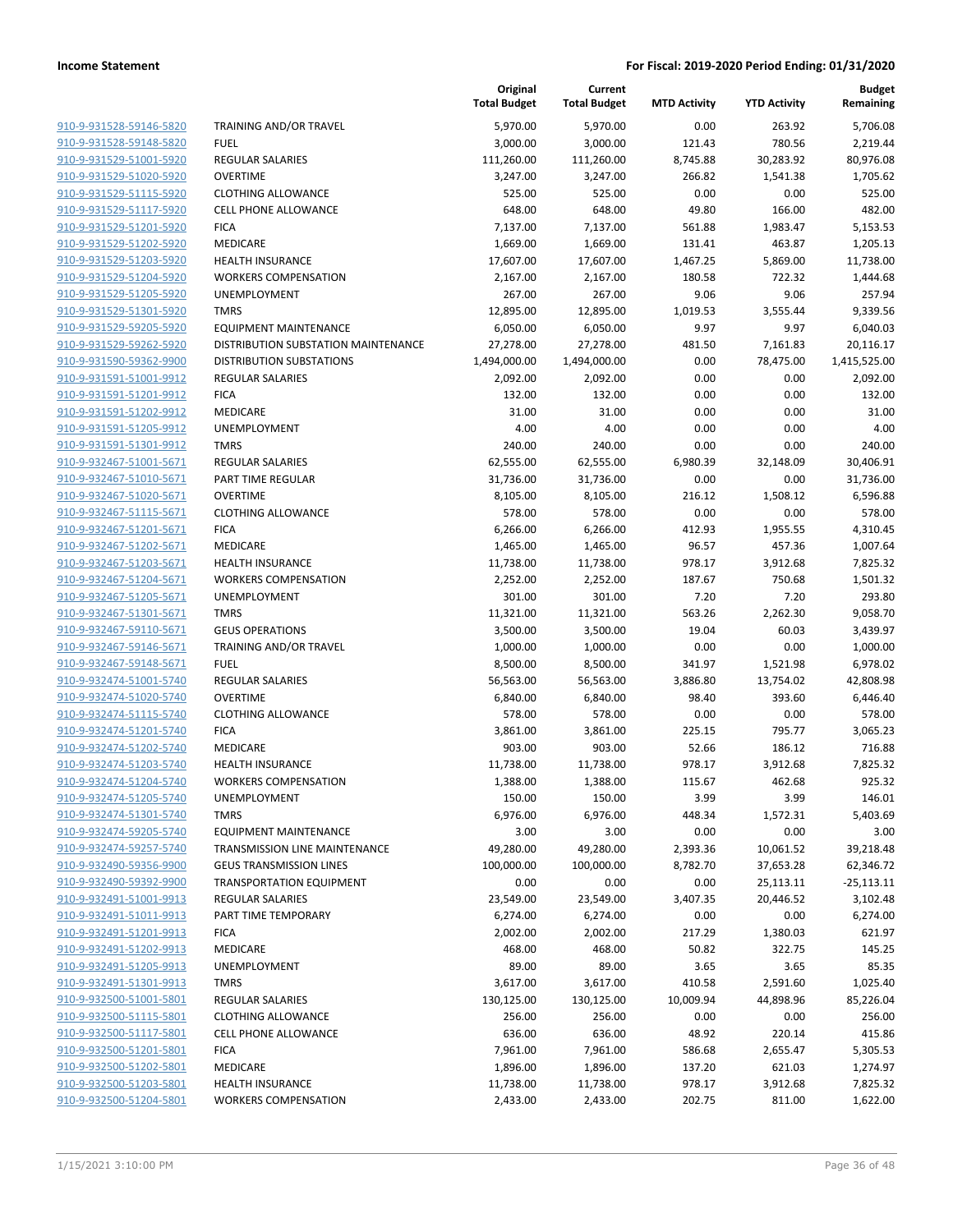| <u>910-9-931528-59146-5820</u>                     | <b>TRAINING AI</b>                     |
|----------------------------------------------------|----------------------------------------|
| 910-9-931528-59148-5820                            | FUEL                                   |
| 910-9-931529-51001-5920                            | REGULAR SA                             |
| 910-9-931529-51020-5920                            | OVERTIME                               |
| 910-9-931529-51115-5920                            | <b>CLOTHING A</b>                      |
| 910-9-931529-51117-5920                            | <b>CELL PHONE</b>                      |
| 910-9-931529-51201-5920                            | FICA                                   |
| 910-9-931529-51202-5920                            | MEDICARE                               |
| 910-9-931529-51203-5920                            | <b>HEALTH INSI</b>                     |
| 910-9-931529-51204-5920                            | <b>WORKERS C</b>                       |
| 910-9-931529-51205-5920                            | <b>UNEMPLOYI</b>                       |
| 910-9-931529-51301-5920                            | TMRS                                   |
| 910-9-931529-59205-5920                            | <b>EQUIPMENT</b>                       |
| 910-9-931529-59262-5920                            | DISTRIBUTIC                            |
| 910-9-931590-59362-9900                            | <b>DISTRIBUTIC</b>                     |
| <u>910-9-931591-51001-9912</u>                     | REGULAR SA                             |
| 910-9-931591-51201-9912                            | <b>FICA</b>                            |
| 910-9-931591-51202-9912                            | MEDICARE                               |
| 910-9-931591-51205-9912                            | <b>UNEMPLOYI</b>                       |
| 910-9-931591-51301-9912                            | TMRS                                   |
| 910-9-932467-51001-5671                            | <b>REGULAR SA</b>                      |
| 910-9-932467-51010-5671                            | PART TIME F                            |
| 910-9-932467-51020-5671                            | <b>OVERTIME</b>                        |
| 910-9-932467-51115-5671                            | CLOTHING A                             |
| 910-9-932467-51201-5671                            | <b>FICA</b>                            |
| 910-9-932467-51202-5671                            | MEDICARE                               |
| 910-9-932467-51203-5671                            | <b>HEALTH INSI</b>                     |
| 910-9-932467-51204-5671                            | <b>WORKERS C</b>                       |
| 910-9-932467-51205-5671                            | <b>UNEMPLOYI</b>                       |
| 910-9-932467-51301-5671                            | TMRS                                   |
| <u>910-9-932467-59110-5671</u>                     | <b>GEUS OPERA</b>                      |
| 910-9-932467-59146-5671                            | TRAINING AI                            |
| 910-9-932467-59148-5671                            | FUEL                                   |
| 910-9-932474-51001-5740                            | REGULAR SA                             |
| 910-9-932474-51020-5740                            | OVERTIME                               |
| <u>910-9-932474-51115-5740</u>                     | CLOTHING A                             |
| 910-9-932474-51201-5740                            | FICA                                   |
| 910-9-932474-51202-5740                            | <b>MEDICARE</b>                        |
| 910-9-932474-51203-5740<br>910-9-932474-51204-5740 | <b>HEALTH INSI</b><br><b>WORKERS C</b> |
| 910-9-932474-51205-5740                            | UNEMPLOYI                              |
| 910-9-932474-51301-5740                            | TMRS                                   |
| 910-9-932474-59205-5740                            | <b>EQUIPMENT</b>                       |
| 910-9-932474-59257-5740                            | <b>TRANSMISSI</b>                      |
| 910-9-932490-59356-9900                            | <b>GEUS TRANS</b>                      |
| 910-9-932490-59392-9900                            | <b>TRANSPORT</b>                       |
| 910-9-932491-51001-9913                            | REGULAR SA                             |
| 910-9-932491-51011-9913                            | PART TIME T                            |
| 910-9-932491-51201-9913                            | <b>FICA</b>                            |
| 910-9-932491-51202-9913                            | MEDICARE                               |
| 910-9-932491-51205-9913                            | <b>UNEMPLOYI</b>                       |
| 910-9-932491-51301-9913                            | TMRS                                   |
| 910-9-932500-51001-5801                            | <b>REGULAR SA</b>                      |
| 910-9-932500-51115-5801                            | <b>CLOTHING A</b>                      |
| 910-9-932500-51117-5801                            | <b>CELL PHONE</b>                      |
| 910-9-932500-51201-5801                            | FICA                                   |
| 910-9-932500-51202-5801                            | MEDICARE                               |
| 910-9-932500-51203-5801                            | <b>HEALTH INSI</b>                     |
| 910-9-932500-51204-5801                            | <b>WORKERS C</b>                       |
|                                                    |                                        |

|                         |                                     | Original<br><b>Total Budget</b> | Current<br><b>Total Budget</b> | <b>MTD Activity</b> | <b>YTD Activity</b> | <b>Budget</b><br>Remaining |
|-------------------------|-------------------------------------|---------------------------------|--------------------------------|---------------------|---------------------|----------------------------|
| 910-9-931528-59146-5820 | TRAINING AND/OR TRAVEL              | 5,970.00                        | 5,970.00                       | 0.00                | 263.92              | 5,706.08                   |
| 910-9-931528-59148-5820 | <b>FUEL</b>                         | 3,000.00                        | 3,000.00                       | 121.43              | 780.56              | 2,219.44                   |
| 910-9-931529-51001-5920 | <b>REGULAR SALARIES</b>             | 111,260.00                      | 111,260.00                     | 8,745.88            | 30,283.92           | 80,976.08                  |
| 910-9-931529-51020-5920 | <b>OVERTIME</b>                     | 3,247.00                        | 3,247.00                       | 266.82              | 1,541.38            | 1,705.62                   |
| 910-9-931529-51115-5920 | <b>CLOTHING ALLOWANCE</b>           | 525.00                          | 525.00                         | 0.00                | 0.00                | 525.00                     |
| 910-9-931529-51117-5920 | <b>CELL PHONE ALLOWANCE</b>         | 648.00                          | 648.00                         | 49.80               | 166.00              | 482.00                     |
| 910-9-931529-51201-5920 | <b>FICA</b>                         | 7,137.00                        | 7,137.00                       | 561.88              | 1,983.47            | 5,153.53                   |
| 910-9-931529-51202-5920 | <b>MEDICARE</b>                     | 1,669.00                        | 1,669.00                       | 131.41              | 463.87              | 1,205.13                   |
| 910-9-931529-51203-5920 | <b>HEALTH INSURANCE</b>             | 17,607.00                       | 17,607.00                      | 1,467.25            | 5,869.00            | 11,738.00                  |
| 910-9-931529-51204-5920 | <b>WORKERS COMPENSATION</b>         | 2,167.00                        | 2,167.00                       | 180.58              | 722.32              | 1,444.68                   |
| 910-9-931529-51205-5920 | UNEMPLOYMENT                        | 267.00                          | 267.00                         | 9.06                | 9.06                | 257.94                     |
| 910-9-931529-51301-5920 | <b>TMRS</b>                         | 12,895.00                       | 12,895.00                      | 1,019.53            | 3,555.44            | 9,339.56                   |
| 910-9-931529-59205-5920 | <b>EQUIPMENT MAINTENANCE</b>        | 6,050.00                        | 6,050.00                       | 9.97                | 9.97                | 6,040.03                   |
| 910-9-931529-59262-5920 | DISTRIBUTION SUBSTATION MAINTENANCE | 27,278.00                       | 27,278.00                      | 481.50              | 7,161.83            | 20,116.17                  |
| 910-9-931590-59362-9900 | <b>DISTRIBUTION SUBSTATIONS</b>     | 1,494,000.00                    | 1,494,000.00                   | 0.00                | 78,475.00           | 1,415,525.00               |
| 910-9-931591-51001-9912 | <b>REGULAR SALARIES</b>             | 2,092.00                        | 2,092.00                       | 0.00                | 0.00                | 2,092.00                   |
| 910-9-931591-51201-9912 | <b>FICA</b>                         | 132.00                          | 132.00                         | 0.00                | 0.00                | 132.00                     |
| 910-9-931591-51202-9912 | MEDICARE                            | 31.00                           | 31.00                          | 0.00                | 0.00                | 31.00                      |
| 910-9-931591-51205-9912 | UNEMPLOYMENT                        | 4.00                            | 4.00                           | 0.00                | 0.00                | 4.00                       |
| 910-9-931591-51301-9912 | <b>TMRS</b>                         | 240.00                          | 240.00                         | 0.00                | 0.00                | 240.00                     |
| 910-9-932467-51001-5671 | REGULAR SALARIES                    | 62,555.00                       | 62,555.00                      | 6,980.39            | 32,148.09           | 30,406.91                  |
| 910-9-932467-51010-5671 | PART TIME REGULAR                   | 31,736.00                       | 31,736.00                      | 0.00                | 0.00                | 31,736.00                  |
| 910-9-932467-51020-5671 | <b>OVERTIME</b>                     | 8,105.00                        | 8,105.00                       | 216.12              | 1,508.12            | 6,596.88                   |
| 910-9-932467-51115-5671 | <b>CLOTHING ALLOWANCE</b>           | 578.00                          | 578.00                         | 0.00                | 0.00                | 578.00                     |
| 910-9-932467-51201-5671 | <b>FICA</b>                         | 6,266.00                        | 6,266.00                       | 412.93              | 1,955.55            | 4,310.45                   |
| 910-9-932467-51202-5671 | MEDICARE                            | 1,465.00                        | 1,465.00                       | 96.57               | 457.36              | 1,007.64                   |
| 910-9-932467-51203-5671 | <b>HEALTH INSURANCE</b>             | 11,738.00                       | 11,738.00                      | 978.17              | 3,912.68            | 7,825.32                   |
| 910-9-932467-51204-5671 | <b>WORKERS COMPENSATION</b>         | 2,252.00                        | 2,252.00                       | 187.67              | 750.68              | 1,501.32                   |
| 910-9-932467-51205-5671 | UNEMPLOYMENT                        | 301.00                          | 301.00                         | 7.20                | 7.20                | 293.80                     |
| 910-9-932467-51301-5671 | <b>TMRS</b>                         | 11,321.00                       | 11,321.00                      | 563.26              | 2,262.30            | 9,058.70                   |
| 910-9-932467-59110-5671 | <b>GEUS OPERATIONS</b>              | 3,500.00                        | 3,500.00                       | 19.04               | 60.03               | 3,439.97                   |
| 910-9-932467-59146-5671 | TRAINING AND/OR TRAVEL              | 1,000.00                        | 1,000.00                       | 0.00                | 0.00                | 1,000.00                   |
| 910-9-932467-59148-5671 | <b>FUEL</b>                         | 8,500.00                        | 8,500.00                       | 341.97              | 1,521.98            | 6,978.02                   |
| 910-9-932474-51001-5740 | REGULAR SALARIES                    | 56,563.00                       | 56,563.00                      | 3,886.80            | 13,754.02           | 42,808.98                  |
| 910-9-932474-51020-5740 | <b>OVERTIME</b>                     | 6,840.00                        | 6,840.00                       | 98.40               | 393.60              | 6,446.40                   |
| 910-9-932474-51115-5740 | <b>CLOTHING ALLOWANCE</b>           | 578.00                          | 578.00                         | 0.00                | 0.00                | 578.00                     |
| 910-9-932474-51201-5740 | <b>FICA</b>                         | 3,861.00                        | 3,861.00                       | 225.15              | 795.77              | 3,065.23                   |
| 910-9-932474-51202-5740 | MEDICARE                            | 903.00                          | 903.00                         | 52.66               | 186.12              | 716.88                     |
| 910-9-932474-51203-5740 | <b>HEALTH INSURANCE</b>             | 11,738.00                       | 11,738.00                      | 978.17              | 3,912.68            | 7,825.32                   |
| 910-9-932474-51204-5740 | <b>WORKERS COMPENSATION</b>         | 1,388.00                        | 1,388.00                       | 115.67              | 462.68              | 925.32                     |
| 910-9-932474-51205-5740 | <b>UNEMPLOYMENT</b>                 | 150.00                          | 150.00                         | 3.99                | 3.99                | 146.01                     |
| 910-9-932474-51301-5740 | <b>TMRS</b>                         | 6,976.00                        | 6,976.00                       | 448.34              | 1,572.31            | 5,403.69                   |
| 910-9-932474-59205-5740 | <b>EQUIPMENT MAINTENANCE</b>        | 3.00                            | 3.00                           | 0.00                | 0.00                | 3.00                       |
| 910-9-932474-59257-5740 | TRANSMISSION LINE MAINTENANCE       | 49,280.00                       | 49,280.00                      | 2,393.36            | 10,061.52           | 39,218.48                  |
| 910-9-932490-59356-9900 | <b>GEUS TRANSMISSION LINES</b>      | 100,000.00                      | 100,000.00                     | 8,782.70            | 37,653.28           | 62,346.72                  |
| 910-9-932490-59392-9900 | <b>TRANSPORTATION EQUIPMENT</b>     | 0.00                            | 0.00                           | 0.00                | 25,113.11           | $-25,113.11$               |
| 910-9-932491-51001-9913 | <b>REGULAR SALARIES</b>             | 23,549.00                       | 23,549.00                      | 3,407.35            | 20,446.52           | 3,102.48                   |
| 910-9-932491-51011-9913 | PART TIME TEMPORARY                 | 6,274.00                        | 6,274.00                       | 0.00                | 0.00                | 6,274.00                   |
| 910-9-932491-51201-9913 | <b>FICA</b>                         | 2,002.00                        | 2,002.00                       | 217.29              | 1,380.03            | 621.97                     |
| 910-9-932491-51202-9913 | MEDICARE                            | 468.00                          | 468.00                         | 50.82               | 322.75              | 145.25                     |
| 910-9-932491-51205-9913 | UNEMPLOYMENT                        | 89.00                           | 89.00                          | 3.65                | 3.65                | 85.35                      |
| 910-9-932491-51301-9913 | <b>TMRS</b>                         | 3,617.00                        | 3,617.00                       | 410.58              | 2,591.60            | 1,025.40                   |
| 910-9-932500-51001-5801 | <b>REGULAR SALARIES</b>             | 130,125.00                      | 130,125.00                     | 10,009.94           | 44,898.96           | 85,226.04                  |
| 910-9-932500-51115-5801 | <b>CLOTHING ALLOWANCE</b>           | 256.00                          | 256.00                         | 0.00                | 0.00                | 256.00                     |
| 910-9-932500-51117-5801 | <b>CELL PHONE ALLOWANCE</b>         | 636.00                          | 636.00                         | 48.92               | 220.14              | 415.86                     |
| 910-9-932500-51201-5801 | <b>FICA</b>                         | 7,961.00                        | 7,961.00                       | 586.68              | 2,655.47            | 5,305.53                   |
| 910-9-932500-51202-5801 | MEDICARE                            | 1,896.00                        | 1,896.00                       | 137.20              | 621.03              | 1,274.97                   |
| 910-9-932500-51203-5801 | <b>HEALTH INSURANCE</b>             | 11,738.00                       | 11,738.00                      | 978.17              | 3,912.68            | 7,825.32                   |
| 910-9-932500-51204-5801 | <b>WORKERS COMPENSATION</b>         | 2,433.00                        | 2,433.00                       | 202.75              | 811.00              | 1,622.00                   |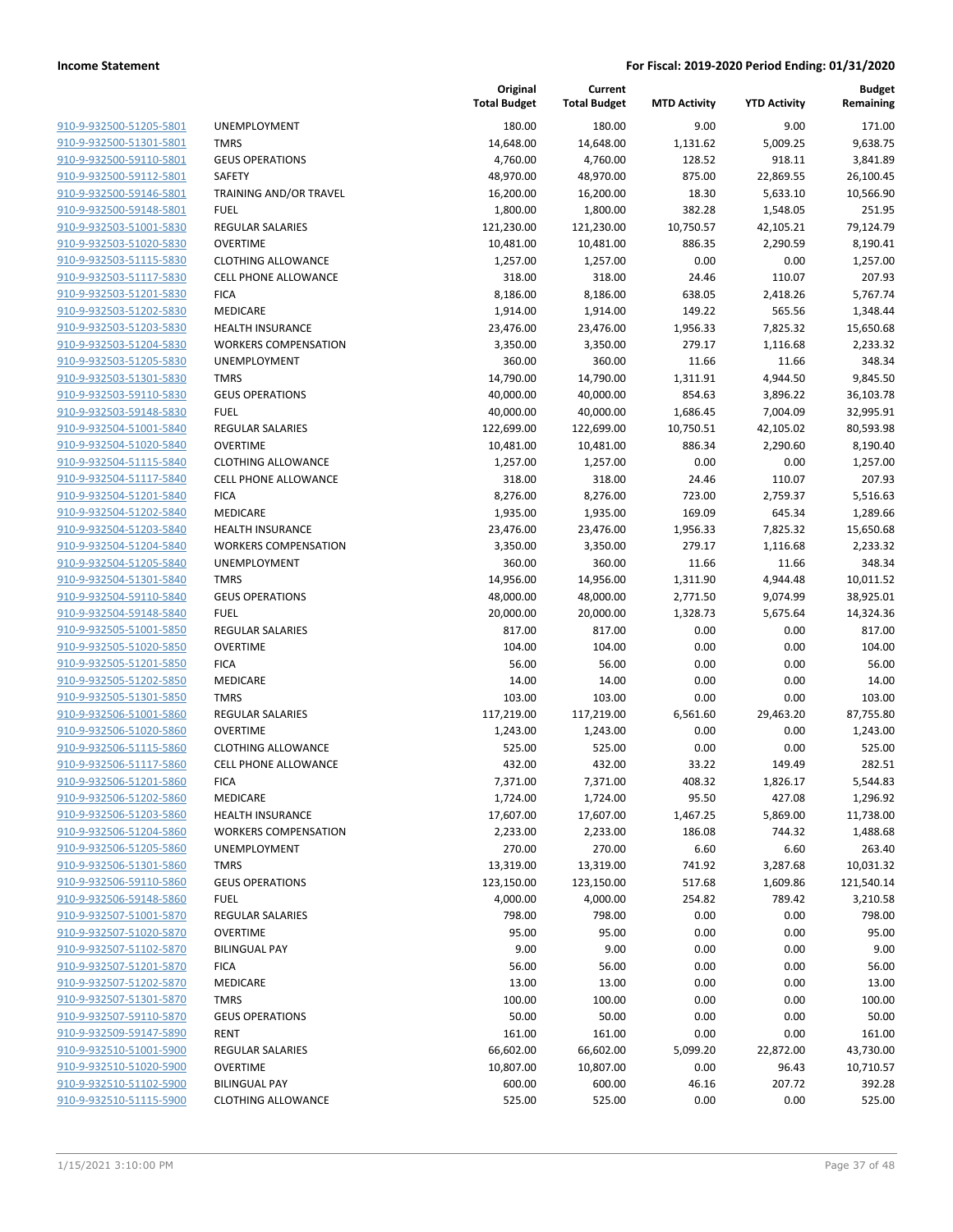| 910-9-932500-51205-5801        |
|--------------------------------|
| 910-9-932500-51301-5801        |
| 910-9-932500-59110-5801        |
| 910-9-932500-59112-5801        |
| 910-9-932500-59146-5801        |
| <u>910-9-932500-59148-5801</u> |
| 910-9-932503-51001-5830        |
| 910-9-932503-51020-5830        |
| 910-9-932503-51115-5830        |
| 910-9-932503-51117-5830        |
| 910-9-932503-51201-5830        |
| 910-9-932503-51202-5830        |
| 910-9-932503-51203-5830        |
| 910-9-932503-51204-5830        |
| 910-9-932503-51205-5830        |
| <u>910-9-932503-51301-5830</u> |
| 910-9-932503-59110-5830        |
| 910-9-932503-59148-5830        |
| 910-9-932504-51001-5840        |
| 910-9-932504-51020-5840        |
| 910-9-932504-51115-5840        |
| 910-9-932504-51117-5840        |
| 910-9-932504-51201-5840        |
| 910-9-932504-51202-5840        |
| 910-9-932504-51203-5840        |
| 910-9-932504-51204-5840        |
| 910-9-932504-51205-5840        |
| 910-9-932504-51301-5840        |
| 910-9-932504-59110-5840        |
| 910-9-932504-59148-5840        |
| 910-9-932505-51001-5850        |
| 910-9-932505-51020-5850        |
| 910-9-932505-51201-5850        |
| 910-9-932505-51202-5850        |
| 910-9-932505-51301-5850        |
| <u>910-9-932506-51001-5860</u> |
| <u>910-9-932506-51020-5860</u> |
| 910-9-932506-51115-5860        |
| 910-9-932506-51117-5860        |
| 910-9-932506-51201-5860        |
| 910-9-932506-51202-5860        |
| <u>910-9-932506-51203-5860</u> |
| 910-9-932506-51204-5860        |
| 910-9-932506-51205-5860        |
| 910-9-932506-51301-5860        |
| 910-9-932506-59110-5860        |
| <u>910-9-932506-59148-5860</u> |
| 910-9-932507-51001-5870        |
| 910-9-932507-51020-5870        |
| 910-9-932507-51102-5870        |
| 910-9-932507-51201-5870        |
| <u>910-9-932507-51202-5870</u> |
| 910-9-932507-51301-5870        |
| 910-9-932507-59110-5870        |
| <u>910-9-932509-59147-5890</u> |
| <u>910-9-932510-51001-5900</u> |
| <u>910-9-932510-51020-5900</u> |
| 910-9-932510-51102-5900        |
| 910-9-932510-51115-5900        |
|                                |

| JNEMPLOYMENT                          |
|---------------------------------------|
| <b>TMRS</b>                           |
| GEUS OPERATIONS                       |
| SAFETY                                |
| FRAINING AND/OR TRAVEL                |
| UEL-                                  |
| REGULAR SALARIES                      |
| <b>OVERTIME</b>                       |
| CLOTHING ALLOWANCE                    |
| CELL PHONE ALLOWANCE                  |
| FICA                                  |
| <b>MEDICARE</b><br>HEALTH INSURANCE   |
| WORKERS COMPENSATION                  |
| <b>JNEMPLOYMENT</b>                   |
| TMRS                                  |
| <b>GEUS OPERATIONS</b>                |
| FUEL                                  |
| REGULAR SALARIES                      |
| <b>OVERTIME</b>                       |
| <b>CLOTHING ALLOWANCE</b>             |
| CELL PHONE ALLOWANCE                  |
| FICA                                  |
| VIEDICARE                             |
| HEALTH INSURANCE                      |
| WORKERS COMPENSATION                  |
| <b>JNEMPLOYMENT</b>                   |
| TMRS                                  |
| <b>GEUS OPERATIONS</b>                |
| FUEL<br>REGULAR SALARIES              |
| OVERTIME                              |
| FICA.                                 |
| VIEDICARE                             |
| TMRS                                  |
| REGULAR SALARIES                      |
| OVERTIME                              |
| CLOTHING ALLOWANCE                    |
| CELL PHONE ALLOWANCE                  |
| FICA                                  |
| MEDICARE                              |
| <b>HEALTH INSURANCE</b>               |
| WORKERS COMPENSATION                  |
| <b>JNEMPLOYMENT</b>                   |
| <b>TMRS</b>                           |
| <b>GEUS OPERATIONS</b><br><b>FUEL</b> |
| REGULAR SALARIES                      |
| OVERTIME                              |
| <b>BILINGUAL PAY</b>                  |
| FICA                                  |
| MEDICARE                              |
| <b>TMRS</b>                           |
| <b>GEUS OPERATIONS</b>                |
| RENT                                  |
| REGULAR SALARIES                      |
| <b>OVERTIME</b>                       |
| <b>RUINGUAL DAV</b>                   |

|                         |                             | Original<br><b>Total Budget</b> | Current<br><b>Total Budget</b> | <b>MTD Activity</b> | <b>YTD Activity</b> | <b>Budget</b><br>Remaining |
|-------------------------|-----------------------------|---------------------------------|--------------------------------|---------------------|---------------------|----------------------------|
| 910-9-932500-51205-5801 | <b>UNEMPLOYMENT</b>         | 180.00                          | 180.00                         | 9.00                | 9.00                | 171.00                     |
| 910-9-932500-51301-5801 | <b>TMRS</b>                 | 14,648.00                       | 14,648.00                      | 1,131.62            | 5,009.25            | 9,638.75                   |
| 910-9-932500-59110-5801 | <b>GEUS OPERATIONS</b>      | 4,760.00                        | 4,760.00                       | 128.52              | 918.11              | 3,841.89                   |
| 910-9-932500-59112-5801 | SAFETY                      | 48,970.00                       | 48,970.00                      | 875.00              | 22,869.55           | 26,100.45                  |
| 910-9-932500-59146-5801 | TRAINING AND/OR TRAVEL      | 16,200.00                       | 16,200.00                      | 18.30               | 5,633.10            | 10,566.90                  |
| 910-9-932500-59148-5801 | <b>FUEL</b>                 | 1,800.00                        | 1,800.00                       | 382.28              | 1,548.05            | 251.95                     |
| 910-9-932503-51001-5830 | <b>REGULAR SALARIES</b>     | 121,230.00                      | 121,230.00                     | 10,750.57           | 42,105.21           | 79,124.79                  |
| 910-9-932503-51020-5830 | <b>OVERTIME</b>             | 10,481.00                       | 10,481.00                      | 886.35              | 2,290.59            | 8,190.41                   |
| 910-9-932503-51115-5830 | <b>CLOTHING ALLOWANCE</b>   | 1,257.00                        | 1,257.00                       | 0.00                | 0.00                | 1,257.00                   |
| 910-9-932503-51117-5830 | <b>CELL PHONE ALLOWANCE</b> | 318.00                          | 318.00                         | 24.46               | 110.07              | 207.93                     |
| 910-9-932503-51201-5830 | <b>FICA</b>                 | 8,186.00                        | 8,186.00                       | 638.05              | 2,418.26            | 5,767.74                   |
| 910-9-932503-51202-5830 | MEDICARE                    | 1,914.00                        | 1,914.00                       | 149.22              | 565.56              | 1,348.44                   |
| 910-9-932503-51203-5830 | <b>HEALTH INSURANCE</b>     | 23,476.00                       | 23,476.00                      | 1,956.33            | 7,825.32            | 15,650.68                  |
| 910-9-932503-51204-5830 | <b>WORKERS COMPENSATION</b> | 3,350.00                        | 3,350.00                       | 279.17              | 1,116.68            | 2,233.32                   |
| 910-9-932503-51205-5830 | UNEMPLOYMENT                | 360.00                          | 360.00                         | 11.66               | 11.66               | 348.34                     |
| 910-9-932503-51301-5830 | <b>TMRS</b>                 | 14,790.00                       | 14,790.00                      | 1,311.91            | 4,944.50            | 9,845.50                   |
| 910-9-932503-59110-5830 | <b>GEUS OPERATIONS</b>      | 40,000.00                       | 40,000.00                      | 854.63              | 3,896.22            | 36,103.78                  |
| 910-9-932503-59148-5830 | <b>FUEL</b>                 | 40,000.00                       | 40,000.00                      | 1,686.45            | 7,004.09            | 32,995.91                  |
| 910-9-932504-51001-5840 | <b>REGULAR SALARIES</b>     | 122,699.00                      | 122,699.00                     | 10,750.51           | 42,105.02           | 80,593.98                  |
| 910-9-932504-51020-5840 | <b>OVERTIME</b>             | 10,481.00                       | 10,481.00                      | 886.34              | 2,290.60            | 8,190.40                   |
| 910-9-932504-51115-5840 | <b>CLOTHING ALLOWANCE</b>   | 1,257.00                        | 1,257.00                       | 0.00                | 0.00                | 1,257.00                   |
| 910-9-932504-51117-5840 | CELL PHONE ALLOWANCE        | 318.00                          | 318.00                         | 24.46               | 110.07              | 207.93                     |
| 910-9-932504-51201-5840 | <b>FICA</b>                 | 8,276.00                        | 8,276.00                       | 723.00              | 2,759.37            | 5,516.63                   |
| 910-9-932504-51202-5840 | MEDICARE                    | 1,935.00                        | 1,935.00                       | 169.09              | 645.34              | 1,289.66                   |
| 910-9-932504-51203-5840 | <b>HEALTH INSURANCE</b>     | 23,476.00                       | 23,476.00                      | 1,956.33            | 7,825.32            | 15,650.68                  |
| 910-9-932504-51204-5840 | <b>WORKERS COMPENSATION</b> | 3,350.00                        | 3,350.00                       | 279.17              | 1,116.68            | 2,233.32                   |
| 910-9-932504-51205-5840 | UNEMPLOYMENT                | 360.00                          | 360.00                         | 11.66               | 11.66               | 348.34                     |
| 910-9-932504-51301-5840 | <b>TMRS</b>                 | 14,956.00                       | 14,956.00                      | 1,311.90            | 4,944.48            | 10,011.52                  |
| 910-9-932504-59110-5840 | <b>GEUS OPERATIONS</b>      | 48,000.00                       | 48,000.00                      | 2,771.50            | 9,074.99            | 38,925.01                  |
| 910-9-932504-59148-5840 | <b>FUEL</b>                 | 20,000.00                       | 20,000.00                      | 1,328.73            | 5,675.64            | 14,324.36                  |
| 910-9-932505-51001-5850 | <b>REGULAR SALARIES</b>     | 817.00                          | 817.00                         | 0.00                | 0.00                | 817.00                     |
| 910-9-932505-51020-5850 | <b>OVERTIME</b>             | 104.00                          | 104.00                         | 0.00                | 0.00                | 104.00                     |
| 910-9-932505-51201-5850 | <b>FICA</b>                 | 56.00                           | 56.00                          | 0.00                | 0.00                | 56.00                      |
| 910-9-932505-51202-5850 | MEDICARE                    | 14.00                           | 14.00                          | 0.00                | 0.00                | 14.00                      |
| 910-9-932505-51301-5850 | <b>TMRS</b>                 | 103.00                          | 103.00                         | 0.00                | 0.00                | 103.00                     |
| 910-9-932506-51001-5860 | REGULAR SALARIES            | 117,219.00                      | 117,219.00                     | 6,561.60            | 29,463.20           | 87,755.80                  |
| 910-9-932506-51020-5860 | <b>OVERTIME</b>             | 1,243.00                        | 1,243.00                       | 0.00                | 0.00                | 1,243.00                   |
| 910-9-932506-51115-5860 | <b>CLOTHING ALLOWANCE</b>   | 525.00                          | 525.00                         | 0.00                | 0.00                | 525.00                     |
| 910-9-932506-51117-5860 | <b>CELL PHONE ALLOWANCE</b> | 432.00                          | 432.00                         | 33.22               | 149.49              | 282.51                     |
| 910-9-932506-51201-5860 | <b>FICA</b>                 | 7,371.00                        | 7,371.00                       | 408.32              | 1,826.17            | 5,544.83                   |
| 910-9-932506-51202-5860 | MEDICARE                    | 1,724.00                        | 1,724.00                       | 95.50               | 427.08              | 1,296.92                   |
| 910-9-932506-51203-5860 | <b>HEALTH INSURANCE</b>     | 17,607.00                       | 17,607.00                      | 1,467.25            | 5,869.00            | 11,738.00                  |
| 910-9-932506-51204-5860 | <b>WORKERS COMPENSATION</b> | 2,233.00                        | 2,233.00                       | 186.08              | 744.32              | 1,488.68                   |
| 910-9-932506-51205-5860 | UNEMPLOYMENT                | 270.00                          | 270.00                         | 6.60                | 6.60                | 263.40                     |
| 910-9-932506-51301-5860 | <b>TMRS</b>                 | 13,319.00                       | 13,319.00                      | 741.92              | 3,287.68            | 10,031.32                  |
| 910-9-932506-59110-5860 | <b>GEUS OPERATIONS</b>      | 123,150.00                      | 123,150.00                     | 517.68              | 1,609.86            | 121,540.14                 |
| 910-9-932506-59148-5860 | <b>FUEL</b>                 | 4,000.00                        | 4,000.00                       | 254.82              | 789.42              | 3,210.58                   |
| 910-9-932507-51001-5870 | <b>REGULAR SALARIES</b>     | 798.00                          | 798.00                         | 0.00                | 0.00                | 798.00                     |
| 910-9-932507-51020-5870 | <b>OVERTIME</b>             | 95.00                           | 95.00                          | 0.00                | 0.00                | 95.00                      |
| 910-9-932507-51102-5870 | <b>BILINGUAL PAY</b>        | 9.00                            | 9.00                           | 0.00                | 0.00                | 9.00                       |
| 910-9-932507-51201-5870 | <b>FICA</b>                 | 56.00                           | 56.00                          | 0.00                | 0.00                | 56.00                      |
| 910-9-932507-51202-5870 | MEDICARE                    | 13.00                           | 13.00                          | 0.00                | 0.00                | 13.00                      |
| 910-9-932507-51301-5870 | <b>TMRS</b>                 | 100.00                          | 100.00                         | 0.00                | 0.00                | 100.00                     |
| 910-9-932507-59110-5870 | <b>GEUS OPERATIONS</b>      | 50.00                           | 50.00                          | 0.00                | 0.00                | 50.00                      |
| 910-9-932509-59147-5890 | <b>RENT</b>                 | 161.00                          | 161.00                         | 0.00                | 0.00                | 161.00                     |
| 910-9-932510-51001-5900 | <b>REGULAR SALARIES</b>     | 66,602.00                       | 66,602.00                      | 5,099.20            | 22,872.00           | 43,730.00                  |
| 910-9-932510-51020-5900 | <b>OVERTIME</b>             | 10,807.00                       | 10,807.00                      | 0.00                | 96.43               | 10,710.57                  |
| 910-9-932510-51102-5900 | <b>BILINGUAL PAY</b>        | 600.00                          | 600.00                         | 46.16               | 207.72              | 392.28                     |
| 910-9-932510-51115-5900 |                             |                                 |                                |                     |                     |                            |
|                         | <b>CLOTHING ALLOWANCE</b>   | 525.00                          | 525.00                         | 0.00                | 0.00                | 525.00                     |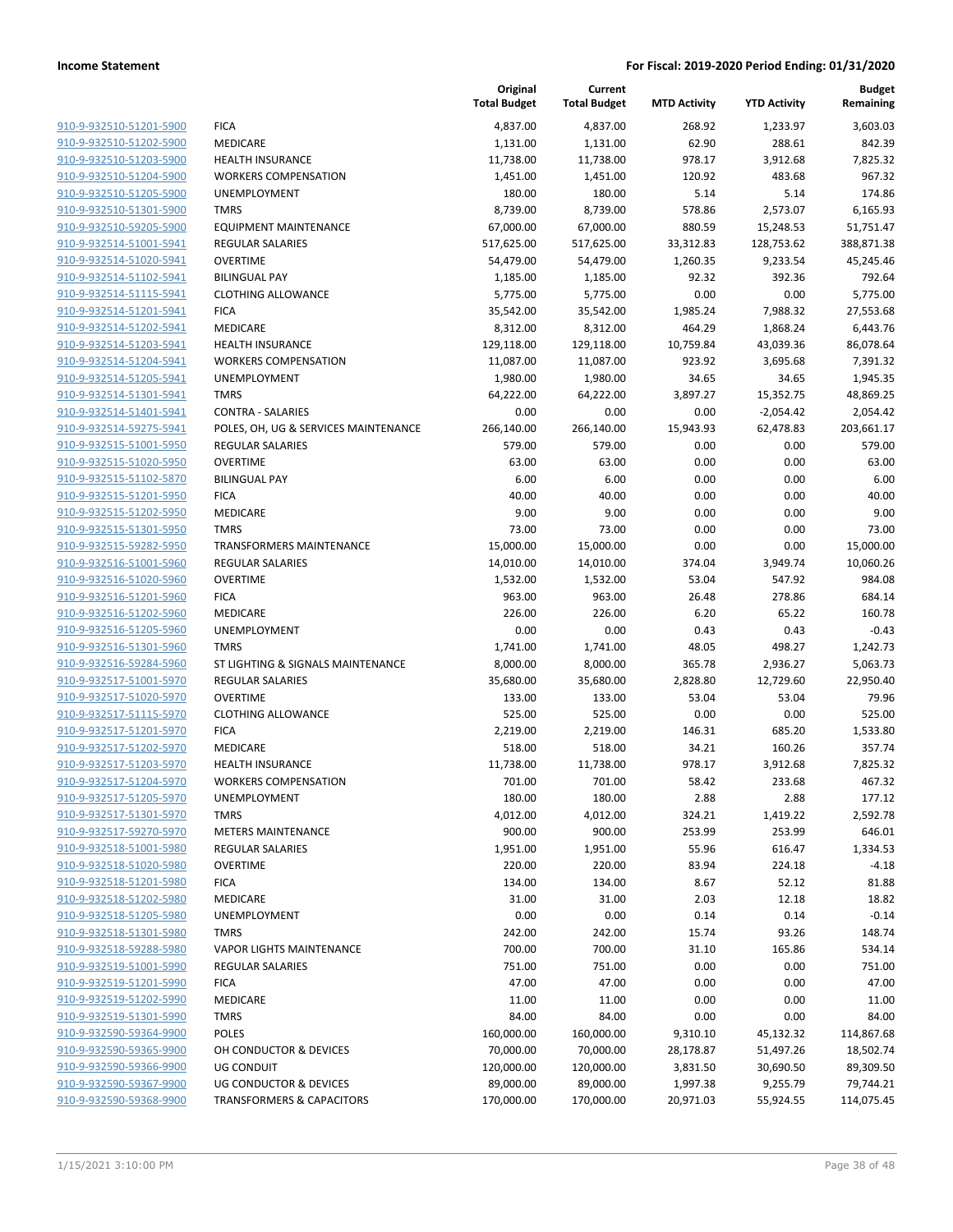|                                                    |                                                  | Original<br><b>Total Budget</b> | Current<br><b>Total Budget</b> | <b>MTD Activity</b> | <b>YTD Activity</b>   | Budget<br>Remaining   |
|----------------------------------------------------|--------------------------------------------------|---------------------------------|--------------------------------|---------------------|-----------------------|-----------------------|
| 910-9-932510-51201-5900                            | <b>FICA</b>                                      | 4,837.00                        | 4,837.00                       | 268.92              | 1,233.97              | 3,603.03              |
| 910-9-932510-51202-5900                            | MEDICARE                                         | 1,131.00                        | 1,131.00                       | 62.90               | 288.61                | 842.39                |
| 910-9-932510-51203-5900                            | <b>HEALTH INSURANCE</b>                          | 11,738.00                       | 11,738.00                      | 978.17              | 3,912.68              | 7,825.32              |
| 910-9-932510-51204-5900                            | <b>WORKERS COMPENSATION</b>                      | 1,451.00                        | 1,451.00                       | 120.92              | 483.68                | 967.32                |
| 910-9-932510-51205-5900                            | <b>UNEMPLOYMENT</b>                              | 180.00                          | 180.00                         | 5.14                | 5.14                  | 174.86                |
| 910-9-932510-51301-5900                            | <b>TMRS</b>                                      | 8,739.00                        | 8,739.00                       | 578.86              | 2,573.07              | 6,165.93              |
| 910-9-932510-59205-5900                            | <b>EQUIPMENT MAINTENANCE</b>                     | 67,000.00                       | 67,000.00                      | 880.59              | 15,248.53             | 51,751.47             |
| 910-9-932514-51001-5941                            | REGULAR SALARIES                                 | 517,625.00                      | 517,625.00                     | 33,312.83           | 128,753.62            | 388,871.38            |
| 910-9-932514-51020-5941                            | <b>OVERTIME</b>                                  | 54,479.00                       | 54,479.00                      | 1,260.35            | 9,233.54              | 45,245.46             |
| 910-9-932514-51102-5941                            | <b>BILINGUAL PAY</b>                             | 1,185.00                        | 1,185.00                       | 92.32               | 392.36                | 792.64                |
| 910-9-932514-51115-5941                            | <b>CLOTHING ALLOWANCE</b>                        | 5,775.00                        | 5,775.00                       | 0.00                | 0.00                  | 5,775.00              |
| 910-9-932514-51201-5941                            | <b>FICA</b>                                      | 35,542.00                       | 35,542.00                      | 1,985.24            | 7,988.32              | 27,553.68             |
| 910-9-932514-51202-5941                            | MEDICARE                                         | 8,312.00                        | 8,312.00                       | 464.29              | 1,868.24              | 6,443.76              |
| 910-9-932514-51203-5941                            | <b>HEALTH INSURANCE</b>                          | 129,118.00                      | 129,118.00                     | 10,759.84           | 43,039.36             | 86,078.64             |
| 910-9-932514-51204-5941                            | <b>WORKERS COMPENSATION</b>                      | 11,087.00                       | 11,087.00                      | 923.92              | 3,695.68              | 7,391.32              |
| 910-9-932514-51205-5941                            | <b>UNEMPLOYMENT</b>                              | 1,980.00                        | 1,980.00                       | 34.65               | 34.65                 | 1,945.35              |
| 910-9-932514-51301-5941                            | <b>TMRS</b>                                      | 64,222.00                       | 64,222.00                      | 3,897.27            | 15,352.75             | 48,869.25             |
| 910-9-932514-51401-5941                            | <b>CONTRA - SALARIES</b>                         | 0.00                            | 0.00                           | 0.00                | $-2,054.42$           | 2,054.42              |
| 910-9-932514-59275-5941                            | POLES, OH, UG & SERVICES MAINTENANCE             | 266,140.00                      | 266,140.00                     | 15,943.93           | 62,478.83             | 203,661.17            |
| 910-9-932515-51001-5950                            | <b>REGULAR SALARIES</b>                          | 579.00                          | 579.00                         | 0.00                | 0.00                  | 579.00                |
| 910-9-932515-51020-5950                            | <b>OVERTIME</b>                                  | 63.00                           | 63.00                          | 0.00                | 0.00                  | 63.00                 |
| 910-9-932515-51102-5870                            | <b>BILINGUAL PAY</b>                             | 6.00                            | 6.00                           | 0.00                | 0.00                  | 6.00                  |
| 910-9-932515-51201-5950                            | <b>FICA</b>                                      | 40.00                           | 40.00                          | 0.00                | 0.00                  | 40.00                 |
| 910-9-932515-51202-5950                            | <b>MEDICARE</b>                                  | 9.00                            | 9.00                           | 0.00                | 0.00                  | 9.00                  |
| 910-9-932515-51301-5950                            | <b>TMRS</b>                                      | 73.00                           | 73.00                          | 0.00                | 0.00                  | 73.00                 |
| 910-9-932515-59282-5950                            | <b>TRANSFORMERS MAINTENANCE</b>                  | 15,000.00                       | 15,000.00                      | 0.00                | 0.00                  | 15,000.00             |
| 910-9-932516-51001-5960                            | <b>REGULAR SALARIES</b>                          | 14,010.00                       | 14,010.00                      | 374.04              | 3,949.74              | 10,060.26             |
| 910-9-932516-51020-5960                            | <b>OVERTIME</b>                                  | 1,532.00                        | 1,532.00                       | 53.04               | 547.92                | 984.08                |
| 910-9-932516-51201-5960                            | <b>FICA</b>                                      | 963.00                          | 963.00                         | 26.48               | 278.86                | 684.14                |
| 910-9-932516-51202-5960                            | MEDICARE                                         | 226.00                          | 226.00                         | 6.20                | 65.22                 | 160.78                |
| 910-9-932516-51205-5960                            | <b>UNEMPLOYMENT</b>                              | 0.00                            | 0.00                           | 0.43                | 0.43                  | $-0.43$               |
| 910-9-932516-51301-5960<br>910-9-932516-59284-5960 | <b>TMRS</b><br>ST LIGHTING & SIGNALS MAINTENANCE | 1,741.00                        | 1,741.00                       | 48.05<br>365.78     | 498.27                | 1,242.73              |
| 910-9-932517-51001-5970                            | <b>REGULAR SALARIES</b>                          | 8,000.00<br>35,680.00           | 8,000.00<br>35,680.00          | 2,828.80            | 2,936.27<br>12,729.60 | 5,063.73<br>22,950.40 |
| 910-9-932517-51020-5970                            | <b>OVERTIME</b>                                  | 133.00                          | 133.00                         | 53.04               | 53.04                 | 79.96                 |
| 910-9-932517-51115-5970                            | <b>CLOTHING ALLOWANCE</b>                        | 525.00                          | 525.00                         | 0.00                | 0.00                  | 525.00                |
| 910-9-932517-51201-5970                            | <b>FICA</b>                                      | 2,219.00                        | 2,219.00                       | 146.31              | 685.20                | 1,533.80              |
| 910-9-932517-51202-5970                            | <b>MEDICARE</b>                                  | 518.00                          | 518.00                         | 34.21               | 160.26                | 357.74                |
| 910-9-932517-51203-5970                            | <b>HEALTH INSURANCE</b>                          | 11,738.00                       | 11,738.00                      | 978.17              | 3,912.68              | 7,825.32              |
| 910-9-932517-51204-5970                            | <b>WORKERS COMPENSATION</b>                      | 701.00                          | 701.00                         | 58.42               | 233.68                | 467.32                |
| 910-9-932517-51205-5970                            | <b>UNEMPLOYMENT</b>                              | 180.00                          | 180.00                         | 2.88                | 2.88                  | 177.12                |
| 910-9-932517-51301-5970                            | <b>TMRS</b>                                      | 4,012.00                        | 4,012.00                       | 324.21              | 1,419.22              | 2,592.78              |
| 910-9-932517-59270-5970                            | <b>METERS MAINTENANCE</b>                        | 900.00                          | 900.00                         | 253.99              | 253.99                | 646.01                |
| 910-9-932518-51001-5980                            | <b>REGULAR SALARIES</b>                          | 1,951.00                        | 1,951.00                       | 55.96               | 616.47                | 1,334.53              |
| 910-9-932518-51020-5980                            | <b>OVERTIME</b>                                  | 220.00                          | 220.00                         | 83.94               | 224.18                | $-4.18$               |
| 910-9-932518-51201-5980                            | <b>FICA</b>                                      | 134.00                          | 134.00                         | 8.67                | 52.12                 | 81.88                 |
| 910-9-932518-51202-5980                            | MEDICARE                                         | 31.00                           | 31.00                          | 2.03                | 12.18                 | 18.82                 |
| 910-9-932518-51205-5980                            | <b>UNEMPLOYMENT</b>                              | 0.00                            | 0.00                           | 0.14                | 0.14                  | $-0.14$               |
| 910-9-932518-51301-5980                            | <b>TMRS</b>                                      | 242.00                          | 242.00                         | 15.74               | 93.26                 | 148.74                |
| 910-9-932518-59288-5980                            | <b>VAPOR LIGHTS MAINTENANCE</b>                  | 700.00                          | 700.00                         | 31.10               | 165.86                | 534.14                |
| 910-9-932519-51001-5990                            | <b>REGULAR SALARIES</b>                          | 751.00                          | 751.00                         | 0.00                | 0.00                  | 751.00                |
| 910-9-932519-51201-5990                            | <b>FICA</b>                                      | 47.00                           | 47.00                          | 0.00                | 0.00                  | 47.00                 |
| 910-9-932519-51202-5990                            | MEDICARE                                         | 11.00                           | 11.00                          | 0.00                | 0.00                  | 11.00                 |
| 910-9-932519-51301-5990                            | <b>TMRS</b>                                      | 84.00                           | 84.00                          | 0.00                | 0.00                  | 84.00                 |
| 910-9-932590-59364-9900                            | <b>POLES</b>                                     | 160,000.00                      | 160,000.00                     | 9,310.10            | 45,132.32             | 114,867.68            |
| 910-9-932590-59365-9900                            | OH CONDUCTOR & DEVICES                           | 70,000.00                       | 70,000.00                      | 28,178.87           | 51,497.26             | 18,502.74             |
| 910-9-932590-59366-9900                            | UG CONDUIT                                       | 120,000.00                      | 120,000.00                     | 3,831.50            | 30,690.50             | 89,309.50             |
| 910-9-932590-59367-9900                            | UG CONDUCTOR & DEVICES                           | 89,000.00                       | 89,000.00                      | 1,997.38            | 9,255.79              | 79,744.21             |
| 910-9-932590-59368-9900                            | <b>TRANSFORMERS &amp; CAPACITORS</b>             | 170,000.00                      | 170,000.00                     | 20,971.03           | 55,924.55             | 114,075.45            |
|                                                    |                                                  |                                 |                                |                     |                       |                       |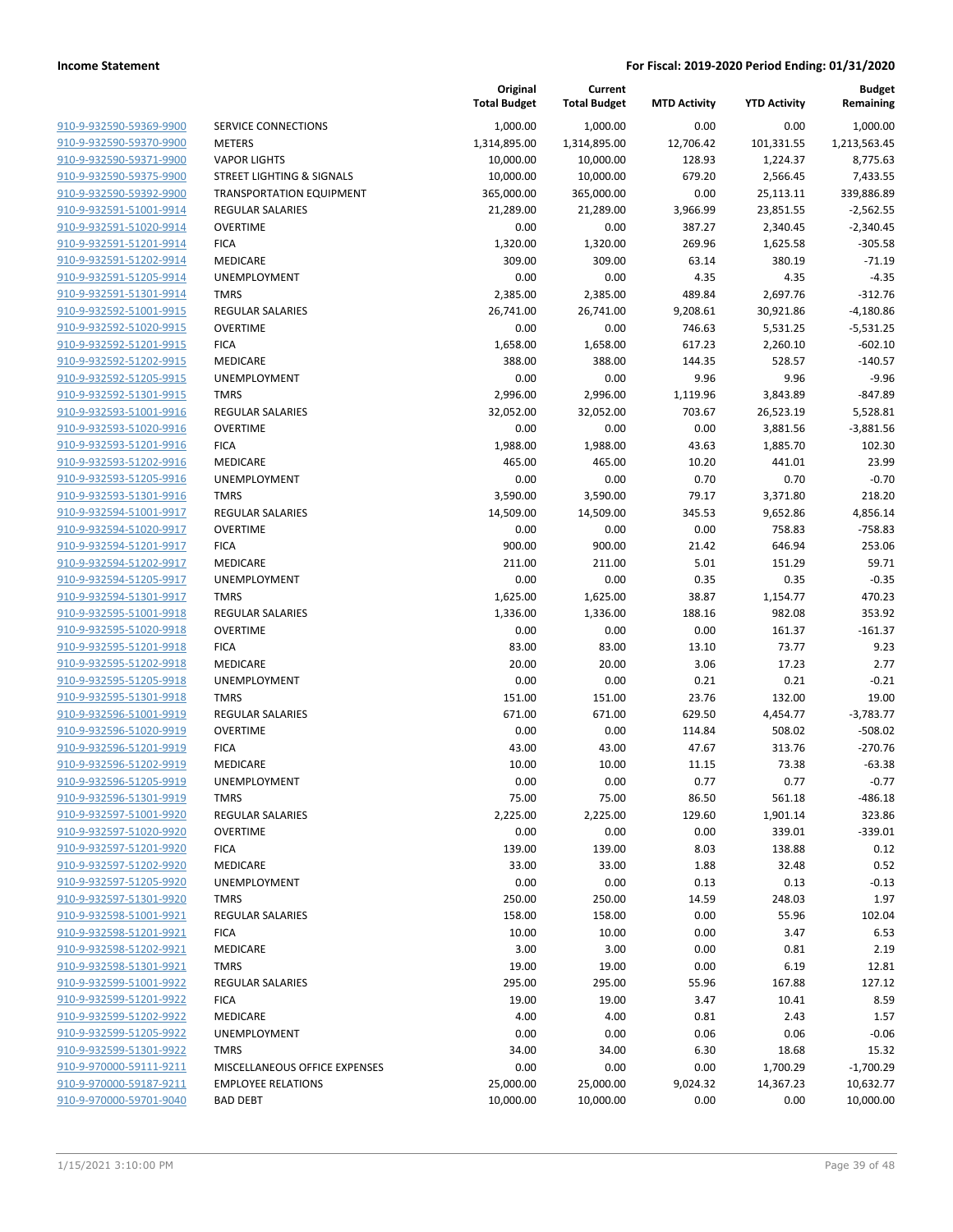|                         |                                      | Original<br><b>Total Budget</b> | Current<br><b>Total Budget</b> | <b>MTD Activity</b> | <b>YTD Activity</b> | <b>Budget</b><br>Remaining |
|-------------------------|--------------------------------------|---------------------------------|--------------------------------|---------------------|---------------------|----------------------------|
| 910-9-932590-59369-9900 | <b>SERVICE CONNECTIONS</b>           | 1,000.00                        | 1,000.00                       | 0.00                | 0.00                | 1,000.00                   |
| 910-9-932590-59370-9900 | <b>METERS</b>                        | 1,314,895.00                    | 1,314,895.00                   | 12,706.42           | 101,331.55          | 1,213,563.45               |
| 910-9-932590-59371-9900 | <b>VAPOR LIGHTS</b>                  | 10,000.00                       | 10,000.00                      | 128.93              | 1,224.37            | 8,775.63                   |
| 910-9-932590-59375-9900 | <b>STREET LIGHTING &amp; SIGNALS</b> | 10,000.00                       | 10,000.00                      | 679.20              | 2,566.45            | 7,433.55                   |
| 910-9-932590-59392-9900 | <b>TRANSPORTATION EQUIPMENT</b>      | 365,000.00                      | 365,000.00                     | 0.00                | 25,113.11           | 339,886.89                 |
| 910-9-932591-51001-9914 | <b>REGULAR SALARIES</b>              | 21,289.00                       | 21,289.00                      | 3,966.99            | 23,851.55           | $-2,562.55$                |
| 910-9-932591-51020-9914 | <b>OVERTIME</b>                      | 0.00                            | 0.00                           | 387.27              | 2,340.45            | $-2,340.45$                |
| 910-9-932591-51201-9914 | <b>FICA</b>                          | 1,320.00                        | 1,320.00                       | 269.96              | 1,625.58            | $-305.58$                  |
| 910-9-932591-51202-9914 | MEDICARE                             | 309.00                          | 309.00                         | 63.14               | 380.19              | $-71.19$                   |
| 910-9-932591-51205-9914 | UNEMPLOYMENT                         | 0.00                            | 0.00                           | 4.35                | 4.35                | $-4.35$                    |
| 910-9-932591-51301-9914 | <b>TMRS</b>                          | 2,385.00                        | 2,385.00                       | 489.84              | 2,697.76            | $-312.76$                  |
| 910-9-932592-51001-9915 | <b>REGULAR SALARIES</b>              | 26,741.00                       | 26,741.00                      | 9,208.61            | 30,921.86           | $-4,180.86$                |
| 910-9-932592-51020-9915 | <b>OVERTIME</b>                      | 0.00                            | 0.00                           | 746.63              | 5,531.25            | $-5,531.25$                |
| 910-9-932592-51201-9915 | <b>FICA</b>                          | 1,658.00                        | 1,658.00                       | 617.23              | 2,260.10            | $-602.10$                  |
| 910-9-932592-51202-9915 | MEDICARE                             | 388.00                          | 388.00                         | 144.35              | 528.57              | $-140.57$                  |
| 910-9-932592-51205-9915 | <b>UNEMPLOYMENT</b>                  | 0.00                            | 0.00                           | 9.96                | 9.96                | $-9.96$                    |
| 910-9-932592-51301-9915 | <b>TMRS</b>                          | 2,996.00                        | 2,996.00                       | 1,119.96            | 3,843.89            | $-847.89$                  |
| 910-9-932593-51001-9916 | <b>REGULAR SALARIES</b>              | 32,052.00                       | 32,052.00                      | 703.67              | 26,523.19           | 5,528.81                   |
| 910-9-932593-51020-9916 | <b>OVERTIME</b>                      | 0.00                            | 0.00                           | 0.00                | 3,881.56            | $-3,881.56$                |
| 910-9-932593-51201-9916 | <b>FICA</b>                          | 1,988.00                        | 1,988.00                       | 43.63               | 1,885.70            | 102.30                     |
| 910-9-932593-51202-9916 | MEDICARE                             | 465.00                          | 465.00                         | 10.20               | 441.01              | 23.99                      |
| 910-9-932593-51205-9916 | UNEMPLOYMENT                         | 0.00                            | 0.00                           | 0.70                | 0.70                | $-0.70$                    |
| 910-9-932593-51301-9916 | <b>TMRS</b>                          | 3,590.00                        | 3,590.00                       | 79.17               | 3,371.80            | 218.20                     |
| 910-9-932594-51001-9917 | <b>REGULAR SALARIES</b>              | 14,509.00                       | 14,509.00                      | 345.53              | 9,652.86            | 4,856.14                   |
| 910-9-932594-51020-9917 | <b>OVERTIME</b>                      | 0.00                            | 0.00                           | 0.00                | 758.83              | $-758.83$                  |
| 910-9-932594-51201-9917 | <b>FICA</b>                          | 900.00                          | 900.00                         | 21.42               | 646.94              | 253.06                     |
| 910-9-932594-51202-9917 | MEDICARE                             | 211.00                          | 211.00                         | 5.01                | 151.29              | 59.71                      |
| 910-9-932594-51205-9917 | UNEMPLOYMENT                         | 0.00                            | 0.00                           | 0.35                | 0.35                | $-0.35$                    |
| 910-9-932594-51301-9917 | <b>TMRS</b>                          | 1,625.00                        | 1,625.00                       | 38.87               | 1,154.77            | 470.23                     |
| 910-9-932595-51001-9918 | <b>REGULAR SALARIES</b>              | 1,336.00                        | 1,336.00                       | 188.16              | 982.08              | 353.92                     |
| 910-9-932595-51020-9918 | <b>OVERTIME</b>                      | 0.00                            | 0.00                           | 0.00                | 161.37              | $-161.37$                  |
| 910-9-932595-51201-9918 | <b>FICA</b>                          | 83.00                           | 83.00                          | 13.10               | 73.77               | 9.23                       |
| 910-9-932595-51202-9918 | MEDICARE                             | 20.00                           | 20.00                          | 3.06                | 17.23               | 2.77                       |
| 910-9-932595-51205-9918 | <b>UNEMPLOYMENT</b>                  | 0.00                            | 0.00                           | 0.21                | 0.21                | $-0.21$                    |
| 910-9-932595-51301-9918 | <b>TMRS</b>                          | 151.00                          | 151.00                         | 23.76               | 132.00              | 19.00                      |
| 910-9-932596-51001-9919 | <b>REGULAR SALARIES</b>              | 671.00                          | 671.00                         | 629.50              | 4,454.77            | $-3,783.77$                |
| 910-9-932596-51020-9919 | <b>OVERTIME</b>                      | 0.00                            | 0.00                           | 114.84              | 508.02              | $-508.02$                  |
| 910-9-932596-51201-9919 | <b>FICA</b>                          | 43.00                           | 43.00                          | 47.67               | 313.76              | $-270.76$                  |
| 910-9-932596-51202-9919 | <b>MEDICARE</b>                      | 10.00                           | 10.00                          | 11.15               | 73.38               | $-63.38$                   |
| 910-9-932596-51205-9919 | UNEMPLOYMENT                         | 0.00                            | 0.00                           | 0.77                | 0.77                | $-0.77$                    |
| 910-9-932596-51301-9919 | TMRS                                 | 75.00                           | 75.00                          | 86.50               | 561.18              | $-486.18$                  |
| 910-9-932597-51001-9920 | <b>REGULAR SALARIES</b>              | 2,225.00                        | 2,225.00                       | 129.60              | 1,901.14            | 323.86                     |
| 910-9-932597-51020-9920 | <b>OVERTIME</b>                      | 0.00                            | 0.00                           | 0.00                | 339.01              | $-339.01$                  |
| 910-9-932597-51201-9920 | <b>FICA</b>                          | 139.00                          | 139.00                         | 8.03                | 138.88              | 0.12                       |
| 910-9-932597-51202-9920 | MEDICARE                             | 33.00                           | 33.00                          | 1.88                | 32.48               | 0.52                       |
| 910-9-932597-51205-9920 | UNEMPLOYMENT                         | 0.00                            | 0.00                           | 0.13                | 0.13                | $-0.13$                    |
| 910-9-932597-51301-9920 | <b>TMRS</b>                          | 250.00                          | 250.00                         | 14.59               | 248.03              | 1.97                       |
| 910-9-932598-51001-9921 | <b>REGULAR SALARIES</b>              | 158.00                          | 158.00                         | 0.00                | 55.96               | 102.04                     |
| 910-9-932598-51201-9921 | <b>FICA</b>                          | 10.00                           | 10.00                          | 0.00                | 3.47                | 6.53                       |
| 910-9-932598-51202-9921 | MEDICARE                             | 3.00                            | 3.00                           | 0.00                | 0.81                | 2.19                       |
| 910-9-932598-51301-9921 | <b>TMRS</b>                          | 19.00                           | 19.00                          | 0.00                | 6.19                | 12.81                      |
| 910-9-932599-51001-9922 | REGULAR SALARIES                     | 295.00                          | 295.00                         | 55.96               | 167.88              | 127.12                     |
| 910-9-932599-51201-9922 | <b>FICA</b>                          | 19.00                           | 19.00                          | 3.47                | 10.41               | 8.59                       |
| 910-9-932599-51202-9922 | MEDICARE                             | 4.00                            | 4.00                           | 0.81                | 2.43                | 1.57                       |
| 910-9-932599-51205-9922 | UNEMPLOYMENT                         | 0.00                            | 0.00                           | 0.06                | 0.06                | $-0.06$                    |
| 910-9-932599-51301-9922 | <b>TMRS</b>                          | 34.00                           | 34.00                          | 6.30                | 18.68               | 15.32                      |
| 910-9-970000-59111-9211 | MISCELLANEOUS OFFICE EXPENSES        | 0.00                            | 0.00                           | 0.00                | 1,700.29            | $-1,700.29$                |
| 910-9-970000-59187-9211 | <b>EMPLOYEE RELATIONS</b>            | 25,000.00                       | 25,000.00                      | 9,024.32            | 14,367.23           | 10,632.77                  |
| 910-9-970000-59701-9040 | <b>BAD DEBT</b>                      | 10,000.00                       | 10,000.00                      | 0.00                | 0.00                | 10,000.00                  |
|                         |                                      |                                 |                                |                     |                     |                            |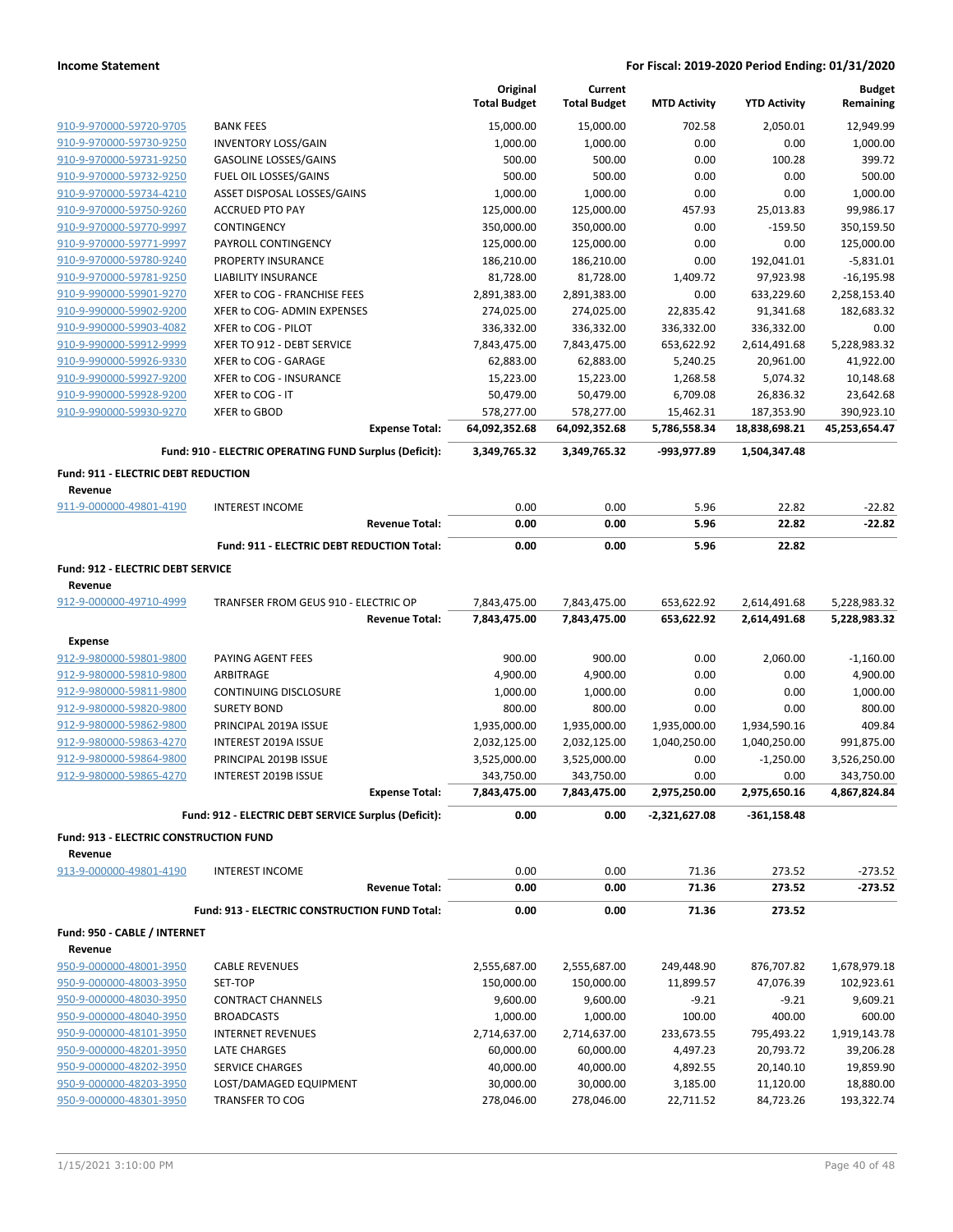|                                                    |                                                        |                       | Original<br><b>Total Budget</b> | Current<br><b>Total Budget</b> | <b>MTD Activity</b>          | <b>YTD Activity</b>          | <b>Budget</b><br>Remaining   |
|----------------------------------------------------|--------------------------------------------------------|-----------------------|---------------------------------|--------------------------------|------------------------------|------------------------------|------------------------------|
| 910-9-970000-59720-9705                            | <b>BANK FEES</b>                                       |                       |                                 |                                | 702.58                       |                              | 12,949.99                    |
| 910-9-970000-59730-9250                            | <b>INVENTORY LOSS/GAIN</b>                             |                       | 15,000.00<br>1,000.00           | 15,000.00<br>1,000.00          | 0.00                         | 2,050.01<br>0.00             | 1,000.00                     |
| 910-9-970000-59731-9250                            | <b>GASOLINE LOSSES/GAINS</b>                           |                       | 500.00                          | 500.00                         | 0.00                         | 100.28                       | 399.72                       |
| 910-9-970000-59732-9250                            | FUEL OIL LOSSES/GAINS                                  |                       | 500.00                          | 500.00                         | 0.00                         | 0.00                         | 500.00                       |
| 910-9-970000-59734-4210                            | ASSET DISPOSAL LOSSES/GAINS                            |                       | 1,000.00                        | 1,000.00                       | 0.00                         | 0.00                         | 1,000.00                     |
| 910-9-970000-59750-9260                            | <b>ACCRUED PTO PAY</b>                                 |                       | 125,000.00                      | 125,000.00                     | 457.93                       | 25,013.83                    | 99,986.17                    |
| 910-9-970000-59770-9997                            | CONTINGENCY                                            |                       | 350,000.00                      | 350,000.00                     | 0.00                         | $-159.50$                    | 350,159.50                   |
| 910-9-970000-59771-9997                            | PAYROLL CONTINGENCY                                    |                       | 125,000.00                      | 125,000.00                     | 0.00                         | 0.00                         | 125,000.00                   |
| 910-9-970000-59780-9240                            | PROPERTY INSURANCE                                     |                       | 186,210.00                      | 186,210.00                     | 0.00                         | 192,041.01                   | $-5,831.01$                  |
| 910-9-970000-59781-9250                            | <b>LIABILITY INSURANCE</b>                             |                       | 81,728.00                       | 81,728.00                      | 1,409.72                     | 97,923.98                    | $-16, 195.98$                |
| 910-9-990000-59901-9270                            | XFER to COG - FRANCHISE FEES                           |                       | 2,891,383.00                    | 2,891,383.00                   | 0.00                         | 633,229.60                   | 2,258,153.40                 |
| 910-9-990000-59902-9200                            | XFER to COG- ADMIN EXPENSES                            |                       | 274,025.00                      | 274,025.00                     | 22,835.42                    | 91,341.68                    | 182,683.32                   |
| 910-9-990000-59903-4082                            | XFER to COG - PILOT                                    |                       | 336,332.00                      | 336,332.00                     | 336,332.00                   | 336,332.00                   | 0.00                         |
| 910-9-990000-59912-9999                            | XFER TO 912 - DEBT SERVICE                             |                       | 7,843,475.00                    | 7,843,475.00                   | 653,622.92                   | 2,614,491.68                 | 5,228,983.32                 |
| 910-9-990000-59926-9330                            | XFER to COG - GARAGE                                   |                       | 62,883.00                       | 62,883.00                      | 5,240.25                     | 20,961.00                    | 41,922.00                    |
| 910-9-990000-59927-9200                            | XFER to COG - INSURANCE                                |                       | 15,223.00                       | 15,223.00                      | 1,268.58                     | 5,074.32                     | 10,148.68                    |
| 910-9-990000-59928-9200                            | XFER to COG - IT                                       |                       | 50,479.00                       | 50,479.00                      | 6,709.08                     | 26,836.32                    | 23,642.68                    |
| 910-9-990000-59930-9270                            | <b>XFER to GBOD</b>                                    |                       | 578,277.00                      | 578,277.00                     | 15,462.31                    | 187,353.90                   | 390,923.10                   |
|                                                    |                                                        | <b>Expense Total:</b> | 64,092,352.68                   | 64,092,352.68                  | 5,786,558.34                 | 18,838,698.21                | 45,253,654.47                |
|                                                    | Fund: 910 - ELECTRIC OPERATING FUND Surplus (Deficit): |                       | 3,349,765.32                    | 3,349,765.32                   | -993,977.89                  | 1,504,347.48                 |                              |
| <b>Fund: 911 - ELECTRIC DEBT REDUCTION</b>         |                                                        |                       |                                 |                                |                              |                              |                              |
| Revenue                                            |                                                        |                       |                                 |                                |                              |                              |                              |
| 911-9-000000-49801-4190                            | <b>INTEREST INCOME</b>                                 |                       | 0.00                            | 0.00                           | 5.96                         | 22.82<br>22.82               | $-22.82$<br>$-22.82$         |
|                                                    |                                                        | <b>Revenue Total:</b> | 0.00                            | 0.00                           | 5.96                         |                              |                              |
|                                                    | Fund: 911 - ELECTRIC DEBT REDUCTION Total:             |                       | 0.00                            | 0.00                           | 5.96                         | 22.82                        |                              |
| Fund: 912 - ELECTRIC DEBT SERVICE                  |                                                        |                       |                                 |                                |                              |                              |                              |
| Revenue<br>912-9-000000-49710-4999                 | TRANFSER FROM GEUS 910 - ELECTRIC OP                   |                       |                                 |                                |                              |                              |                              |
|                                                    |                                                        | <b>Revenue Total:</b> | 7,843,475.00<br>7,843,475.00    | 7,843,475.00<br>7,843,475.00   | 653,622.92<br>653,622.92     | 2,614,491.68<br>2,614,491.68 | 5,228,983.32<br>5,228,983.32 |
|                                                    |                                                        |                       |                                 |                                |                              |                              |                              |
| <b>Expense</b>                                     |                                                        |                       |                                 |                                |                              |                              |                              |
| 912-9-980000-59801-9800                            | PAYING AGENT FEES                                      |                       | 900.00                          | 900.00                         | 0.00                         | 2,060.00                     | $-1,160.00$                  |
| 912-9-980000-59810-9800                            | ARBITRAGE                                              |                       | 4,900.00                        | 4,900.00                       | 0.00                         | 0.00                         | 4,900.00                     |
| 912-9-980000-59811-9800                            | <b>CONTINUING DISCLOSURE</b>                           |                       | 1,000.00                        | 1,000.00                       | 0.00                         | 0.00                         | 1,000.00                     |
| 912-9-980000-59820-9800                            | <b>SURETY BOND</b>                                     |                       | 800.00                          | 800.00                         | 0.00                         | 0.00                         | 800.00                       |
| 912-9-980000-59862-9800<br>912-9-980000-59863-4270 | PRINCIPAL 2019A ISSUE<br>INTEREST 2019A ISSUE          |                       | 1,935,000.00<br>2,032,125.00    | 1,935,000.00<br>2,032,125.00   | 1,935,000.00<br>1,040,250.00 | 1,934,590.16<br>1,040,250.00 | 409.84<br>991,875.00         |
| 912-9-980000-59864-9800                            | PRINCIPAL 2019B ISSUE                                  |                       | 3,525,000.00                    | 3,525,000.00                   | 0.00                         | $-1,250.00$                  | 3,526,250.00                 |
| 912-9-980000-59865-4270                            | INTEREST 2019B ISSUE                                   |                       | 343,750.00                      | 343,750.00                     | 0.00                         | 0.00                         | 343,750.00                   |
|                                                    |                                                        | <b>Expense Total:</b> | 7,843,475.00                    | 7,843,475.00                   | 2,975,250.00                 | 2,975,650.16                 | 4,867,824.84                 |
|                                                    | Fund: 912 - ELECTRIC DEBT SERVICE Surplus (Deficit):   |                       | 0.00                            | 0.00                           | $-2,321,627.08$              | $-361,158.48$                |                              |
|                                                    |                                                        |                       |                                 |                                |                              |                              |                              |
| Fund: 913 - ELECTRIC CONSTRUCTION FUND<br>Revenue  |                                                        |                       |                                 |                                |                              |                              |                              |
| 913-9-000000-49801-4190                            | <b>INTEREST INCOME</b>                                 |                       | 0.00                            | 0.00                           | 71.36                        | 273.52                       | $-273.52$                    |
|                                                    |                                                        | <b>Revenue Total:</b> | 0.00                            | 0.00                           | 71.36                        | 273.52                       | $-273.52$                    |
|                                                    | Fund: 913 - ELECTRIC CONSTRUCTION FUND Total:          |                       | 0.00                            | 0.00                           | 71.36                        | 273.52                       |                              |
| Fund: 950 - CABLE / INTERNET                       |                                                        |                       |                                 |                                |                              |                              |                              |
| Revenue                                            |                                                        |                       |                                 |                                |                              |                              |                              |
| 950-9-000000-48001-3950                            | <b>CABLE REVENUES</b>                                  |                       | 2,555,687.00                    | 2,555,687.00                   | 249,448.90                   | 876,707.82                   | 1,678,979.18                 |
| 950-9-000000-48003-3950                            | SET-TOP                                                |                       | 150,000.00                      | 150,000.00                     | 11,899.57                    | 47,076.39                    | 102,923.61                   |
| 950-9-000000-48030-3950                            | <b>CONTRACT CHANNELS</b>                               |                       | 9,600.00                        | 9,600.00                       | $-9.21$                      | $-9.21$                      | 9,609.21                     |
| 950-9-000000-48040-3950                            | <b>BROADCASTS</b>                                      |                       | 1,000.00                        | 1,000.00                       | 100.00                       | 400.00                       | 600.00                       |
| 950-9-000000-48101-3950                            | <b>INTERNET REVENUES</b>                               |                       | 2,714,637.00                    | 2,714,637.00                   | 233,673.55                   | 795,493.22                   | 1,919,143.78                 |
| 950-9-000000-48201-3950                            | LATE CHARGES                                           |                       | 60,000.00                       | 60,000.00                      | 4,497.23                     | 20,793.72                    | 39,206.28                    |
| 950-9-000000-48202-3950                            | SERVICE CHARGES                                        |                       | 40,000.00                       | 40,000.00                      | 4,892.55                     | 20,140.10                    | 19,859.90                    |
| 950-9-000000-48203-3950                            | LOST/DAMAGED EQUIPMENT                                 |                       | 30,000.00                       | 30,000.00                      | 3,185.00                     | 11,120.00                    | 18,880.00                    |
| 950-9-000000-48301-3950                            | <b>TRANSFER TO COG</b>                                 |                       | 278,046.00                      | 278,046.00                     | 22,711.52                    | 84,723.26                    | 193,322.74                   |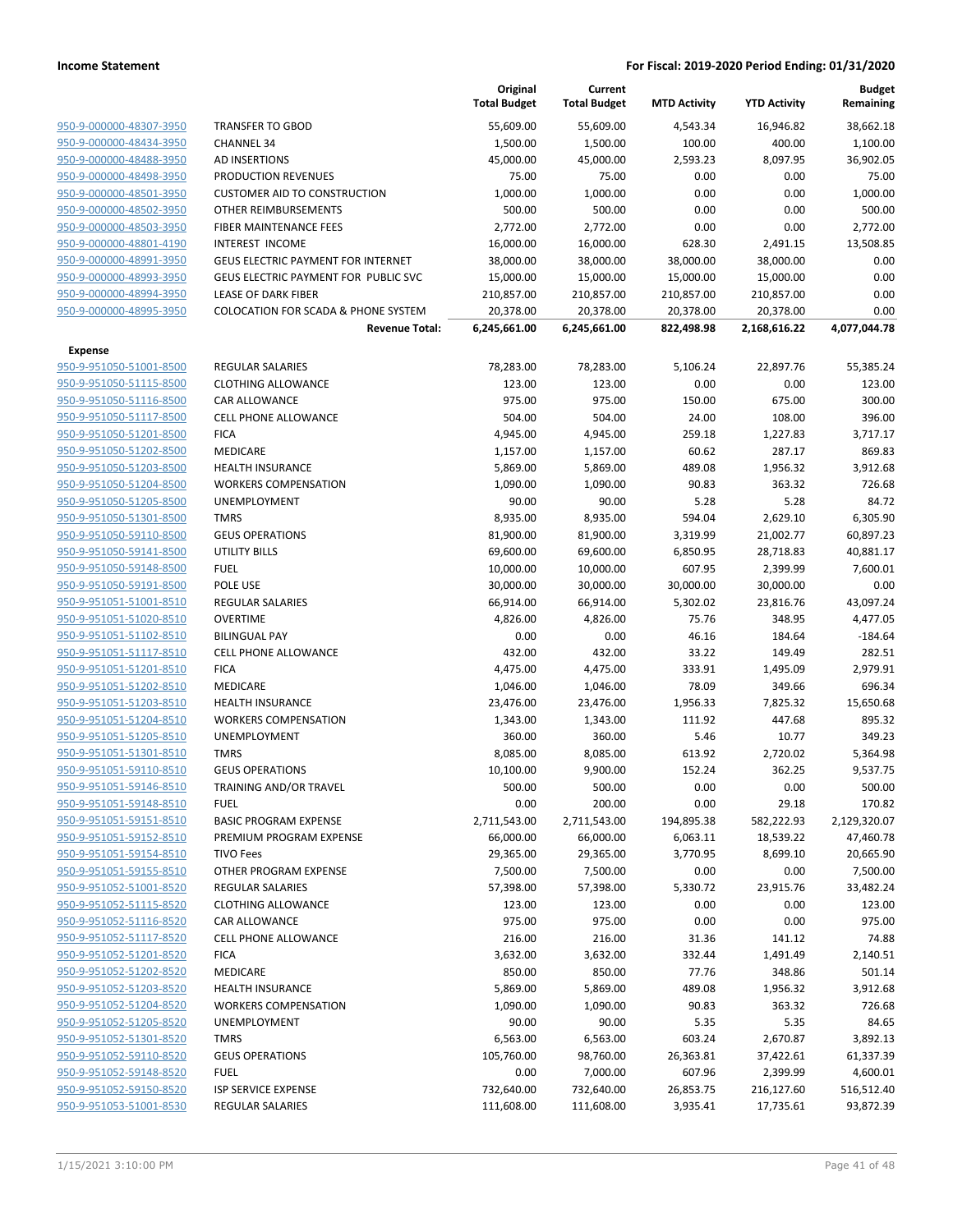|                                                    |                                                    | Original<br><b>Total Budget</b> | Current<br><b>Total Budget</b> | <b>MTD Activity</b> | <b>YTD Activity</b> | <b>Budget</b><br>Remaining |
|----------------------------------------------------|----------------------------------------------------|---------------------------------|--------------------------------|---------------------|---------------------|----------------------------|
| 950-9-000000-48307-3950                            | <b>TRANSFER TO GBOD</b>                            | 55,609.00                       | 55,609.00                      | 4,543.34            | 16,946.82           | 38,662.18                  |
| 950-9-000000-48434-3950                            | <b>CHANNEL 34</b>                                  | 1,500.00                        | 1,500.00                       | 100.00              | 400.00              | 1,100.00                   |
| 950-9-000000-48488-3950                            | AD INSERTIONS                                      | 45,000.00                       | 45,000.00                      | 2,593.23            | 8,097.95            | 36,902.05                  |
| 950-9-000000-48498-3950                            | PRODUCTION REVENUES                                | 75.00                           | 75.00                          | 0.00                | 0.00                | 75.00                      |
| 950-9-000000-48501-3950                            | <b>CUSTOMER AID TO CONSTRUCTION</b>                | 1,000.00                        | 1,000.00                       | 0.00                | 0.00                | 1,000.00                   |
| 950-9-000000-48502-3950                            | OTHER REIMBURSEMENTS                               | 500.00                          | 500.00                         | 0.00                | 0.00                | 500.00                     |
| 950-9-000000-48503-3950                            | FIBER MAINTENANCE FEES                             | 2,772.00                        | 2,772.00                       | 0.00                | 0.00                | 2,772.00                   |
| 950-9-000000-48801-4190                            | INTEREST INCOME                                    | 16,000.00                       | 16,000.00                      | 628.30              | 2,491.15            | 13,508.85                  |
| 950-9-000000-48991-3950                            | <b>GEUS ELECTRIC PAYMENT FOR INTERNET</b>          | 38,000.00                       | 38,000.00                      | 38,000.00           | 38,000.00           | 0.00                       |
| 950-9-000000-48993-3950                            | GEUS ELECTRIC PAYMENT FOR PUBLIC SVC               | 15,000.00                       | 15,000.00                      | 15,000.00           | 15,000.00           | 0.00                       |
| 950-9-000000-48994-3950                            | <b>LEASE OF DARK FIBER</b>                         | 210,857.00                      | 210,857.00                     | 210,857.00          | 210,857.00          | 0.00                       |
| 950-9-000000-48995-3950                            | <b>COLOCATION FOR SCADA &amp; PHONE SYSTEM</b>     | 20,378.00                       | 20,378.00                      | 20,378.00           | 20,378.00           | 0.00                       |
|                                                    | <b>Revenue Total:</b>                              | 6,245,661.00                    | 6,245,661.00                   | 822,498.98          | 2,168,616.22        | 4,077,044.78               |
| Expense                                            |                                                    |                                 |                                |                     |                     |                            |
| 950-9-951050-51001-8500                            | <b>REGULAR SALARIES</b>                            | 78,283.00                       | 78,283.00                      | 5,106.24            | 22,897.76           | 55,385.24                  |
| 950-9-951050-51115-8500                            | <b>CLOTHING ALLOWANCE</b>                          | 123.00                          | 123.00                         | 0.00                | 0.00                | 123.00                     |
| 950-9-951050-51116-8500                            | CAR ALLOWANCE                                      | 975.00                          | 975.00                         | 150.00              | 675.00              | 300.00                     |
| 950-9-951050-51117-8500                            | <b>CELL PHONE ALLOWANCE</b>                        | 504.00                          | 504.00                         | 24.00               | 108.00              | 396.00                     |
| 950-9-951050-51201-8500                            | <b>FICA</b>                                        | 4,945.00                        | 4,945.00                       | 259.18              | 1,227.83            | 3,717.17                   |
| 950-9-951050-51202-8500                            | <b>MEDICARE</b>                                    | 1,157.00                        | 1,157.00                       | 60.62               | 287.17              | 869.83                     |
| 950-9-951050-51203-8500                            | <b>HEALTH INSURANCE</b>                            | 5,869.00                        | 5,869.00                       | 489.08              | 1,956.32            | 3,912.68                   |
| 950-9-951050-51204-8500                            | <b>WORKERS COMPENSATION</b>                        | 1,090.00                        | 1,090.00                       | 90.83               | 363.32              | 726.68                     |
| 950-9-951050-51205-8500                            | UNEMPLOYMENT                                       | 90.00                           | 90.00                          | 5.28                | 5.28                | 84.72                      |
| 950-9-951050-51301-8500                            | <b>TMRS</b>                                        | 8,935.00                        | 8,935.00                       | 594.04              | 2,629.10            | 6,305.90                   |
| 950-9-951050-59110-8500                            | <b>GEUS OPERATIONS</b>                             | 81,900.00                       | 81,900.00                      | 3,319.99            | 21,002.77           | 60,897.23                  |
| 950-9-951050-59141-8500                            | <b>UTILITY BILLS</b>                               | 69,600.00                       | 69,600.00                      | 6,850.95            | 28,718.83           | 40,881.17                  |
| 950-9-951050-59148-8500                            | <b>FUEL</b>                                        | 10,000.00                       | 10,000.00                      | 607.95              | 2,399.99            | 7,600.01                   |
| 950-9-951050-59191-8500                            | POLE USE                                           | 30,000.00                       | 30,000.00                      | 30,000.00           | 30,000.00           | 0.00                       |
| 950-9-951051-51001-8510                            | <b>REGULAR SALARIES</b>                            | 66,914.00                       | 66,914.00                      | 5,302.02            | 23,816.76           | 43,097.24                  |
| 950-9-951051-51020-8510                            | <b>OVERTIME</b>                                    | 4,826.00                        | 4,826.00                       | 75.76               | 348.95              | 4,477.05                   |
| 950-9-951051-51102-8510                            | <b>BILINGUAL PAY</b>                               | 0.00                            | 0.00                           | 46.16               | 184.64              | $-184.64$                  |
| 950-9-951051-51117-8510                            | <b>CELL PHONE ALLOWANCE</b>                        | 432.00                          | 432.00                         | 33.22               | 149.49              | 282.51                     |
| 950-9-951051-51201-8510                            | <b>FICA</b>                                        | 4,475.00                        | 4,475.00                       | 333.91              | 1,495.09            | 2,979.91<br>696.34         |
| 950-9-951051-51202-8510                            | <b>MEDICARE</b>                                    | 1,046.00                        | 1,046.00                       | 78.09               | 349.66              |                            |
| 950-9-951051-51203-8510                            | <b>HEALTH INSURANCE</b>                            | 23,476.00                       | 23,476.00                      | 1,956.33            | 7,825.32            | 15,650.68                  |
| 950-9-951051-51204-8510<br>950-9-951051-51205-8510 | <b>WORKERS COMPENSATION</b><br><b>UNEMPLOYMENT</b> | 1,343.00                        | 1,343.00                       | 111.92              | 447.68              | 895.32                     |
| 950-9-951051-51301-8510                            | <b>TMRS</b>                                        | 360.00<br>8,085.00              | 360.00<br>8,085.00             | 5.46<br>613.92      | 10.77<br>2,720.02   | 349.23<br>5,364.98         |
| 950-9-951051-59110-8510                            | <b>GEUS OPERATIONS</b>                             | 10,100.00                       | 9,900.00                       | 152.24              | 362.25              | 9,537.75                   |
| 950-9-951051-59146-8510                            | TRAINING AND/OR TRAVEL                             | 500.00                          | 500.00                         | 0.00                | 0.00                | 500.00                     |
| 950-9-951051-59148-8510                            | <b>FUEL</b>                                        | 0.00                            | 200.00                         | 0.00                | 29.18               | 170.82                     |
| 950-9-951051-59151-8510                            | <b>BASIC PROGRAM EXPENSE</b>                       | 2,711,543.00                    | 2,711,543.00                   | 194,895.38          | 582,222.93          | 2,129,320.07               |
| 950-9-951051-59152-8510                            | PREMIUM PROGRAM EXPENSE                            | 66,000.00                       | 66,000.00                      | 6,063.11            | 18,539.22           | 47,460.78                  |
| 950-9-951051-59154-8510                            | <b>TIVO Fees</b>                                   | 29,365.00                       | 29,365.00                      | 3,770.95            | 8,699.10            | 20,665.90                  |
| 950-9-951051-59155-8510                            | OTHER PROGRAM EXPENSE                              | 7,500.00                        | 7,500.00                       | 0.00                | 0.00                | 7,500.00                   |
| 950-9-951052-51001-8520                            | REGULAR SALARIES                                   | 57,398.00                       | 57,398.00                      | 5,330.72            | 23,915.76           | 33,482.24                  |
| 950-9-951052-51115-8520                            | <b>CLOTHING ALLOWANCE</b>                          | 123.00                          | 123.00                         | 0.00                | 0.00                | 123.00                     |
| 950-9-951052-51116-8520                            | CAR ALLOWANCE                                      | 975.00                          | 975.00                         | 0.00                | 0.00                | 975.00                     |
| 950-9-951052-51117-8520                            | CELL PHONE ALLOWANCE                               | 216.00                          | 216.00                         | 31.36               | 141.12              | 74.88                      |
| 950-9-951052-51201-8520                            | <b>FICA</b>                                        | 3,632.00                        | 3,632.00                       | 332.44              | 1,491.49            | 2,140.51                   |
| 950-9-951052-51202-8520                            | MEDICARE                                           | 850.00                          | 850.00                         | 77.76               | 348.86              | 501.14                     |
| 950-9-951052-51203-8520                            | <b>HEALTH INSURANCE</b>                            | 5,869.00                        | 5,869.00                       | 489.08              | 1,956.32            | 3,912.68                   |
| 950-9-951052-51204-8520                            | <b>WORKERS COMPENSATION</b>                        | 1,090.00                        | 1,090.00                       | 90.83               | 363.32              | 726.68                     |
| 950-9-951052-51205-8520                            | UNEMPLOYMENT                                       | 90.00                           | 90.00                          | 5.35                | 5.35                | 84.65                      |
| 950-9-951052-51301-8520                            | <b>TMRS</b>                                        | 6,563.00                        | 6,563.00                       | 603.24              | 2,670.87            | 3,892.13                   |
| 950-9-951052-59110-8520                            | <b>GEUS OPERATIONS</b>                             | 105,760.00                      | 98,760.00                      | 26,363.81           | 37,422.61           | 61,337.39                  |
| 950-9-951052-59148-8520                            | <b>FUEL</b>                                        | 0.00                            | 7,000.00                       | 607.96              | 2,399.99            | 4,600.01                   |
| 950-9-951052-59150-8520                            | ISP SERVICE EXPENSE                                | 732,640.00                      | 732,640.00                     | 26,853.75           | 216,127.60          | 516,512.40                 |
| 950-9-951053-51001-8530                            | <b>REGULAR SALARIES</b>                            | 111,608.00                      | 111,608.00                     | 3,935.41            | 17,735.61           | 93,872.39                  |
|                                                    |                                                    |                                 |                                |                     |                     |                            |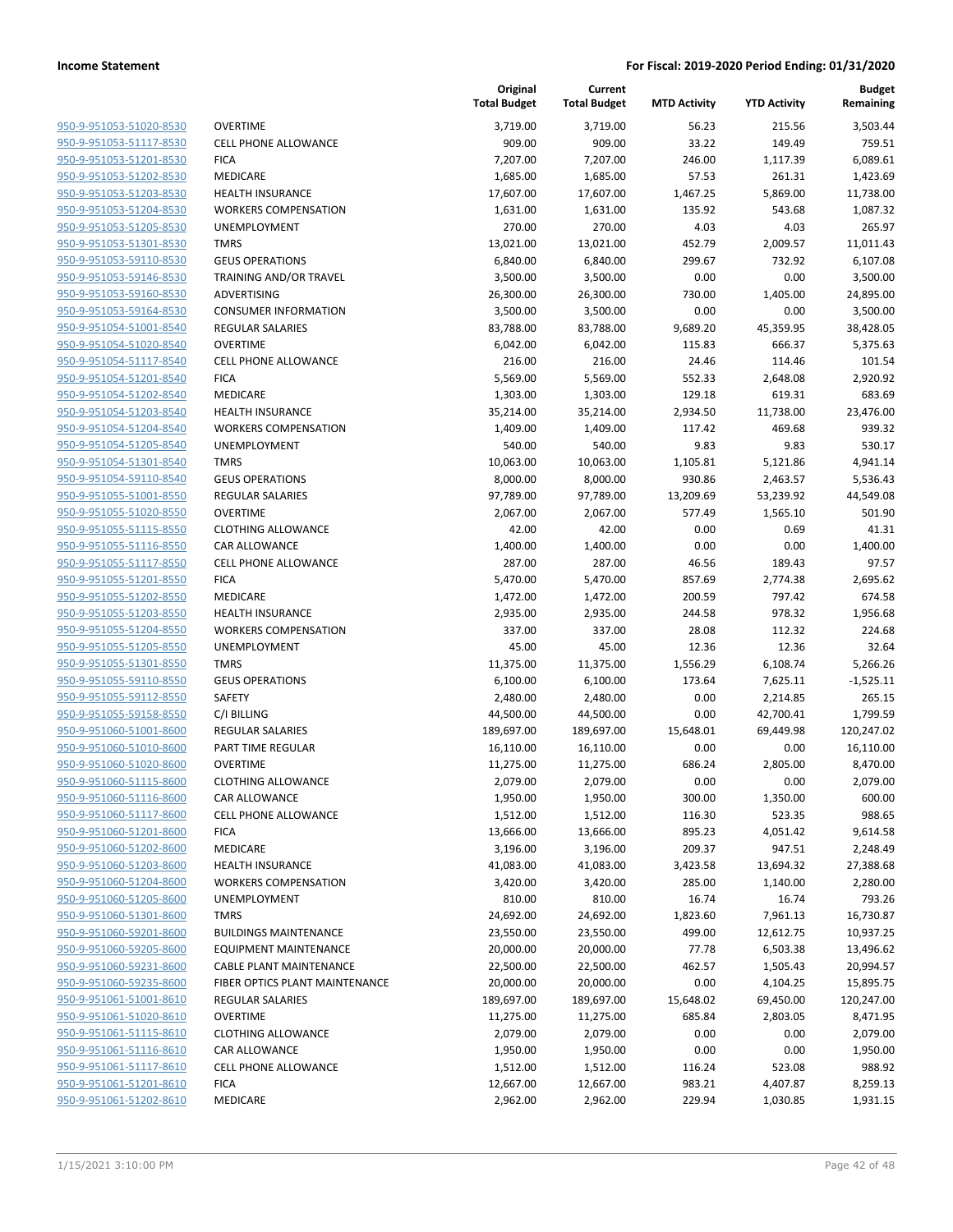| 950-9-951053-51020-8530        | I      |
|--------------------------------|--------|
| 950-9-951053-51117-8530        | I      |
| 950-9-951053-51201-8530        | ı      |
| 950-9-951053-51202-8530        |        |
|                                | I      |
| 950-9-951053-51203-8530        | I      |
| 950-9-951053-51204-8530        |        |
| 950-9-951053-51205-8530        | ļ      |
| 950-9-951053-51301-8530        |        |
| 950-9-951053-59110-8530        | I      |
| 950-9-951053-59146-8530        |        |
| 950-9-951053-59160-8530        | I      |
| 950-9-951053-59164-8530        | I      |
| 950-9-951054-51001-8540        | ı      |
| 950-9-951054-51020-8540        | I      |
| 950-9-951054-51117-8540        |        |
| 950-9-951054-51201-8540        | ı      |
| 950-9-951054-51202-8540        | ı      |
| 950-9-951054-51203-8540        | ı      |
| 950-9-951054-51204-8540        |        |
|                                | ľ<br>ι |
| 950-9-951054-51205-8540        |        |
| 950-9-951054-51301-8540        |        |
| 950-9-951054-59110-8540        | I      |
| 950-9-951055-51001-8550        | ı      |
| 950-9-951055-51020-8550        | I      |
| 950-9-951055-51115-8550        |        |
| 950-9-951055-51116-8550        | (      |
| 950-9-951055-51117-8550        | I      |
| 950-9-951055-51201-8550        | I      |
| 950-9-951055-51202-8550        | I      |
| 950-9-951055-51203-8550        | I      |
| 950-9-951055-51204-8550        |        |
| 950-9-951055-51205-8550        | ļ      |
| 950-9-951055-51301-8550        |        |
| 950-9-951055-59110-8550        | I      |
| 950-9-951055-59112-8550        | ؛<br>؛ |
| 950-9-951055-59158-8550        | I      |
| 950-9-951060-51001-8600        | I      |
| 950-9-951060-51010-8600        | I      |
| 950-9-951060-51020-8600        | I      |
| 950-9-951060-51115-8600        |        |
| 950-9-951060-51116-8600        | I      |
|                                |        |
| 950-9-951060-51117-8600        |        |
| 950-9-951060-51201-8600        |        |
| 950-9-951060-51202-8600        | I      |
| 950-9-951060-51203-8600        | ı      |
| 950-9-951060-51204-8600        |        |
| 950-9-951060-51205-8600        | l      |
| 950-9-951060-51301-8600        |        |
| 950-9-951060-59201-8600        | I      |
| 950-9-951060-59205-8600        | ı      |
| <u>950-9-951060-59231-8600</u> | ١      |
| 950-9-951060-59235-8600        | I      |
| 950-9-951061-51001-8610        | Į      |
| 950-9-951061-51020-8610        | I      |
| 950-9-951061-51115-8610        |        |
| 950-9-951061-51116-8610        |        |
| 950-9-951061-51117-8610        | ١      |
| 950-9-951061-51201-8610        | I      |
| 950-9-951061-51202-8610        | I      |
|                                |        |
|                                |        |

|                         |                                | Original<br><b>Total Budget</b> | Current<br><b>Total Budget</b> | <b>MTD Activity</b> | <b>YTD Activity</b> | <b>Budget</b><br>Remaining |
|-------------------------|--------------------------------|---------------------------------|--------------------------------|---------------------|---------------------|----------------------------|
| 950-9-951053-51020-8530 | <b>OVERTIME</b>                | 3,719.00                        | 3,719.00                       | 56.23               | 215.56              | 3,503.44                   |
| 950-9-951053-51117-8530 | <b>CELL PHONE ALLOWANCE</b>    | 909.00                          | 909.00                         | 33.22               | 149.49              | 759.51                     |
| 950-9-951053-51201-8530 | <b>FICA</b>                    | 7,207.00                        | 7,207.00                       | 246.00              | 1,117.39            | 6,089.61                   |
| 950-9-951053-51202-8530 | MEDICARE                       | 1,685.00                        | 1,685.00                       | 57.53               | 261.31              | 1,423.69                   |
| 950-9-951053-51203-8530 | <b>HEALTH INSURANCE</b>        | 17,607.00                       | 17,607.00                      | 1,467.25            | 5,869.00            | 11,738.00                  |
| 950-9-951053-51204-8530 | <b>WORKERS COMPENSATION</b>    | 1,631.00                        | 1,631.00                       | 135.92              | 543.68              | 1,087.32                   |
| 950-9-951053-51205-8530 | <b>UNEMPLOYMENT</b>            | 270.00                          | 270.00                         | 4.03                | 4.03                | 265.97                     |
| 950-9-951053-51301-8530 | <b>TMRS</b>                    | 13,021.00                       | 13,021.00                      | 452.79              | 2,009.57            | 11,011.43                  |
| 950-9-951053-59110-8530 | <b>GEUS OPERATIONS</b>         | 6,840.00                        | 6,840.00                       | 299.67              | 732.92              | 6,107.08                   |
| 950-9-951053-59146-8530 | TRAINING AND/OR TRAVEL         | 3,500.00                        | 3,500.00                       | 0.00                | 0.00                | 3,500.00                   |
| 950-9-951053-59160-8530 | ADVERTISING                    | 26,300.00                       | 26,300.00                      | 730.00              | 1,405.00            | 24,895.00                  |
| 950-9-951053-59164-8530 | <b>CONSUMER INFORMATION</b>    | 3,500.00                        | 3,500.00                       | 0.00                | 0.00                | 3,500.00                   |
| 950-9-951054-51001-8540 | <b>REGULAR SALARIES</b>        | 83,788.00                       | 83,788.00                      | 9,689.20            | 45,359.95           | 38,428.05                  |
| 950-9-951054-51020-8540 | <b>OVERTIME</b>                | 6,042.00                        | 6,042.00                       | 115.83              | 666.37              | 5,375.63                   |
| 950-9-951054-51117-8540 | <b>CELL PHONE ALLOWANCE</b>    | 216.00                          | 216.00                         | 24.46               | 114.46              | 101.54                     |
| 950-9-951054-51201-8540 | <b>FICA</b>                    | 5,569.00                        | 5,569.00                       | 552.33              | 2,648.08            | 2,920.92                   |
| 950-9-951054-51202-8540 | MEDICARE                       | 1,303.00                        | 1,303.00                       | 129.18              | 619.31              | 683.69                     |
| 950-9-951054-51203-8540 | <b>HEALTH INSURANCE</b>        | 35,214.00                       | 35,214.00                      | 2,934.50            | 11,738.00           | 23,476.00                  |
| 950-9-951054-51204-8540 | <b>WORKERS COMPENSATION</b>    | 1,409.00                        | 1,409.00                       | 117.42              | 469.68              | 939.32                     |
| 950-9-951054-51205-8540 | <b>UNEMPLOYMENT</b>            | 540.00                          | 540.00                         | 9.83                | 9.83                | 530.17                     |
| 950-9-951054-51301-8540 | <b>TMRS</b>                    | 10,063.00                       | 10,063.00                      | 1,105.81            | 5,121.86            | 4,941.14                   |
| 950-9-951054-59110-8540 | <b>GEUS OPERATIONS</b>         | 8,000.00                        | 8,000.00                       | 930.86              | 2,463.57            | 5,536.43                   |
| 950-9-951055-51001-8550 | <b>REGULAR SALARIES</b>        | 97,789.00                       | 97,789.00                      | 13,209.69           | 53,239.92           | 44,549.08                  |
| 950-9-951055-51020-8550 | <b>OVERTIME</b>                | 2,067.00                        | 2,067.00                       | 577.49              | 1,565.10            | 501.90                     |
| 950-9-951055-51115-8550 | <b>CLOTHING ALLOWANCE</b>      | 42.00                           | 42.00                          | 0.00                | 0.69                | 41.31                      |
| 950-9-951055-51116-8550 | <b>CAR ALLOWANCE</b>           | 1,400.00                        | 1,400.00                       | 0.00                | 0.00                | 1,400.00                   |
| 950-9-951055-51117-8550 | <b>CELL PHONE ALLOWANCE</b>    | 287.00                          | 287.00                         | 46.56               | 189.43              | 97.57                      |
| 950-9-951055-51201-8550 | <b>FICA</b>                    | 5,470.00                        | 5,470.00                       | 857.69              | 2,774.38            | 2,695.62                   |
| 950-9-951055-51202-8550 | MEDICARE                       | 1,472.00                        | 1,472.00                       | 200.59              | 797.42              | 674.58                     |
| 950-9-951055-51203-8550 | <b>HEALTH INSURANCE</b>        | 2,935.00                        | 2,935.00                       | 244.58              | 978.32              | 1,956.68                   |
| 950-9-951055-51204-8550 | <b>WORKERS COMPENSATION</b>    | 337.00                          | 337.00                         | 28.08               | 112.32              | 224.68                     |
| 950-9-951055-51205-8550 | UNEMPLOYMENT                   | 45.00                           | 45.00                          | 12.36               | 12.36               | 32.64                      |
| 950-9-951055-51301-8550 | <b>TMRS</b>                    | 11,375.00                       | 11,375.00                      | 1,556.29            | 6,108.74            | 5,266.26                   |
| 950-9-951055-59110-8550 | <b>GEUS OPERATIONS</b>         | 6,100.00                        | 6,100.00                       | 173.64              | 7,625.11            | $-1,525.11$                |
| 950-9-951055-59112-8550 | <b>SAFETY</b>                  | 2,480.00                        | 2,480.00                       | 0.00                | 2,214.85            | 265.15                     |
| 950-9-951055-59158-8550 | C/I BILLING                    | 44,500.00                       | 44,500.00                      | 0.00                | 42,700.41           | 1,799.59                   |
| 950-9-951060-51001-8600 | <b>REGULAR SALARIES</b>        | 189,697.00                      | 189,697.00                     | 15,648.01           | 69,449.98           | 120,247.02                 |
| 950-9-951060-51010-8600 | PART TIME REGULAR              | 16,110.00                       | 16,110.00                      | 0.00                | 0.00                | 16,110.00                  |
| 950-9-951060-51020-8600 | <b>OVERTIME</b>                | 11,275.00                       | 11,275.00                      | 686.24              | 2,805.00            | 8,470.00                   |
| 950-9-951060-51115-8600 | <b>CLOTHING ALLOWANCE</b>      | 2,079.00                        | 2,079.00                       | 0.00                | 0.00                | 2,079.00                   |
| 950-9-951060-51116-8600 | CAR ALLOWANCE                  | 1,950.00                        | 1,950.00                       | 300.00              | 1,350.00            | 600.00                     |
| 950-9-951060-51117-8600 | <b>CELL PHONE ALLOWANCE</b>    | 1,512.00                        | 1,512.00                       | 116.30              | 523.35              | 988.65                     |
| 950-9-951060-51201-8600 | <b>FICA</b>                    | 13,666.00                       | 13,666.00                      | 895.23              | 4,051.42            | 9,614.58                   |
| 950-9-951060-51202-8600 | MEDICARE                       | 3,196.00                        | 3,196.00                       | 209.37              | 947.51              | 2,248.49                   |
| 950-9-951060-51203-8600 | <b>HEALTH INSURANCE</b>        | 41,083.00                       | 41,083.00                      | 3,423.58            | 13,694.32           | 27,388.68                  |
| 950-9-951060-51204-8600 | <b>WORKERS COMPENSATION</b>    | 3,420.00                        | 3,420.00                       | 285.00              | 1,140.00            | 2,280.00                   |
| 950-9-951060-51205-8600 | <b>UNEMPLOYMENT</b>            | 810.00                          | 810.00                         | 16.74               | 16.74               | 793.26                     |
| 950-9-951060-51301-8600 | <b>TMRS</b>                    | 24,692.00                       | 24,692.00                      | 1,823.60            | 7,961.13            | 16,730.87                  |
| 950-9-951060-59201-8600 | <b>BUILDINGS MAINTENANCE</b>   | 23,550.00                       | 23,550.00                      | 499.00              | 12,612.75           | 10,937.25                  |
| 950-9-951060-59205-8600 | <b>EQUIPMENT MAINTENANCE</b>   | 20,000.00                       | 20,000.00                      | 77.78               | 6,503.38            | 13,496.62                  |
| 950-9-951060-59231-8600 | <b>CABLE PLANT MAINTENANCE</b> | 22,500.00                       | 22,500.00                      | 462.57              | 1,505.43            | 20,994.57                  |
| 950-9-951060-59235-8600 | FIBER OPTICS PLANT MAINTENANCE | 20,000.00                       | 20,000.00                      | 0.00                | 4,104.25            | 15,895.75                  |
| 950-9-951061-51001-8610 | <b>REGULAR SALARIES</b>        | 189,697.00                      | 189,697.00                     | 15,648.02           | 69,450.00           | 120,247.00                 |
| 950-9-951061-51020-8610 | <b>OVERTIME</b>                | 11,275.00                       | 11,275.00                      | 685.84              | 2,803.05            | 8,471.95                   |
| 950-9-951061-51115-8610 | <b>CLOTHING ALLOWANCE</b>      | 2,079.00                        | 2,079.00                       | 0.00                | 0.00                | 2,079.00                   |
| 950-9-951061-51116-8610 | CAR ALLOWANCE                  | 1,950.00                        | 1,950.00                       | 0.00                | 0.00                | 1,950.00                   |
| 950-9-951061-51117-8610 | CELL PHONE ALLOWANCE           | 1,512.00                        | 1,512.00                       | 116.24              | 523.08              | 988.92                     |
| 950-9-951061-51201-8610 | <b>FICA</b>                    | 12,667.00                       | 12,667.00                      | 983.21              | 4,407.87            | 8,259.13                   |
| 950-9-951061-51202-8610 | MEDICARE                       | 2,962.00                        | 2,962.00                       | 229.94              | 1,030.85            | 1,931.15                   |
|                         |                                |                                 |                                |                     |                     |                            |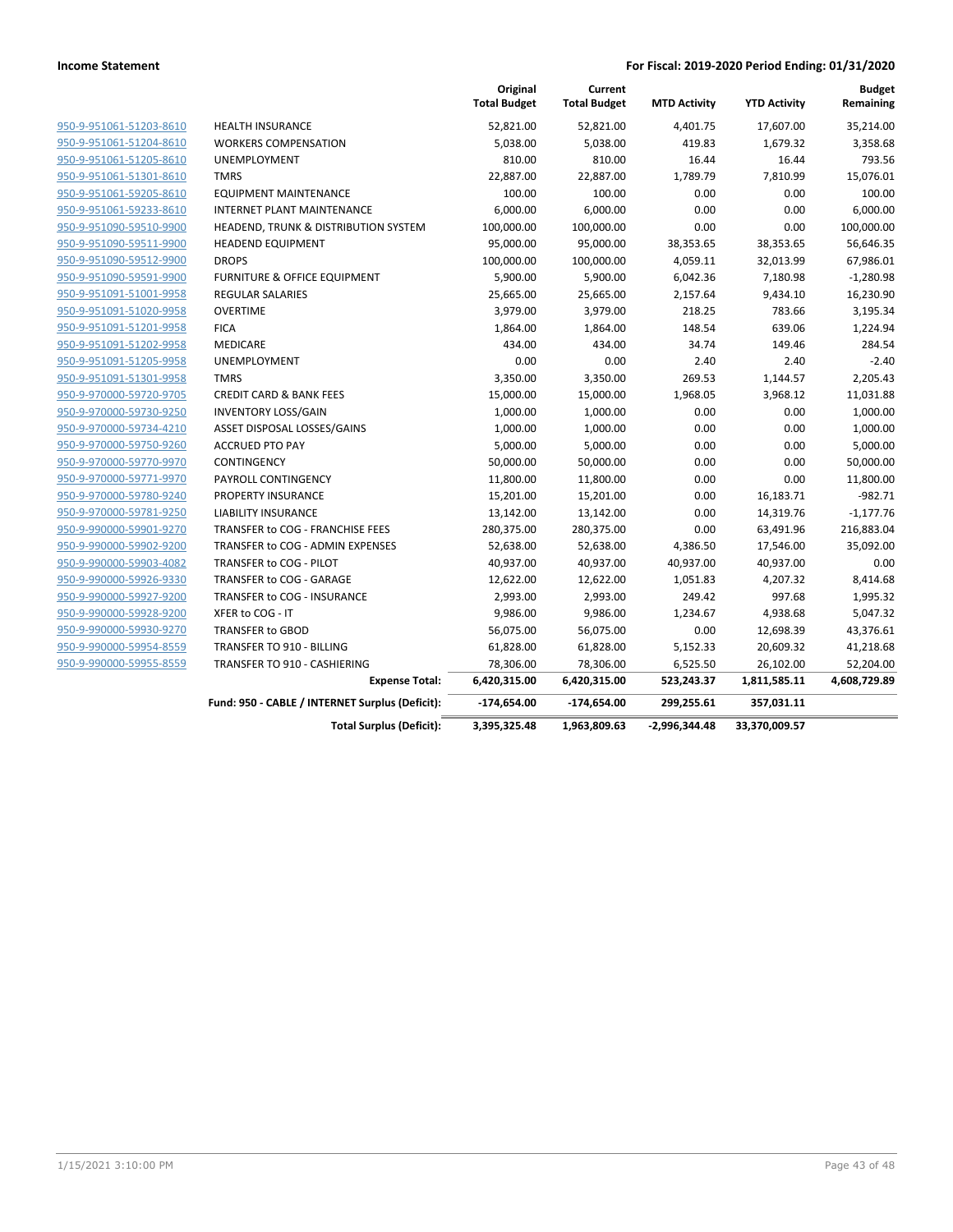|                         |                                                 | Original<br><b>Total Budget</b> | Current<br><b>Total Budget</b> | <b>MTD Activity</b> | <b>YTD Activity</b> | <b>Budget</b><br>Remaining |
|-------------------------|-------------------------------------------------|---------------------------------|--------------------------------|---------------------|---------------------|----------------------------|
| 950-9-951061-51203-8610 | <b>HEALTH INSURANCE</b>                         | 52,821.00                       | 52,821.00                      | 4,401.75            | 17,607.00           | 35,214.00                  |
| 950-9-951061-51204-8610 | <b>WORKERS COMPENSATION</b>                     | 5,038.00                        | 5,038.00                       | 419.83              | 1,679.32            | 3,358.68                   |
| 950-9-951061-51205-8610 | <b>UNEMPLOYMENT</b>                             | 810.00                          | 810.00                         | 16.44               | 16.44               | 793.56                     |
| 950-9-951061-51301-8610 | <b>TMRS</b>                                     | 22,887.00                       | 22,887.00                      | 1,789.79            | 7,810.99            | 15,076.01                  |
| 950-9-951061-59205-8610 | <b>EQUIPMENT MAINTENANCE</b>                    | 100.00                          | 100.00                         | 0.00                | 0.00                | 100.00                     |
| 950-9-951061-59233-8610 | <b>INTERNET PLANT MAINTENANCE</b>               | 6,000.00                        | 6,000.00                       | 0.00                | 0.00                | 6,000.00                   |
| 950-9-951090-59510-9900 | <b>HEADEND, TRUNK &amp; DISTRIBUTION SYSTEM</b> | 100,000.00                      | 100,000.00                     | 0.00                | 0.00                | 100,000.00                 |
| 950-9-951090-59511-9900 | <b>HEADEND EQUIPMENT</b>                        | 95,000.00                       | 95,000.00                      | 38,353.65           | 38,353.65           | 56,646.35                  |
| 950-9-951090-59512-9900 | <b>DROPS</b>                                    | 100,000.00                      | 100,000.00                     | 4,059.11            | 32,013.99           | 67,986.01                  |
| 950-9-951090-59591-9900 | FURNITURE & OFFICE EQUIPMENT                    | 5,900.00                        | 5,900.00                       | 6,042.36            | 7,180.98            | $-1,280.98$                |
| 950-9-951091-51001-9958 | <b>REGULAR SALARIES</b>                         | 25,665.00                       | 25,665.00                      | 2,157.64            | 9,434.10            | 16,230.90                  |
| 950-9-951091-51020-9958 | <b>OVERTIME</b>                                 | 3,979.00                        | 3,979.00                       | 218.25              | 783.66              | 3,195.34                   |
| 950-9-951091-51201-9958 | <b>FICA</b>                                     | 1,864.00                        | 1,864.00                       | 148.54              | 639.06              | 1,224.94                   |
| 950-9-951091-51202-9958 | MEDICARE                                        | 434.00                          | 434.00                         | 34.74               | 149.46              | 284.54                     |
| 950-9-951091-51205-9958 | UNEMPLOYMENT                                    | 0.00                            | 0.00                           | 2.40                | 2.40                | $-2.40$                    |
| 950-9-951091-51301-9958 | <b>TMRS</b>                                     | 3,350.00                        | 3,350.00                       | 269.53              | 1,144.57            | 2,205.43                   |
| 950-9-970000-59720-9705 | <b>CREDIT CARD &amp; BANK FEES</b>              | 15,000.00                       | 15,000.00                      | 1,968.05            | 3,968.12            | 11,031.88                  |
| 950-9-970000-59730-9250 | <b>INVENTORY LOSS/GAIN</b>                      | 1,000.00                        | 1,000.00                       | 0.00                | 0.00                | 1,000.00                   |
| 950-9-970000-59734-4210 | ASSET DISPOSAL LOSSES/GAINS                     | 1,000.00                        | 1,000.00                       | 0.00                | 0.00                | 1,000.00                   |
| 950-9-970000-59750-9260 | <b>ACCRUED PTO PAY</b>                          | 5,000.00                        | 5,000.00                       | 0.00                | 0.00                | 5,000.00                   |
| 950-9-970000-59770-9970 | CONTINGENCY                                     | 50,000.00                       | 50,000.00                      | 0.00                | 0.00                | 50,000.00                  |
| 950-9-970000-59771-9970 | PAYROLL CONTINGENCY                             | 11,800.00                       | 11,800.00                      | 0.00                | 0.00                | 11,800.00                  |
| 950-9-970000-59780-9240 | PROPERTY INSURANCE                              | 15,201.00                       | 15,201.00                      | 0.00                | 16,183.71           | $-982.71$                  |
| 950-9-970000-59781-9250 | <b>LIABILITY INSURANCE</b>                      | 13,142.00                       | 13,142.00                      | 0.00                | 14,319.76           | $-1,177.76$                |
| 950-9-990000-59901-9270 | TRANSFER to COG - FRANCHISE FEES                | 280,375.00                      | 280,375.00                     | 0.00                | 63,491.96           | 216,883.04                 |
| 950-9-990000-59902-9200 | TRANSFER to COG - ADMIN EXPENSES                | 52,638.00                       | 52,638.00                      | 4,386.50            | 17,546.00           | 35,092.00                  |
| 950-9-990000-59903-4082 | TRANSFER to COG - PILOT                         | 40,937.00                       | 40,937.00                      | 40,937.00           | 40,937.00           | 0.00                       |
| 950-9-990000-59926-9330 | TRANSFER to COG - GARAGE                        | 12,622.00                       | 12,622.00                      | 1,051.83            | 4,207.32            | 8,414.68                   |
| 950-9-990000-59927-9200 | TRANSFER to COG - INSURANCE                     | 2,993.00                        | 2,993.00                       | 249.42              | 997.68              | 1,995.32                   |
| 950-9-990000-59928-9200 | XFER to COG - IT                                | 9,986.00                        | 9,986.00                       | 1,234.67            | 4,938.68            | 5,047.32                   |
| 950-9-990000-59930-9270 | <b>TRANSFER to GBOD</b>                         | 56,075.00                       | 56,075.00                      | 0.00                | 12,698.39           | 43,376.61                  |
| 950-9-990000-59954-8559 | TRANSFER TO 910 - BILLING                       | 61,828.00                       | 61,828.00                      | 5,152.33            | 20,609.32           | 41,218.68                  |
| 950-9-990000-59955-8559 | TRANSFER TO 910 - CASHIERING                    | 78,306.00                       | 78,306.00                      | 6,525.50            | 26,102.00           | 52,204.00                  |
|                         | <b>Expense Total:</b>                           | 6,420,315.00                    | 6,420,315.00                   | 523,243.37          | 1,811,585.11        | 4,608,729.89               |
|                         | Fund: 950 - CABLE / INTERNET Surplus (Deficit): | $-174,654.00$                   | $-174,654.00$                  | 299,255.61          | 357,031.11          |                            |
|                         | <b>Total Surplus (Deficit):</b>                 | 3,395,325.48                    | 1,963,809.63                   | $-2,996,344.48$     | 33,370,009.57       |                            |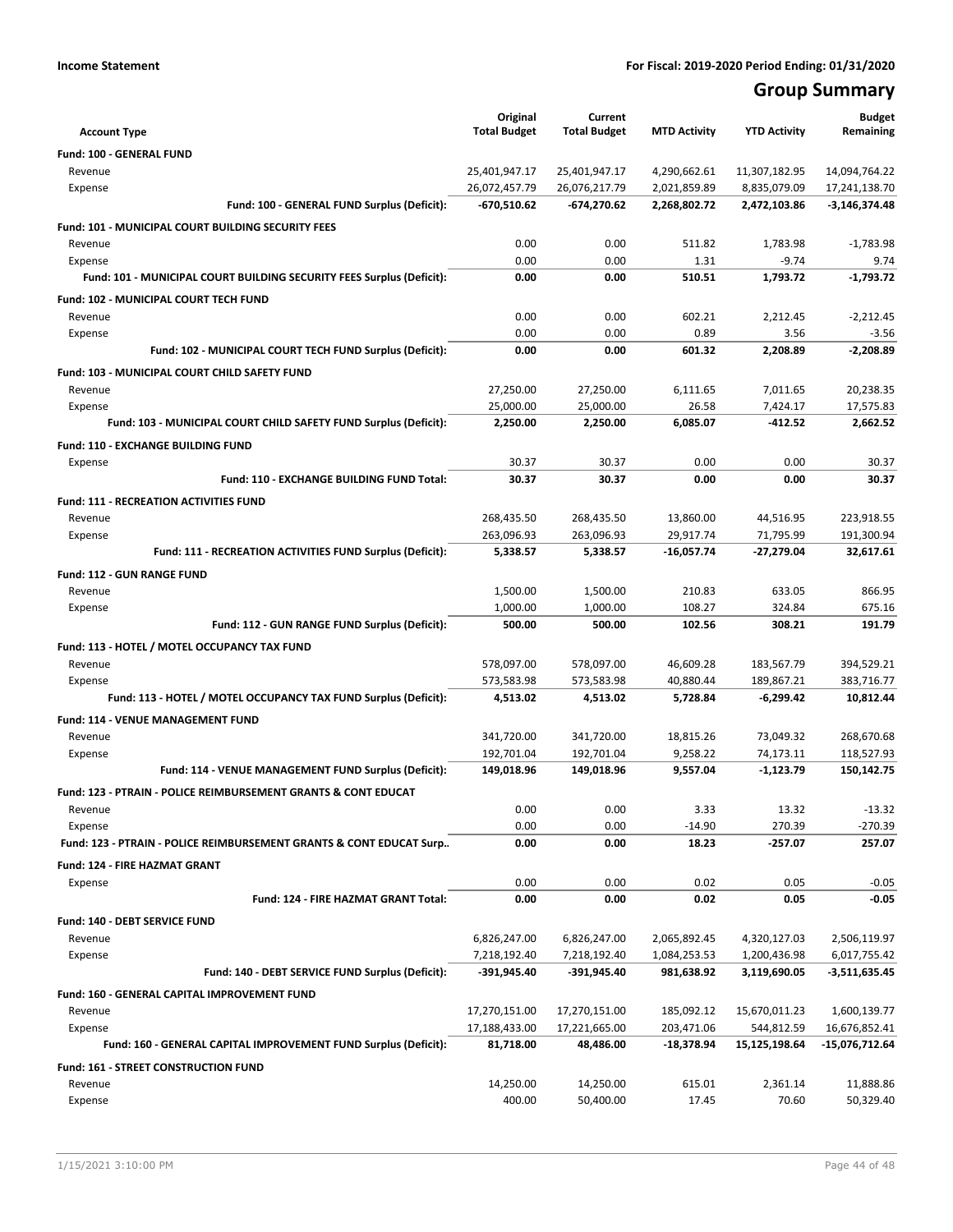# **Group Summary**

| <b>Account Type</b>                                                       | Original<br><b>Total Budget</b> | Current<br><b>Total Budget</b> | <b>MTD Activity</b>          | <b>YTD Activity</b>           | <b>Budget</b><br>Remaining     |
|---------------------------------------------------------------------------|---------------------------------|--------------------------------|------------------------------|-------------------------------|--------------------------------|
|                                                                           |                                 |                                |                              |                               |                                |
| <b>Fund: 100 - GENERAL FUND</b>                                           |                                 |                                |                              |                               |                                |
| Revenue<br>Expense                                                        | 25,401,947.17<br>26,072,457.79  | 25,401,947.17<br>26,076,217.79 | 4,290,662.61<br>2,021,859.89 | 11,307,182.95<br>8,835,079.09 | 14,094,764.22<br>17,241,138.70 |
| Fund: 100 - GENERAL FUND Surplus (Deficit):                               | -670,510.62                     | $-674,270.62$                  | 2,268,802.72                 | 2,472,103.86                  | $-3,146,374.48$                |
|                                                                           |                                 |                                |                              |                               |                                |
| <b>Fund: 101 - MUNICIPAL COURT BUILDING SECURITY FEES</b>                 | 0.00                            | 0.00                           | 511.82                       | 1,783.98                      | $-1,783.98$                    |
| Revenue<br>Expense                                                        | 0.00                            | 0.00                           | 1.31                         | $-9.74$                       | 9.74                           |
| Fund: 101 - MUNICIPAL COURT BUILDING SECURITY FEES Surplus (Deficit):     | 0.00                            | 0.00                           | 510.51                       | 1,793.72                      | $-1,793.72$                    |
| <b>Fund: 102 - MUNICIPAL COURT TECH FUND</b>                              |                                 |                                |                              |                               |                                |
| Revenue                                                                   | 0.00                            | 0.00                           | 602.21                       | 2,212.45                      | $-2,212.45$                    |
| Expense                                                                   | 0.00                            | 0.00                           | 0.89                         | 3.56                          | $-3.56$                        |
| Fund: 102 - MUNICIPAL COURT TECH FUND Surplus (Deficit):                  | 0.00                            | 0.00                           | 601.32                       | 2,208.89                      | $-2,208.89$                    |
| Fund: 103 - MUNICIPAL COURT CHILD SAFETY FUND                             |                                 |                                |                              |                               |                                |
| Revenue                                                                   | 27,250.00                       | 27,250.00                      | 6,111.65                     | 7,011.65                      | 20,238.35                      |
| Expense                                                                   | 25,000.00                       | 25,000.00                      | 26.58                        | 7,424.17                      | 17,575.83                      |
| Fund: 103 - MUNICIPAL COURT CHILD SAFETY FUND Surplus (Deficit):          | 2,250.00                        | 2,250.00                       | 6,085.07                     | $-412.52$                     | 2,662.52                       |
| <b>Fund: 110 - EXCHANGE BUILDING FUND</b>                                 |                                 |                                |                              |                               |                                |
| Expense                                                                   | 30.37                           | 30.37                          | 0.00                         | 0.00                          | 30.37                          |
| Fund: 110 - EXCHANGE BUILDING FUND Total:                                 | 30.37                           | 30.37                          | 0.00                         | 0.00                          | 30.37                          |
|                                                                           |                                 |                                |                              |                               |                                |
| <b>Fund: 111 - RECREATION ACTIVITIES FUND</b><br>Revenue                  | 268,435.50                      | 268,435.50                     | 13,860.00                    | 44,516.95                     | 223,918.55                     |
| Expense                                                                   | 263,096.93                      | 263,096.93                     | 29,917.74                    | 71,795.99                     | 191,300.94                     |
| Fund: 111 - RECREATION ACTIVITIES FUND Surplus (Deficit):                 | 5,338.57                        | 5,338.57                       | $-16,057.74$                 | -27,279.04                    | 32,617.61                      |
|                                                                           |                                 |                                |                              |                               |                                |
| <b>Fund: 112 - GUN RANGE FUND</b><br>Revenue                              | 1,500.00                        | 1,500.00                       | 210.83                       | 633.05                        | 866.95                         |
| Expense                                                                   | 1,000.00                        | 1,000.00                       | 108.27                       | 324.84                        | 675.16                         |
| Fund: 112 - GUN RANGE FUND Surplus (Deficit):                             | 500.00                          | 500.00                         | 102.56                       | 308.21                        | 191.79                         |
|                                                                           |                                 |                                |                              |                               |                                |
| Fund: 113 - HOTEL / MOTEL OCCUPANCY TAX FUND<br>Revenue                   | 578,097.00                      | 578,097.00                     | 46,609.28                    | 183,567.79                    | 394,529.21                     |
| Expense                                                                   | 573,583.98                      | 573,583.98                     | 40,880.44                    | 189,867.21                    | 383,716.77                     |
| Fund: 113 - HOTEL / MOTEL OCCUPANCY TAX FUND Surplus (Deficit):           | 4,513.02                        | 4,513.02                       | 5,728.84                     | $-6,299.42$                   | 10,812.44                      |
|                                                                           |                                 |                                |                              |                               |                                |
| Fund: 114 - VENUE MANAGEMENT FUND<br>Revenue                              | 341,720.00                      | 341,720.00                     | 18,815.26                    | 73,049.32                     | 268,670.68                     |
| Expense                                                                   | 192,701.04                      | 192,701.04                     | 9,258.22                     | 74,173.11                     | 118,527.93                     |
| Fund: 114 - VENUE MANAGEMENT FUND Surplus (Deficit):                      | 149,018.96                      | 149,018.96                     | 9,557.04                     | $-1,123.79$                   | 150,142.75                     |
| <b>Fund: 123 - PTRAIN - POLICE REIMBURSEMENT GRANTS &amp; CONT EDUCAT</b> |                                 |                                |                              |                               |                                |
| Revenue                                                                   | 0.00                            | 0.00                           | 3.33                         | 13.32                         | $-13.32$                       |
| Expense                                                                   | 0.00                            | 0.00                           | $-14.90$                     | 270.39                        | $-270.39$                      |
| Fund: 123 - PTRAIN - POLICE REIMBURSEMENT GRANTS & CONT EDUCAT Surp       | 0.00                            | 0.00                           | 18.23                        | $-257.07$                     | 257.07                         |
| <b>Fund: 124 - FIRE HAZMAT GRANT</b>                                      |                                 |                                |                              |                               |                                |
| Expense                                                                   | 0.00                            | 0.00                           | 0.02                         | 0.05                          | $-0.05$                        |
| Fund: 124 - FIRE HAZMAT GRANT Total:                                      | 0.00                            | 0.00                           | 0.02                         | 0.05                          | $-0.05$                        |
| Fund: 140 - DEBT SERVICE FUND                                             |                                 |                                |                              |                               |                                |
| Revenue                                                                   | 6,826,247.00                    | 6,826,247.00                   | 2,065,892.45                 |                               | 2,506,119.97                   |
| Expense                                                                   | 7,218,192.40                    | 7,218,192.40                   | 1,084,253.53                 | 4,320,127.03<br>1,200,436.98  | 6,017,755.42                   |
| Fund: 140 - DEBT SERVICE FUND Surplus (Deficit):                          | -391,945.40                     | -391,945.40                    | 981,638.92                   | 3,119,690.05                  | $-3,511,635.45$                |
|                                                                           |                                 |                                |                              |                               |                                |
| Fund: 160 - GENERAL CAPITAL IMPROVEMENT FUND<br>Revenue                   |                                 |                                | 185,092.12                   |                               |                                |
| Expense                                                                   | 17,270,151.00<br>17,188,433.00  | 17,270,151.00<br>17,221,665.00 | 203,471.06                   | 15,670,011.23<br>544,812.59   | 1,600,139.77<br>16,676,852.41  |
| Fund: 160 - GENERAL CAPITAL IMPROVEMENT FUND Surplus (Deficit):           | 81,718.00                       | 48,486.00                      | -18,378.94                   | 15,125,198.64                 | -15,076,712.64                 |
|                                                                           |                                 |                                |                              |                               |                                |
| Fund: 161 - STREET CONSTRUCTION FUND<br>Revenue                           | 14,250.00                       | 14,250.00                      | 615.01                       | 2,361.14                      | 11,888.86                      |
| Expense                                                                   | 400.00                          | 50,400.00                      | 17.45                        | 70.60                         | 50,329.40                      |
|                                                                           |                                 |                                |                              |                               |                                |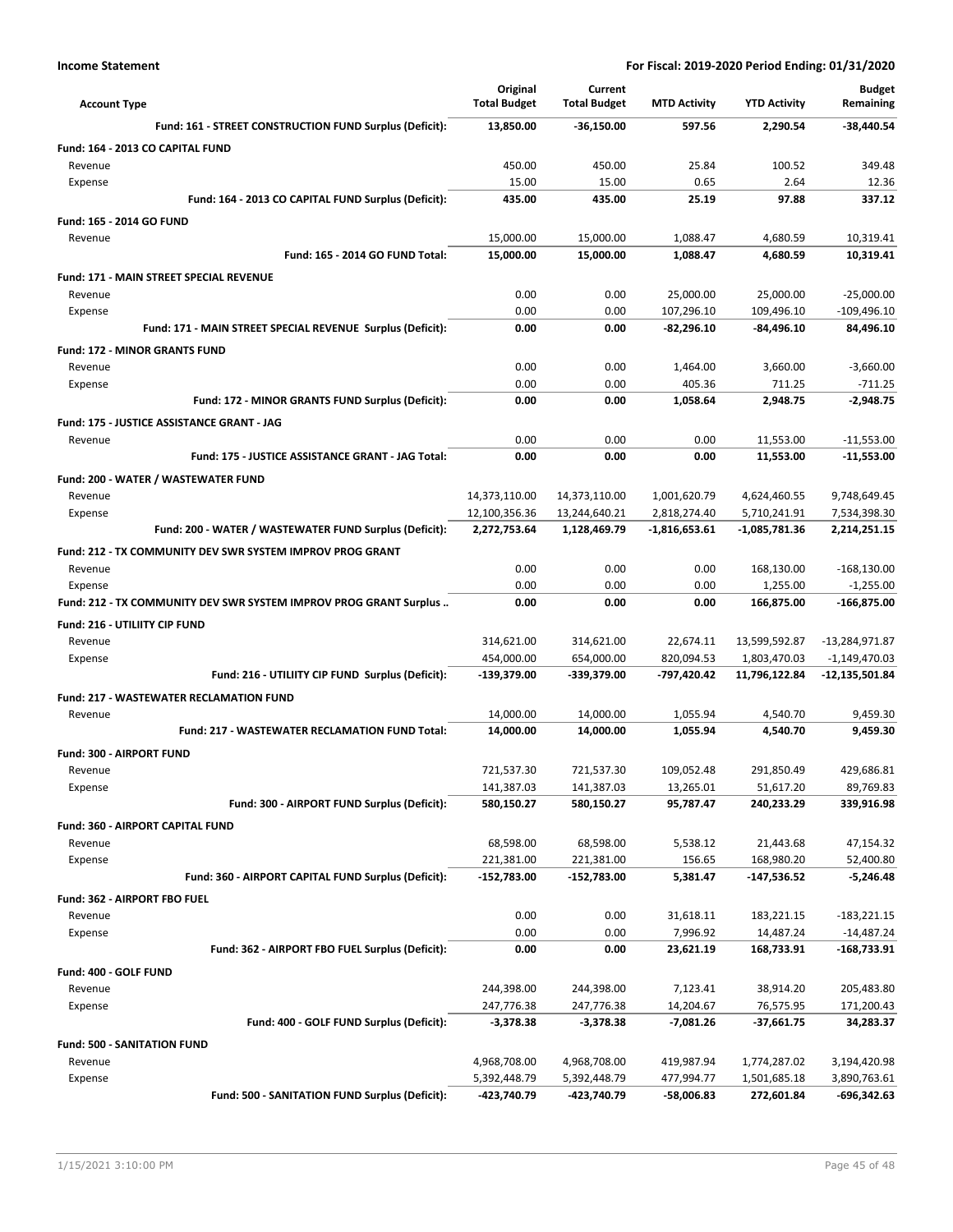| <b>Account Type</b>                                               | Original<br><b>Total Budget</b> | Current<br><b>Total Budget</b> | <b>MTD Activity</b> | <b>YTD Activity</b> | <b>Budget</b><br>Remaining |
|-------------------------------------------------------------------|---------------------------------|--------------------------------|---------------------|---------------------|----------------------------|
| Fund: 161 - STREET CONSTRUCTION FUND Surplus (Deficit):           | 13,850.00                       | $-36,150.00$                   | 597.56              | 2,290.54            | $-38,440.54$               |
| Fund: 164 - 2013 CO CAPITAL FUND                                  |                                 |                                |                     |                     |                            |
| Revenue                                                           | 450.00                          | 450.00                         | 25.84               | 100.52              | 349.48                     |
| Expense                                                           | 15.00                           | 15.00                          | 0.65                | 2.64                | 12.36                      |
| Fund: 164 - 2013 CO CAPITAL FUND Surplus (Deficit):               | 435.00                          | 435.00                         | 25.19               | 97.88               | 337.12                     |
| <b>Fund: 165 - 2014 GO FUND</b>                                   |                                 |                                |                     |                     |                            |
| Revenue                                                           | 15,000.00                       | 15,000.00                      | 1,088.47            | 4,680.59            | 10,319.41                  |
| Fund: 165 - 2014 GO FUND Total:                                   | 15,000.00                       | 15,000.00                      | 1,088.47            | 4,680.59            | 10,319.41                  |
| <b>Fund: 171 - MAIN STREET SPECIAL REVENUE</b>                    |                                 |                                |                     |                     |                            |
| Revenue                                                           | 0.00                            | 0.00                           | 25,000.00           | 25,000.00           | $-25,000.00$               |
| Expense                                                           | 0.00                            | 0.00                           | 107,296.10          | 109,496.10          | $-109,496.10$              |
| Fund: 171 - MAIN STREET SPECIAL REVENUE Surplus (Deficit):        | 0.00                            | 0.00                           | $-82,296.10$        | -84,496.10          | 84,496.10                  |
| <b>Fund: 172 - MINOR GRANTS FUND</b>                              |                                 |                                |                     |                     |                            |
| Revenue                                                           | 0.00                            | 0.00                           | 1,464.00            | 3,660.00            | $-3,660.00$                |
| Expense                                                           | 0.00                            | 0.00                           | 405.36              | 711.25              | $-711.25$                  |
| Fund: 172 - MINOR GRANTS FUND Surplus (Deficit):                  | 0.00                            | 0.00                           | 1,058.64            | 2,948.75            | $-2,948.75$                |
| Fund: 175 - JUSTICE ASSISTANCE GRANT - JAG                        |                                 |                                |                     |                     |                            |
| Revenue                                                           | 0.00                            | 0.00                           | 0.00                | 11,553.00           | $-11,553.00$               |
| Fund: 175 - JUSTICE ASSISTANCE GRANT - JAG Total:                 | 0.00                            | 0.00                           | 0.00                | 11,553.00           | $-11,553.00$               |
| Fund: 200 - WATER / WASTEWATER FUND                               |                                 |                                |                     |                     |                            |
| Revenue                                                           | 14,373,110.00                   | 14,373,110.00                  | 1,001,620.79        | 4,624,460.55        | 9,748,649.45               |
| Expense                                                           | 12,100,356.36                   | 13,244,640.21                  | 2,818,274.40        | 5,710,241.91        | 7,534,398.30               |
| Fund: 200 - WATER / WASTEWATER FUND Surplus (Deficit):            | 2,272,753.64                    | 1,128,469.79                   | -1,816,653.61       | -1,085,781.36       | 2,214,251.15               |
| <b>Fund: 212 - TX COMMUNITY DEV SWR SYSTEM IMPROV PROG GRANT</b>  |                                 |                                |                     |                     |                            |
| Revenue                                                           | 0.00                            | 0.00                           | 0.00                | 168,130.00          | $-168,130.00$              |
| Expense                                                           | 0.00                            | 0.00                           | 0.00                | 1,255.00            | $-1,255.00$                |
| Fund: 212 - TX COMMUNITY DEV SWR SYSTEM IMPROV PROG GRANT Surplus | 0.00                            | 0.00                           | 0.00                | 166,875.00          | $-166,875.00$              |
| <b>Fund: 216 - UTILIITY CIP FUND</b>                              |                                 |                                |                     |                     |                            |
| Revenue                                                           | 314,621.00                      | 314,621.00                     | 22,674.11           | 13,599,592.87       | -13,284,971.87             |
| Expense                                                           | 454,000.00                      | 654,000.00                     | 820,094.53          | 1,803,470.03        | $-1,149,470.03$            |
| Fund: 216 - UTILIITY CIP FUND Surplus (Deficit):                  | -139,379.00                     | -339,379.00                    | -797,420.42         | 11,796,122.84       | -12,135,501.84             |
| <b>Fund: 217 - WASTEWATER RECLAMATION FUND</b>                    |                                 |                                |                     |                     |                            |
| Revenue                                                           | 14,000.00                       | 14,000.00                      | 1,055.94            | 4,540.70            | 9,459.30                   |
| Fund: 217 - WASTEWATER RECLAMATION FUND Total:                    | 14,000.00                       | 14,000.00                      | 1,055.94            | 4,540.70            | 9,459.30                   |
| Fund: 300 - AIRPORT FUND                                          |                                 |                                |                     |                     |                            |
| Revenue                                                           | 721,537.30                      | 721,537.30                     | 109,052.48          | 291,850.49          | 429,686.81                 |
| Expense                                                           | 141,387.03                      | 141,387.03                     | 13,265.01           | 51,617.20           | 89,769.83                  |
| Fund: 300 - AIRPORT FUND Surplus (Deficit):                       | 580,150.27                      | 580,150.27                     | 95,787.47           | 240,233.29          | 339,916.98                 |
| Fund: 360 - AIRPORT CAPITAL FUND                                  |                                 |                                |                     |                     |                            |
| Revenue                                                           | 68,598.00                       | 68,598.00                      | 5,538.12            | 21,443.68           | 47,154.32                  |
| Expense                                                           | 221,381.00                      | 221,381.00                     | 156.65              | 168,980.20          | 52,400.80                  |
| Fund: 360 - AIRPORT CAPITAL FUND Surplus (Deficit):               | $-152,783.00$                   | $-152,783.00$                  | 5,381.47            | -147,536.52         | $-5,246.48$                |
| Fund: 362 - AIRPORT FBO FUEL                                      |                                 |                                |                     |                     |                            |
| Revenue                                                           | 0.00                            | 0.00                           | 31,618.11           | 183,221.15          | $-183,221.15$              |
| Expense                                                           | 0.00                            | 0.00                           | 7,996.92            | 14,487.24           | $-14,487.24$               |
| Fund: 362 - AIRPORT FBO FUEL Surplus (Deficit):                   | 0.00                            | 0.00                           | 23,621.19           | 168,733.91          | $-168,733.91$              |
| Fund: 400 - GOLF FUND                                             |                                 |                                |                     |                     |                            |
| Revenue                                                           | 244,398.00                      | 244,398.00                     | 7,123.41            | 38,914.20           | 205,483.80                 |
| Expense                                                           | 247,776.38                      | 247,776.38                     | 14,204.67           | 76,575.95           | 171,200.43                 |
| Fund: 400 - GOLF FUND Surplus (Deficit):                          | $-3,378.38$                     | $-3,378.38$                    | $-7,081.26$         | -37,661.75          | 34,283.37                  |
| Fund: 500 - SANITATION FUND                                       |                                 |                                |                     |                     |                            |
| Revenue                                                           | 4,968,708.00                    | 4,968,708.00                   | 419,987.94          | 1,774,287.02        | 3,194,420.98               |
| Expense                                                           | 5,392,448.79                    | 5,392,448.79                   | 477,994.77          | 1,501,685.18        | 3,890,763.61               |
| Fund: 500 - SANITATION FUND Surplus (Deficit):                    | -423,740.79                     | -423,740.79                    | -58,006.83          | 272,601.84          | -696,342.63                |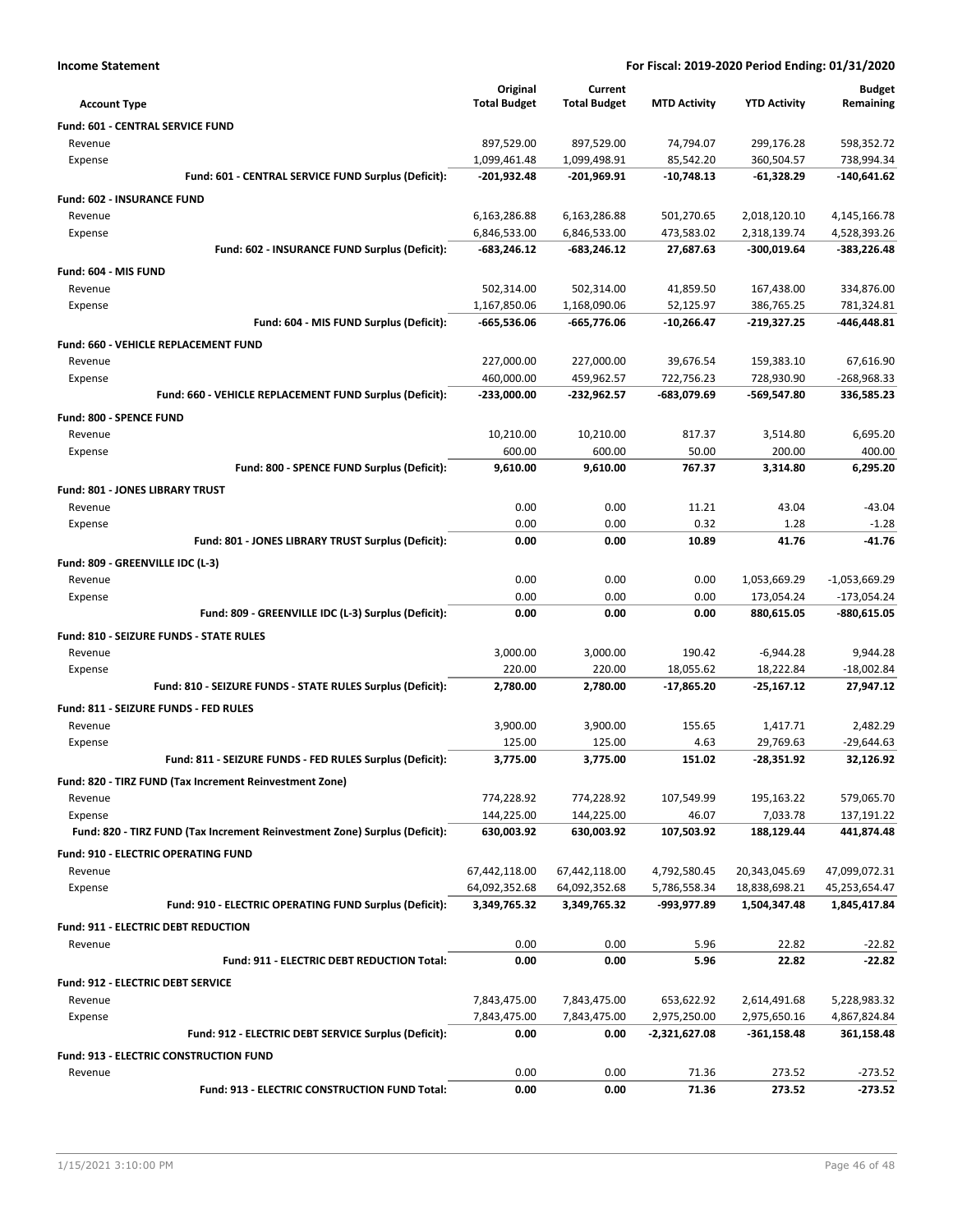|  | Income Statement |
|--|------------------|
|--|------------------|

| <b>Account Type</b>                                                        | Original<br><b>Total Budget</b> | Current<br><b>Total Budget</b> | <b>MTD Activity</b>           | <b>YTD Activity</b>         | <b>Budget</b><br>Remaining |
|----------------------------------------------------------------------------|---------------------------------|--------------------------------|-------------------------------|-----------------------------|----------------------------|
| Fund: 601 - CENTRAL SERVICE FUND                                           |                                 |                                |                               |                             |                            |
| Revenue                                                                    | 897,529.00                      | 897,529.00                     | 74,794.07                     | 299,176.28                  | 598,352.72                 |
| Expense                                                                    | 1,099,461.48                    | 1,099,498.91                   | 85,542.20                     | 360,504.57                  | 738,994.34                 |
| Fund: 601 - CENTRAL SERVICE FUND Surplus (Deficit):                        | -201,932.48                     | -201,969.91                    | $-10,748.13$                  | $-61,328.29$                | -140,641.62                |
| Fund: 602 - INSURANCE FUND                                                 |                                 |                                |                               |                             |                            |
| Revenue                                                                    | 6,163,286.88                    | 6,163,286.88                   | 501,270.65                    | 2,018,120.10                | 4,145,166.78               |
| Expense                                                                    | 6,846,533.00                    | 6,846,533.00                   | 473,583.02                    | 2,318,139.74                | 4,528,393.26               |
| Fund: 602 - INSURANCE FUND Surplus (Deficit):                              | -683,246.12                     | -683,246.12                    | 27,687.63                     | -300,019.64                 | -383,226.48                |
| Fund: 604 - MIS FUND                                                       |                                 |                                |                               |                             |                            |
| Revenue                                                                    | 502,314.00                      | 502,314.00                     | 41,859.50                     | 167,438.00                  | 334,876.00                 |
| Expense                                                                    | 1,167,850.06                    | 1,168,090.06                   | 52,125.97                     | 386,765.25                  | 781,324.81                 |
| Fund: 604 - MIS FUND Surplus (Deficit):                                    | -665,536.06                     | -665,776.06                    | -10,266.47                    | -219,327.25                 | -446,448.81                |
| <b>Fund: 660 - VEHICLE REPLACEMENT FUND</b>                                |                                 |                                |                               |                             |                            |
| Revenue                                                                    | 227,000.00                      | 227,000.00                     | 39,676.54                     | 159,383.10                  | 67,616.90                  |
| Expense                                                                    | 460,000.00                      | 459,962.57                     | 722,756.23                    | 728,930.90                  | -268,968.33                |
| Fund: 660 - VEHICLE REPLACEMENT FUND Surplus (Deficit):                    | $-233,000.00$                   | -232,962.57                    | -683,079.69                   | -569,547.80                 | 336,585.23                 |
| Fund: 800 - SPENCE FUND                                                    |                                 |                                |                               |                             |                            |
| Revenue                                                                    | 10,210.00                       | 10,210.00                      | 817.37                        | 3,514.80                    | 6,695.20                   |
| Expense                                                                    | 600.00                          | 600.00                         | 50.00                         | 200.00                      | 400.00                     |
| Fund: 800 - SPENCE FUND Surplus (Deficit):                                 | 9,610.00                        | 9,610.00                       | 767.37                        | 3,314.80                    | 6,295.20                   |
| Fund: 801 - JONES LIBRARY TRUST                                            |                                 |                                |                               |                             |                            |
| Revenue                                                                    | 0.00                            | 0.00                           | 11.21                         | 43.04                       | $-43.04$                   |
| Expense                                                                    | 0.00                            | 0.00                           | 0.32                          | 1.28                        | $-1.28$                    |
| Fund: 801 - JONES LIBRARY TRUST Surplus (Deficit):                         | 0.00                            | 0.00                           | 10.89                         | 41.76                       | $-41.76$                   |
|                                                                            |                                 |                                |                               |                             |                            |
| Fund: 809 - GREENVILLE IDC (L-3)                                           |                                 |                                |                               |                             |                            |
| Revenue                                                                    | 0.00                            | 0.00                           | 0.00                          | 1,053,669.29                | $-1,053,669.29$            |
| Expense                                                                    | 0.00<br>0.00                    | 0.00<br>0.00                   | 0.00<br>0.00                  | 173,054.24                  | $-173,054.24$              |
| Fund: 809 - GREENVILLE IDC (L-3) Surplus (Deficit):                        |                                 |                                |                               | 880,615.05                  | -880,615.05                |
| Fund: 810 - SEIZURE FUNDS - STATE RULES                                    |                                 |                                |                               |                             |                            |
| Revenue                                                                    | 3,000.00                        | 3,000.00                       | 190.42                        | $-6,944.28$                 | 9,944.28                   |
| Expense                                                                    | 220.00                          | 220.00                         | 18,055.62                     | 18,222.84                   | $-18,002.84$               |
| Fund: 810 - SEIZURE FUNDS - STATE RULES Surplus (Deficit):                 | 2,780.00                        | 2,780.00                       | $-17,865.20$                  | $-25,167.12$                | 27,947.12                  |
| Fund: 811 - SEIZURE FUNDS - FED RULES                                      |                                 |                                |                               |                             |                            |
| Revenue                                                                    | 3,900.00                        | 3,900.00                       | 155.65                        | 1,417.71                    | 2,482.29                   |
| Expense                                                                    | 125.00                          | 125.00                         | 4.63                          | 29,769.63                   | $-29,644.63$               |
| Fund: 811 - SEIZURE FUNDS - FED RULES Surplus (Deficit):                   | 3,775.00                        | 3,775.00                       | 151.02                        | -28,351.92                  | 32,126.92                  |
| Fund: 820 - TIRZ FUND (Tax Increment Reinvestment Zone)                    |                                 |                                |                               |                             |                            |
| Revenue                                                                    | 774,228.92                      | 774,228.92                     | 107,549.99                    | 195,163.22                  | 579,065.70                 |
| Expense                                                                    | 144,225.00                      | 144,225.00                     | 46.07                         | 7,033.78                    | 137,191.22                 |
| Fund: 820 - TIRZ FUND (Tax Increment Reinvestment Zone) Surplus (Deficit): | 630,003.92                      | 630,003.92                     | 107,503.92                    | 188,129.44                  | 441,874.48                 |
| Fund: 910 - ELECTRIC OPERATING FUND                                        |                                 |                                |                               |                             |                            |
| Revenue                                                                    | 67,442,118.00                   | 67,442,118.00                  | 4,792,580.45                  | 20,343,045.69               | 47,099,072.31              |
| Expense                                                                    | 64,092,352.68                   | 64,092,352.68                  | 5,786,558.34                  | 18,838,698.21               | 45,253,654.47              |
| Fund: 910 - ELECTRIC OPERATING FUND Surplus (Deficit):                     | 3,349,765.32                    | 3,349,765.32                   | -993,977.89                   | 1,504,347.48                | 1,845,417.84               |
| Fund: 911 - ELECTRIC DEBT REDUCTION                                        |                                 |                                |                               |                             |                            |
| Revenue                                                                    | 0.00                            | 0.00                           | 5.96                          | 22.82                       | $-22.82$                   |
| Fund: 911 - ELECTRIC DEBT REDUCTION Total:                                 | 0.00                            | 0.00                           | 5.96                          | 22.82                       | $-22.82$                   |
|                                                                            |                                 |                                |                               |                             |                            |
| Fund: 912 - ELECTRIC DEBT SERVICE                                          |                                 |                                |                               |                             |                            |
| Revenue                                                                    | 7,843,475.00                    | 7,843,475.00                   | 653,622.92                    | 2,614,491.68                | 5,228,983.32               |
| Expense<br>Fund: 912 - ELECTRIC DEBT SERVICE Surplus (Deficit):            | 7,843,475.00<br>0.00            | 7,843,475.00<br>0.00           | 2,975,250.00<br>-2,321,627.08 | 2,975,650.16<br>-361,158.48 | 4,867,824.84<br>361,158.48 |
|                                                                            |                                 |                                |                               |                             |                            |
| Fund: 913 - ELECTRIC CONSTRUCTION FUND                                     |                                 |                                |                               |                             |                            |
| Revenue                                                                    | 0.00                            | 0.00                           | 71.36                         | 273.52                      | $-273.52$                  |
| Fund: 913 - ELECTRIC CONSTRUCTION FUND Total:                              | 0.00                            | 0.00                           | 71.36                         | 273.52                      | $-273.52$                  |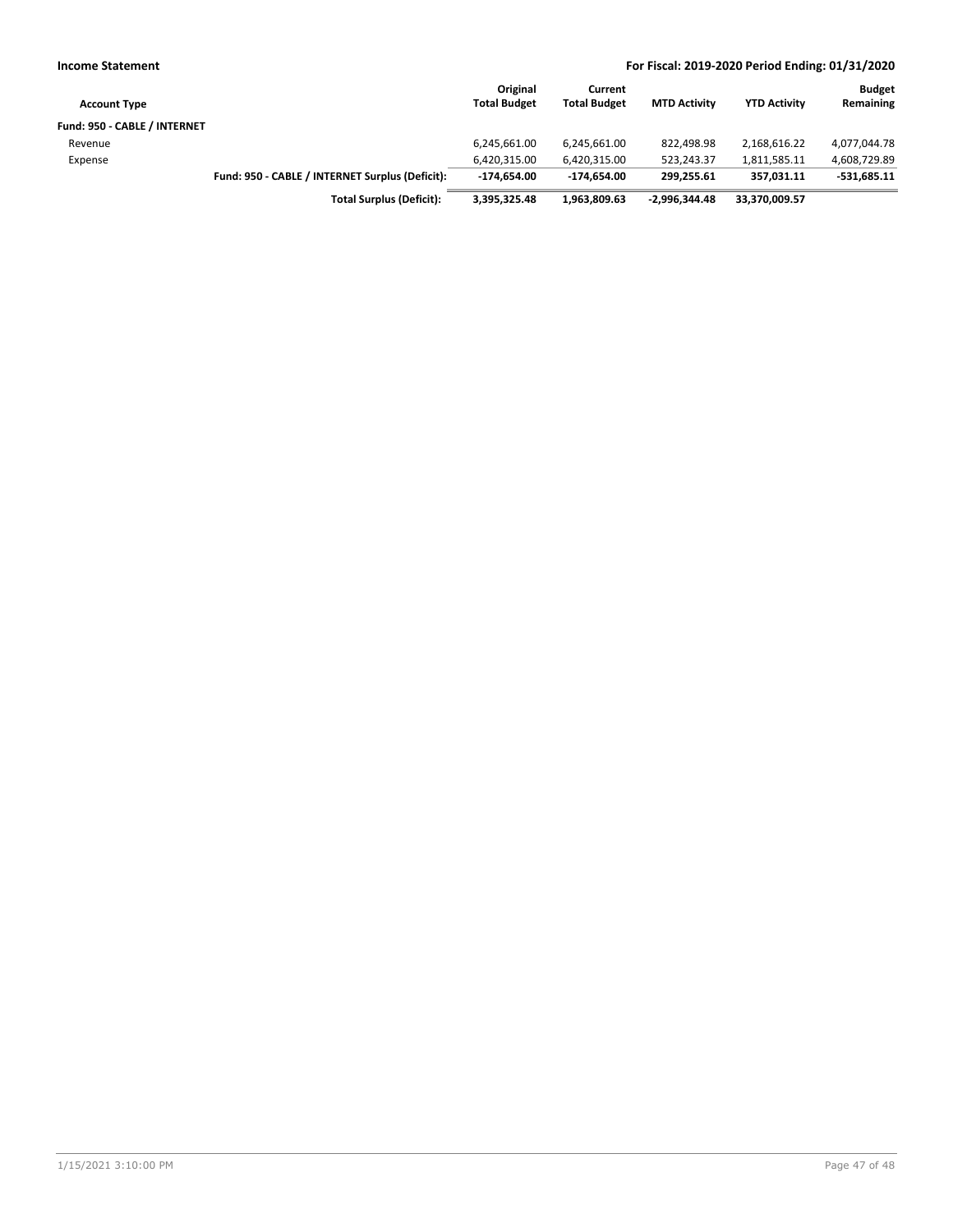| <b>Income Statement</b>      |                                                 |                                 |                                |                     | For Fiscal: 2019-2020 Period Ending: 01/31/2020 |                            |
|------------------------------|-------------------------------------------------|---------------------------------|--------------------------------|---------------------|-------------------------------------------------|----------------------------|
| <b>Account Type</b>          |                                                 | Original<br><b>Total Budget</b> | Current<br><b>Total Budget</b> | <b>MTD Activity</b> | <b>YTD Activity</b>                             | <b>Budget</b><br>Remaining |
| Fund: 950 - CABLE / INTERNET |                                                 |                                 |                                |                     |                                                 |                            |
| Revenue                      |                                                 | 6,245,661.00                    | 6,245,661.00                   | 822.498.98          | 2,168,616.22                                    | 4,077,044.78               |
| Expense                      |                                                 | 6,420,315.00                    | 6,420,315.00                   | 523.243.37          | 1,811,585.11                                    | 4,608,729.89               |
|                              | Fund: 950 - CABLE / INTERNET Surplus (Deficit): | -174.654.00                     | -174.654.00                    | 299.255.61          | 357.031.11                                      | $-531,685.11$              |
|                              | <b>Total Surplus (Deficit):</b>                 | 3,395,325.48                    | 1.963.809.63                   | $-2.996.344.48$     | 33,370,009.57                                   |                            |